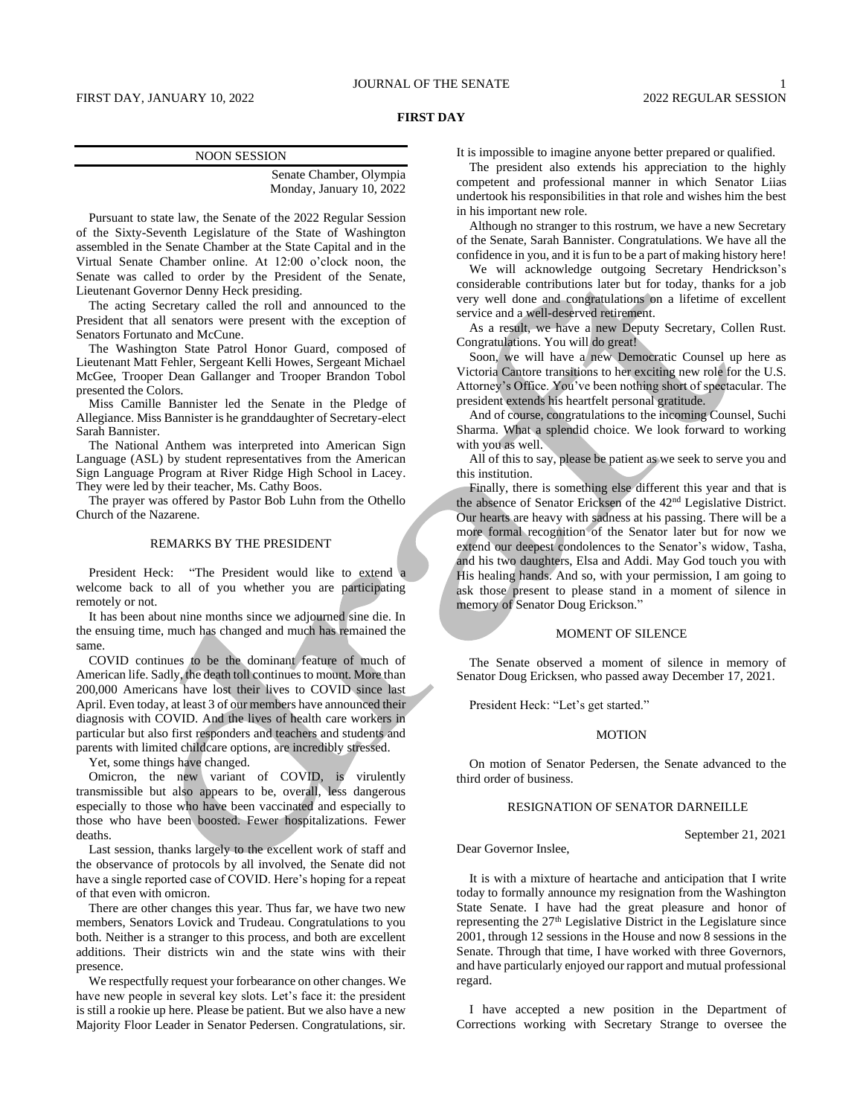### **FIRST DAY**

### NOON SESSION

Senate Chamber, Olympia Monday, January 10, 2022

Pursuant to state law, the Senate of the 2022 Regular Session of the Sixty-Seventh Legislature of the State of Washington assembled in the Senate Chamber at the State Capital and in the Virtual Senate Chamber online. At 12:00 o'clock noon, the Senate was called to order by the President of the Senate, Lieutenant Governor Denny Heck presiding.

The acting Secretary called the roll and announced to the President that all senators were present with the exception of Senators Fortunato and McCune.

The Washington State Patrol Honor Guard, composed of Lieutenant Matt Fehler, Sergeant Kelli Howes, Sergeant Michael McGee, Trooper Dean Gallanger and Trooper Brandon Tobol presented the Colors.

Miss Camille Bannister led the Senate in the Pledge of Allegiance. Miss Bannister is he granddaughter of Secretary-elect Sarah Bannister.

The National Anthem was interpreted into American Sign Language (ASL) by student representatives from the American Sign Language Program at River Ridge High School in Lacey. They were led by their teacher, Ms. Cathy Boos.

The prayer was offered by Pastor Bob Luhn from the Othello Church of the Nazarene.

### REMARKS BY THE PRESIDENT

President Heck: "The President would like to extend a welcome back to all of you whether you are participating remotely or not.

It has been about nine months since we adjourned sine die. In the ensuing time, much has changed and much has remained the same.

COVID continues to be the dominant feature of much of American life. Sadly, the death toll continues to mount. More than 200,000 Americans have lost their lives to COVID since last April. Even today, at least 3 of our members have announced their diagnosis with COVID. And the lives of health care workers in particular but also first responders and teachers and students and parents with limited childcare options, are incredibly stressed.

Yet, some things have changed.

Omicron, the new variant of COVID, is virulently transmissible but also appears to be, overall, less dangerous especially to those who have been vaccinated and especially to those who have been boosted. Fewer hospitalizations. Fewer deaths.

Last session, thanks largely to the excellent work of staff and the observance of protocols by all involved, the Senate did not have a single reported case of COVID. Here's hoping for a repeat of that even with omicron.

There are other changes this year. Thus far, we have two new members, Senators Lovick and Trudeau. Congratulations to you both. Neither is a stranger to this process, and both are excellent additions. Their districts win and the state wins with their presence.

We respectfully request your forbearance on other changes. We have new people in several key slots. Let's face it: the president is still a rookie up here. Please be patient. But we also have a new Majority Floor Leader in Senator Pedersen. Congratulations, sir. It is impossible to imagine anyone better prepared or qualified.

The president also extends his appreciation to the highly competent and professional manner in which Senator Liias undertook his responsibilities in that role and wishes him the best in his important new role.

Although no stranger to this rostrum, we have a new Secretary of the Senate, Sarah Bannister. Congratulations. We have all the confidence in you, and it is fun to be a part of making history here!

We will acknowledge outgoing Secretary Hendrickson's considerable contributions later but for today, thanks for a job very well done and congratulations on a lifetime of excellent service and a well-deserved retirement.

As a result, we have a new Deputy Secretary, Collen Rust. Congratulations. You will do great!

Soon, we will have a new Democratic Counsel up here as Victoria Cantore transitions to her exciting new role for the U.S. Attorney's Office. You've been nothing short of spectacular. The president extends his heartfelt personal gratitude.

And of course, congratulations to the incoming Counsel, Suchi Sharma. What a splendid choice. We look forward to working with you as well.

All of this to say, please be patient as we seek to serve you and this institution.

Finally, there is something else different this year and that is the absence of Senator Ericksen of the 42nd Legislative District. Our hearts are heavy with sadness at his passing. There will be a more formal recognition of the Senator later but for now we extend our deepest condolences to the Senator's widow, Tasha, and his two daughters, Elsa and Addi. May God touch you with His healing hands. And so, with your permission, I am going to ask those present to please stand in a moment of silence in memory of Senator Doug Erickson."

### MOMENT OF SILENCE

The Senate observed a moment of silence in memory of Senator Doug Ericksen, who passed away December 17, 2021.

President Heck: "Let's get started."

### MOTION

On motion of Senator Pedersen, the Senate advanced to the third order of business.

### RESIGNATION OF SENATOR DARNEILLE

Dear Governor Inslee,

September 21, 2021

It is with a mixture of heartache and anticipation that I write today to formally announce my resignation from the Washington State Senate. I have had the great pleasure and honor of representing the 27<sup>th</sup> Legislative District in the Legislature since 2001, through 12 sessions in the House and now 8 sessions in the Senate. Through that time, I have worked with three Governors, and have particularly enjoyed our rapport and mutual professional regard.

I have accepted a new position in the Department of Corrections working with Secretary Strange to oversee the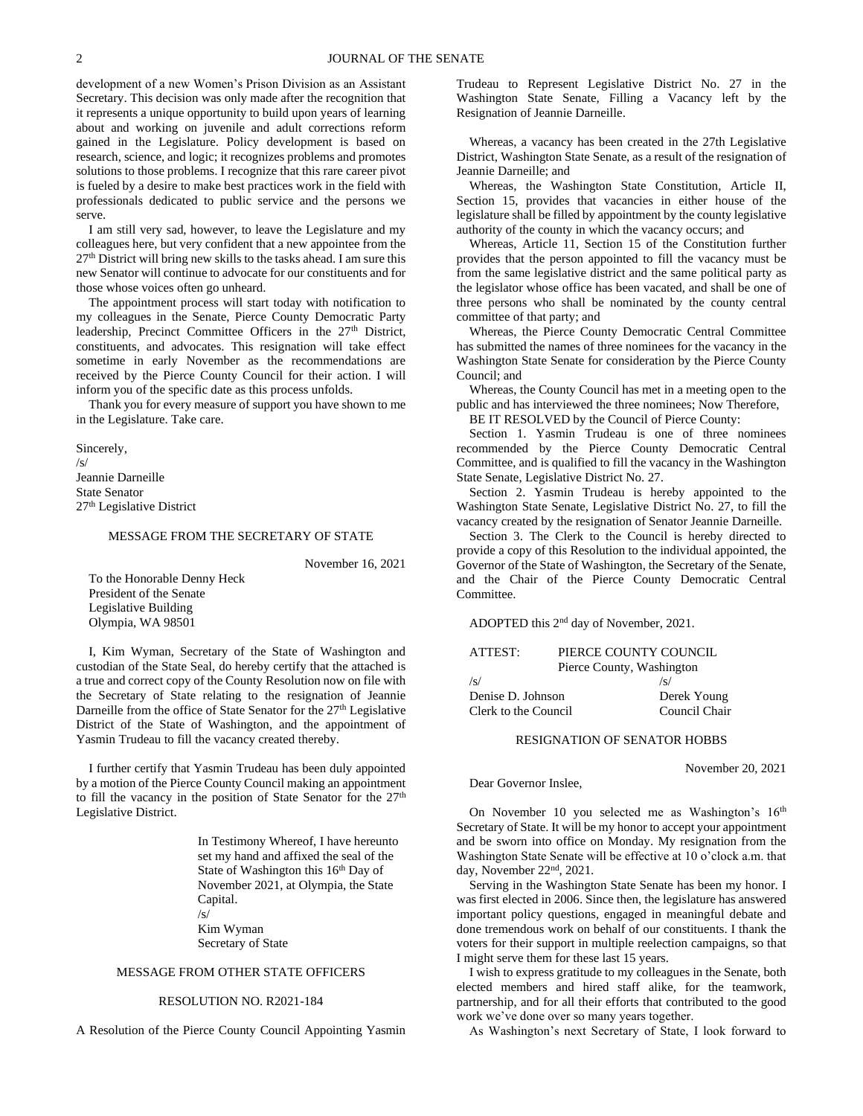development of a new Women's Prison Division as an Assistant Secretary. This decision was only made after the recognition that it represents a unique opportunity to build upon years of learning about and working on juvenile and adult corrections reform gained in the Legislature. Policy development is based on research, science, and logic; it recognizes problems and promotes solutions to those problems. I recognize that this rare career pivot is fueled by a desire to make best practices work in the field with professionals dedicated to public service and the persons we serve.

I am still very sad, however, to leave the Legislature and my colleagues here, but very confident that a new appointee from the 27th District will bring new skills to the tasks ahead. I am sure this new Senator will continue to advocate for our constituents and for those whose voices often go unheard.

The appointment process will start today with notification to my colleagues in the Senate, Pierce County Democratic Party leadership, Precinct Committee Officers in the 27<sup>th</sup> District, constituents, and advocates. This resignation will take effect sometime in early November as the recommendations are received by the Pierce County Council for their action. I will inform you of the specific date as this process unfolds.

Thank you for every measure of support you have shown to me in the Legislature. Take care.

Sincerely, /s/ Jeannie Darneille State Senator 27th Legislative District

### MESSAGE FROM THE SECRETARY OF STATE

November 16, 2021

To the Honorable Denny Heck President of the Senate Legislative Building Olympia, WA 98501

I, Kim Wyman, Secretary of the State of Washington and custodian of the State Seal, do hereby certify that the attached is a true and correct copy of the County Resolution now on file with the Secretary of State relating to the resignation of Jeannie Darneille from the office of State Senator for the  $27<sup>th</sup>$  Legislative District of the State of Washington, and the appointment of Yasmin Trudeau to fill the vacancy created thereby.

I further certify that Yasmin Trudeau has been duly appointed by a motion of the Pierce County Council making an appointment to fill the vacancy in the position of State Senator for the 27<sup>th</sup> Legislative District.

> In Testimony Whereof, I have hereunto set my hand and affixed the seal of the State of Washington this 16<sup>th</sup> Day of November 2021, at Olympia, the State Capital. /s/ Kim Wyman Secretary of State

## MESSAGE FROM OTHER STATE OFFICERS

## RESOLUTION NO. R2021-184

A Resolution of the Pierce County Council Appointing Yasmin

Trudeau to Represent Legislative District No. 27 in the Washington State Senate, Filling a Vacancy left by the Resignation of Jeannie Darneille.

Whereas, a vacancy has been created in the 27th Legislative District, Washington State Senate, as a result of the resignation of Jeannie Darneille; and

Whereas, the Washington State Constitution, Article II, Section 15, provides that vacancies in either house of the legislature shall be filled by appointment by the county legislative authority of the county in which the vacancy occurs; and

Whereas, Article 11, Section 15 of the Constitution further provides that the person appointed to fill the vacancy must be from the same legislative district and the same political party as the legislator whose office has been vacated, and shall be one of three persons who shall be nominated by the county central committee of that party; and

Whereas, the Pierce County Democratic Central Committee has submitted the names of three nominees for the vacancy in the Washington State Senate for consideration by the Pierce County Council; and

Whereas, the County Council has met in a meeting open to the public and has interviewed the three nominees; Now Therefore,

BE IT RESOLVED by the Council of Pierce County:

Section 1. Yasmin Trudeau is one of three nominees recommended by the Pierce County Democratic Central Committee, and is qualified to fill the vacancy in the Washington State Senate, Legislative District No. 27.

Section 2. Yasmin Trudeau is hereby appointed to the Washington State Senate, Legislative District No. 27, to fill the vacancy created by the resignation of Senator Jeannie Darneille.

Section 3. The Clerk to the Council is hereby directed to provide a copy of this Resolution to the individual appointed, the Governor of the State of Washington, the Secretary of the Senate, and the Chair of the Pierce County Democratic Central Committee.

ADOPTED this 2nd day of November, 2021.

| ATTEST:              | PIERCE COUNTY COUNCIL     |
|----------------------|---------------------------|
|                      | Pierce County, Washington |
| /s/                  | $\sqrt{s}$                |
| Denise D. Johnson    | Derek Young               |
| Clerk to the Council | Council Chair             |
|                      |                           |

### RESIGNATION OF SENATOR HOBBS

November 20, 2021

Dear Governor Inslee,

On November 10 you selected me as Washington's 16<sup>th</sup> Secretary of State. It will be my honor to accept your appointment and be sworn into office on Monday. My resignation from the Washington State Senate will be effective at 10 o'clock a.m. that day, November 22nd, 2021.

Serving in the Washington State Senate has been my honor. I was first elected in 2006. Since then, the legislature has answered important policy questions, engaged in meaningful debate and done tremendous work on behalf of our constituents. I thank the voters for their support in multiple reelection campaigns, so that I might serve them for these last 15 years.

I wish to express gratitude to my colleagues in the Senate, both elected members and hired staff alike, for the teamwork, partnership, and for all their efforts that contributed to the good work we've done over so many years together.

As Washington's next Secretary of State, I look forward to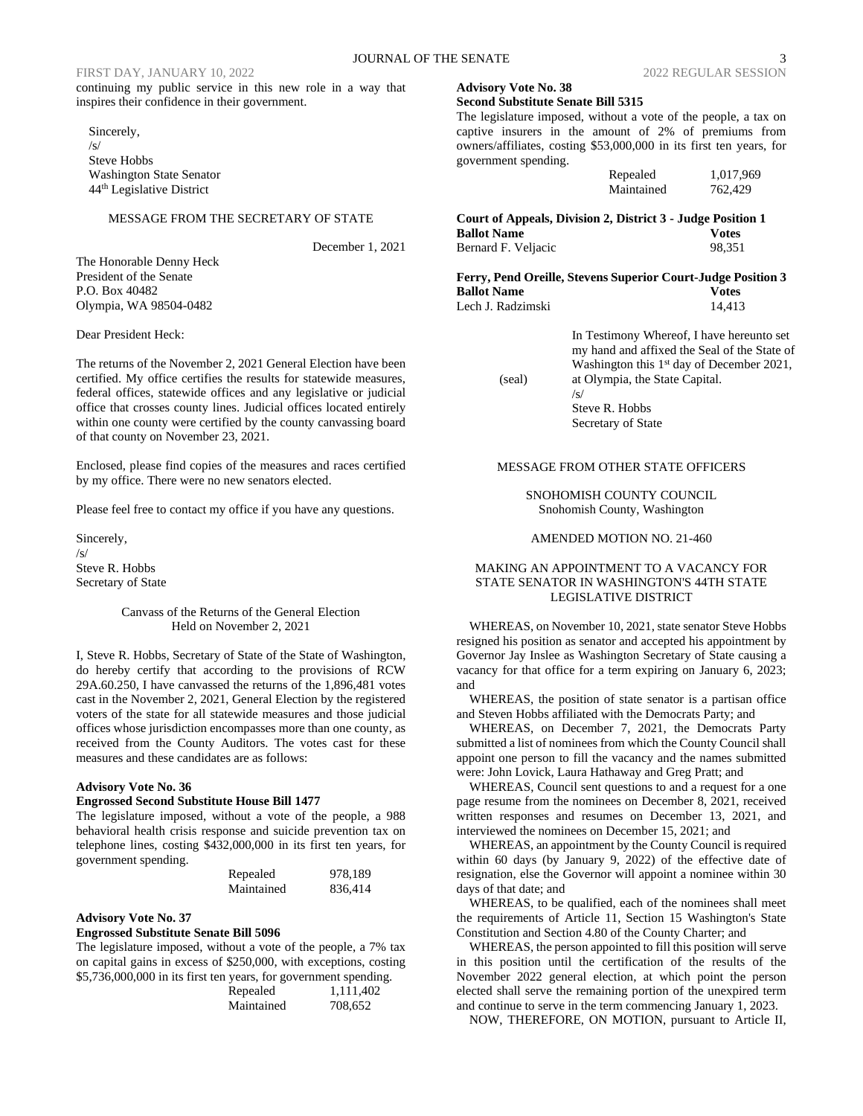continuing my public service in this new role in a way that inspires their confidence in their government.

Sincerely,  $\sqrt{S}$ Steve Hobbs Washington State Senator 44th Legislative District

### MESSAGE FROM THE SECRETARY OF STATE

December 1, 2021

The Honorable Denny Heck President of the Senate P.O. Box 40482 Olympia, WA 98504-0482

Dear President Heck:

The returns of the November 2, 2021 General Election have been certified. My office certifies the results for statewide measures, federal offices, statewide offices and any legislative or judicial office that crosses county lines. Judicial offices located entirely within one county were certified by the county canvassing board of that county on November 23, 2021.

Enclosed, please find copies of the measures and races certified by my office. There were no new senators elected.

Please feel free to contact my office if you have any questions.

Sincerely,

/s/ Steve R. Hobbs Secretary of State

### Canvass of the Returns of the General Election Held on November 2, 2021

I, Steve R. Hobbs, Secretary of State of the State of Washington, do hereby certify that according to the provisions of RCW 29A.60.250, I have canvassed the returns of the 1,896,481 votes cast in the November 2, 2021, General Election by the registered voters of the state for all statewide measures and those judicial offices whose jurisdiction encompasses more than one county, as received from the County Auditors. The votes cast for these measures and these candidates are as follows:

### **Advisory Vote No. 36**

### **Engrossed Second Substitute House Bill 1477**

The legislature imposed, without a vote of the people, a 988 behavioral health crisis response and suicide prevention tax on telephone lines, costing \$432,000,000 in its first ten years, for government spending.

| Repealed   | 978,189 |
|------------|---------|
| Maintained | 836,414 |

### **Advisory Vote No. 37**

### **Engrossed Substitute Senate Bill 5096**

The legislature imposed, without a vote of the people, a 7% tax on capital gains in excess of \$250,000, with exceptions, costing \$5,736,000,000 in its first ten years, for government spending.

| Repealed   | 1,111,402 |
|------------|-----------|
| Maintained | 708,652   |

## FIRST DAY, JANUARY 10, 2022 2022 2022 REGULAR SESSION

### **Second Substitute Senate Bill 5315**

**Advisory Vote No. 38**

(seal)

The legislature imposed, without a vote of the people, a tax on captive insurers in the amount of 2% of premiums from owners/affiliates, costing \$53,000,000 in its first ten years, for government spending.

| Repealed   | 1,017,969 |
|------------|-----------|
| Maintained | 762,429   |

**Court of Appeals, Division 2, District 3 - Judge Position 1 Ballot Name Votes** Bernard F. Veljacic 98,351

**Ferry, Pend Oreille, Stevens Superior Court-Judge Position 3 Ballot Name Votes** Lech J. Radzimski 14,413

> In Testimony Whereof, I have hereunto set my hand and affixed the Seal of the State of Washington this 1<sup>st</sup> day of December 2021, at Olympia, the State Capital. /s/

Steve R. Hobbs Secretary of State

### MESSAGE FROM OTHER STATE OFFICERS

SNOHOMISH COUNTY COUNCIL Snohomish County, Washington

### AMENDED MOTION NO. 21-460

### MAKING AN APPOINTMENT TO A VACANCY FOR STATE SENATOR IN WASHINGTON'S 44TH STATE LEGISLATIVE DISTRICT

WHEREAS, on November 10, 2021, state senator Steve Hobbs resigned his position as senator and accepted his appointment by Governor Jay Inslee as Washington Secretary of State causing a vacancy for that office for a term expiring on January 6, 2023; and

WHEREAS, the position of state senator is a partisan office and Steven Hobbs affiliated with the Democrats Party; and

WHEREAS, on December 7, 2021, the Democrats Party submitted a list of nominees from which the County Council shall appoint one person to fill the vacancy and the names submitted were: John Lovick, Laura Hathaway and Greg Pratt; and

WHEREAS, Council sent questions to and a request for a one page resume from the nominees on December 8, 2021, received written responses and resumes on December 13, 2021, and interviewed the nominees on December 15, 2021; and

WHEREAS, an appointment by the County Council is required within 60 days (by January 9, 2022) of the effective date of resignation, else the Governor will appoint a nominee within 30 days of that date; and

WHEREAS, to be qualified, each of the nominees shall meet the requirements of Article 11, Section 15 Washington's State Constitution and Section 4.80 of the County Charter; and

WHEREAS, the person appointed to fill this position will serve in this position until the certification of the results of the November 2022 general election, at which point the person elected shall serve the remaining portion of the unexpired term and continue to serve in the term commencing January 1, 2023.

NOW, THEREFORE, ON MOTION, pursuant to Article II,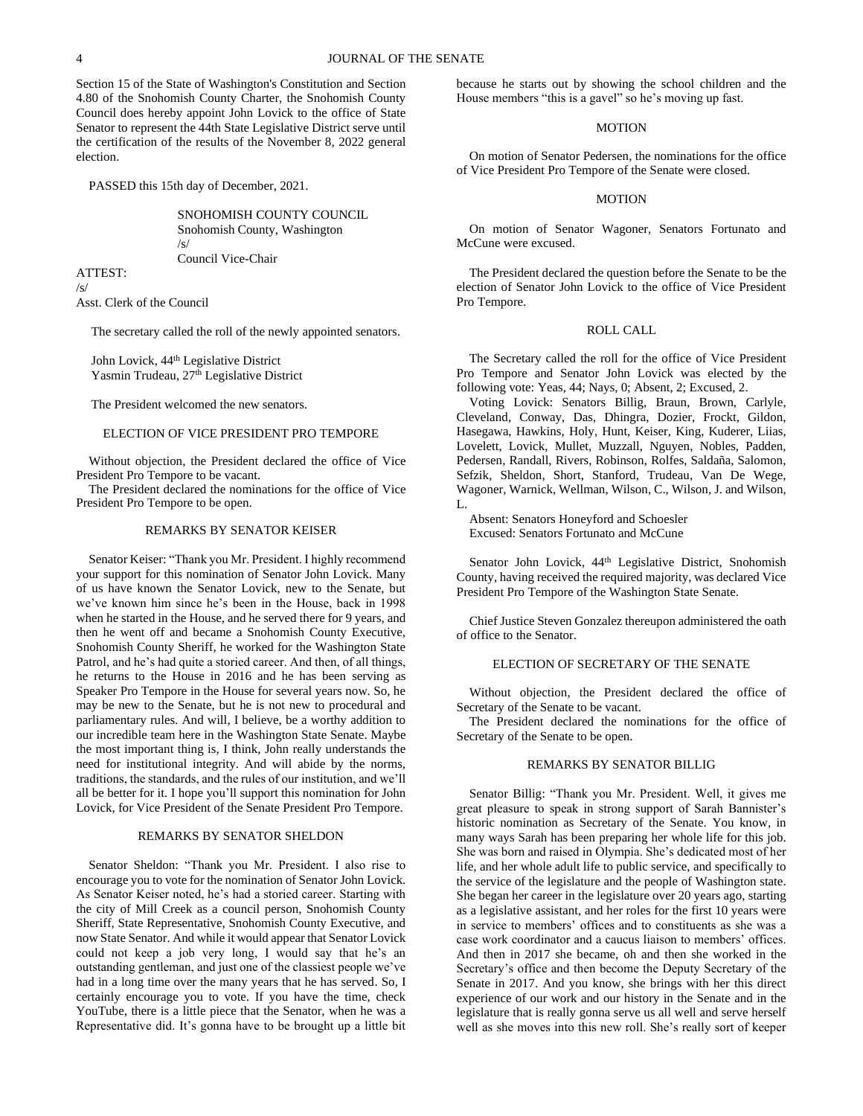Section 15 of the State of Washington's Constitution and Section 4.80 of the Snohomish County Charter, the Snohomish County Council does hereby appoint John Lovick to the office of State Senator to represent the 44th State Legislative District serve until the certification of the results of the November 8, 2022 general election.

PASSED this 15th day of December, 2021.

SNOHOMISH COUNTY COUNCIL Snohomish County, Washington /s/ Council Vice-Chair

ATTEST:  $\sqrt{s}$ Asst. Clerk of the Council

The secretary called the roll of the newly appointed senators.

John Lovick, 44<sup>th</sup> Legislative District Yasmin Trudeau, 27<sup>th</sup> Legislative District

The President welcomed the new senators.

### ELECTION OF VICE PRESIDENT PRO TEMPORE

Without objection, the President declared the office of Vice President Pro Tempore to be vacant.

The President declared the nominations for the office of Vice President Pro Tempore to be open.

### REMARKS BY SENATOR KEISER

Senator Keiser: "Thank you Mr. President. I highly recommend your support for this nomination of Senator John Lovick. Many of us have known the Senator Lovick, new to the Senate, but we've known him since he's been in the House, back in 1998 when he started in the House, and he served there for 9 years, and then he went off and became a Snohomish County Executive, Snohomish County Sheriff, he worked for the Washington State Patrol, and he's had quite a storied career. And then, of all things, he returns to the House in 2016 and he has been serving as Speaker Pro Tempore in the House for several years now. So, he may be new to the Senate, but he is not new to procedural and parliamentary rules. And will, I believe, be a worthy addition to our incredible team here in the Washington State Senate. Maybe the most important thing is, I think, John really understands the need for institutional integrity. And will abide by the norms, traditions, the standards, and the rules of our institution, and we'll all be better for it. I hope you'll support this nomination for John Lovick, for Vice President of the Senate President Pro Tempore.

### REMARKS BY SENATOR SHELDON

Senator Sheldon: "Thank you Mr. President. I also rise to encourage you to vote for the nomination of Senator John Lovick. As Senator Keiser noted, he's had a storied career. Starting with the city of Mill Creek as a council person, Snohomish County Sheriff, State Representative, Snohomish County Executive, and now State Senator. And while it would appear that Senator Lovick could not keep a job very long, I would say that he's an outstanding gentleman, and just one of the classiest people we've had in a long time over the many years that he has served. So, I certainly encourage you to vote. If you have the time, check YouTube, there is a little piece that the Senator, when he was a Representative did. It's gonna have to be brought up a little bit because he starts out by showing the school children and the House members "this is a gavel" so he's moving up fast.

### MOTION

On motion of Senator Pedersen, the nominations for the office of Vice President Pro Tempore of the Senate were closed.

### MOTION

On motion of Senator Wagoner, Senators Fortunato and McCune were excused.

The President declared the question before the Senate to be the election of Senator John Lovick to the office of Vice President Pro Tempore.

### ROLL CALL

The Secretary called the roll for the office of Vice President Pro Tempore and Senator John Lovick was elected by the following vote: Yeas, 44; Nays, 0; Absent, 2; Excused, 2.

Voting Lovick: Senators Billig, Braun, Brown, Carlyle, Cleveland, Conway, Das, Dhingra, Dozier, Frockt, Gildon, Hasegawa, Hawkins, Holy, Hunt, Keiser, King, Kuderer, Liias, Lovelett, Lovick, Mullet, Muzzall, Nguyen, Nobles, Padden, Pedersen, Randall, Rivers, Robinson, Rolfes, Saldaña, Salomon, Sefzik, Sheldon, Short, Stanford, Trudeau, Van De Wege, Wagoner, Warnick, Wellman, Wilson, C., Wilson, J. and Wilson, L.

Absent: Senators Honeyford and Schoesler Excused: Senators Fortunato and McCune

Senator John Lovick, 44<sup>th</sup> Legislative District, Snohomish County, having received the required majority, was declared Vice President Pro Tempore of the Washington State Senate.

Chief Justice Steven Gonzalez thereupon administered the oath of office to the Senator.

### ELECTION OF SECRETARY OF THE SENATE

Without objection, the President declared the office of Secretary of the Senate to be vacant.

The President declared the nominations for the office of Secretary of the Senate to be open.

### REMARKS BY SENATOR BILLIG

Senator Billig: "Thank you Mr. President. Well, it gives me great pleasure to speak in strong support of Sarah Bannister's historic nomination as Secretary of the Senate. You know, in many ways Sarah has been preparing her whole life for this job. She was born and raised in Olympia. She's dedicated most of her life, and her whole adult life to public service, and specifically to the service of the legislature and the people of Washington state. She began her career in the legislature over 20 years ago, starting as a legislative assistant, and her roles for the first 10 years were in service to members' offices and to constituents as she was a case work coordinator and a caucus liaison to members' offices. And then in 2017 she became, oh and then she worked in the Secretary's office and then become the Deputy Secretary of the Senate in 2017. And you know, she brings with her this direct experience of our work and our history in the Senate and in the legislature that is really gonna serve us all well and serve herself well as she moves into this new roll. She's really sort of keeper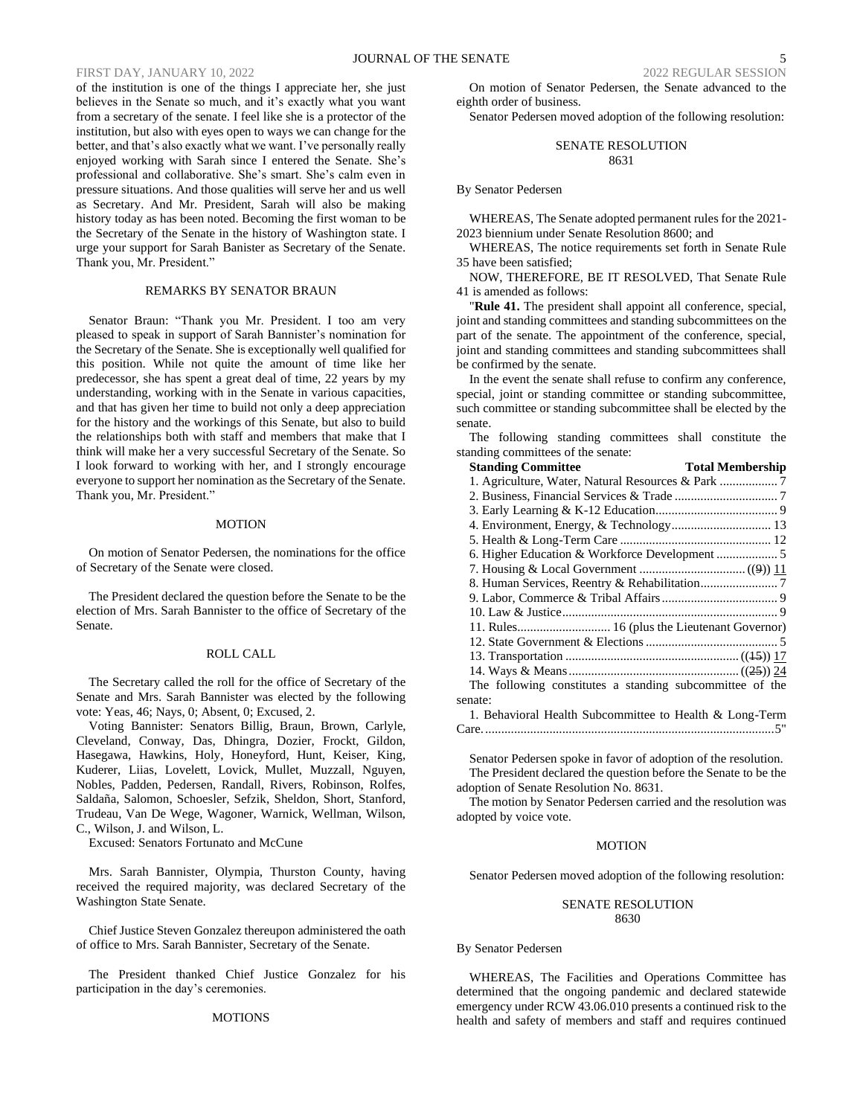of the institution is one of the things I appreciate her, she just believes in the Senate so much, and it's exactly what you want from a secretary of the senate. I feel like she is a protector of the institution, but also with eyes open to ways we can change for the better, and that's also exactly what we want. I've personally really enjoyed working with Sarah since I entered the Senate. She's professional and collaborative. She's smart. She's calm even in pressure situations. And those qualities will serve her and us well as Secretary. And Mr. President, Sarah will also be making history today as has been noted. Becoming the first woman to be the Secretary of the Senate in the history of Washington state. I urge your support for Sarah Banister as Secretary of the Senate. Thank you, Mr. President."

### REMARKS BY SENATOR BRAUN

Senator Braun: "Thank you Mr. President. I too am very pleased to speak in support of Sarah Bannister's nomination for the Secretary of the Senate. She is exceptionally well qualified for this position. While not quite the amount of time like her predecessor, she has spent a great deal of time, 22 years by my understanding, working with in the Senate in various capacities, and that has given her time to build not only a deep appreciation for the history and the workings of this Senate, but also to build the relationships both with staff and members that make that I think will make her a very successful Secretary of the Senate. So I look forward to working with her, and I strongly encourage everyone to support her nomination as the Secretary of the Senate. Thank you, Mr. President."

### MOTION

On motion of Senator Pedersen, the nominations for the office of Secretary of the Senate were closed.

The President declared the question before the Senate to be the election of Mrs. Sarah Bannister to the office of Secretary of the Senate.

### ROLL CALL

The Secretary called the roll for the office of Secretary of the Senate and Mrs. Sarah Bannister was elected by the following vote: Yeas, 46; Nays, 0; Absent, 0; Excused, 2.

Voting Bannister: Senators Billig, Braun, Brown, Carlyle, Cleveland, Conway, Das, Dhingra, Dozier, Frockt, Gildon, Hasegawa, Hawkins, Holy, Honeyford, Hunt, Keiser, King, Kuderer, Liias, Lovelett, Lovick, Mullet, Muzzall, Nguyen, Nobles, Padden, Pedersen, Randall, Rivers, Robinson, Rolfes, Saldaña, Salomon, Schoesler, Sefzik, Sheldon, Short, Stanford, Trudeau, Van De Wege, Wagoner, Warnick, Wellman, Wilson, C., Wilson, J. and Wilson, L.

Excused: Senators Fortunato and McCune

Mrs. Sarah Bannister, Olympia, Thurston County, having received the required majority, was declared Secretary of the Washington State Senate.

Chief Justice Steven Gonzalez thereupon administered the oath of office to Mrs. Sarah Bannister, Secretary of the Senate.

The President thanked Chief Justice Gonzalez for his participation in the day's ceremonies.

### MOTIONS

On motion of Senator Pedersen, the Senate advanced to the eighth order of business.

Senator Pedersen moved adoption of the following resolution:

### SENATE RESOLUTION 8631

### By Senator Pedersen

WHEREAS, The Senate adopted permanent rules for the 2021- 2023 biennium under Senate Resolution 8600; and

WHEREAS, The notice requirements set forth in Senate Rule 35 have been satisfied;

NOW, THEREFORE, BE IT RESOLVED, That Senate Rule 41 is amended as follows:

"**Rule 41.** The president shall appoint all conference, special, joint and standing committees and standing subcommittees on the part of the senate. The appointment of the conference, special, joint and standing committees and standing subcommittees shall be confirmed by the senate.

In the event the senate shall refuse to confirm any conference, special, joint or standing committee or standing subcommittee, such committee or standing subcommittee shall be elected by the senate.

The following standing committees shall constitute the standing committees of the senate:

| <b>Standing Committee</b>                                | <b>Total Membership</b> |
|----------------------------------------------------------|-------------------------|
|                                                          |                         |
|                                                          |                         |
|                                                          |                         |
|                                                          |                         |
|                                                          |                         |
| 6. Higher Education & Workforce Development  5           |                         |
|                                                          |                         |
|                                                          |                         |
|                                                          |                         |
|                                                          |                         |
|                                                          |                         |
|                                                          |                         |
|                                                          |                         |
|                                                          |                         |
| The following constitutes a standing subcommittee of the |                         |
| senate:                                                  |                         |
| 1. Behavioral Health Subcommittee to Health & Long-Term  |                         |
|                                                          |                         |

Senator Pedersen spoke in favor of adoption of the resolution. The President declared the question before the Senate to be the adoption of Senate Resolution No. 8631.

The motion by Senator Pedersen carried and the resolution was adopted by voice vote.

### MOTION

Senator Pedersen moved adoption of the following resolution:

### SENATE RESOLUTION 8630

### By Senator Pedersen

WHEREAS, The Facilities and Operations Committee has determined that the ongoing pandemic and declared statewide emergency under RCW 43.06.010 presents a continued risk to the health and safety of members and staff and requires continued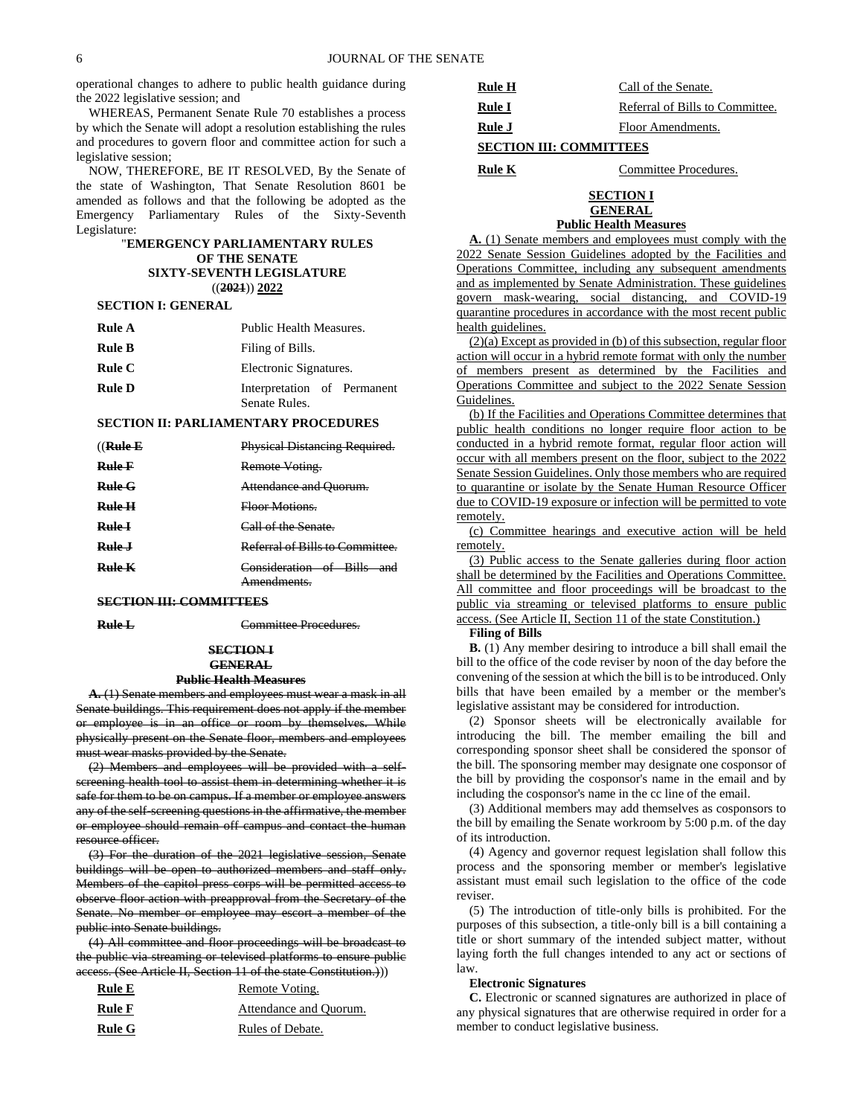operational changes to adhere to public health guidance during the 2022 legislative session; and

WHEREAS, Permanent Senate Rule 70 establishes a process by which the Senate will adopt a resolution establishing the rules and procedures to govern floor and committee action for such a legislative session;

NOW, THEREFORE, BE IT RESOLVED, By the Senate of the state of Washington, That Senate Resolution 8601 be amended as follows and that the following be adopted as the Emergency Parliamentary Rules of the Sixty-Seventh Legislature:

### "**EMERGENCY PARLIAMENTARY RULES OF THE SENATE SIXTY-SEVENTH LEGISLATURE** ((**2021**)) **2022**

### **SECTION I: GENERAL**

| Rule A        | Public Health Measures.                      |
|---------------|----------------------------------------------|
| <b>Rule B</b> | Filing of Bills.                             |
| Rule C        | Electronic Signatures.                       |
| <b>Rule D</b> | Interpretation of Permanent<br>Senate Rules. |

### **SECTION II: PARLIAMENTARY PROCEDURES**

| $((\mathbf{Rule}\mathbf{E})$ | Physical Distancing Required.                |
|------------------------------|----------------------------------------------|
| Rule F                       | Remote Voting.                               |
| $_{\rm Rule~C}$              | Attendance and Ouorum.                       |
| Rule H                       | <del>Floor Motions.</del>                    |
| <b>Rule I</b>                | Call of the Senate.                          |
| Rule J                       | Referral of Bills to Committee.              |
| Rule K                       | Consideration of Bills<br>and<br>Amendments. |

### **SECTION III: COMMITTEES**

**Rule L** Committee Procedures.

### **SECTION I GENERAL Public Health Measures**

**A.** (1) Senate members and employees must wear a mask in all Senate buildings. This requirement does not apply if the member or employee is in an office or room by themselves. While physically present on the Senate floor, members and employees must wear masks provided by the Senate.

(2) Members and employees will be provided with a selfscreening health tool to assist them in determining whether it is safe for them to be on campus. If a member or employee answers any of the self-screening questions in the affirmative, the member or employee should remain off campus and contact the human resource officer.

(3) For the duration of the 2021 legislative session, Senate buildings will be open to authorized members and staff only. Members of the capitol press corps will be permitted access to observe floor action with preapproval from the Secretary of the Senate. No member or employee may escort a member of the public into Senate buildings.

(4) All committee and floor proceedings will be broadcast to the public via streaming or televised platforms to ensure public access. (See Article II, Section 11 of the state Constitution.)))

| <b>Rule E</b> | Remote Voting.         |
|---------------|------------------------|
| <b>Rule F</b> | Attendance and Ouorum. |
| Rule G        | Rules of Debate.       |

| Rule H                         | Call of the Senate.             |  |
|--------------------------------|---------------------------------|--|
| Rule I                         | Referral of Bills to Committee. |  |
| Rule J                         | Floor Amendments.               |  |
| <b>SECTION III: COMMITTEES</b> |                                 |  |

### **Rule K** Committee Procedures.

### **SECTION I GENERAL**

### **Public Health Measures**

**A.** (1) Senate members and employees must comply with the 2022 Senate Session Guidelines adopted by the Facilities and Operations Committee, including any subsequent amendments and as implemented by Senate Administration. These guidelines govern mask-wearing, social distancing, and COVID-19 quarantine procedures in accordance with the most recent public health guidelines.

(2)(a) Except as provided in (b) of this subsection, regular floor action will occur in a hybrid remote format with only the number of members present as determined by the Facilities and Operations Committee and subject to the 2022 Senate Session Guidelines.

(b) If the Facilities and Operations Committee determines that public health conditions no longer require floor action to be conducted in a hybrid remote format, regular floor action will occur with all members present on the floor, subject to the 2022 Senate Session Guidelines. Only those members who are required to quarantine or isolate by the Senate Human Resource Officer due to COVID-19 exposure or infection will be permitted to vote remotely.

(c) Committee hearings and executive action will be held remotely.

(3) Public access to the Senate galleries during floor action shall be determined by the Facilities and Operations Committee. All committee and floor proceedings will be broadcast to the public via streaming or televised platforms to ensure public access. (See Article II, Section 11 of the state Constitution.)

### **Filing of Bills**

**B.** (1) Any member desiring to introduce a bill shall email the bill to the office of the code reviser by noon of the day before the convening of the session at which the bill is to be introduced. Only bills that have been emailed by a member or the member's legislative assistant may be considered for introduction.

(2) Sponsor sheets will be electronically available for introducing the bill. The member emailing the bill and corresponding sponsor sheet shall be considered the sponsor of the bill. The sponsoring member may designate one cosponsor of the bill by providing the cosponsor's name in the email and by including the cosponsor's name in the cc line of the email.

(3) Additional members may add themselves as cosponsors to the bill by emailing the Senate workroom by 5:00 p.m. of the day of its introduction.

(4) Agency and governor request legislation shall follow this process and the sponsoring member or member's legislative assistant must email such legislation to the office of the code reviser.

(5) The introduction of title-only bills is prohibited. For the purposes of this subsection, a title-only bill is a bill containing a title or short summary of the intended subject matter, without laying forth the full changes intended to any act or sections of law.

### **Electronic Signatures**

**C.** Electronic or scanned signatures are authorized in place of any physical signatures that are otherwise required in order for a member to conduct legislative business.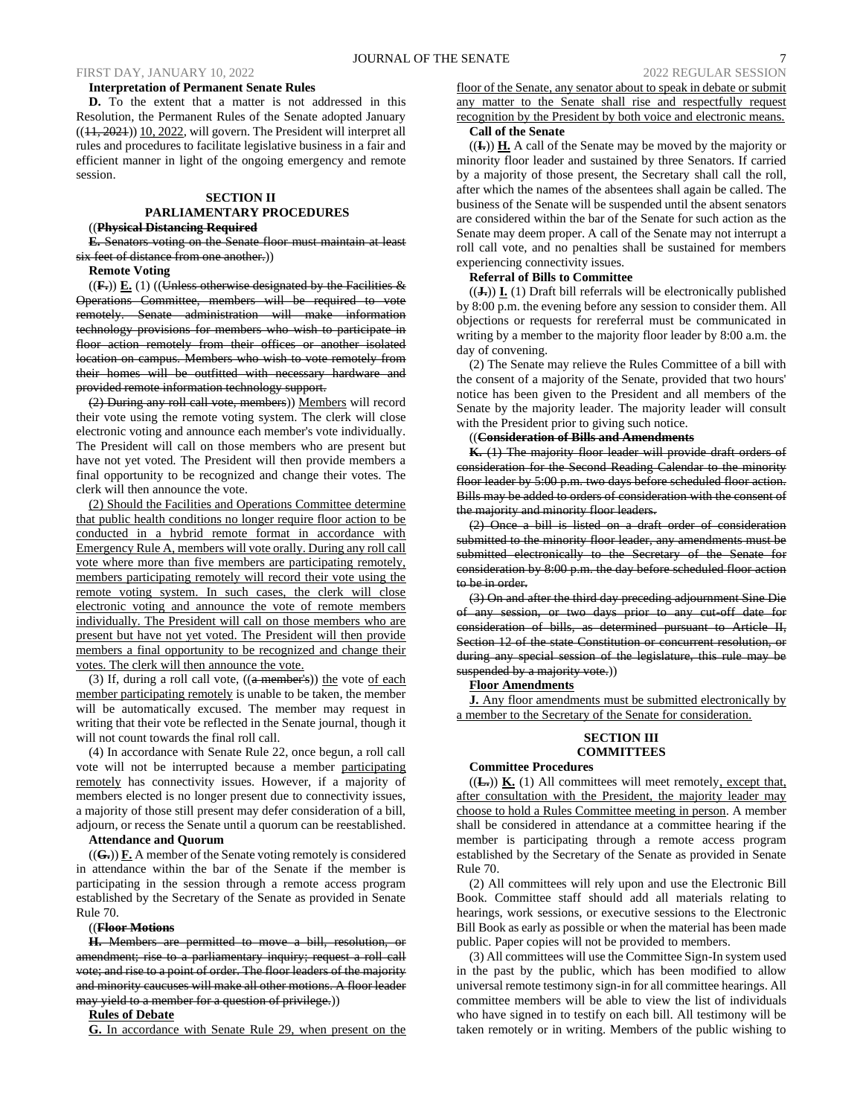**Interpretation of Permanent Senate Rules D.** To the extent that a matter is not addressed in this Resolution, the Permanent Rules of the Senate adopted January  $((11, 2021))$  10, 2022, will govern. The President will interpret all rules and procedures to facilitate legislative business in a fair and efficient manner in light of the ongoing emergency and remote session.

### **SECTION II**

### **PARLIAMENTARY PROCEDURES** ((**Physical Distancing Required**

**E.** Senators voting on the Senate floor must maintain at least

six feet of distance from one another.))

**Remote Voting**

 $((F<sub>•</sub>))$   $E<sub>•</sub>$  (1) ((Unless otherwise designated by the Facilities  $&$ Operations Committee, members will be required to vote remotely. Senate administration will make information technology provisions for members who wish to participate in floor action remotely from their offices or another isolated location on campus. Members who wish to vote remotely from their homes will be outfitted with necessary hardware and provided remote information technology support.

(2) During any roll call vote, members)) Members will record their vote using the remote voting system. The clerk will close electronic voting and announce each member's vote individually. The President will call on those members who are present but have not yet voted. The President will then provide members a final opportunity to be recognized and change their votes. The clerk will then announce the vote.

(2) Should the Facilities and Operations Committee determine that public health conditions no longer require floor action to be conducted in a hybrid remote format in accordance with Emergency Rule A, members will vote orally. During any roll call vote where more than five members are participating remotely, members participating remotely will record their vote using the remote voting system. In such cases, the clerk will close electronic voting and announce the vote of remote members individually. The President will call on those members who are present but have not yet voted. The President will then provide members a final opportunity to be recognized and change their votes. The clerk will then announce the vote.

(3) If, during a roll call vote,  $((a$  member's)) the vote of each member participating remotely is unable to be taken, the member will be automatically excused. The member may request in writing that their vote be reflected in the Senate journal, though it will not count towards the final roll call.

(4) In accordance with Senate Rule 22, once begun, a roll call vote will not be interrupted because a member participating remotely has connectivity issues. However, if a majority of members elected is no longer present due to connectivity issues, a majority of those still present may defer consideration of a bill, adjourn, or recess the Senate until a quorum can be reestablished.

### **Attendance and Quorum**

((**G.**)) **F.** A member of the Senate voting remotely is considered in attendance within the bar of the Senate if the member is participating in the session through a remote access program established by the Secretary of the Senate as provided in Senate Rule 70.

### ((**Floor Motions**

**H.** Members are permitted to move a bill, resolution, or amendment; rise to a parliamentary inquiry; request a roll call vote; and rise to a point of order. The floor leaders of the majority and minority caucuses will make all other motions. A floor leader may yield to a member for a question of privilege.))

### **Rules of Debate**

**G.** In accordance with Senate Rule 29, when present on the

floor of the Senate, any senator about to speak in debate or submit any matter to the Senate shall rise and respectfully request recognition by the President by both voice and electronic means.

### **Call of the Senate**

((**I.**)) **H.** A call of the Senate may be moved by the majority or minority floor leader and sustained by three Senators. If carried by a majority of those present, the Secretary shall call the roll, after which the names of the absentees shall again be called. The business of the Senate will be suspended until the absent senators are considered within the bar of the Senate for such action as the Senate may deem proper. A call of the Senate may not interrupt a roll call vote, and no penalties shall be sustained for members experiencing connectivity issues.

### **Referral of Bills to Committee**

 $((J<sub>+</sub>))$  **I.** (1) Draft bill referrals will be electronically published by 8:00 p.m. the evening before any session to consider them. All objections or requests for rereferral must be communicated in writing by a member to the majority floor leader by 8:00 a.m. the day of convening.

(2) The Senate may relieve the Rules Committee of a bill with the consent of a majority of the Senate, provided that two hours' notice has been given to the President and all members of the Senate by the majority leader. The majority leader will consult with the President prior to giving such notice.

### ((**Consideration of Bills and Amendments**

**K.** (1) The majority floor leader will provide draft orders of consideration for the Second Reading Calendar to the minority floor leader by 5:00 p.m. two days before scheduled floor action. Bills may be added to orders of consideration with the consent of the majority and minority floor leaders.

(2) Once a bill is listed on a draft order of consideration submitted to the minority floor leader, any amendments must be submitted electronically to the Secretary of the Senate for consideration by 8:00 p.m. the day before scheduled floor action to be in order.

(3) On and after the third day preceding adjournment Sine Die of any session, or two days prior to any cut-off date for consideration of bills, as determined pursuant to Article II, Section 12 of the state Constitution or concurrent resolution, or during any special session of the legislature, this rule may be suspended by a majority vote.))

### **Floor Amendments**

**J.** Any floor amendments must be submitted electronically by a member to the Secretary of the Senate for consideration.

### **SECTION III COMMITTEES**

### **Committee Procedures**

 $((\mathbf{L})\mathbf{K}(\mathbf{L}))\mathbf{K}(\mathbf{L})$  All committees will meet remotely, except that, after consultation with the President, the majority leader may choose to hold a Rules Committee meeting in person. A member shall be considered in attendance at a committee hearing if the member is participating through a remote access program established by the Secretary of the Senate as provided in Senate Rule 70.

(2) All committees will rely upon and use the Electronic Bill Book. Committee staff should add all materials relating to hearings, work sessions, or executive sessions to the Electronic Bill Book as early as possible or when the material has been made public. Paper copies will not be provided to members.

(3) All committees will use the Committee Sign-In system used in the past by the public, which has been modified to allow universal remote testimony sign-in for all committee hearings. All committee members will be able to view the list of individuals who have signed in to testify on each bill. All testimony will be taken remotely or in writing. Members of the public wishing to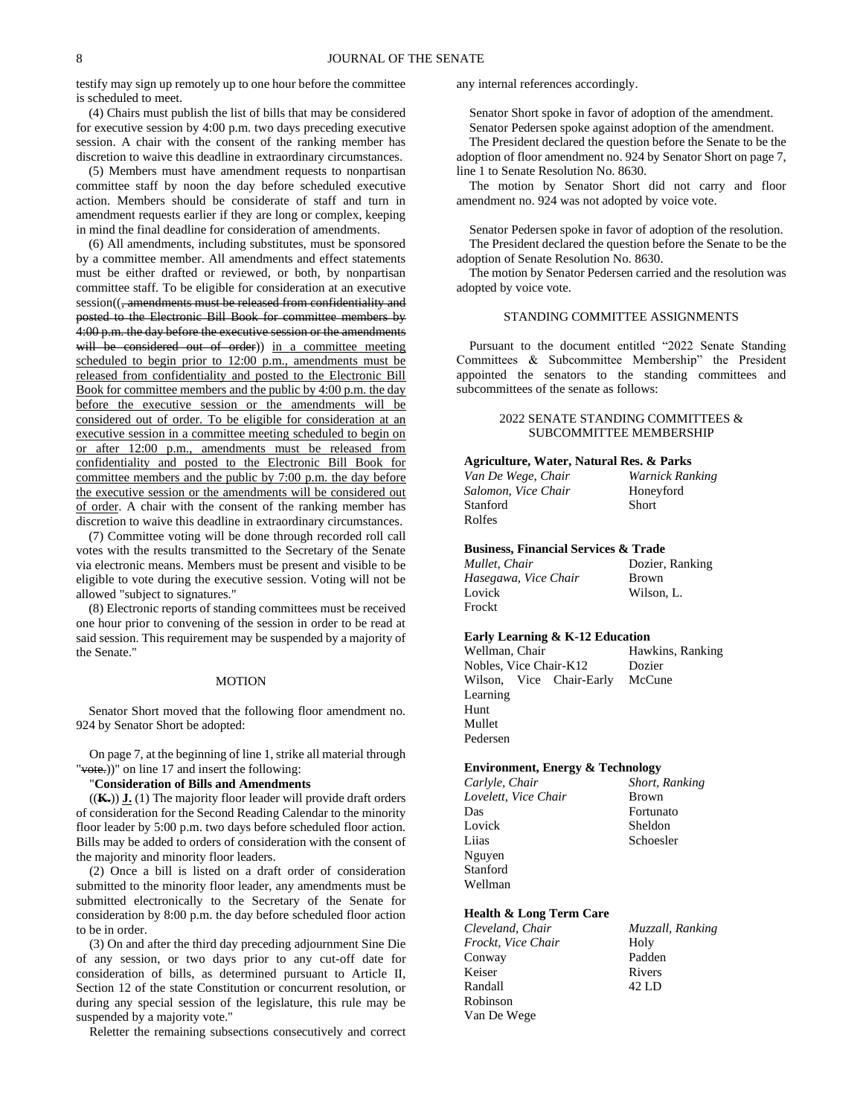testify may sign up remotely up to one hour before the committee is scheduled to meet.

(4) Chairs must publish the list of bills that may be considered for executive session by 4:00 p.m. two days preceding executive session. A chair with the consent of the ranking member has discretion to waive this deadline in extraordinary circumstances.

(5) Members must have amendment requests to nonpartisan committee staff by noon the day before scheduled executive action. Members should be considerate of staff and turn in amendment requests earlier if they are long or complex, keeping in mind the final deadline for consideration of amendments.

(6) All amendments, including substitutes, must be sponsored by a committee member. All amendments and effect statements must be either drafted or reviewed, or both, by nonpartisan committee staff. To be eligible for consideration at an executive session((<del>, amendments must be released from confidentiality and</del> posted to the Electronic Bill Book for committee members by 4:00 p.m. the day before the executive session or the amendments will be considered out of order)) in a committee meeting scheduled to begin prior to 12:00 p.m., amendments must be released from confidentiality and posted to the Electronic Bill Book for committee members and the public by 4:00 p.m. the day before the executive session or the amendments will be considered out of order. To be eligible for consideration at an executive session in a committee meeting scheduled to begin on or after 12:00 p.m., amendments must be released from confidentiality and posted to the Electronic Bill Book for committee members and the public by 7:00 p.m. the day before the executive session or the amendments will be considered out of order. A chair with the consent of the ranking member has discretion to waive this deadline in extraordinary circumstances.

(7) Committee voting will be done through recorded roll call votes with the results transmitted to the Secretary of the Senate via electronic means. Members must be present and visible to be eligible to vote during the executive session. Voting will not be allowed "subject to signatures."

(8) Electronic reports of standing committees must be received one hour prior to convening of the session in order to be read at said session. This requirement may be suspended by a majority of the Senate."

### MOTION

Senator Short moved that the following floor amendment no. 924 by Senator Short be adopted:

On page 7, at the beginning of line 1, strike all material through "vote.))" on line 17 and insert the following:

"**Consideration of Bills and Amendments**

((**K.**)) **J.** (1) The majority floor leader will provide draft orders of consideration for the Second Reading Calendar to the minority floor leader by 5:00 p.m. two days before scheduled floor action. Bills may be added to orders of consideration with the consent of the majority and minority floor leaders.

(2) Once a bill is listed on a draft order of consideration submitted to the minority floor leader, any amendments must be submitted electronically to the Secretary of the Senate for consideration by 8:00 p.m. the day before scheduled floor action to be in order.

(3) On and after the third day preceding adjournment Sine Die of any session, or two days prior to any cut-off date for consideration of bills, as determined pursuant to Article II, Section 12 of the state Constitution or concurrent resolution, or during any special session of the legislature, this rule may be suspended by a majority vote."

Reletter the remaining subsections consecutively and correct

any internal references accordingly.

Senator Short spoke in favor of adoption of the amendment. Senator Pedersen spoke against adoption of the amendment.

The President declared the question before the Senate to be the adoption of floor amendment no. 924 by Senator Short on page 7, line 1 to Senate Resolution No. 8630.

The motion by Senator Short did not carry and floor amendment no. 924 was not adopted by voice vote.

Senator Pedersen spoke in favor of adoption of the resolution. The President declared the question before the Senate to be the adoption of Senate Resolution No. 8630.

The motion by Senator Pedersen carried and the resolution was adopted by voice vote.

### STANDING COMMITTEE ASSIGNMENTS

Pursuant to the document entitled "2022 Senate Standing Committees & Subcommittee Membership" the President appointed the senators to the standing committees and subcommittees of the senate as follows:

### 2022 SENATE STANDING COMMITTEES & SUBCOMMITTEE MEMBERSHIP

### **Agriculture, Water, Natural Res. & Parks**

| Van De Wege, Chair  | Warnick Ranking |
|---------------------|-----------------|
| Salomon, Vice Chair | Honeyford       |
| Stanford            | <b>Short</b>    |
| Rolfes              |                 |
|                     |                 |

### **Business, Financial Services & Trade**

| Mullet. Chair        | Dozier, Ranking |
|----------------------|-----------------|
| Hasegawa, Vice Chair | <b>Brown</b>    |
| Lovick               | Wilson, L.      |
| Frockt               |                 |
|                      |                 |

### **Early Learning & K-12 Education**

Wellman, Chair Hawkins, Ranking Nobles, Vice Chair-K12 Dozier Wilson, Vice Chair-Early Learning McCune Hunt Mullet Pedersen

### **Environment, Energy & Technology**

*Carlyle, Chair Short, Ranking Lovelett, Vice Chair* Brown Das Fortunato Lovick Sheldon Liias Schoesler Nguyen Stanford Wellman

### **Health & Long Term Care**

| Muzzall, Ranking |
|------------------|
| Holy             |
| Padden           |
| Rivers           |
| 42 LD            |
|                  |
|                  |
|                  |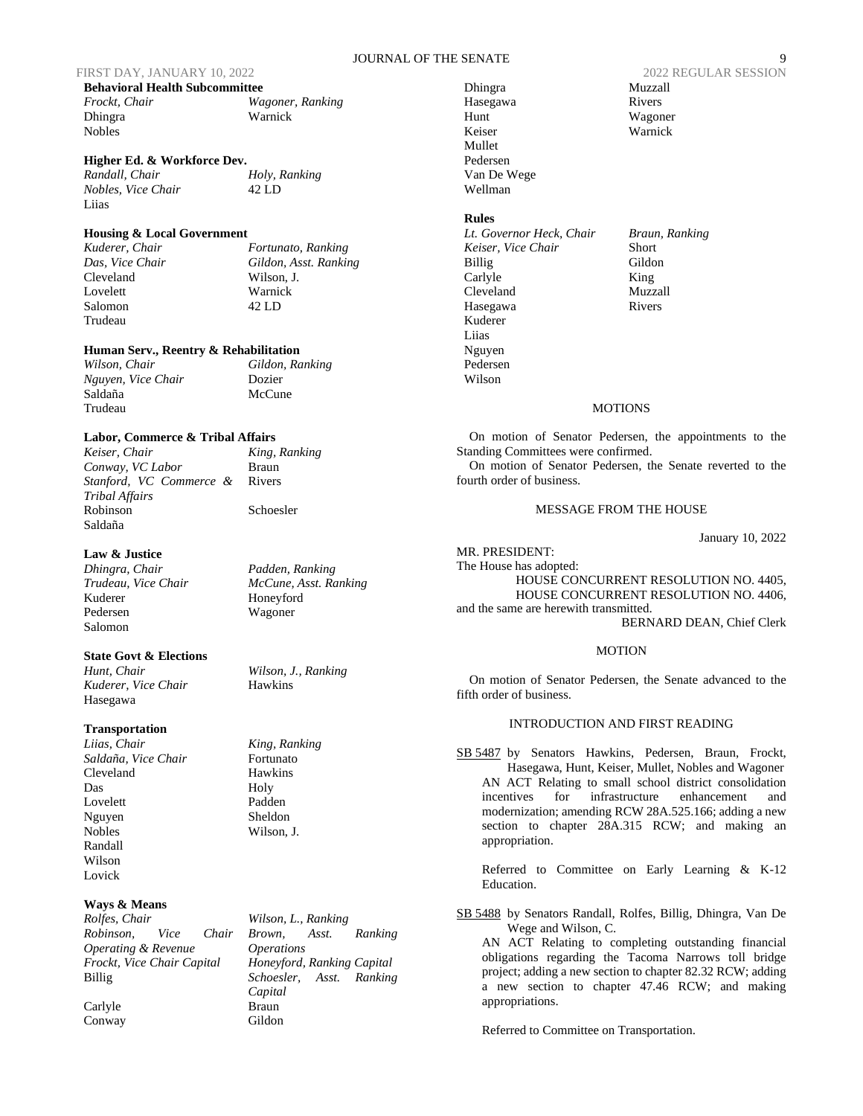### JOURNAL OF THE SENATE 9

| <b>Behavioral Health Subcommittee</b> |                |  |
|---------------------------------------|----------------|--|
| Frockt. Chair                         | Wa             |  |
| <b>Dhingra</b>                        | W <sub>2</sub> |  |
| <b>Nobles</b>                         |                |  |

**Higher Ed. & Workforce Dev.**

*Nobles, Vice Chair* 42 LD Liias

*Randall, Chair Holy, Ranking*

Warnick

### **Housing & Local Government**

Cleveland Wilson, J. Lovelett Warnick Salomon 42 LD Trudeau

*Kuderer, Chair Fortunato, Ranking Das, Vice Chair Gildon, Asst. Ranking*

*Frockt, Chair Wagoner, Ranking*

### **Human Serv., Reentry & Rehabilitation**

*Wilson, Chair Gildon, Ranking Nguyen, Vice Chair* Dozier Trudeau

Saldaña McCune

Rivers

### **Labor, Commerce & Tribal Affairs**

*Keiser, Chair King, Ranking Conway, VC Labor* Braun *Stanford, VC Commerce & Tribal Affairs* Robinson Schoesler Saldaña

*Dhingra, Chair Padden, Ranking Trudeau, Vice Chair McCune, Asst. Ranking* Honeyford Pedersen Wagoner

**State Govt & Elections**

*Hunt, Chair Wilson, J., Ranking Kuderer, Vice Chair* Hawkins Hasegawa

### **Transportation**

**Law & Justice**

Salomon

*Liias, Chair King, Ranking Saldaña, Vice Chair* Fortunato Cleveland Hawkins Das Holy Lovelett Padden Nguyen Sheldon Nobles Wilson, J. Randall Wilson Lovick

### **Ways & Means**

*Rolfes, Chair Wilson, L., Ranking Robinson, Vice Chair Operating & Revenue Frockt, Vice Chair Capital Honeyford, Ranking Capital* Billig *Schoesler, Asst. Ranking* 

Carlyle Braun Conway Gildon

*Brown, Asst. Ranking Operations Capital*

Dhingra Muzzall Hasegawa Rivers<br>
Hunt Wagon Keiser Warnick Mullet Pedersen Van De Wege Wellman

### **Rules**

*Lt. Governor Heck, Chair Braun, Ranking Keiser, Vice Chair* Short Billig Gildon Carlyle King Cleveland Muzzall Hasegawa Rivers Kuderer Liias Nguyen Pedersen

FIRST DAY, JANUARY 10, 2022 2022 REGULAR SESSION Wagoner

### **MOTIONS**

On motion of Senator Pedersen, the appointments to the Standing Committees were confirmed.

On motion of Senator Pedersen, the Senate reverted to the fourth order of business.

### MESSAGE FROM THE HOUSE

January 10, 2022

MR. PRESIDENT: The House has adopted: HOUSE CONCURRENT RESOLUTION NO. 4405, HOUSE CONCURRENT RESOLUTION NO. 4406, and the same are herewith transmitted. BERNARD DEAN, Chief Clerk

### MOTION

On motion of Senator Pedersen, the Senate advanced to the fifth order of business.

### INTRODUCTION AND FIRST READING

SB 5487 by Senators Hawkins, Pedersen, Braun, Frockt, Hasegawa, Hunt, Keiser, Mullet, Nobles and Wagoner AN ACT Relating to small school district consolidation incentives for infrastructure enhancement and modernization; amending RCW 28A.525.166; adding a new section to chapter 28A.315 RCW; and making an appropriation.

Referred to Committee on Early Learning & K-12 Education.

SB 5488 by Senators Randall, Rolfes, Billig, Dhingra, Van De Wege and Wilson, C.

AN ACT Relating to completing outstanding financial obligations regarding the Tacoma Narrows toll bridge project; adding a new section to chapter 82.32 RCW; adding a new section to chapter 47.46 RCW; and making appropriations.

Referred to Committee on Transportation.

Wilson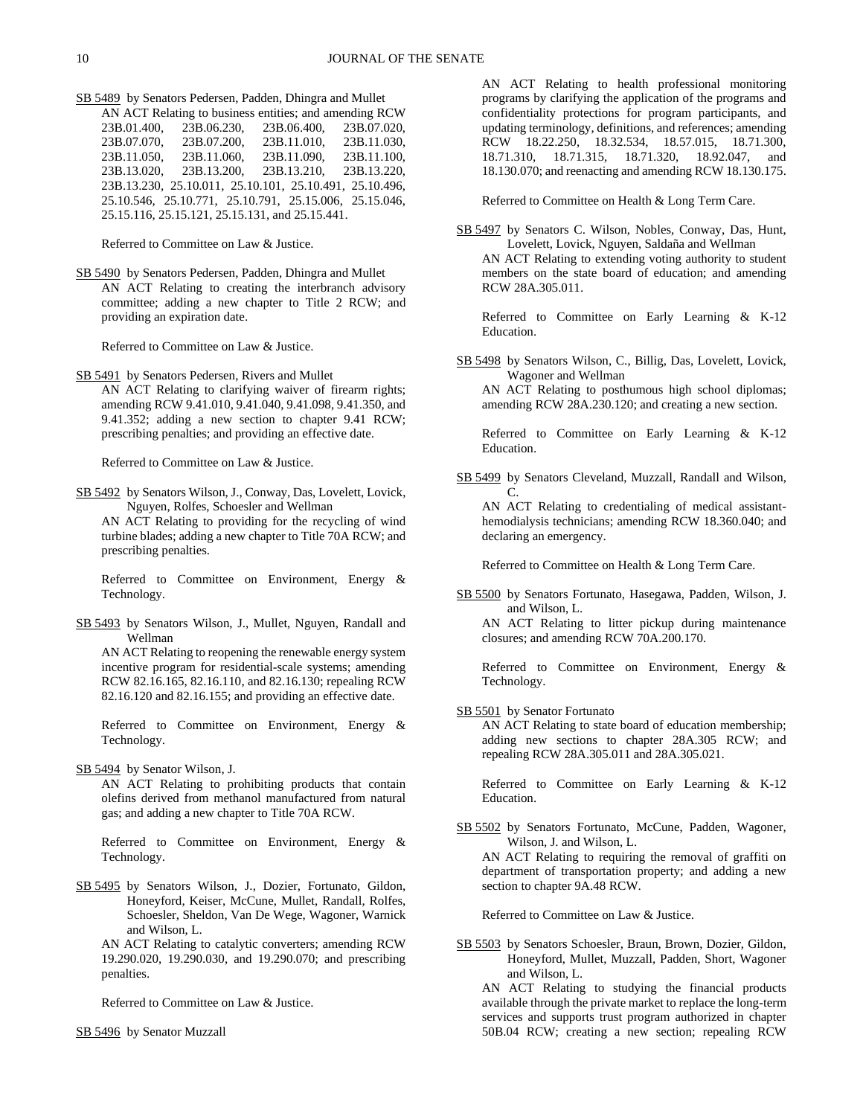SB 5489 by Senators Pedersen, Padden, Dhingra and Mullet

AN ACT Relating to business entities; and amending RCW 23B.01.400, 23B.06.230, 23B.06.400, 23B.07.020, 23B.07.070, 23B.07.200, 23B.11.010, 23B.11.030, 23B.11.050, 23B.11.060, 23B.11.090, 23B.11.100, 23B.13.020, 23B.13.200, 23B.13.210, 23B.13.220, 23B.13.230, 25.10.011, 25.10.101, 25.10.491, 25.10.496, 25.10.546, 25.10.771, 25.10.791, 25.15.006, 25.15.046, 25.15.116, 25.15.121, 25.15.131, and 25.15.441.

Referred to Committee on Law & Justice.

SB 5490 by Senators Pedersen, Padden, Dhingra and Mullet AN ACT Relating to creating the interbranch advisory committee; adding a new chapter to Title 2 RCW; and providing an expiration date.

Referred to Committee on Law & Justice.

SB 5491 by Senators Pedersen, Rivers and Mullet

AN ACT Relating to clarifying waiver of firearm rights; amending RCW 9.41.010, 9.41.040, 9.41.098, 9.41.350, and 9.41.352; adding a new section to chapter 9.41 RCW; prescribing penalties; and providing an effective date.

Referred to Committee on Law & Justice.

SB 5492 by Senators Wilson, J., Conway, Das, Lovelett, Lovick, Nguyen, Rolfes, Schoesler and Wellman AN ACT Relating to providing for the recycling of wind turbine blades; adding a new chapter to Title 70A RCW; and prescribing penalties.

Referred to Committee on Environment, Energy & Technology.

SB 5493 by Senators Wilson, J., Mullet, Nguyen, Randall and Wellman

AN ACT Relating to reopening the renewable energy system incentive program for residential-scale systems; amending RCW 82.16.165, 82.16.110, and 82.16.130; repealing RCW 82.16.120 and 82.16.155; and providing an effective date.

Referred to Committee on Environment, Energy & Technology.

SB 5494 by Senator Wilson, J.

AN ACT Relating to prohibiting products that contain olefins derived from methanol manufactured from natural gas; and adding a new chapter to Title 70A RCW.

Referred to Committee on Environment, Energy & Technology.

SB 5495 by Senators Wilson, J., Dozier, Fortunato, Gildon, Honeyford, Keiser, McCune, Mullet, Randall, Rolfes, Schoesler, Sheldon, Van De Wege, Wagoner, Warnick and Wilson, L.

AN ACT Relating to catalytic converters; amending RCW 19.290.020, 19.290.030, and 19.290.070; and prescribing penalties.

Referred to Committee on Law & Justice.

SB 5496 by Senator Muzzall

AN ACT Relating to health professional monitoring programs by clarifying the application of the programs and confidentiality protections for program participants, and updating terminology, definitions, and references; amending RCW 18.22.250, 18.32.534, 18.57.015, 18.71.300, 18.71.310, 18.71.315, 18.71.320, 18.92.047, and 18.130.070; and reenacting and amending RCW 18.130.175.

Referred to Committee on Health & Long Term Care.

SB 5497 by Senators C. Wilson, Nobles, Conway, Das, Hunt, Lovelett, Lovick, Nguyen, Saldaña and Wellman AN ACT Relating to extending voting authority to student members on the state board of education; and amending RCW 28A.305.011.

Referred to Committee on Early Learning & K-12 Education.

SB 5498 by Senators Wilson, C., Billig, Das, Lovelett, Lovick, Wagoner and Wellman

AN ACT Relating to posthumous high school diplomas; amending RCW 28A.230.120; and creating a new section.

Referred to Committee on Early Learning & K-12 Education.

SB 5499 by Senators Cleveland, Muzzall, Randall and Wilson, C.

AN ACT Relating to credentialing of medical assistanthemodialysis technicians; amending RCW 18.360.040; and declaring an emergency.

Referred to Committee on Health & Long Term Care.

SB 5500 by Senators Fortunato, Hasegawa, Padden, Wilson, J. and Wilson, L.

AN ACT Relating to litter pickup during maintenance closures; and amending RCW 70A.200.170.

Referred to Committee on Environment, Energy & Technology.

SB 5501 by Senator Fortunato

AN ACT Relating to state board of education membership; adding new sections to chapter 28A.305 RCW; and repealing RCW 28A.305.011 and 28A.305.021.

Referred to Committee on Early Learning & K-12 Education.

SB 5502 by Senators Fortunato, McCune, Padden, Wagoner, Wilson, J. and Wilson, L. AN ACT Relating to requiring the removal of graffiti on department of transportation property; and adding a new section to chapter 9A.48 RCW.

Referred to Committee on Law & Justice.

SB 5503 by Senators Schoesler, Braun, Brown, Dozier, Gildon, Honeyford, Mullet, Muzzall, Padden, Short, Wagoner and Wilson, L.

AN ACT Relating to studying the financial products available through the private market to replace the long-term services and supports trust program authorized in chapter 50B.04 RCW; creating a new section; repealing RCW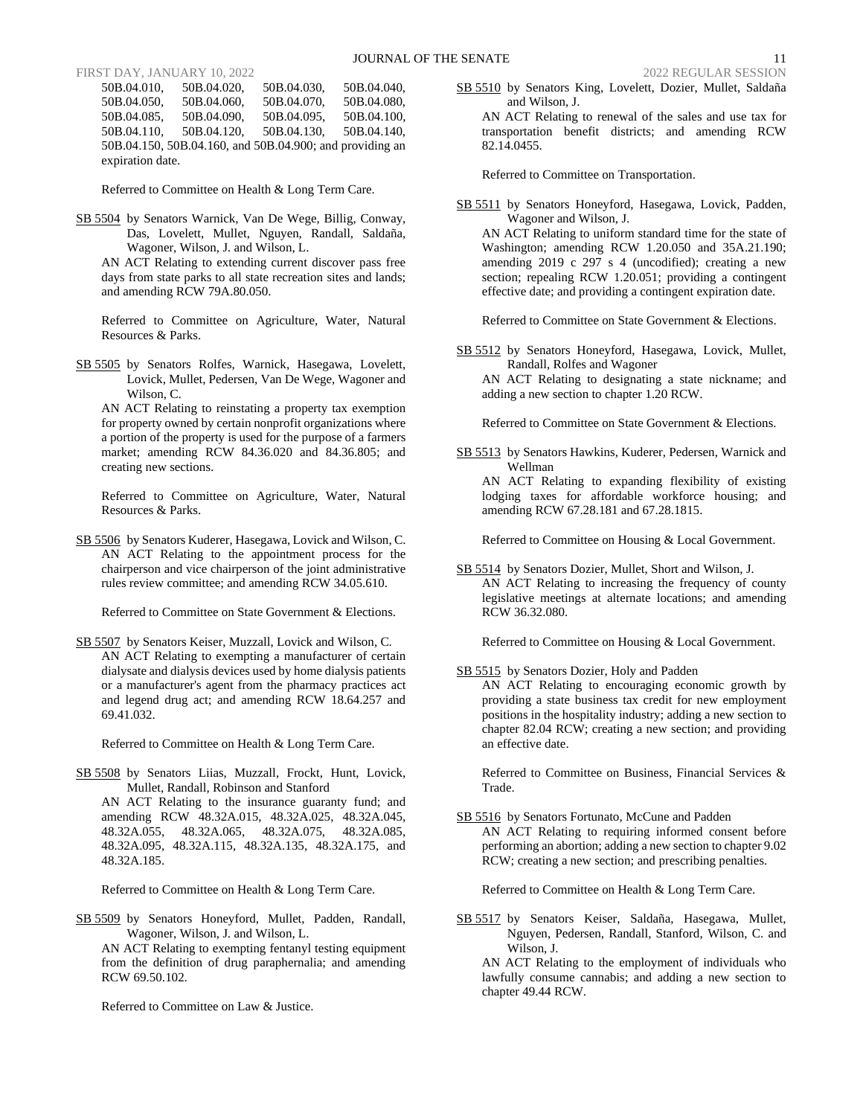50B.04.010, 50B.04.020, 50B.04.030, 50B.04.040, 50B.04.050, 50B.04.060, 50B.04.070, 50B.04.080, 50B.04.085, 50B.04.090, 50B.04.095, 50B.04.100, 50B.04.090, 50B.04.110, 50B.04.120, 50B.04.130, 50B.04.140, 50B.04.150, 50B.04.160, and 50B.04.900; and providing an expiration date.

Referred to Committee on Health & Long Term Care.

SB 5504 by Senators Warnick, Van De Wege, Billig, Conway, Das, Lovelett, Mullet, Nguyen, Randall, Saldaña, Wagoner, Wilson, J. and Wilson, L.

AN ACT Relating to extending current discover pass free days from state parks to all state recreation sites and lands; and amending RCW 79A.80.050.

Referred to Committee on Agriculture, Water, Natural Resources & Parks.

SB 5505 by Senators Rolfes, Warnick, Hasegawa, Lovelett, Lovick, Mullet, Pedersen, Van De Wege, Wagoner and Wilson, C.

AN ACT Relating to reinstating a property tax exemption for property owned by certain nonprofit organizations where a portion of the property is used for the purpose of a farmers market; amending RCW 84.36.020 and 84.36.805; and creating new sections.

Referred to Committee on Agriculture, Water, Natural Resources & Parks.

SB 5506 by Senators Kuderer, Hasegawa, Lovick and Wilson, C. AN ACT Relating to the appointment process for the chairperson and vice chairperson of the joint administrative rules review committee; and amending RCW 34.05.610.

Referred to Committee on State Government & Elections.

SB 5507 by Senators Keiser, Muzzall, Lovick and Wilson, C. AN ACT Relating to exempting a manufacturer of certain dialysate and dialysis devices used by home dialysis patients or a manufacturer's agent from the pharmacy practices act and legend drug act; and amending RCW 18.64.257 and 69.41.032.

Referred to Committee on Health & Long Term Care.

SB 5508 by Senators Liias, Muzzall, Frockt, Hunt, Lovick, Mullet, Randall, Robinson and Stanford AN ACT Relating to the insurance guaranty fund; and amending RCW 48.32A.015, 48.32A.025, 48.32A.045, 48.32A.055, 48.32A.065, 48.32A.075, 48.32A.085, 48.32A.095, 48.32A.115, 48.32A.135, 48.32A.175, and 48.32A.185.

Referred to Committee on Health & Long Term Care.

SB 5509 by Senators Honeyford, Mullet, Padden, Randall, Wagoner, Wilson, J. and Wilson, L.

AN ACT Relating to exempting fentanyl testing equipment from the definition of drug paraphernalia; and amending RCW 69.50.102.

Referred to Committee on Law & Justice.

SB 5510 by Senators King, Lovelett, Dozier, Mullet, Saldaña and Wilson, J.

AN ACT Relating to renewal of the sales and use tax for transportation benefit districts; and amending RCW 82.14.0455.

Referred to Committee on Transportation.

SB 5511 by Senators Honeyford, Hasegawa, Lovick, Padden, Wagoner and Wilson, J.

AN ACT Relating to uniform standard time for the state of Washington; amending RCW 1.20.050 and 35A.21.190; amending 2019 c 297 s 4 (uncodified); creating a new section; repealing RCW 1.20.051; providing a contingent effective date; and providing a contingent expiration date.

Referred to Committee on State Government & Elections.

SB 5512 by Senators Honeyford, Hasegawa, Lovick, Mullet, Randall, Rolfes and Wagoner

AN ACT Relating to designating a state nickname; and adding a new section to chapter 1.20 RCW.

Referred to Committee on State Government & Elections.

SB 5513 by Senators Hawkins, Kuderer, Pedersen, Warnick and Wellman

AN ACT Relating to expanding flexibility of existing lodging taxes for affordable workforce housing; and amending RCW 67.28.181 and 67.28.1815.

Referred to Committee on Housing & Local Government.

SB 5514 by Senators Dozier, Mullet, Short and Wilson, J. AN ACT Relating to increasing the frequency of county legislative meetings at alternate locations; and amending RCW 36.32.080.

Referred to Committee on Housing & Local Government.

SB 5515 by Senators Dozier, Holy and Padden

AN ACT Relating to encouraging economic growth by providing a state business tax credit for new employment positions in the hospitality industry; adding a new section to chapter 82.04 RCW; creating a new section; and providing an effective date.

Referred to Committee on Business, Financial Services & Trade.

SB 5516 by Senators Fortunato, McCune and Padden AN ACT Relating to requiring informed consent before performing an abortion; adding a new section to chapter 9.02 RCW; creating a new section; and prescribing penalties.

Referred to Committee on Health & Long Term Care.

SB 5517 by Senators Keiser, Saldaña, Hasegawa, Mullet, Nguyen, Pedersen, Randall, Stanford, Wilson, C. and Wilson, J.

AN ACT Relating to the employment of individuals who lawfully consume cannabis; and adding a new section to chapter 49.44 RCW.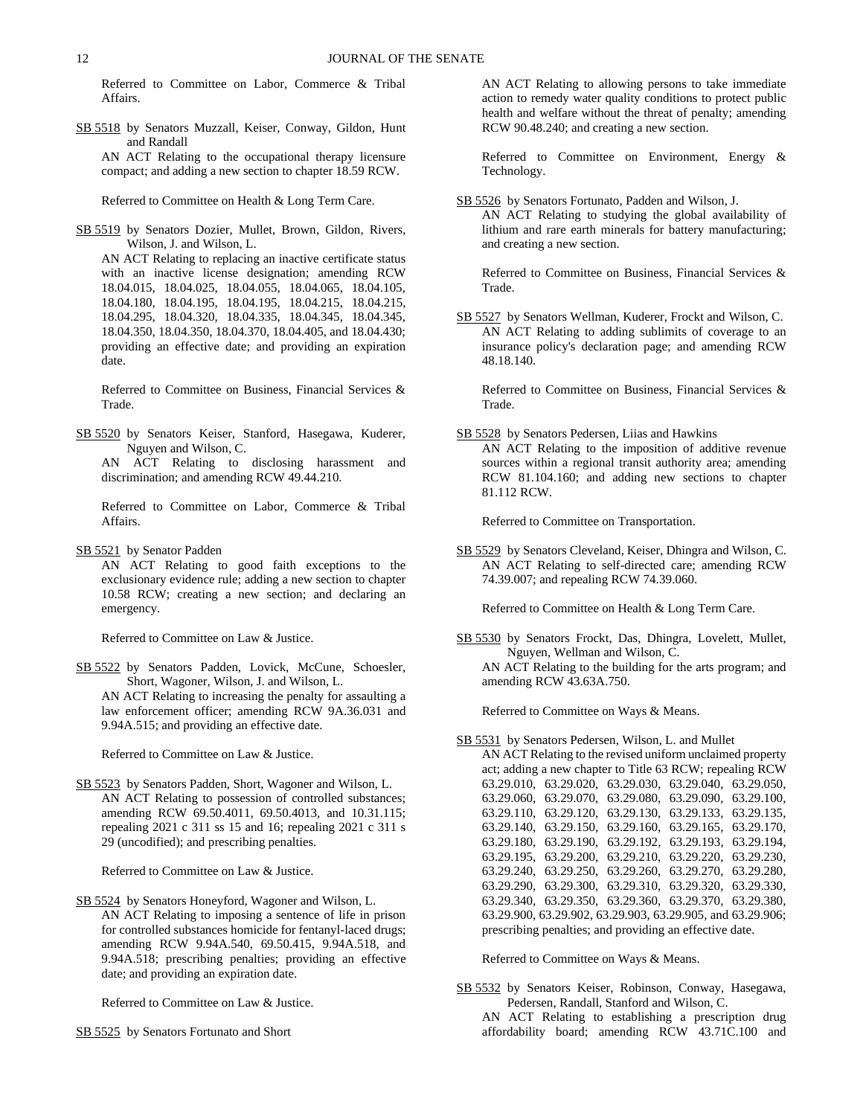Referred to Committee on Labor, Commerce & Tribal Affairs.

SB 5518 by Senators Muzzall, Keiser, Conway, Gildon, Hunt and Randall

AN ACT Relating to the occupational therapy licensure compact; and adding a new section to chapter 18.59 RCW.

Referred to Committee on Health & Long Term Care.

SB 5519 by Senators Dozier, Mullet, Brown, Gildon, Rivers, Wilson, J. and Wilson, L.

AN ACT Relating to replacing an inactive certificate status with an inactive license designation; amending RCW 18.04.015, 18.04.025, 18.04.055, 18.04.065, 18.04.105, 18.04.180, 18.04.195, 18.04.195, 18.04.215, 18.04.215, 18.04.295, 18.04.320, 18.04.335, 18.04.345, 18.04.345, 18.04.350, 18.04.350, 18.04.370, 18.04.405, and 18.04.430; providing an effective date; and providing an expiration date.

Referred to Committee on Business, Financial Services & Trade.

SB 5520 by Senators Keiser, Stanford, Hasegawa, Kuderer, Nguyen and Wilson, C.

AN ACT Relating to disclosing harassment and discrimination; and amending RCW 49.44.210.

Referred to Committee on Labor, Commerce & Tribal Affairs.

SB 5521 by Senator Padden

AN ACT Relating to good faith exceptions to the exclusionary evidence rule; adding a new section to chapter 10.58 RCW; creating a new section; and declaring an emergency.

Referred to Committee on Law & Justice.

SB 5522 by Senators Padden, Lovick, McCune, Schoesler, Short, Wagoner, Wilson, J. and Wilson, L.

AN ACT Relating to increasing the penalty for assaulting a law enforcement officer; amending RCW 9A.36.031 and 9.94A.515; and providing an effective date.

Referred to Committee on Law & Justice.

SB 5523 by Senators Padden, Short, Wagoner and Wilson, L. AN ACT Relating to possession of controlled substances; amending RCW 69.50.4011, 69.50.4013, and 10.31.115; repealing 2021 c 311 ss 15 and 16; repealing 2021 c 311 s 29 (uncodified); and prescribing penalties.

Referred to Committee on Law & Justice.

SB 5524 by Senators Honeyford, Wagoner and Wilson, L. AN ACT Relating to imposing a sentence of life in prison for controlled substances homicide for fentanyl-laced drugs; amending RCW 9.94A.540, 69.50.415, 9.94A.518, and 9.94A.518; prescribing penalties; providing an effective date; and providing an expiration date.

Referred to Committee on Law & Justice.

SB 5525 by Senators Fortunato and Short

AN ACT Relating to allowing persons to take immediate action to remedy water quality conditions to protect public health and welfare without the threat of penalty; amending RCW 90.48.240; and creating a new section.

Referred to Committee on Environment, Energy & Technology.

SB 5526 by Senators Fortunato, Padden and Wilson, J. AN ACT Relating to studying the global availability of lithium and rare earth minerals for battery manufacturing; and creating a new section.

Referred to Committee on Business, Financial Services & Trade.

SB 5527 by Senators Wellman, Kuderer, Frockt and Wilson, C. AN ACT Relating to adding sublimits of coverage to an insurance policy's declaration page; and amending RCW 48.18.140.

Referred to Committee on Business, Financial Services & Trade.

SB 5528 by Senators Pedersen, Liias and Hawkins AN ACT Relating to the imposition of additive revenue sources within a regional transit authority area; amending RCW 81.104.160; and adding new sections to chapter 81.112 RCW.

Referred to Committee on Transportation.

SB 5529 by Senators Cleveland, Keiser, Dhingra and Wilson, C. AN ACT Relating to self-directed care; amending RCW 74.39.007; and repealing RCW 74.39.060.

Referred to Committee on Health & Long Term Care.

SB 5530 by Senators Frockt, Das, Dhingra, Lovelett, Mullet, Nguyen, Wellman and Wilson, C. AN ACT Relating to the building for the arts program; and amending RCW 43.63A.750.

Referred to Committee on Ways & Means.

### SB 5531 by Senators Pedersen, Wilson, L. and Mullet

AN ACT Relating to the revised uniform unclaimed property act; adding a new chapter to Title 63 RCW; repealing RCW 63.29.010, 63.29.020, 63.29.030, 63.29.040, 63.29.050, 63.29.060, 63.29.070, 63.29.080, 63.29.090, 63.29.100, 63.29.110, 63.29.120, 63.29.130, 63.29.133, 63.29.135, 63.29.140, 63.29.150, 63.29.160, 63.29.165, 63.29.170, 63.29.180, 63.29.190, 63.29.192, 63.29.193, 63.29.194, 63.29.195, 63.29.200, 63.29.210, 63.29.220, 63.29.230, 63.29.240, 63.29.250, 63.29.260, 63.29.270, 63.29.280, 63.29.290, 63.29.300, 63.29.310, 63.29.320, 63.29.330, 63.29.340, 63.29.350, 63.29.360, 63.29.370, 63.29.380, 63.29.900, 63.29.902, 63.29.903, 63.29.905, and 63.29.906; prescribing penalties; and providing an effective date.

Referred to Committee on Ways & Means.

SB 5532 by Senators Keiser, Robinson, Conway, Hasegawa, Pedersen, Randall, Stanford and Wilson, C.

AN ACT Relating to establishing a prescription drug affordability board; amending RCW 43.71C.100 and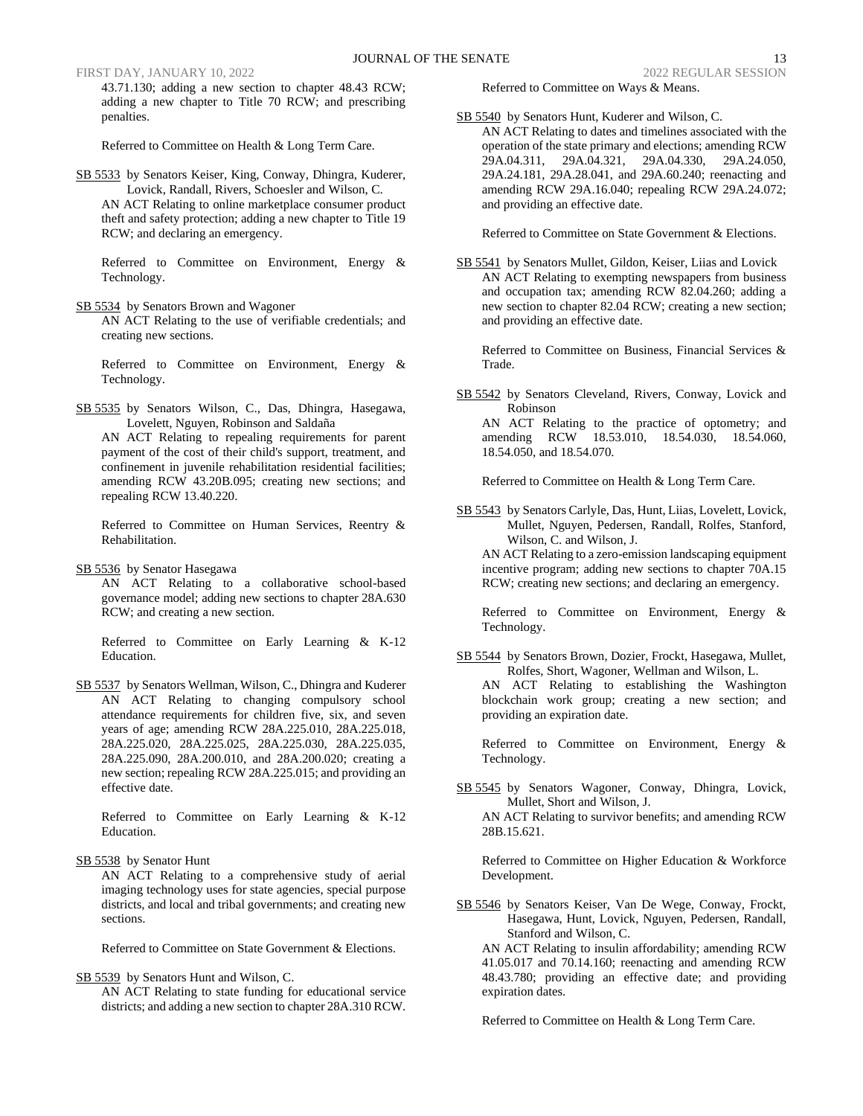43.71.130; adding a new section to chapter 48.43 RCW; adding a new chapter to Title 70 RCW; and prescribing penalties.

Referred to Committee on Health & Long Term Care.

SB 5533 by Senators Keiser, King, Conway, Dhingra, Kuderer, Lovick, Randall, Rivers, Schoesler and Wilson, C. AN ACT Relating to online marketplace consumer product theft and safety protection; adding a new chapter to Title 19 RCW; and declaring an emergency.

Referred to Committee on Environment, Energy & Technology.

SB 5534 by Senators Brown and Wagoner

AN ACT Relating to the use of verifiable credentials; and creating new sections.

Referred to Committee on Environment, Energy & Technology.

SB 5535 by Senators Wilson, C., Das, Dhingra, Hasegawa, Lovelett, Nguyen, Robinson and Saldaña

AN ACT Relating to repealing requirements for parent payment of the cost of their child's support, treatment, and confinement in juvenile rehabilitation residential facilities; amending RCW 43.20B.095; creating new sections; and repealing RCW 13.40.220.

Referred to Committee on Human Services, Reentry & Rehabilitation.

SB 5536 by Senator Hasegawa

AN ACT Relating to a collaborative school-based governance model; adding new sections to chapter 28A.630 RCW; and creating a new section.

Referred to Committee on Early Learning & K-12 Education.

SB 5537 by Senators Wellman, Wilson, C., Dhingra and Kuderer AN ACT Relating to changing compulsory school attendance requirements for children five, six, and seven years of age; amending RCW 28A.225.010, 28A.225.018, 28A.225.020, 28A.225.025, 28A.225.030, 28A.225.035, 28A.225.090, 28A.200.010, and 28A.200.020; creating a new section; repealing RCW 28A.225.015; and providing an effective date.

Referred to Committee on Early Learning & K-12 Education.

### SB 5538 by Senator Hunt

AN ACT Relating to a comprehensive study of aerial imaging technology uses for state agencies, special purpose districts, and local and tribal governments; and creating new sections.

Referred to Committee on State Government & Elections.

SB 5539 by Senators Hunt and Wilson, C.

AN ACT Relating to state funding for educational service districts; and adding a new section to chapter 28A.310 RCW. Referred to Committee on Ways & Means.

SB 5540 by Senators Hunt, Kuderer and Wilson, C.

AN ACT Relating to dates and timelines associated with the operation of the state primary and elections; amending RCW 29A.04.311, 29A.04.321, 29A.04.330, 29A.24.050, 29A.24.181, 29A.28.041, and 29A.60.240; reenacting and amending RCW 29A.16.040; repealing RCW 29A.24.072; and providing an effective date.

Referred to Committee on State Government & Elections.

SB 5541 by Senators Mullet, Gildon, Keiser, Liias and Lovick AN ACT Relating to exempting newspapers from business and occupation tax; amending RCW 82.04.260; adding a new section to chapter 82.04 RCW; creating a new section; and providing an effective date.

Referred to Committee on Business, Financial Services & Trade.

SB 5542 by Senators Cleveland, Rivers, Conway, Lovick and Robinson AN ACT Relating to the practice of optometry; and amending RCW 18.53.010, 18.54.030, 18.54.060,

Referred to Committee on Health & Long Term Care.

18.54.050, and 18.54.070.

SB 5543 by Senators Carlyle, Das, Hunt, Liias, Lovelett, Lovick, Mullet, Nguyen, Pedersen, Randall, Rolfes, Stanford, Wilson, C. and Wilson, J.

AN ACT Relating to a zero-emission landscaping equipment incentive program; adding new sections to chapter 70A.15 RCW; creating new sections; and declaring an emergency.

Referred to Committee on Environment, Energy & Technology.

SB 5544 by Senators Brown, Dozier, Frockt, Hasegawa, Mullet, Rolfes, Short, Wagoner, Wellman and Wilson, L. AN ACT Relating to establishing the Washington blockchain work group; creating a new section; and providing an expiration date.

Referred to Committee on Environment, Energy & Technology.

SB 5545 by Senators Wagoner, Conway, Dhingra, Lovick, Mullet, Short and Wilson, J. AN ACT Relating to survivor benefits; and amending RCW 28B.15.621.

Referred to Committee on Higher Education & Workforce Development.

- SB 5546 by Senators Keiser, Van De Wege, Conway, Frockt, Hasegawa, Hunt, Lovick, Nguyen, Pedersen, Randall, Stanford and Wilson, C.
	- AN ACT Relating to insulin affordability; amending RCW 41.05.017 and 70.14.160; reenacting and amending RCW 48.43.780; providing an effective date; and providing expiration dates.

Referred to Committee on Health & Long Term Care.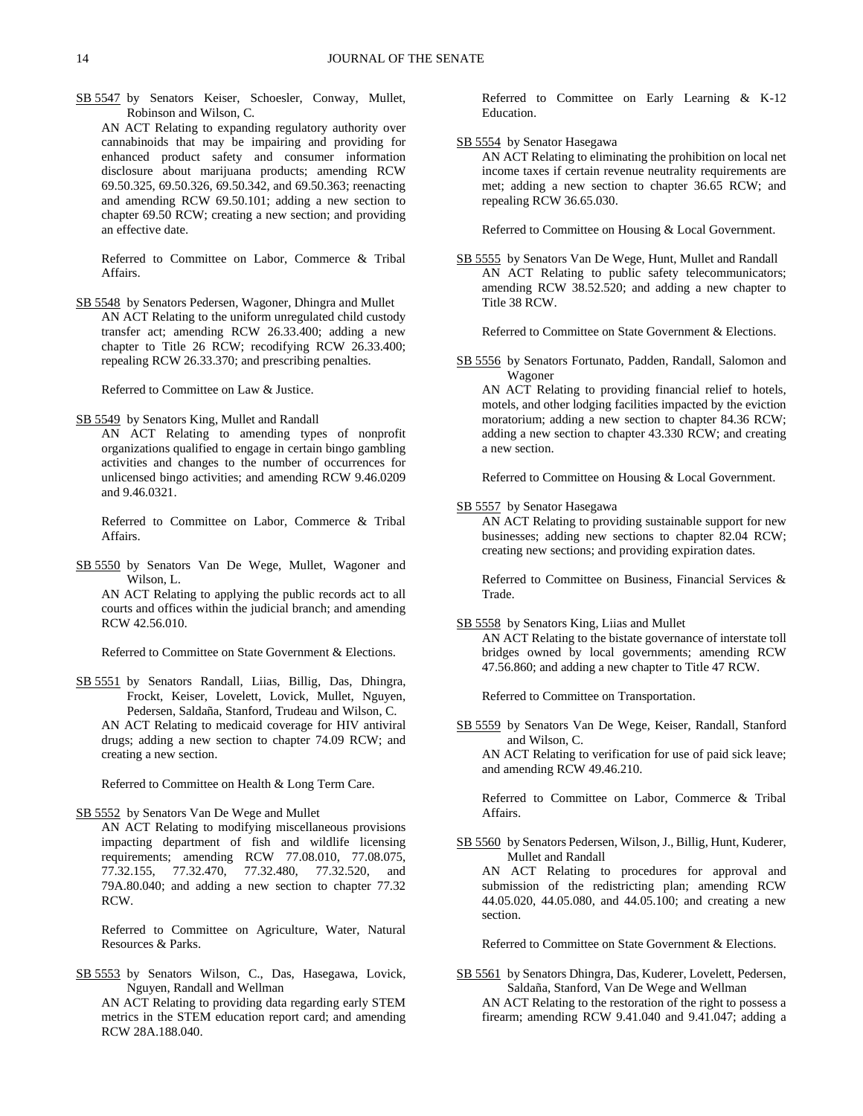SB 5547 by Senators Keiser, Schoesler, Conway, Mullet, Robinson and Wilson, C.

AN ACT Relating to expanding regulatory authority over cannabinoids that may be impairing and providing for enhanced product safety and consumer information disclosure about marijuana products; amending RCW 69.50.325, 69.50.326, 69.50.342, and 69.50.363; reenacting and amending RCW 69.50.101; adding a new section to chapter 69.50 RCW; creating a new section; and providing an effective date.

Referred to Committee on Labor, Commerce & Tribal Affairs.

SB 5548 by Senators Pedersen, Wagoner, Dhingra and Mullet AN ACT Relating to the uniform unregulated child custody transfer act; amending RCW 26.33.400; adding a new chapter to Title 26 RCW; recodifying RCW 26.33.400; repealing RCW 26.33.370; and prescribing penalties.

Referred to Committee on Law & Justice.

SB 5549 by Senators King, Mullet and Randall

AN ACT Relating to amending types of nonprofit organizations qualified to engage in certain bingo gambling activities and changes to the number of occurrences for unlicensed bingo activities; and amending RCW 9.46.0209 and 9.46.0321.

Referred to Committee on Labor, Commerce & Tribal Affairs.

SB 5550 by Senators Van De Wege, Mullet, Wagoner and Wilson, L.

AN ACT Relating to applying the public records act to all courts and offices within the judicial branch; and amending RCW 42.56.010.

Referred to Committee on State Government & Elections.

SB 5551 by Senators Randall, Liias, Billig, Das, Dhingra, Frockt, Keiser, Lovelett, Lovick, Mullet, Nguyen, Pedersen, Saldaña, Stanford, Trudeau and Wilson, C. AN ACT Relating to medicaid coverage for HIV antiviral drugs; adding a new section to chapter 74.09 RCW; and creating a new section.

Referred to Committee on Health & Long Term Care.

### SB 5552 by Senators Van De Wege and Mullet

AN ACT Relating to modifying miscellaneous provisions impacting department of fish and wildlife licensing requirements; amending RCW 77.08.010, 77.08.075, 77.32.155, 77.32.470, 77.32.480, 77.32.520, and 79A.80.040; and adding a new section to chapter 77.32 RCW.

Referred to Committee on Agriculture, Water, Natural Resources & Parks.

SB 5553 by Senators Wilson, C., Das, Hasegawa, Lovick, Nguyen, Randall and Wellman

AN ACT Relating to providing data regarding early STEM metrics in the STEM education report card; and amending RCW 28A.188.040.

Referred to Committee on Early Learning & K-12 Education.

### SB 5554 by Senator Hasegawa

AN ACT Relating to eliminating the prohibition on local net income taxes if certain revenue neutrality requirements are met; adding a new section to chapter 36.65 RCW; and repealing RCW 36.65.030.

Referred to Committee on Housing & Local Government.

SB 5555 by Senators Van De Wege, Hunt, Mullet and Randall AN ACT Relating to public safety telecommunicators; amending RCW 38.52.520; and adding a new chapter to Title 38 RCW.

Referred to Committee on State Government & Elections.

SB 5556 by Senators Fortunato, Padden, Randall, Salomon and Wagoner

AN ACT Relating to providing financial relief to hotels, motels, and other lodging facilities impacted by the eviction moratorium; adding a new section to chapter 84.36 RCW; adding a new section to chapter 43.330 RCW; and creating a new section.

Referred to Committee on Housing & Local Government.

SB 5557 by Senator Hasegawa

AN ACT Relating to providing sustainable support for new businesses; adding new sections to chapter 82.04 RCW; creating new sections; and providing expiration dates.

Referred to Committee on Business, Financial Services & Trade.

SB 5558 by Senators King, Liias and Mullet

AN ACT Relating to the bistate governance of interstate toll bridges owned by local governments; amending RCW 47.56.860; and adding a new chapter to Title 47 RCW.

Referred to Committee on Transportation.

SB 5559 by Senators Van De Wege, Keiser, Randall, Stanford and Wilson, C.

AN ACT Relating to verification for use of paid sick leave; and amending RCW 49.46.210.

Referred to Committee on Labor, Commerce & Tribal Affairs.

SB 5560 by Senators Pedersen, Wilson, J., Billig, Hunt, Kuderer, Mullet and Randall

AN ACT Relating to procedures for approval and submission of the redistricting plan; amending RCW 44.05.020, 44.05.080, and 44.05.100; and creating a new section.

Referred to Committee on State Government & Elections.

SB 5561 by Senators Dhingra, Das, Kuderer, Lovelett, Pedersen, Saldaña, Stanford, Van De Wege and Wellman AN ACT Relating to the restoration of the right to possess a firearm; amending RCW 9.41.040 and 9.41.047; adding a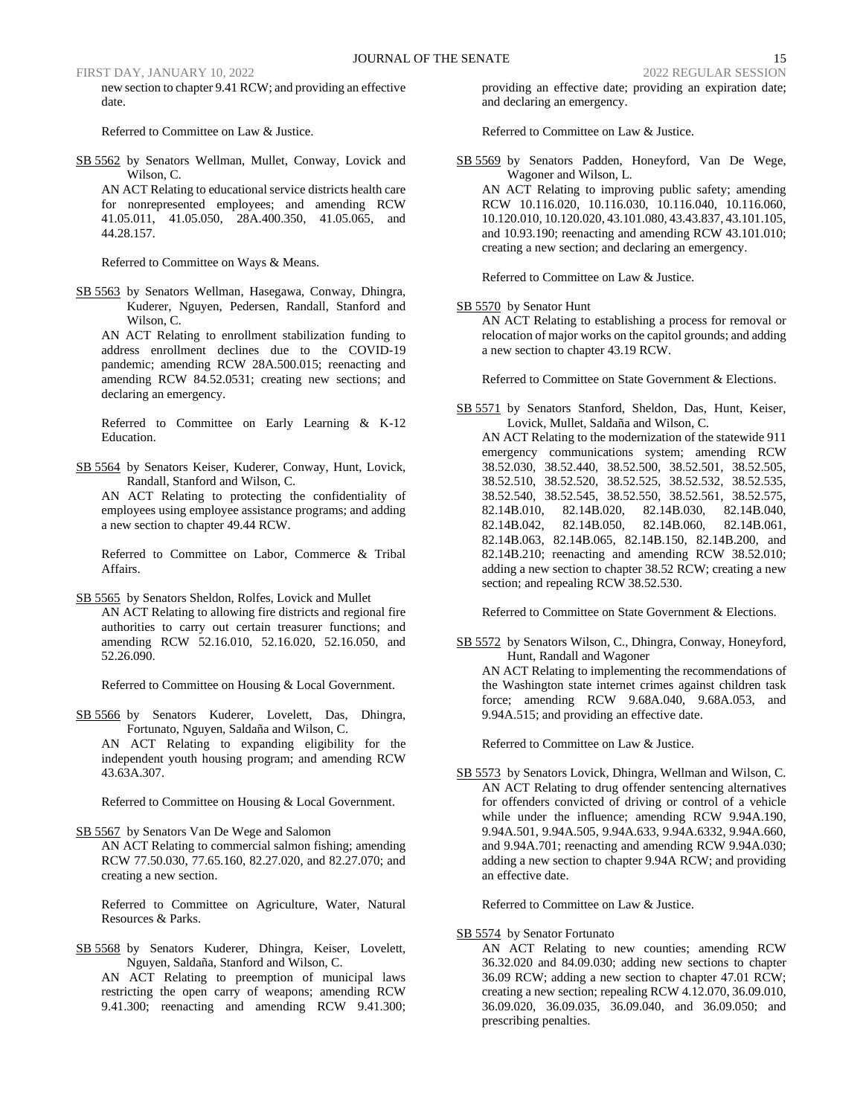new section to chapter 9.41 RCW; and providing an effective date.

Referred to Committee on Law & Justice.

SB 5562 by Senators Wellman, Mullet, Conway, Lovick and Wilson, C.

AN ACT Relating to educational service districts health care for nonrepresented employees; and amending RCW 41.05.011, 41.05.050, 28A.400.350, 41.05.065, and 44.28.157.

Referred to Committee on Ways & Means.

SB 5563 by Senators Wellman, Hasegawa, Conway, Dhingra, Kuderer, Nguyen, Pedersen, Randall, Stanford and Wilson, C.

AN ACT Relating to enrollment stabilization funding to address enrollment declines due to the COVID-19 pandemic; amending RCW 28A.500.015; reenacting and amending RCW 84.52.0531; creating new sections; and declaring an emergency.

Referred to Committee on Early Learning & K-12 Education.

SB 5564 by Senators Keiser, Kuderer, Conway, Hunt, Lovick, Randall, Stanford and Wilson, C.

AN ACT Relating to protecting the confidentiality of employees using employee assistance programs; and adding a new section to chapter 49.44 RCW.

Referred to Committee on Labor, Commerce & Tribal Affairs.

SB 5565 by Senators Sheldon, Rolfes, Lovick and Mullet AN ACT Relating to allowing fire districts and regional fire authorities to carry out certain treasurer functions; and amending RCW 52.16.010, 52.16.020, 52.16.050, and 52.26.090.

Referred to Committee on Housing & Local Government.

SB 5566 by Senators Kuderer, Lovelett, Das, Dhingra, Fortunato, Nguyen, Saldaña and Wilson, C. AN ACT Relating to expanding eligibility for the independent youth housing program; and amending RCW 43.63A.307.

Referred to Committee on Housing & Local Government.

SB 5567 by Senators Van De Wege and Salomon AN ACT Relating to commercial salmon fishing; amending RCW 77.50.030, 77.65.160, 82.27.020, and 82.27.070; and creating a new section.

Referred to Committee on Agriculture, Water, Natural Resources & Parks.

SB 5568 by Senators Kuderer, Dhingra, Keiser, Lovelett, Nguyen, Saldaña, Stanford and Wilson, C.

AN ACT Relating to preemption of municipal laws restricting the open carry of weapons; amending RCW 9.41.300; reenacting and amending RCW 9.41.300;

providing an effective date; providing an expiration date; and declaring an emergency.

Referred to Committee on Law & Justice.

SB 5569 by Senators Padden, Honeyford, Van De Wege, Wagoner and Wilson, L.

AN ACT Relating to improving public safety; amending RCW 10.116.020, 10.116.030, 10.116.040, 10.116.060, 10.120.010, 10.120.020, 43.101.080, 43.43.837, 43.101.105, and 10.93.190; reenacting and amending RCW 43.101.010; creating a new section; and declaring an emergency.

Referred to Committee on Law & Justice.

### SB 5570 by Senator Hunt

AN ACT Relating to establishing a process for removal or relocation of major works on the capitol grounds; and adding a new section to chapter 43.19 RCW.

Referred to Committee on State Government & Elections.

SB 5571 by Senators Stanford, Sheldon, Das, Hunt, Keiser, Lovick, Mullet, Saldaña and Wilson, C.

AN ACT Relating to the modernization of the statewide 911 emergency communications system; amending RCW 38.52.030, 38.52.440, 38.52.500, 38.52.501, 38.52.505, 38.52.510, 38.52.520, 38.52.525, 38.52.532, 38.52.535, 38.52.540, 38.52.545, 38.52.550, 38.52.561, 38.52.575, 82.14B.010, 82.14B.020, 82.14B.030, 82.14B.040, 82.14B.042, 82.14B.050, 82.14B.060, 82.14B.061, 82.14B.063, 82.14B.065, 82.14B.150, 82.14B.200, and 82.14B.210; reenacting and amending RCW 38.52.010; adding a new section to chapter 38.52 RCW; creating a new section; and repealing RCW 38.52.530.

Referred to Committee on State Government & Elections.

SB 5572 by Senators Wilson, C., Dhingra, Conway, Honeyford, Hunt, Randall and Wagoner AN ACT Relating to implementing the recommendations of the Washington state internet crimes against children task force; amending RCW 9.68A.040, 9.68A.053, and 9.94A.515; and providing an effective date.

Referred to Committee on Law & Justice.

SB 5573 by Senators Lovick, Dhingra, Wellman and Wilson, C. AN ACT Relating to drug offender sentencing alternatives for offenders convicted of driving or control of a vehicle while under the influence; amending RCW 9.94A.190, 9.94A.501, 9.94A.505, 9.94A.633, 9.94A.6332, 9.94A.660, and 9.94A.701; reenacting and amending RCW 9.94A.030; adding a new section to chapter 9.94A RCW; and providing an effective date.

Referred to Committee on Law & Justice.

SB 5574 by Senator Fortunato

AN ACT Relating to new counties; amending RCW 36.32.020 and 84.09.030; adding new sections to chapter 36.09 RCW; adding a new section to chapter 47.01 RCW; creating a new section; repealing RCW 4.12.070, 36.09.010, 36.09.020, 36.09.035, 36.09.040, and 36.09.050; and prescribing penalties.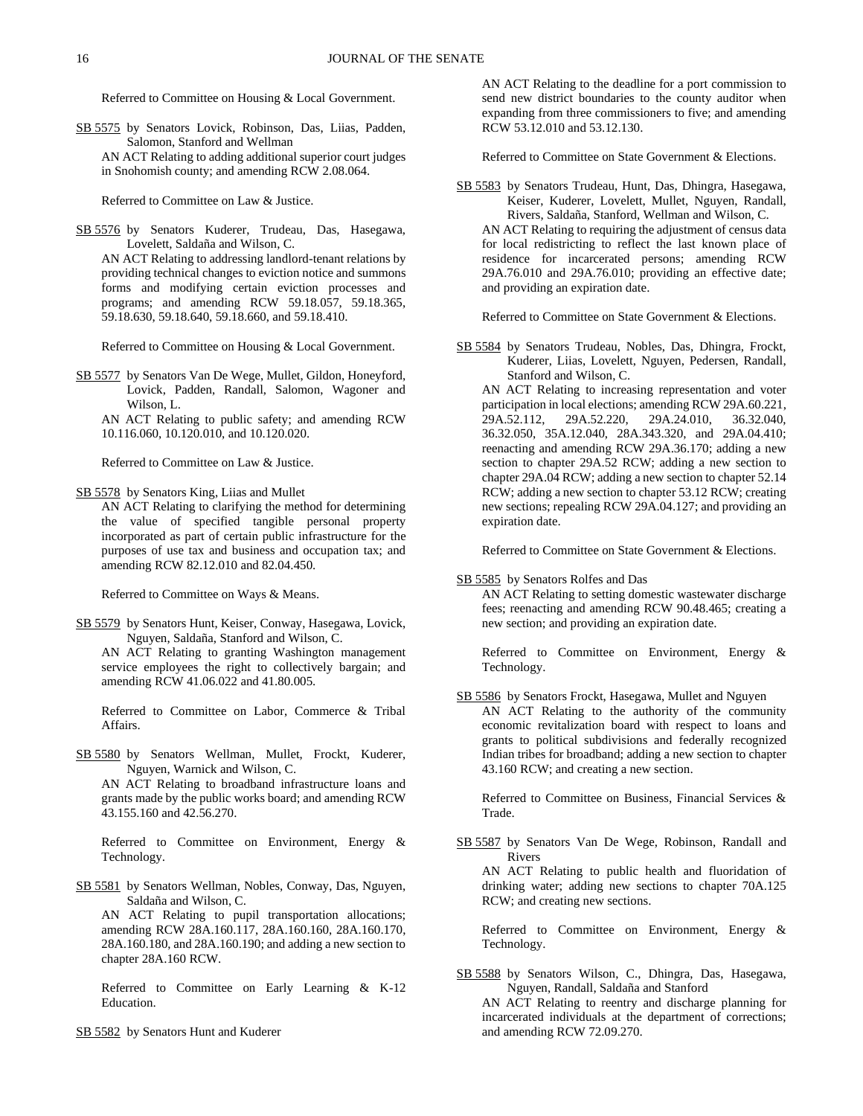Referred to Committee on Housing & Local Government.

SB 5575 by Senators Lovick, Robinson, Das, Liias, Padden, Salomon, Stanford and Wellman AN ACT Relating to adding additional superior court judges in Snohomish county; and amending RCW 2.08.064.

Referred to Committee on Law & Justice.

SB 5576 by Senators Kuderer, Trudeau, Das, Hasegawa, Lovelett, Saldaña and Wilson, C.

AN ACT Relating to addressing landlord-tenant relations by providing technical changes to eviction notice and summons forms and modifying certain eviction processes and programs; and amending RCW 59.18.057, 59.18.365, 59.18.630, 59.18.640, 59.18.660, and 59.18.410.

Referred to Committee on Housing & Local Government.

SB 5577 by Senators Van De Wege, Mullet, Gildon, Honeyford, Lovick, Padden, Randall, Salomon, Wagoner and Wilson, L.

AN ACT Relating to public safety; and amending RCW 10.116.060, 10.120.010, and 10.120.020.

Referred to Committee on Law & Justice.

SB 5578 by Senators King, Liias and Mullet

AN ACT Relating to clarifying the method for determining the value of specified tangible personal property incorporated as part of certain public infrastructure for the purposes of use tax and business and occupation tax; and amending RCW 82.12.010 and 82.04.450.

Referred to Committee on Ways & Means.

SB 5579 by Senators Hunt, Keiser, Conway, Hasegawa, Lovick, Nguyen, Saldaña, Stanford and Wilson, C.

AN ACT Relating to granting Washington management service employees the right to collectively bargain; and amending RCW 41.06.022 and 41.80.005.

Referred to Committee on Labor, Commerce & Tribal Affairs.

SB 5580 by Senators Wellman, Mullet, Frockt, Kuderer, Nguyen, Warnick and Wilson, C.

AN ACT Relating to broadband infrastructure loans and grants made by the public works board; and amending RCW 43.155.160 and 42.56.270.

Referred to Committee on Environment, Energy & Technology.

SB 5581 by Senators Wellman, Nobles, Conway, Das, Nguyen, Saldaña and Wilson, C.

AN ACT Relating to pupil transportation allocations; amending RCW 28A.160.117, 28A.160.160, 28A.160.170, 28A.160.180, and 28A.160.190; and adding a new section to chapter 28A.160 RCW.

Referred to Committee on Early Learning & K-12 Education.

SB 5582 by Senators Hunt and Kuderer

AN ACT Relating to the deadline for a port commission to send new district boundaries to the county auditor when expanding from three commissioners to five; and amending RCW 53.12.010 and 53.12.130.

Referred to Committee on State Government & Elections.

SB 5583 by Senators Trudeau, Hunt, Das, Dhingra, Hasegawa, Keiser, Kuderer, Lovelett, Mullet, Nguyen, Randall, Rivers, Saldaña, Stanford, Wellman and Wilson, C. AN ACT Relating to requiring the adjustment of census data for local redistricting to reflect the last known place of residence for incarcerated persons; amending RCW 29A.76.010 and 29A.76.010; providing an effective date; and providing an expiration date.

Referred to Committee on State Government & Elections.

SB 5584 by Senators Trudeau, Nobles, Das, Dhingra, Frockt, Kuderer, Liias, Lovelett, Nguyen, Pedersen, Randall, Stanford and Wilson, C.

AN ACT Relating to increasing representation and voter participation in local elections; amending RCW 29A.60.221, 29A.52.112, 29A.52.220, 29A.24.010, 36.32.040, 36.32.050, 35A.12.040, 28A.343.320, and 29A.04.410; reenacting and amending RCW 29A.36.170; adding a new section to chapter 29A.52 RCW; adding a new section to chapter 29A.04 RCW; adding a new section to chapter 52.14 RCW; adding a new section to chapter 53.12 RCW; creating new sections; repealing RCW 29A.04.127; and providing an expiration date.

Referred to Committee on State Government & Elections.

SB 5585 by Senators Rolfes and Das

AN ACT Relating to setting domestic wastewater discharge fees; reenacting and amending RCW 90.48.465; creating a new section; and providing an expiration date.

Referred to Committee on Environment, Energy & Technology.

SB 5586 by Senators Frockt, Hasegawa, Mullet and Nguyen AN ACT Relating to the authority of the community economic revitalization board with respect to loans and grants to political subdivisions and federally recognized Indian tribes for broadband; adding a new section to chapter 43.160 RCW; and creating a new section.

Referred to Committee on Business, Financial Services & Trade.

SB 5587 by Senators Van De Wege, Robinson, Randall and Rivers

AN ACT Relating to public health and fluoridation of drinking water; adding new sections to chapter 70A.125 RCW; and creating new sections.

Referred to Committee on Environment, Energy & Technology.

SB 5588 by Senators Wilson, C., Dhingra, Das, Hasegawa, Nguyen, Randall, Saldaña and Stanford AN ACT Relating to reentry and discharge planning for incarcerated individuals at the department of corrections; and amending RCW 72.09.270.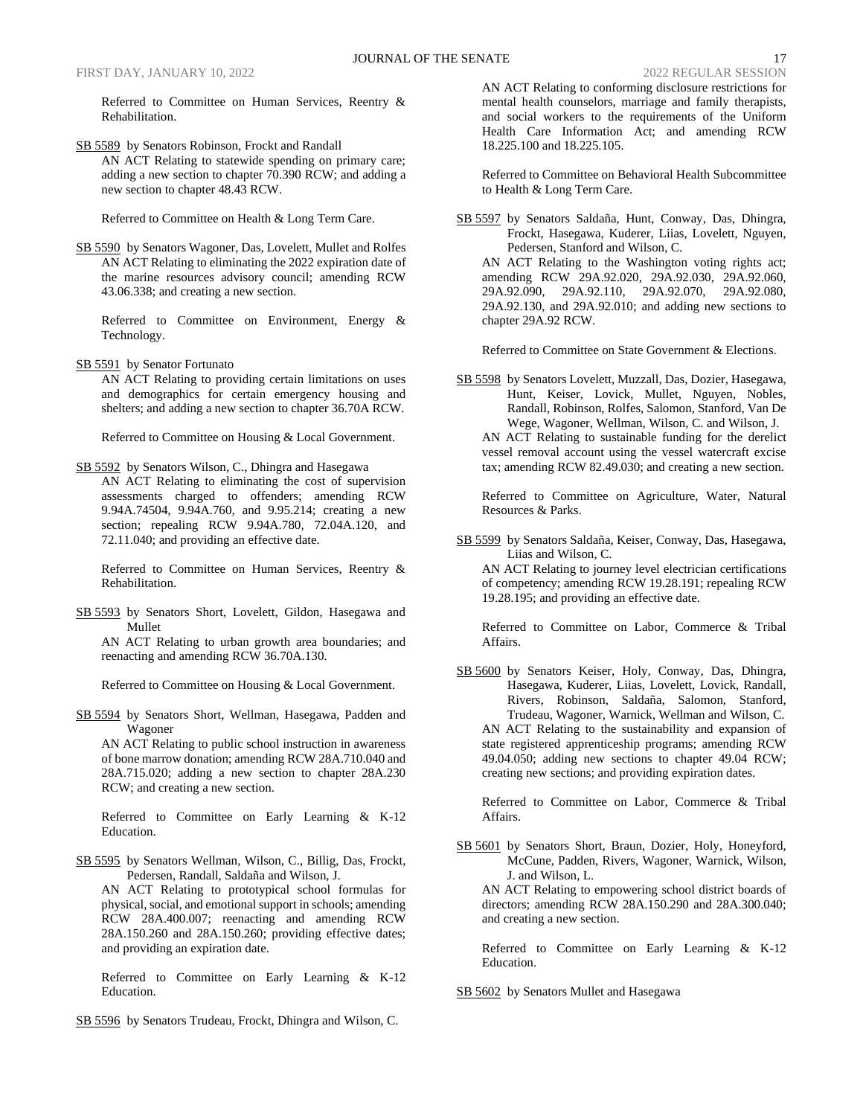Referred to Committee on Human Services, Reentry & Rehabilitation.

SB 5589 by Senators Robinson, Frockt and Randall AN ACT Relating to statewide spending on primary care; adding a new section to chapter 70.390 RCW; and adding a new section to chapter 48.43 RCW.

Referred to Committee on Health & Long Term Care.

SB 5590 by Senators Wagoner, Das, Lovelett, Mullet and Rolfes AN ACT Relating to eliminating the 2022 expiration date of the marine resources advisory council; amending RCW 43.06.338; and creating a new section.

Referred to Committee on Environment, Energy & Technology.

SB 5591 by Senator Fortunato

AN ACT Relating to providing certain limitations on uses and demographics for certain emergency housing and shelters; and adding a new section to chapter 36.70A RCW.

Referred to Committee on Housing & Local Government.

- SB 5592 by Senators Wilson, C., Dhingra and Hasegawa
- AN ACT Relating to eliminating the cost of supervision assessments charged to offenders; amending RCW 9.94A.74504, 9.94A.760, and 9.95.214; creating a new section; repealing RCW 9.94A.780, 72.04A.120, and 72.11.040; and providing an effective date.

Referred to Committee on Human Services, Reentry & Rehabilitation.

SB 5593 by Senators Short, Lovelett, Gildon, Hasegawa and Mullet

AN ACT Relating to urban growth area boundaries; and reenacting and amending RCW 36.70A.130.

Referred to Committee on Housing & Local Government.

SB 5594 by Senators Short, Wellman, Hasegawa, Padden and Wagoner

AN ACT Relating to public school instruction in awareness of bone marrow donation; amending RCW 28A.710.040 and 28A.715.020; adding a new section to chapter 28A.230 RCW; and creating a new section.

Referred to Committee on Early Learning & K-12 Education.

SB 5595 by Senators Wellman, Wilson, C., Billig, Das, Frockt, Pedersen, Randall, Saldaña and Wilson, J.

AN ACT Relating to prototypical school formulas for physical, social, and emotional support in schools; amending RCW 28A.400.007; reenacting and amending RCW 28A.150.260 and 28A.150.260; providing effective dates; and providing an expiration date.

Referred to Committee on Early Learning & K-12 Education.

SB 5596 by Senators Trudeau, Frockt, Dhingra and Wilson, C.

AN ACT Relating to conforming disclosure restrictions for mental health counselors, marriage and family therapists, and social workers to the requirements of the Uniform Health Care Information Act; and amending RCW 18.225.100 and 18.225.105.

Referred to Committee on Behavioral Health Subcommittee to Health & Long Term Care.

SB 5597 by Senators Saldaña, Hunt, Conway, Das, Dhingra, Frockt, Hasegawa, Kuderer, Liias, Lovelett, Nguyen, Pedersen, Stanford and Wilson, C. AN ACT Relating to the Washington voting rights act; amending RCW 29A.92.020, 29A.92.030, 29A.92.060, 29A.92.090, 29A.92.110, 29A.92.070, 29A.92.080, 29A.92.130, and 29A.92.010; and adding new sections to chapter 29A.92 RCW.

Referred to Committee on State Government & Elections.

SB 5598 by Senators Lovelett, Muzzall, Das, Dozier, Hasegawa, Hunt, Keiser, Lovick, Mullet, Nguyen, Nobles, Randall, Robinson, Rolfes, Salomon, Stanford, Van De Wege, Wagoner, Wellman, Wilson, C. and Wilson, J. AN ACT Relating to sustainable funding for the derelict vessel removal account using the vessel watercraft excise tax; amending RCW 82.49.030; and creating a new section.

Referred to Committee on Agriculture, Water, Natural Resources & Parks.

SB 5599 by Senators Saldaña, Keiser, Conway, Das, Hasegawa, Liias and Wilson, C.

AN ACT Relating to journey level electrician certifications of competency; amending RCW 19.28.191; repealing RCW 19.28.195; and providing an effective date.

Referred to Committee on Labor, Commerce & Tribal Affairs.

SB 5600 by Senators Keiser, Holy, Conway, Das, Dhingra, Hasegawa, Kuderer, Liias, Lovelett, Lovick, Randall, Rivers, Robinson, Saldaña, Salomon, Stanford, Trudeau, Wagoner, Warnick, Wellman and Wilson, C. AN ACT Relating to the sustainability and expansion of state registered apprenticeship programs; amending RCW 49.04.050; adding new sections to chapter 49.04 RCW; creating new sections; and providing expiration dates.

Referred to Committee on Labor, Commerce & Tribal Affairs.

SB 5601 by Senators Short, Braun, Dozier, Holy, Honeyford, McCune, Padden, Rivers, Wagoner, Warnick, Wilson, J. and Wilson, L.

AN ACT Relating to empowering school district boards of directors; amending RCW 28A.150.290 and 28A.300.040; and creating a new section.

Referred to Committee on Early Learning & K-12 Education.

SB 5602 by Senators Mullet and Hasegawa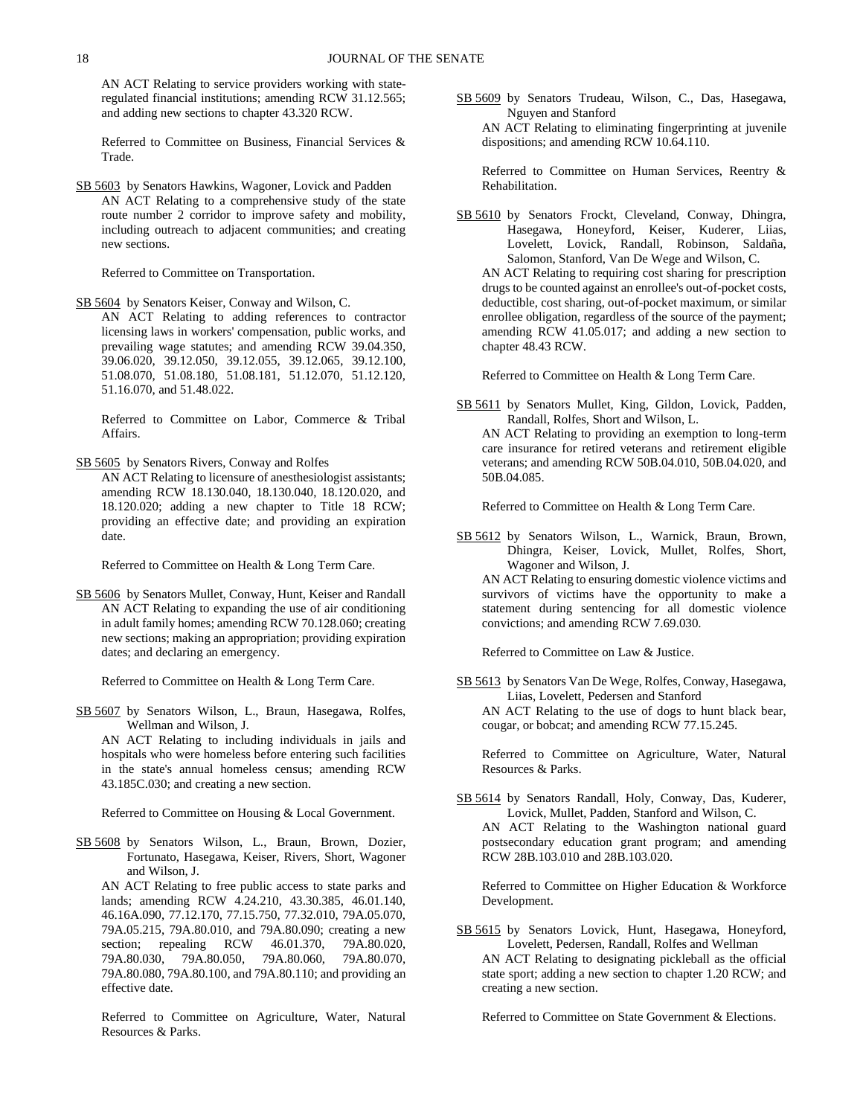AN ACT Relating to service providers working with stateregulated financial institutions; amending RCW 31.12.565; and adding new sections to chapter 43.320 RCW.

Referred to Committee on Business, Financial Services & Trade.

SB 5603 by Senators Hawkins, Wagoner, Lovick and Padden AN ACT Relating to a comprehensive study of the state route number 2 corridor to improve safety and mobility, including outreach to adjacent communities; and creating new sections.

Referred to Committee on Transportation.

SB 5604 by Senators Keiser, Conway and Wilson, C.

AN ACT Relating to adding references to contractor licensing laws in workers' compensation, public works, and prevailing wage statutes; and amending RCW 39.04.350, 39.06.020, 39.12.050, 39.12.055, 39.12.065, 39.12.100, 51.08.070, 51.08.180, 51.08.181, 51.12.070, 51.12.120, 51.16.070, and 51.48.022.

Referred to Committee on Labor, Commerce & Tribal Affairs.

SB 5605 by Senators Rivers, Conway and Rolfes

AN ACT Relating to licensure of anesthesiologist assistants; amending RCW 18.130.040, 18.130.040, 18.120.020, and 18.120.020; adding a new chapter to Title 18 RCW; providing an effective date; and providing an expiration date.

Referred to Committee on Health & Long Term Care.

SB 5606 by Senators Mullet, Conway, Hunt, Keiser and Randall AN ACT Relating to expanding the use of air conditioning in adult family homes; amending RCW 70.128.060; creating new sections; making an appropriation; providing expiration dates; and declaring an emergency.

Referred to Committee on Health & Long Term Care.

SB 5607 by Senators Wilson, L., Braun, Hasegawa, Rolfes, Wellman and Wilson, J.

AN ACT Relating to including individuals in jails and hospitals who were homeless before entering such facilities in the state's annual homeless census; amending RCW 43.185C.030; and creating a new section.

Referred to Committee on Housing & Local Government.

SB 5608 by Senators Wilson, L., Braun, Brown, Dozier, Fortunato, Hasegawa, Keiser, Rivers, Short, Wagoner and Wilson, J.

AN ACT Relating to free public access to state parks and lands; amending RCW 4.24.210, 43.30.385, 46.01.140, 46.16A.090, 77.12.170, 77.15.750, 77.32.010, 79A.05.070, 79A.05.215, 79A.80.010, and 79A.80.090; creating a new section; repealing RCW 46.01.370, 79A.80.020, 79A.80.030, 79A.80.050, 79A.80.060, 79A.80.070, 79A.80.080, 79A.80.100, and 79A.80.110; and providing an effective date.

Referred to Committee on Agriculture, Water, Natural Resources & Parks.

SB 5609 by Senators Trudeau, Wilson, C., Das, Hasegawa, Nguyen and Stanford

AN ACT Relating to eliminating fingerprinting at juvenile dispositions; and amending RCW 10.64.110.

Referred to Committee on Human Services, Reentry & Rehabilitation.

SB 5610 by Senators Frockt, Cleveland, Conway, Dhingra, Hasegawa, Honeyford, Keiser, Kuderer, Liias, Lovelett, Lovick, Randall, Robinson, Saldaña, Salomon, Stanford, Van De Wege and Wilson, C.

AN ACT Relating to requiring cost sharing for prescription drugs to be counted against an enrollee's out-of-pocket costs, deductible, cost sharing, out-of-pocket maximum, or similar enrollee obligation, regardless of the source of the payment; amending RCW 41.05.017; and adding a new section to chapter 48.43 RCW.

Referred to Committee on Health & Long Term Care.

SB 5611 by Senators Mullet, King, Gildon, Lovick, Padden, Randall, Rolfes, Short and Wilson, L.

AN ACT Relating to providing an exemption to long-term care insurance for retired veterans and retirement eligible veterans; and amending RCW 50B.04.010, 50B.04.020, and 50B.04.085.

Referred to Committee on Health & Long Term Care.

SB 5612 by Senators Wilson, L., Warnick, Braun, Brown, Dhingra, Keiser, Lovick, Mullet, Rolfes, Short, Wagoner and Wilson, J.

AN ACT Relating to ensuring domestic violence victims and survivors of victims have the opportunity to make a statement during sentencing for all domestic violence convictions; and amending RCW 7.69.030.

Referred to Committee on Law & Justice.

SB 5613 by Senators Van De Wege, Rolfes, Conway, Hasegawa, Liias, Lovelett, Pedersen and Stanford AN ACT Relating to the use of dogs to hunt black bear, cougar, or bobcat; and amending RCW 77.15.245.

Referred to Committee on Agriculture, Water, Natural Resources & Parks.

SB 5614 by Senators Randall, Holy, Conway, Das, Kuderer, Lovick, Mullet, Padden, Stanford and Wilson, C. AN ACT Relating to the Washington national guard postsecondary education grant program; and amending RCW 28B.103.010 and 28B.103.020.

Referred to Committee on Higher Education & Workforce Development.

SB 5615 by Senators Lovick, Hunt, Hasegawa, Honeyford, Lovelett, Pedersen, Randall, Rolfes and Wellman AN ACT Relating to designating pickleball as the official state sport; adding a new section to chapter 1.20 RCW; and creating a new section.

Referred to Committee on State Government & Elections.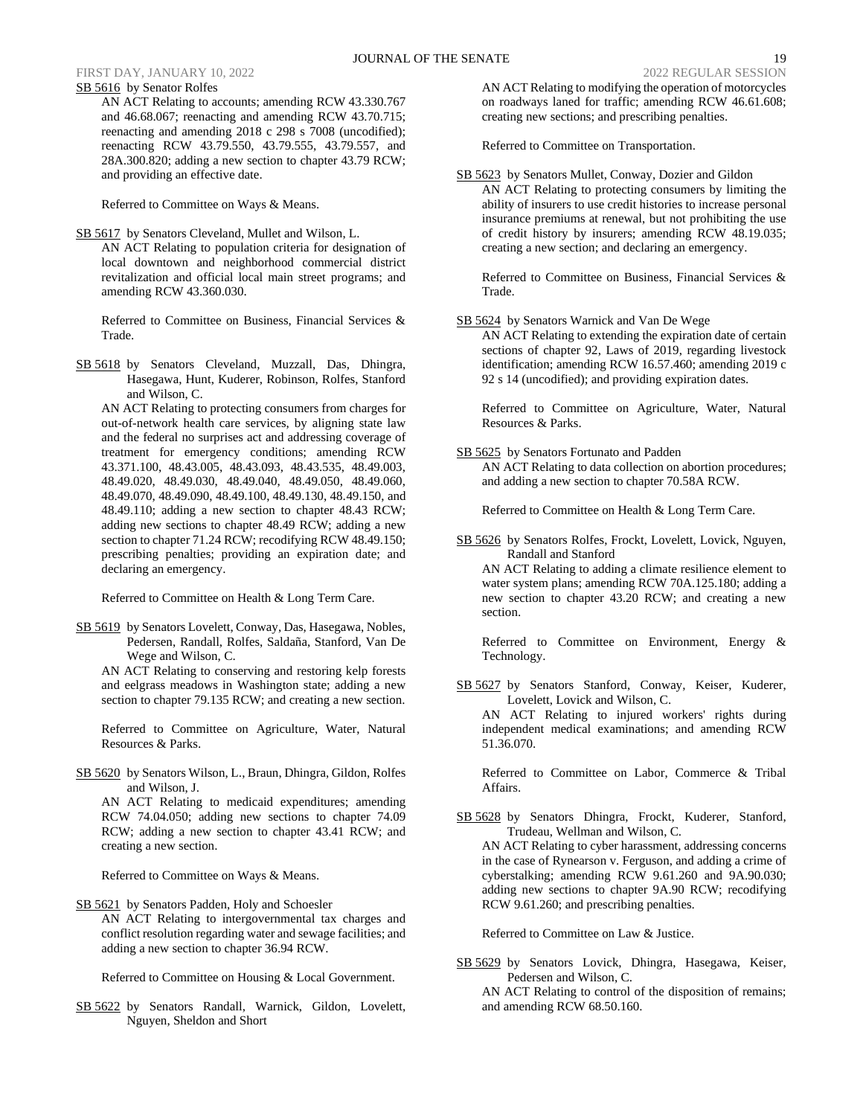SB 5616 by Senator Rolfes AN ACT Relating to accounts; amending RCW 43.330.767 and 46.68.067; reenacting and amending RCW 43.70.715; reenacting and amending 2018 c 298 s 7008 (uncodified); reenacting RCW 43.79.550, 43.79.555, 43.79.557, and 28A.300.820; adding a new section to chapter 43.79 RCW; and providing an effective date.

Referred to Committee on Ways & Means.

SB 5617 by Senators Cleveland, Mullet and Wilson, L.

AN ACT Relating to population criteria for designation of local downtown and neighborhood commercial district revitalization and official local main street programs; and amending RCW 43.360.030.

Referred to Committee on Business, Financial Services & Trade.

SB 5618 by Senators Cleveland, Muzzall, Das, Dhingra, Hasegawa, Hunt, Kuderer, Robinson, Rolfes, Stanford and Wilson, C.

AN ACT Relating to protecting consumers from charges for out-of-network health care services, by aligning state law and the federal no surprises act and addressing coverage of treatment for emergency conditions; amending RCW 43.371.100, 48.43.005, 48.43.093, 48.43.535, 48.49.003, 48.49.020, 48.49.030, 48.49.040, 48.49.050, 48.49.060, 48.49.070, 48.49.090, 48.49.100, 48.49.130, 48.49.150, and 48.49.110; adding a new section to chapter 48.43 RCW; adding new sections to chapter 48.49 RCW; adding a new section to chapter 71.24 RCW; recodifying RCW 48.49.150; prescribing penalties; providing an expiration date; and declaring an emergency.

Referred to Committee on Health & Long Term Care.

SB 5619 by Senators Lovelett, Conway, Das, Hasegawa, Nobles, Pedersen, Randall, Rolfes, Saldaña, Stanford, Van De Wege and Wilson, C.

AN ACT Relating to conserving and restoring kelp forests and eelgrass meadows in Washington state; adding a new section to chapter 79.135 RCW; and creating a new section.

Referred to Committee on Agriculture, Water, Natural Resources & Parks.

SB 5620 by Senators Wilson, L., Braun, Dhingra, Gildon, Rolfes and Wilson, J.

AN ACT Relating to medicaid expenditures; amending RCW 74.04.050; adding new sections to chapter 74.09 RCW; adding a new section to chapter 43.41 RCW; and creating a new section.

Referred to Committee on Ways & Means.

SB 5621 by Senators Padden, Holy and Schoesler

AN ACT Relating to intergovernmental tax charges and conflict resolution regarding water and sewage facilities; and adding a new section to chapter 36.94 RCW.

Referred to Committee on Housing & Local Government.

SB 5622 by Senators Randall, Warnick, Gildon, Lovelett, Nguyen, Sheldon and Short

AN ACT Relating to modifying the operation of motorcycles on roadways laned for traffic; amending RCW 46.61.608; creating new sections; and prescribing penalties.

Referred to Committee on Transportation.

SB 5623 by Senators Mullet, Conway, Dozier and Gildon AN ACT Relating to protecting consumers by limiting the ability of insurers to use credit histories to increase personal insurance premiums at renewal, but not prohibiting the use of credit history by insurers; amending RCW 48.19.035; creating a new section; and declaring an emergency.

Referred to Committee on Business, Financial Services & Trade.

SB 5624 by Senators Warnick and Van De Wege

AN ACT Relating to extending the expiration date of certain sections of chapter 92, Laws of 2019, regarding livestock identification; amending RCW 16.57.460; amending 2019 c 92 s 14 (uncodified); and providing expiration dates.

Referred to Committee on Agriculture, Water, Natural Resources & Parks.

SB 5625 by Senators Fortunato and Padden AN ACT Relating to data collection on abortion procedures; and adding a new section to chapter 70.58A RCW.

Referred to Committee on Health & Long Term Care.

SB 5626 by Senators Rolfes, Frockt, Lovelett, Lovick, Nguyen, Randall and Stanford

AN ACT Relating to adding a climate resilience element to water system plans; amending RCW 70A.125.180; adding a new section to chapter 43.20 RCW; and creating a new section.

Referred to Committee on Environment, Energy & Technology.

SB 5627 by Senators Stanford, Conway, Keiser, Kuderer, Lovelett, Lovick and Wilson, C.

AN ACT Relating to injured workers' rights during independent medical examinations; and amending RCW 51.36.070.

Referred to Committee on Labor, Commerce & Tribal Affairs.

SB 5628 by Senators Dhingra, Frockt, Kuderer, Stanford, Trudeau, Wellman and Wilson, C. AN ACT Relating to cyber harassment, addressing concerns in the case of Rynearson v. Ferguson, and adding a crime of cyberstalking; amending RCW 9.61.260 and 9A.90.030; adding new sections to chapter 9A.90 RCW; recodifying RCW 9.61.260; and prescribing penalties.

Referred to Committee on Law & Justice.

SB 5629 by Senators Lovick, Dhingra, Hasegawa, Keiser, Pedersen and Wilson, C.

AN ACT Relating to control of the disposition of remains; and amending RCW 68.50.160.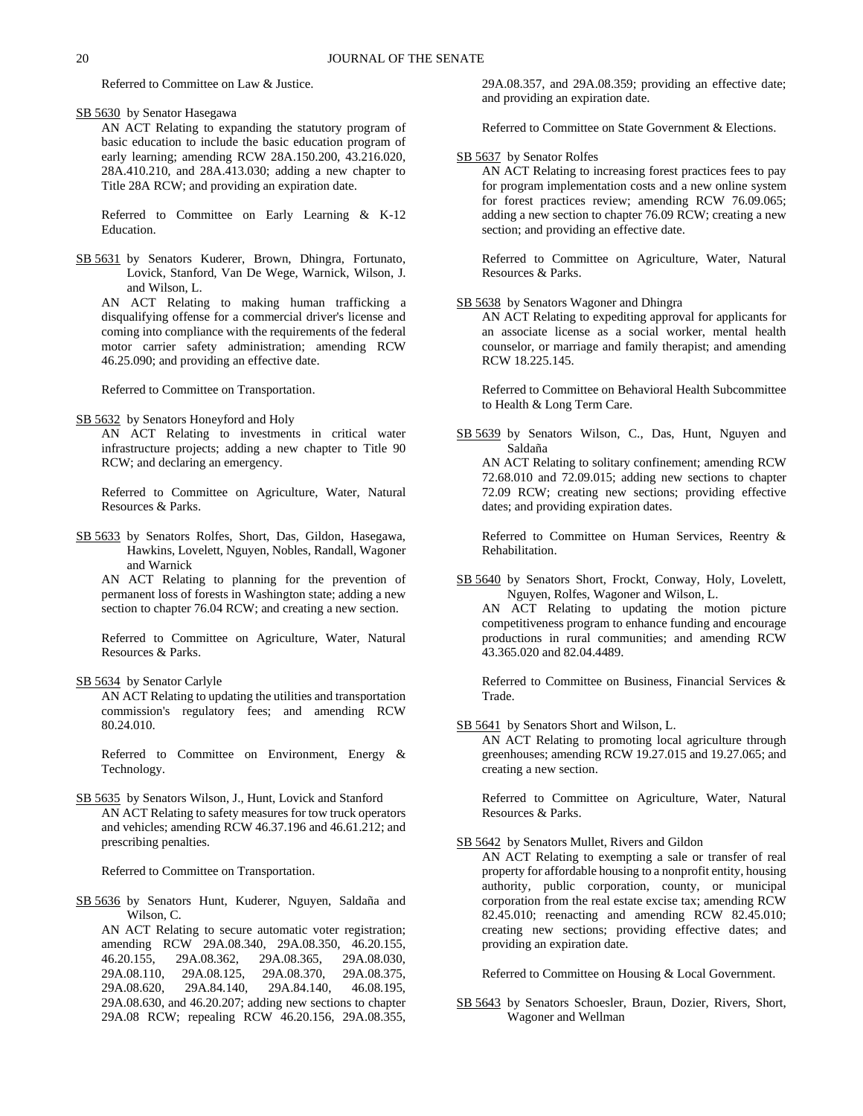Referred to Committee on Law & Justice.

SB 5630 by Senator Hasegawa

AN ACT Relating to expanding the statutory program of basic education to include the basic education program of early learning; amending RCW 28A.150.200, 43.216.020, 28A.410.210, and 28A.413.030; adding a new chapter to Title 28A RCW; and providing an expiration date.

Referred to Committee on Early Learning & K-12 Education.

SB 5631 by Senators Kuderer, Brown, Dhingra, Fortunato, Lovick, Stanford, Van De Wege, Warnick, Wilson, J. and Wilson, L.

AN ACT Relating to making human trafficking a disqualifying offense for a commercial driver's license and coming into compliance with the requirements of the federal motor carrier safety administration; amending RCW 46.25.090; and providing an effective date.

Referred to Committee on Transportation.

SB 5632 by Senators Honeyford and Holy

AN ACT Relating to investments in critical water infrastructure projects; adding a new chapter to Title 90 RCW; and declaring an emergency.

Referred to Committee on Agriculture, Water, Natural Resources & Parks.

SB 5633 by Senators Rolfes, Short, Das, Gildon, Hasegawa, Hawkins, Lovelett, Nguyen, Nobles, Randall, Wagoner and Warnick

AN ACT Relating to planning for the prevention of permanent loss of forests in Washington state; adding a new section to chapter 76.04 RCW; and creating a new section.

Referred to Committee on Agriculture, Water, Natural Resources & Parks.

SB 5634 by Senator Carlyle

AN ACT Relating to updating the utilities and transportation commission's regulatory fees; and amending RCW 80.24.010.

Referred to Committee on Environment, Energy & Technology.

SB 5635 by Senators Wilson, J., Hunt, Lovick and Stanford AN ACT Relating to safety measures for tow truck operators and vehicles; amending RCW 46.37.196 and 46.61.212; and prescribing penalties.

Referred to Committee on Transportation.

SB 5636 by Senators Hunt, Kuderer, Nguyen, Saldaña and Wilson, C.

AN ACT Relating to secure automatic voter registration; amending RCW 29A.08.340, 29A.08.350, 46.20.155, 46.20.155, 29A.08.362, 29A.08.365, 29A.08.030, 29A.08.110, 29A.08.125, 29A.08.370, 29A.08.375, 29A.08.620, 29A.84.140, 29A.84.140, 46.08.195, 29A.08.630, and 46.20.207; adding new sections to chapter 29A.08 RCW; repealing RCW 46.20.156, 29A.08.355, 29A.08.357, and 29A.08.359; providing an effective date; and providing an expiration date.

Referred to Committee on State Government & Elections.

### SB 5637 by Senator Rolfes

AN ACT Relating to increasing forest practices fees to pay for program implementation costs and a new online system for forest practices review; amending RCW 76.09.065; adding a new section to chapter 76.09 RCW; creating a new section; and providing an effective date.

Referred to Committee on Agriculture, Water, Natural Resources & Parks.

### SB 5638 by Senators Wagoner and Dhingra

AN ACT Relating to expediting approval for applicants for an associate license as a social worker, mental health counselor, or marriage and family therapist; and amending RCW 18.225.145.

Referred to Committee on Behavioral Health Subcommittee to Health & Long Term Care.

SB 5639 by Senators Wilson, C., Das, Hunt, Nguyen and Saldaña AN ACT Relating to solitary confinement; amending RCW

72.68.010 and 72.09.015; adding new sections to chapter 72.09 RCW; creating new sections; providing effective dates; and providing expiration dates.

Referred to Committee on Human Services, Reentry & Rehabilitation.

SB 5640 by Senators Short, Frockt, Conway, Holy, Lovelett, Nguyen, Rolfes, Wagoner and Wilson, L.

AN ACT Relating to updating the motion picture competitiveness program to enhance funding and encourage productions in rural communities; and amending RCW 43.365.020 and 82.04.4489.

Referred to Committee on Business, Financial Services & Trade.

SB 5641 by Senators Short and Wilson, L.

AN ACT Relating to promoting local agriculture through greenhouses; amending RCW 19.27.015 and 19.27.065; and creating a new section.

Referred to Committee on Agriculture, Water, Natural Resources & Parks.

SB 5642 by Senators Mullet, Rivers and Gildon

AN ACT Relating to exempting a sale or transfer of real property for affordable housing to a nonprofit entity, housing authority, public corporation, county, or municipal corporation from the real estate excise tax; amending RCW 82.45.010; reenacting and amending RCW 82.45.010; creating new sections; providing effective dates; and providing an expiration date.

Referred to Committee on Housing & Local Government.

SB 5643 by Senators Schoesler, Braun, Dozier, Rivers, Short, Wagoner and Wellman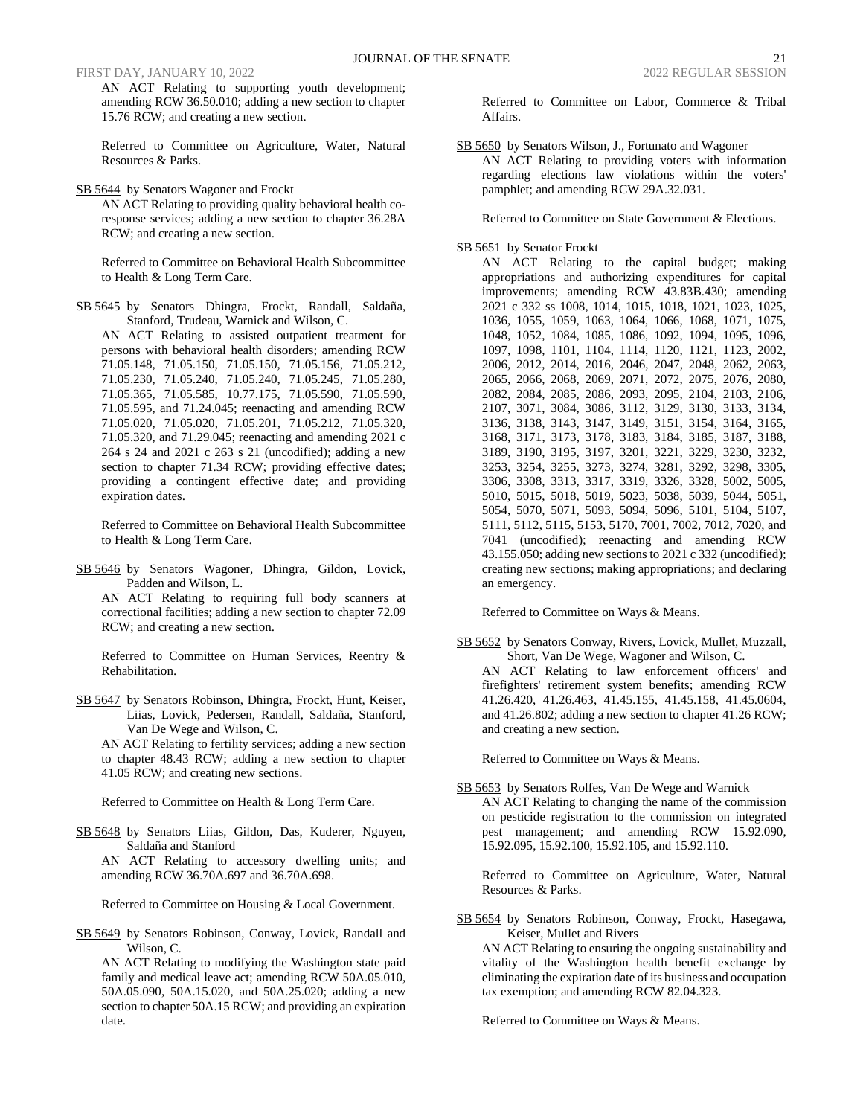AN ACT Relating to supporting youth development; amending RCW 36.50.010; adding a new section to chapter 15.76 RCW; and creating a new section.

Referred to Committee on Agriculture, Water, Natural Resources & Parks.

SB 5644 by Senators Wagoner and Frockt

AN ACT Relating to providing quality behavioral health coresponse services; adding a new section to chapter 36.28A RCW; and creating a new section.

Referred to Committee on Behavioral Health Subcommittee to Health & Long Term Care.

SB 5645 by Senators Dhingra, Frockt, Randall, Saldaña, Stanford, Trudeau, Warnick and Wilson, C.

AN ACT Relating to assisted outpatient treatment for persons with behavioral health disorders; amending RCW 71.05.148, 71.05.150, 71.05.150, 71.05.156, 71.05.212, 71.05.230, 71.05.240, 71.05.240, 71.05.245, 71.05.280, 71.05.365, 71.05.585, 10.77.175, 71.05.590, 71.05.590, 71.05.595, and 71.24.045; reenacting and amending RCW 71.05.020, 71.05.020, 71.05.201, 71.05.212, 71.05.320, 71.05.320, and 71.29.045; reenacting and amending 2021 c 264 s 24 and 2021 c 263 s 21 (uncodified); adding a new section to chapter 71.34 RCW; providing effective dates; providing a contingent effective date; and providing expiration dates.

Referred to Committee on Behavioral Health Subcommittee to Health & Long Term Care.

SB 5646 by Senators Wagoner, Dhingra, Gildon, Lovick, Padden and Wilson, L.

AN ACT Relating to requiring full body scanners at correctional facilities; adding a new section to chapter 72.09 RCW; and creating a new section.

Referred to Committee on Human Services, Reentry & Rehabilitation.

SB 5647 by Senators Robinson, Dhingra, Frockt, Hunt, Keiser, Liias, Lovick, Pedersen, Randall, Saldaña, Stanford, Van De Wege and Wilson, C.

AN ACT Relating to fertility services; adding a new section to chapter 48.43 RCW; adding a new section to chapter 41.05 RCW; and creating new sections.

Referred to Committee on Health & Long Term Care.

SB 5648 by Senators Liias, Gildon, Das, Kuderer, Nguyen, Saldaña and Stanford

AN ACT Relating to accessory dwelling units; and amending RCW 36.70A.697 and 36.70A.698.

Referred to Committee on Housing & Local Government.

SB 5649 by Senators Robinson, Conway, Lovick, Randall and Wilson, C.

AN ACT Relating to modifying the Washington state paid family and medical leave act; amending RCW 50A.05.010, 50A.05.090, 50A.15.020, and 50A.25.020; adding a new section to chapter 50A.15 RCW; and providing an expiration date.

Referred to Committee on Labor, Commerce & Tribal Affairs.

SB 5650 by Senators Wilson, J., Fortunato and Wagoner AN ACT Relating to providing voters with information regarding elections law violations within the voters' pamphlet; and amending RCW 29A.32.031.

Referred to Committee on State Government & Elections.

### SB 5651 by Senator Frockt

AN ACT Relating to the capital budget; making appropriations and authorizing expenditures for capital improvements; amending RCW 43.83B.430; amending 2021 c 332 ss 1008, 1014, 1015, 1018, 1021, 1023, 1025, 1036, 1055, 1059, 1063, 1064, 1066, 1068, 1071, 1075, 1048, 1052, 1084, 1085, 1086, 1092, 1094, 1095, 1096, 1097, 1098, 1101, 1104, 1114, 1120, 1121, 1123, 2002, 2006, 2012, 2014, 2016, 2046, 2047, 2048, 2062, 2063, 2065, 2066, 2068, 2069, 2071, 2072, 2075, 2076, 2080, 2082, 2084, 2085, 2086, 2093, 2095, 2104, 2103, 2106, 2107, 3071, 3084, 3086, 3112, 3129, 3130, 3133, 3134, 3136, 3138, 3143, 3147, 3149, 3151, 3154, 3164, 3165, 3168, 3171, 3173, 3178, 3183, 3184, 3185, 3187, 3188, 3189, 3190, 3195, 3197, 3201, 3221, 3229, 3230, 3232, 3253, 3254, 3255, 3273, 3274, 3281, 3292, 3298, 3305, 3306, 3308, 3313, 3317, 3319, 3326, 3328, 5002, 5005, 5010, 5015, 5018, 5019, 5023, 5038, 5039, 5044, 5051, 5054, 5070, 5071, 5093, 5094, 5096, 5101, 5104, 5107, 5111, 5112, 5115, 5153, 5170, 7001, 7002, 7012, 7020, and 7041 (uncodified); reenacting and amending RCW 43.155.050; adding new sections to 2021 c 332 (uncodified); creating new sections; making appropriations; and declaring an emergency.

Referred to Committee on Ways & Means.

SB 5652 by Senators Conway, Rivers, Lovick, Mullet, Muzzall, Short, Van De Wege, Wagoner and Wilson, C. AN ACT Relating to law enforcement officers' and firefighters' retirement system benefits; amending RCW 41.26.420, 41.26.463, 41.45.155, 41.45.158, 41.45.0604, and 41.26.802; adding a new section to chapter 41.26 RCW; and creating a new section.

Referred to Committee on Ways & Means.

SB 5653 by Senators Rolfes, Van De Wege and Warnick AN ACT Relating to changing the name of the commission on pesticide registration to the commission on integrated pest management; and amending RCW 15.92.090, 15.92.095, 15.92.100, 15.92.105, and 15.92.110.

Referred to Committee on Agriculture, Water, Natural Resources & Parks.

SB 5654 by Senators Robinson, Conway, Frockt, Hasegawa, Keiser, Mullet and Rivers

AN ACT Relating to ensuring the ongoing sustainability and vitality of the Washington health benefit exchange by eliminating the expiration date of its business and occupation tax exemption; and amending RCW 82.04.323.

Referred to Committee on Ways & Means.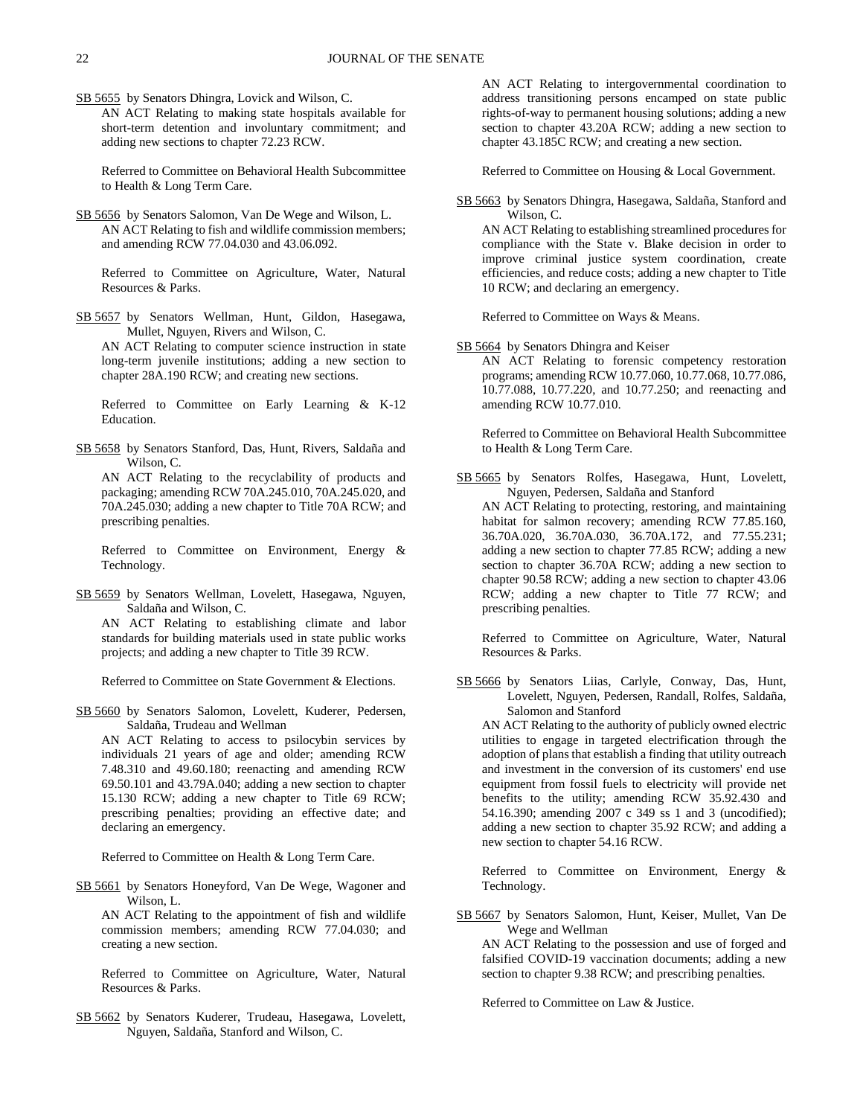SB 5655 by Senators Dhingra, Lovick and Wilson, C.

AN ACT Relating to making state hospitals available for short-term detention and involuntary commitment; and adding new sections to chapter 72.23 RCW.

Referred to Committee on Behavioral Health Subcommittee to Health & Long Term Care.

SB 5656 by Senators Salomon, Van De Wege and Wilson, L. AN ACT Relating to fish and wildlife commission members; and amending RCW 77.04.030 and 43.06.092.

Referred to Committee on Agriculture, Water, Natural Resources & Parks.

SB 5657 by Senators Wellman, Hunt, Gildon, Hasegawa, Mullet, Nguyen, Rivers and Wilson, C.

AN ACT Relating to computer science instruction in state long-term juvenile institutions; adding a new section to chapter 28A.190 RCW; and creating new sections.

Referred to Committee on Early Learning & K-12 Education.

SB 5658 by Senators Stanford, Das, Hunt, Rivers, Saldaña and Wilson, C.

AN ACT Relating to the recyclability of products and packaging; amending RCW 70A.245.010, 70A.245.020, and 70A.245.030; adding a new chapter to Title 70A RCW; and prescribing penalties.

Referred to Committee on Environment, Energy & Technology.

SB 5659 by Senators Wellman, Lovelett, Hasegawa, Nguyen, Saldaña and Wilson, C.

AN ACT Relating to establishing climate and labor standards for building materials used in state public works projects; and adding a new chapter to Title 39 RCW.

Referred to Committee on State Government & Elections.

SB 5660 by Senators Salomon, Lovelett, Kuderer, Pedersen, Saldaña, Trudeau and Wellman

AN ACT Relating to access to psilocybin services by individuals 21 years of age and older; amending RCW 7.48.310 and 49.60.180; reenacting and amending RCW 69.50.101 and 43.79A.040; adding a new section to chapter 15.130 RCW; adding a new chapter to Title 69 RCW; prescribing penalties; providing an effective date; and declaring an emergency.

Referred to Committee on Health & Long Term Care.

SB 5661 by Senators Honeyford, Van De Wege, Wagoner and Wilson, L.

AN ACT Relating to the appointment of fish and wildlife commission members; amending RCW 77.04.030; and creating a new section.

Referred to Committee on Agriculture, Water, Natural Resources & Parks.

SB 5662 by Senators Kuderer, Trudeau, Hasegawa, Lovelett, Nguyen, Saldaña, Stanford and Wilson, C.

AN ACT Relating to intergovernmental coordination to address transitioning persons encamped on state public rights-of-way to permanent housing solutions; adding a new section to chapter 43.20A RCW; adding a new section to chapter 43.185C RCW; and creating a new section.

Referred to Committee on Housing & Local Government.

SB 5663 by Senators Dhingra, Hasegawa, Saldaña, Stanford and Wilson, C.

AN ACT Relating to establishing streamlined procedures for compliance with the State v. Blake decision in order to improve criminal justice system coordination, create efficiencies, and reduce costs; adding a new chapter to Title 10 RCW; and declaring an emergency.

Referred to Committee on Ways & Means.

SB 5664 by Senators Dhingra and Keiser

AN ACT Relating to forensic competency restoration programs; amending RCW 10.77.060, 10.77.068, 10.77.086, 10.77.088, 10.77.220, and 10.77.250; and reenacting and amending RCW 10.77.010.

Referred to Committee on Behavioral Health Subcommittee to Health & Long Term Care.

SB 5665 by Senators Rolfes, Hasegawa, Hunt, Lovelett, Nguyen, Pedersen, Saldaña and Stanford

AN ACT Relating to protecting, restoring, and maintaining habitat for salmon recovery; amending RCW 77.85.160, 36.70A.020, 36.70A.030, 36.70A.172, and 77.55.231; adding a new section to chapter 77.85 RCW; adding a new section to chapter 36.70A RCW; adding a new section to chapter 90.58 RCW; adding a new section to chapter 43.06 RCW; adding a new chapter to Title 77 RCW; and prescribing penalties.

Referred to Committee on Agriculture, Water, Natural Resources & Parks.

SB 5666 by Senators Liias, Carlyle, Conway, Das, Hunt, Lovelett, Nguyen, Pedersen, Randall, Rolfes, Saldaña, Salomon and Stanford

AN ACT Relating to the authority of publicly owned electric utilities to engage in targeted electrification through the adoption of plans that establish a finding that utility outreach and investment in the conversion of its customers' end use equipment from fossil fuels to electricity will provide net benefits to the utility; amending RCW 35.92.430 and 54.16.390; amending 2007 c 349 ss 1 and 3 (uncodified); adding a new section to chapter 35.92 RCW; and adding a new section to chapter 54.16 RCW.

Referred to Committee on Environment, Energy & Technology.

SB 5667 by Senators Salomon, Hunt, Keiser, Mullet, Van De Wege and Wellman

AN ACT Relating to the possession and use of forged and falsified COVID-19 vaccination documents; adding a new section to chapter 9.38 RCW; and prescribing penalties.

Referred to Committee on Law & Justice.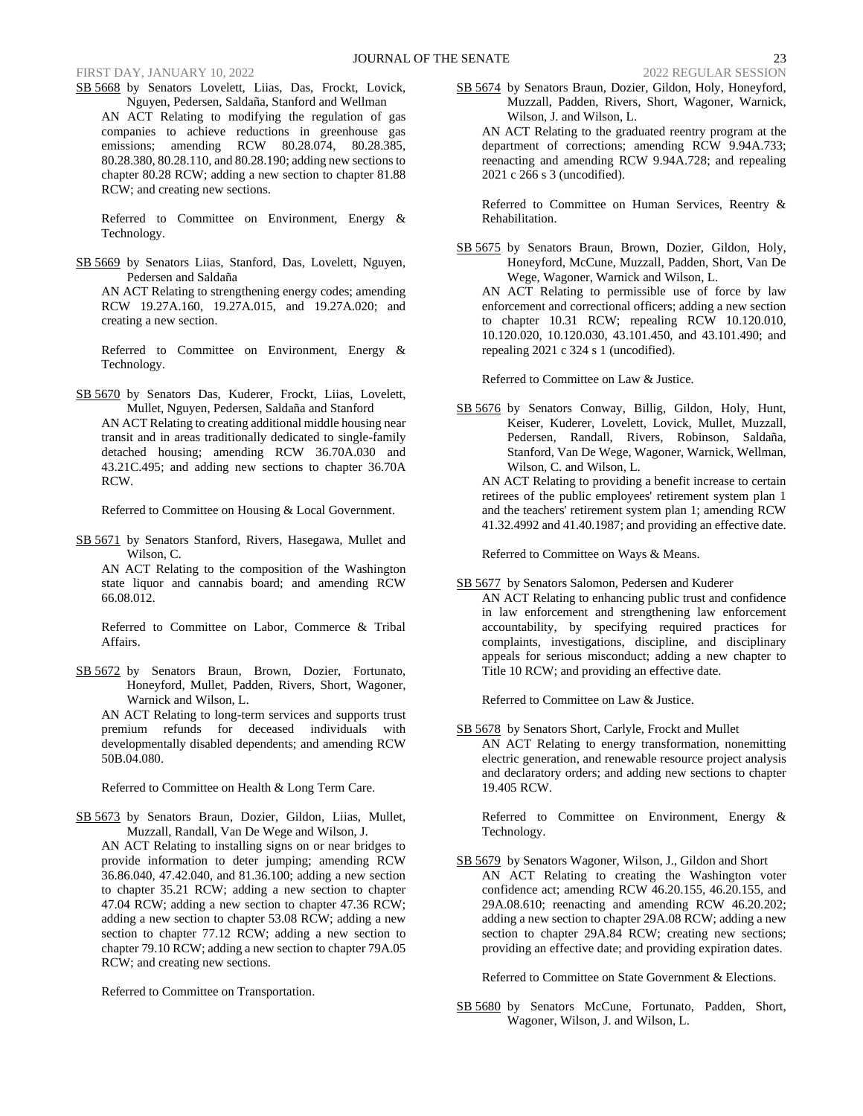SB 5668 by Senators Lovelett, Liias, Das, Frockt, Lovick, Nguyen, Pedersen, Saldaña, Stanford and Wellman AN ACT Relating to modifying the regulation of gas companies to achieve reductions in greenhouse gas emissions; amending RCW 80.28.074, 80.28.385, 80.28.380, 80.28.110, and 80.28.190; adding new sections to chapter 80.28 RCW; adding a new section to chapter 81.88 RCW; and creating new sections.

Referred to Committee on Environment, Energy & Technology.

SB 5669 by Senators Liias, Stanford, Das, Lovelett, Nguyen, Pedersen and Saldaña

AN ACT Relating to strengthening energy codes; amending RCW 19.27A.160, 19.27A.015, and 19.27A.020; and creating a new section.

Referred to Committee on Environment, Energy & Technology.

SB 5670 by Senators Das, Kuderer, Frockt, Liias, Lovelett, Mullet, Nguyen, Pedersen, Saldaña and Stanford AN ACT Relating to creating additional middle housing near transit and in areas traditionally dedicated to single-family detached housing; amending RCW 36.70A.030 and 43.21C.495; and adding new sections to chapter 36.70A RCW.

Referred to Committee on Housing & Local Government.

SB 5671 by Senators Stanford, Rivers, Hasegawa, Mullet and Wilson, C.

AN ACT Relating to the composition of the Washington state liquor and cannabis board; and amending RCW 66.08.012.

Referred to Committee on Labor, Commerce & Tribal Affairs.

SB 5672 by Senators Braun, Brown, Dozier, Fortunato, Honeyford, Mullet, Padden, Rivers, Short, Wagoner, Warnick and Wilson, L.

AN ACT Relating to long-term services and supports trust premium refunds for deceased individuals with developmentally disabled dependents; and amending RCW 50B.04.080.

Referred to Committee on Health & Long Term Care.

SB 5673 by Senators Braun, Dozier, Gildon, Liias, Mullet, Muzzall, Randall, Van De Wege and Wilson, J. AN ACT Relating to installing signs on or near bridges to provide information to deter jumping; amending RCW 36.86.040, 47.42.040, and 81.36.100; adding a new section to chapter 35.21 RCW; adding a new section to chapter 47.04 RCW; adding a new section to chapter 47.36 RCW; adding a new section to chapter 53.08 RCW; adding a new section to chapter 77.12 RCW; adding a new section to chapter 79.10 RCW; adding a new section to chapter 79A.05 RCW; and creating new sections.

Referred to Committee on Transportation.

SB 5674 by Senators Braun, Dozier, Gildon, Holy, Honeyford, Muzzall, Padden, Rivers, Short, Wagoner, Warnick, Wilson, J. and Wilson, L.

AN ACT Relating to the graduated reentry program at the department of corrections; amending RCW 9.94A.733; reenacting and amending RCW 9.94A.728; and repealing 2021 c 266 s 3 (uncodified).

Referred to Committee on Human Services, Reentry & Rehabilitation.

SB 5675 by Senators Braun, Brown, Dozier, Gildon, Holy, Honeyford, McCune, Muzzall, Padden, Short, Van De Wege, Wagoner, Warnick and Wilson, L.

AN ACT Relating to permissible use of force by law enforcement and correctional officers; adding a new section to chapter 10.31 RCW; repealing RCW 10.120.010, 10.120.020, 10.120.030, 43.101.450, and 43.101.490; and repealing 2021 c 324 s 1 (uncodified).

Referred to Committee on Law & Justice.

SB 5676 by Senators Conway, Billig, Gildon, Holy, Hunt, Keiser, Kuderer, Lovelett, Lovick, Mullet, Muzzall, Pedersen, Randall, Rivers, Robinson, Saldaña, Stanford, Van De Wege, Wagoner, Warnick, Wellman, Wilson, C. and Wilson, L.

AN ACT Relating to providing a benefit increase to certain retirees of the public employees' retirement system plan 1 and the teachers' retirement system plan 1; amending RCW 41.32.4992 and 41.40.1987; and providing an effective date.

Referred to Committee on Ways & Means.

SB 5677 by Senators Salomon, Pedersen and Kuderer AN ACT Relating to enhancing public trust and confidence in law enforcement and strengthening law enforcement accountability, by specifying required practices for complaints, investigations, discipline, and disciplinary appeals for serious misconduct; adding a new chapter to Title 10 RCW; and providing an effective date.

Referred to Committee on Law & Justice.

SB 5678 by Senators Short, Carlyle, Frockt and Mullet AN ACT Relating to energy transformation, nonemitting electric generation, and renewable resource project analysis and declaratory orders; and adding new sections to chapter 19.405 RCW.

Referred to Committee on Environment, Energy & Technology.

SB 5679 by Senators Wagoner, Wilson, J., Gildon and Short AN ACT Relating to creating the Washington voter confidence act; amending RCW 46.20.155, 46.20.155, and 29A.08.610; reenacting and amending RCW 46.20.202; adding a new section to chapter 29A.08 RCW; adding a new section to chapter 29A.84 RCW; creating new sections; providing an effective date; and providing expiration dates.

Referred to Committee on State Government & Elections.

SB 5680 by Senators McCune, Fortunato, Padden, Short, Wagoner, Wilson, J. and Wilson, L.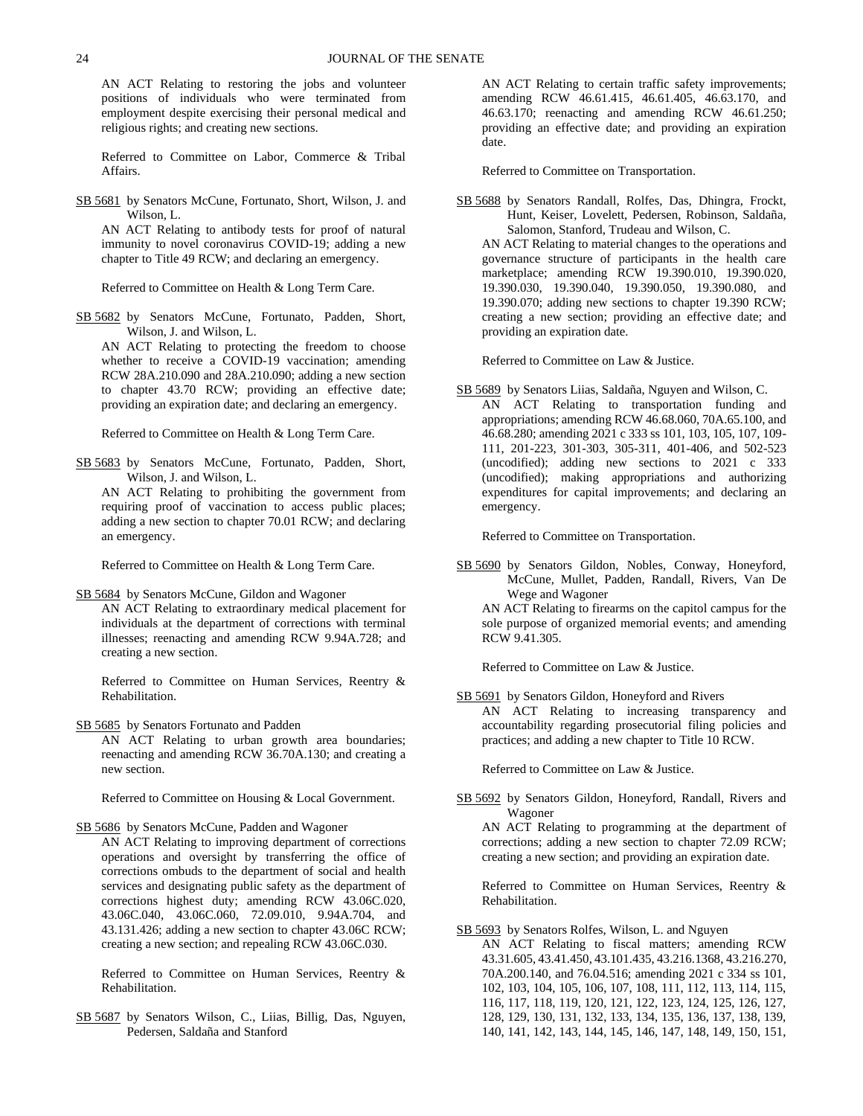AN ACT Relating to restoring the jobs and volunteer positions of individuals who were terminated from employment despite exercising their personal medical and religious rights; and creating new sections.

Referred to Committee on Labor, Commerce & Tribal Affairs.

SB 5681 by Senators McCune, Fortunato, Short, Wilson, J. and Wilson, L.

AN ACT Relating to antibody tests for proof of natural immunity to novel coronavirus COVID-19; adding a new chapter to Title 49 RCW; and declaring an emergency.

Referred to Committee on Health & Long Term Care.

SB 5682 by Senators McCune, Fortunato, Padden, Short, Wilson, J. and Wilson, L.

AN ACT Relating to protecting the freedom to choose whether to receive a COVID-19 vaccination; amending RCW 28A.210.090 and 28A.210.090; adding a new section to chapter 43.70 RCW; providing an effective date; providing an expiration date; and declaring an emergency.

Referred to Committee on Health & Long Term Care.

SB 5683 by Senators McCune, Fortunato, Padden, Short, Wilson, J. and Wilson, L.

AN ACT Relating to prohibiting the government from requiring proof of vaccination to access public places; adding a new section to chapter 70.01 RCW; and declaring an emergency.

Referred to Committee on Health & Long Term Care.

SB 5684 by Senators McCune, Gildon and Wagoner

AN ACT Relating to extraordinary medical placement for individuals at the department of corrections with terminal illnesses; reenacting and amending RCW 9.94A.728; and creating a new section.

Referred to Committee on Human Services, Reentry & Rehabilitation.

SB 5685 by Senators Fortunato and Padden AN ACT Relating to urban growth area boundaries;

reenacting and amending RCW 36.70A.130; and creating a new section.

Referred to Committee on Housing & Local Government.

SB 5686 by Senators McCune, Padden and Wagoner

AN ACT Relating to improving department of corrections operations and oversight by transferring the office of corrections ombuds to the department of social and health services and designating public safety as the department of corrections highest duty; amending RCW 43.06C.020, 43.06C.040, 43.06C.060, 72.09.010, 9.94A.704, and 43.131.426; adding a new section to chapter 43.06C RCW; creating a new section; and repealing RCW 43.06C.030.

Referred to Committee on Human Services, Reentry & Rehabilitation.

SB 5687 by Senators Wilson, C., Liias, Billig, Das, Nguyen, Pedersen, Saldaña and Stanford

AN ACT Relating to certain traffic safety improvements; amending RCW 46.61.415, 46.61.405, 46.63.170, and 46.63.170; reenacting and amending RCW 46.61.250; providing an effective date; and providing an expiration date.

Referred to Committee on Transportation.

SB 5688 by Senators Randall, Rolfes, Das, Dhingra, Frockt, Hunt, Keiser, Lovelett, Pedersen, Robinson, Saldaña, Salomon, Stanford, Trudeau and Wilson, C.

AN ACT Relating to material changes to the operations and governance structure of participants in the health care marketplace; amending RCW 19.390.010, 19.390.020, 19.390.030, 19.390.040, 19.390.050, 19.390.080, and 19.390.070; adding new sections to chapter 19.390 RCW; creating a new section; providing an effective date; and providing an expiration date.

Referred to Committee on Law & Justice.

SB 5689 by Senators Liias, Saldaña, Nguyen and Wilson, C. AN ACT Relating to transportation funding and appropriations; amending RCW 46.68.060, 70A.65.100, and 46.68.280; amending 2021 c 333 ss 101, 103, 105, 107, 109- 111, 201-223, 301-303, 305-311, 401-406, and 502-523 (uncodified); adding new sections to 2021 c 333 (uncodified); making appropriations and authorizing expenditures for capital improvements; and declaring an emergency.

Referred to Committee on Transportation.

SB 5690 by Senators Gildon, Nobles, Conway, Honeyford, McCune, Mullet, Padden, Randall, Rivers, Van De Wege and Wagoner AN ACT Relating to firearms on the capitol campus for the

sole purpose of organized memorial events; and amending RCW 9.41.305.

Referred to Committee on Law & Justice.

SB 5691 by Senators Gildon, Honeyford and Rivers AN ACT Relating to increasing transparency and accountability regarding prosecutorial filing policies and practices; and adding a new chapter to Title 10 RCW.

Referred to Committee on Law & Justice.

SB 5692 by Senators Gildon, Honeyford, Randall, Rivers and Wagoner

AN ACT Relating to programming at the department of corrections; adding a new section to chapter 72.09 RCW; creating a new section; and providing an expiration date.

Referred to Committee on Human Services, Reentry & Rehabilitation.

### SB 5693 by Senators Rolfes, Wilson, L. and Nguyen AN ACT Relating to fiscal matters; amending RCW 43.31.605, 43.41.450, 43.101.435, 43.216.1368, 43.216.270, 70A.200.140, and 76.04.516; amending 2021 c 334 ss 101, 102, 103, 104, 105, 106, 107, 108, 111, 112, 113, 114, 115, 116, 117, 118, 119, 120, 121, 122, 123, 124, 125, 126, 127, 128, 129, 130, 131, 132, 133, 134, 135, 136, 137, 138, 139, 140, 141, 142, 143, 144, 145, 146, 147, 148, 149, 150, 151,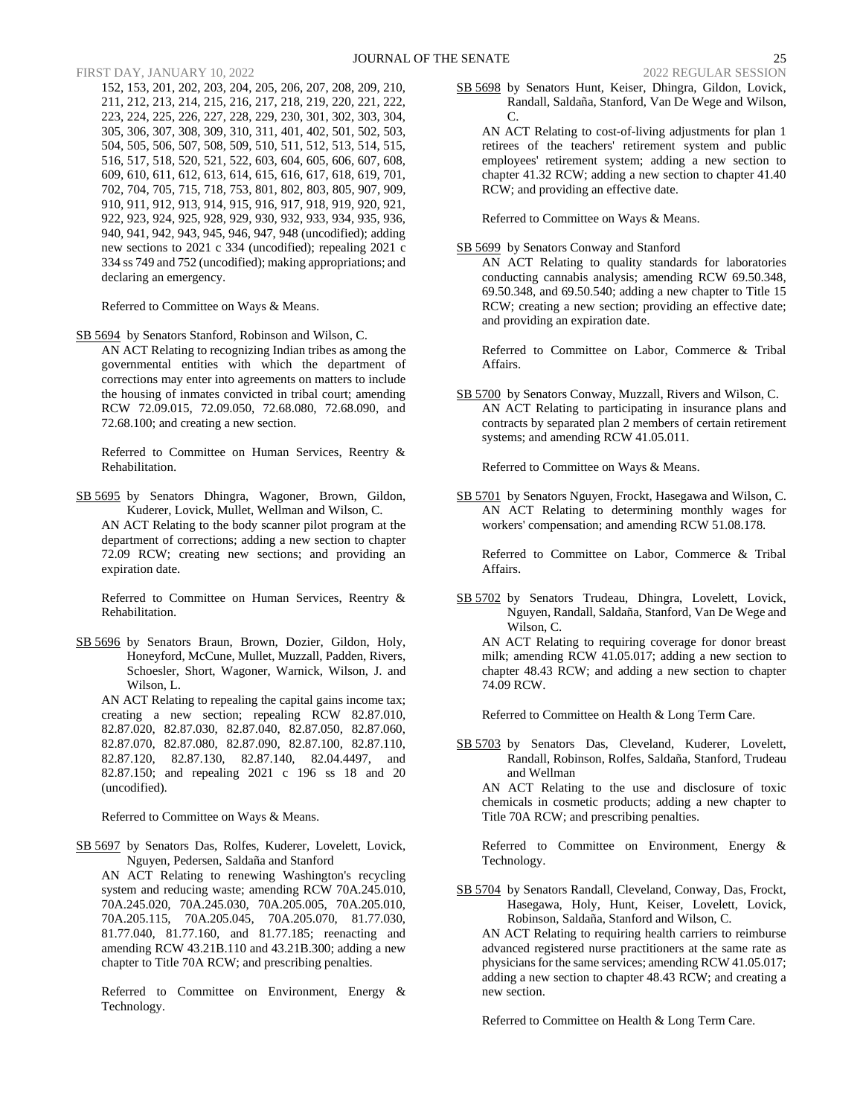152, 153, 201, 202, 203, 204, 205, 206, 207, 208, 209, 210, 211, 212, 213, 214, 215, 216, 217, 218, 219, 220, 221, 222, 223, 224, 225, 226, 227, 228, 229, 230, 301, 302, 303, 304, 305, 306, 307, 308, 309, 310, 311, 401, 402, 501, 502, 503, 504, 505, 506, 507, 508, 509, 510, 511, 512, 513, 514, 515, 516, 517, 518, 520, 521, 522, 603, 604, 605, 606, 607, 608, 609, 610, 611, 612, 613, 614, 615, 616, 617, 618, 619, 701, 702, 704, 705, 715, 718, 753, 801, 802, 803, 805, 907, 909, 910, 911, 912, 913, 914, 915, 916, 917, 918, 919, 920, 921, 922, 923, 924, 925, 928, 929, 930, 932, 933, 934, 935, 936, 940, 941, 942, 943, 945, 946, 947, 948 (uncodified); adding new sections to 2021 c 334 (uncodified); repealing 2021 c 334 ss 749 and 752 (uncodified); making appropriations; and declaring an emergency.

Referred to Committee on Ways & Means.

SB 5694 by Senators Stanford, Robinson and Wilson, C. AN ACT Relating to recognizing Indian tribes as among the governmental entities with which the department of corrections may enter into agreements on matters to include the housing of inmates convicted in tribal court; amending RCW 72.09.015, 72.09.050, 72.68.080, 72.68.090, and 72.68.100; and creating a new section.

Referred to Committee on Human Services, Reentry & Rehabilitation.

SB 5695 by Senators Dhingra, Wagoner, Brown, Gildon, Kuderer, Lovick, Mullet, Wellman and Wilson, C. AN ACT Relating to the body scanner pilot program at the department of corrections; adding a new section to chapter 72.09 RCW; creating new sections; and providing an expiration date.

Referred to Committee on Human Services, Reentry & Rehabilitation.

SB 5696 by Senators Braun, Brown, Dozier, Gildon, Holy, Honeyford, McCune, Mullet, Muzzall, Padden, Rivers, Schoesler, Short, Wagoner, Warnick, Wilson, J. and Wilson, L.

AN ACT Relating to repealing the capital gains income tax; creating a new section; repealing RCW 82.87.010, 82.87.020, 82.87.030, 82.87.040, 82.87.050, 82.87.060, 82.87.070, 82.87.080, 82.87.090, 82.87.100, 82.87.110, 82.87.120, 82.87.130, 82.87.140, 82.04.4497, and 82.87.150; and repealing 2021 c 196 ss 18 and 20 (uncodified).

Referred to Committee on Ways & Means.

SB 5697 by Senators Das, Rolfes, Kuderer, Lovelett, Lovick, Nguyen, Pedersen, Saldaña and Stanford

AN ACT Relating to renewing Washington's recycling system and reducing waste; amending RCW 70A.245.010, 70A.245.020, 70A.245.030, 70A.205.005, 70A.205.010, 70A.205.115, 70A.205.045, 70A.205.070, 81.77.030, 81.77.040, 81.77.160, and 81.77.185; reenacting and amending RCW 43.21B.110 and 43.21B.300; adding a new chapter to Title 70A RCW; and prescribing penalties.

Referred to Committee on Environment, Energy & Technology.

SB 5698 by Senators Hunt, Keiser, Dhingra, Gildon, Lovick, Randall, Saldaña, Stanford, Van De Wege and Wilson,  $\mathcal{C}$ 

AN ACT Relating to cost-of-living adjustments for plan 1 retirees of the teachers' retirement system and public employees' retirement system; adding a new section to chapter 41.32 RCW; adding a new section to chapter 41.40 RCW; and providing an effective date.

Referred to Committee on Ways & Means.

SB 5699 by Senators Conway and Stanford

AN ACT Relating to quality standards for laboratories conducting cannabis analysis; amending RCW 69.50.348, 69.50.348, and 69.50.540; adding a new chapter to Title 15 RCW; creating a new section; providing an effective date; and providing an expiration date.

Referred to Committee on Labor, Commerce & Tribal Affairs.

SB 5700 by Senators Conway, Muzzall, Rivers and Wilson, C. AN ACT Relating to participating in insurance plans and contracts by separated plan 2 members of certain retirement systems; and amending RCW 41.05.011.

Referred to Committee on Ways & Means.

SB 5701 by Senators Nguyen, Frockt, Hasegawa and Wilson, C. AN ACT Relating to determining monthly wages for workers' compensation; and amending RCW 51.08.178.

Referred to Committee on Labor, Commerce & Tribal Affairs.

SB 5702 by Senators Trudeau, Dhingra, Lovelett, Lovick, Nguyen, Randall, Saldaña, Stanford, Van De Wege and Wilson, C.

AN ACT Relating to requiring coverage for donor breast milk; amending RCW 41.05.017; adding a new section to chapter 48.43 RCW; and adding a new section to chapter 74.09 RCW.

Referred to Committee on Health & Long Term Care.

SB 5703 by Senators Das, Cleveland, Kuderer, Lovelett, Randall, Robinson, Rolfes, Saldaña, Stanford, Trudeau and Wellman

AN ACT Relating to the use and disclosure of toxic chemicals in cosmetic products; adding a new chapter to Title 70A RCW; and prescribing penalties.

Referred to Committee on Environment, Energy & Technology.

SB 5704 by Senators Randall, Cleveland, Conway, Das, Frockt, Hasegawa, Holy, Hunt, Keiser, Lovelett, Lovick, Robinson, Saldaña, Stanford and Wilson, C.

AN ACT Relating to requiring health carriers to reimburse advanced registered nurse practitioners at the same rate as physicians for the same services; amending RCW 41.05.017; adding a new section to chapter 48.43 RCW; and creating a new section.

Referred to Committee on Health & Long Term Care.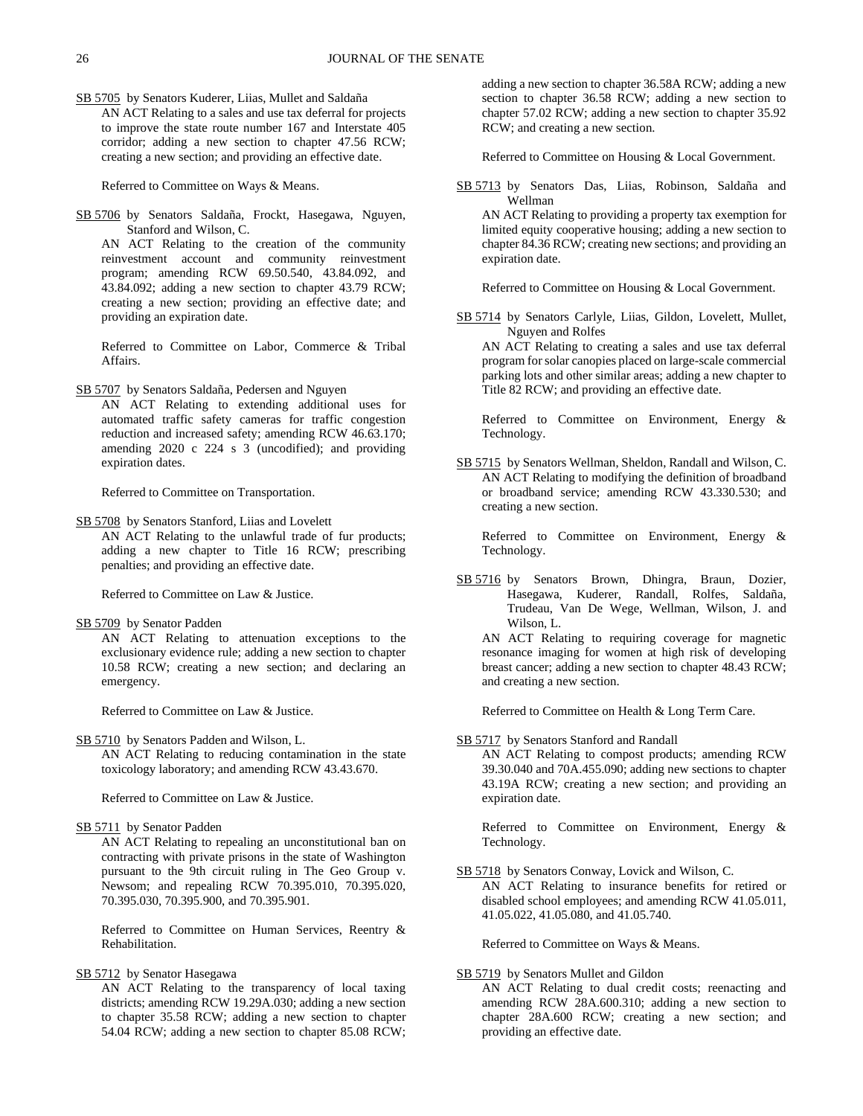SB 5705 by Senators Kuderer, Liias, Mullet and Saldaña AN ACT Relating to a sales and use tax deferral for projects to improve the state route number 167 and Interstate 405 corridor; adding a new section to chapter 47.56 RCW; creating a new section; and providing an effective date.

Referred to Committee on Ways & Means.

SB 5706 by Senators Saldaña, Frockt, Hasegawa, Nguyen, Stanford and Wilson, C.

AN ACT Relating to the creation of the community reinvestment account and community reinvestment program; amending RCW 69.50.540, 43.84.092, and 43.84.092; adding a new section to chapter 43.79 RCW; creating a new section; providing an effective date; and providing an expiration date.

Referred to Committee on Labor, Commerce & Tribal Affairs.

SB 5707 by Senators Saldaña, Pedersen and Nguyen

AN ACT Relating to extending additional uses for automated traffic safety cameras for traffic congestion reduction and increased safety; amending RCW 46.63.170; amending 2020 c 224 s 3 (uncodified); and providing expiration dates.

Referred to Committee on Transportation.

SB 5708 by Senators Stanford, Liias and Lovelett AN ACT Relating to the unlawful trade of fur products; adding a new chapter to Title 16 RCW; prescribing penalties; and providing an effective date.

Referred to Committee on Law & Justice.

SB 5709 by Senator Padden

AN ACT Relating to attenuation exceptions to the exclusionary evidence rule; adding a new section to chapter 10.58 RCW; creating a new section; and declaring an emergency.

Referred to Committee on Law & Justice.

SB 5710 by Senators Padden and Wilson, L.

AN ACT Relating to reducing contamination in the state toxicology laboratory; and amending RCW 43.43.670.

Referred to Committee on Law & Justice.

SB 5711 by Senator Padden

AN ACT Relating to repealing an unconstitutional ban on contracting with private prisons in the state of Washington pursuant to the 9th circuit ruling in The Geo Group v. Newsom; and repealing RCW 70.395.010, 70.395.020, 70.395.030, 70.395.900, and 70.395.901.

Referred to Committee on Human Services, Reentry & Rehabilitation.

SB 5712 by Senator Hasegawa

AN ACT Relating to the transparency of local taxing districts; amending RCW 19.29A.030; adding a new section to chapter 35.58 RCW; adding a new section to chapter 54.04 RCW; adding a new section to chapter 85.08 RCW;

adding a new section to chapter 36.58A RCW; adding a new section to chapter 36.58 RCW; adding a new section to chapter 57.02 RCW; adding a new section to chapter 35.92 RCW; and creating a new section.

Referred to Committee on Housing & Local Government.

SB 5713 by Senators Das, Liias, Robinson, Saldaña and Wellman

AN ACT Relating to providing a property tax exemption for limited equity cooperative housing; adding a new section to chapter 84.36 RCW; creating new sections; and providing an expiration date.

Referred to Committee on Housing & Local Government.

SB 5714 by Senators Carlyle, Liias, Gildon, Lovelett, Mullet, Nguyen and Rolfes

AN ACT Relating to creating a sales and use tax deferral program for solar canopies placed on large-scale commercial parking lots and other similar areas; adding a new chapter to Title 82 RCW; and providing an effective date.

Referred to Committee on Environment, Energy & Technology.

SB 5715 by Senators Wellman, Sheldon, Randall and Wilson, C. AN ACT Relating to modifying the definition of broadband or broadband service; amending RCW 43.330.530; and creating a new section.

Referred to Committee on Environment, Energy & Technology.

SB 5716 by Senators Brown, Dhingra, Braun, Dozier, Hasegawa, Kuderer, Randall, Rolfes, Saldaña, Trudeau, Van De Wege, Wellman, Wilson, J. and Wilson, L.

AN ACT Relating to requiring coverage for magnetic resonance imaging for women at high risk of developing breast cancer; adding a new section to chapter 48.43 RCW; and creating a new section.

Referred to Committee on Health & Long Term Care.

SB 5717 by Senators Stanford and Randall

AN ACT Relating to compost products; amending RCW 39.30.040 and 70A.455.090; adding new sections to chapter 43.19A RCW; creating a new section; and providing an expiration date.

Referred to Committee on Environment, Energy & Technology.

SB 5718 by Senators Conway, Lovick and Wilson, C.

AN ACT Relating to insurance benefits for retired or disabled school employees; and amending RCW 41.05.011, 41.05.022, 41.05.080, and 41.05.740.

Referred to Committee on Ways & Means.

### SB 5719 by Senators Mullet and Gildon

AN ACT Relating to dual credit costs; reenacting and amending RCW 28A.600.310; adding a new section to chapter 28A.600 RCW; creating a new section; and providing an effective date.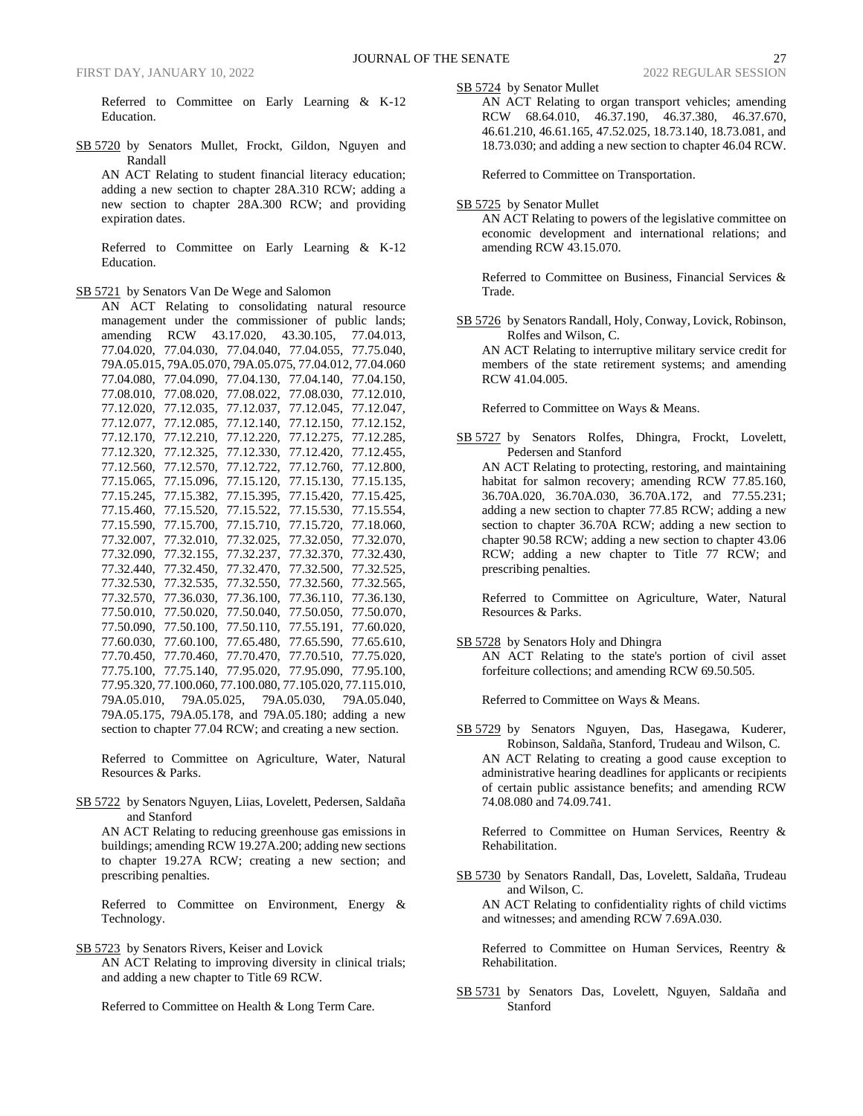Referred to Committee on Early Learning & K-12 Education.

SB 5720 by Senators Mullet, Frockt, Gildon, Nguyen and Randall

AN ACT Relating to student financial literacy education; adding a new section to chapter 28A.310 RCW; adding a new section to chapter 28A.300 RCW; and providing expiration dates.

Referred to Committee on Early Learning & K-12 Education.

SB 5721 by Senators Van De Wege and Salomon

AN ACT Relating to consolidating natural resource management under the commissioner of public lands; amending RCW 43.17.020, 43.30.105, 77.04.013, 77.04.020, 77.04.030, 77.04.040, 77.04.055, 77.75.040, 79A.05.015, 79A.05.070, 79A.05.075, 77.04.012, 77.04.060 77.04.080, 77.04.090, 77.04.130, 77.04.140, 77.04.150, 77.08.010, 77.08.020, 77.08.022, 77.08.030, 77.12.010, 77.12.020, 77.12.035, 77.12.037, 77.12.045, 77.12.047, 77.12.077, 77.12.085, 77.12.140, 77.12.150, 77.12.152, 77.12.170, 77.12.210, 77.12.220, 77.12.275, 77.12.285, 77.12.320, 77.12.325, 77.12.330, 77.12.420, 77.12.455, 77.12.560, 77.12.570, 77.12.722, 77.12.760, 77.12.800, 77.15.065, 77.15.096, 77.15.120, 77.15.130, 77.15.135, 77.15.245, 77.15.382, 77.15.395, 77.15.420, 77.15.425, 77.15.460, 77.15.520, 77.15.522, 77.15.530, 77.15.554, 77.15.590, 77.15.700, 77.15.710, 77.15.720, 77.18.060, 77.32.007, 77.32.010, 77.32.025, 77.32.050, 77.32.070, 77.32.090, 77.32.155, 77.32.237, 77.32.370, 77.32.430, 77.32.440, 77.32.450, 77.32.470, 77.32.500, 77.32.525, 77.32.530, 77.32.535, 77.32.550, 77.32.560, 77.32.565, 77.32.570, 77.36.030, 77.36.100, 77.36.110, 77.36.130, 77.50.010, 77.50.020, 77.50.040, 77.50.050, 77.50.070, 77.50.090, 77.50.100, 77.50.110, 77.55.191, 77.60.020, 77.60.030, 77.60.100, 77.65.480, 77.65.590, 77.65.610, 77.70.450, 77.70.460, 77.70.470, 77.70.510, 77.75.020, 77.75.100, 77.75.140, 77.95.020, 77.95.090, 77.95.100, 77.95.320, 77.100.060, 77.100.080, 77.105.020, 77.115.010, 79A.05.010, 79A.05.025, 79A.05.030, 79A.05.040, 79A.05.175, 79A.05.178, and 79A.05.180; adding a new section to chapter 77.04 RCW; and creating a new section.

Referred to Committee on Agriculture, Water, Natural Resources & Parks.

SB 5722 by Senators Nguyen, Liias, Lovelett, Pedersen, Saldaña and Stanford

AN ACT Relating to reducing greenhouse gas emissions in buildings; amending RCW 19.27A.200; adding new sections to chapter 19.27A RCW; creating a new section; and prescribing penalties.

Referred to Committee on Environment, Energy & Technology.

SB 5723 by Senators Rivers, Keiser and Lovick AN ACT Relating to improving diversity in clinical trials; and adding a new chapter to Title 69 RCW.

Referred to Committee on Health & Long Term Care.

SB 5724 by Senator Mullet

AN ACT Relating to organ transport vehicles; amending RCW 68.64.010, 46.37.190, 46.37.380, 46.37.670, 46.61.210, 46.61.165, 47.52.025, 18.73.140, 18.73.081, and 18.73.030; and adding a new section to chapter 46.04 RCW.

Referred to Committee on Transportation.

SB 5725 by Senator Mullet

AN ACT Relating to powers of the legislative committee on economic development and international relations; and amending RCW 43.15.070.

Referred to Committee on Business, Financial Services & Trade.

SB 5726 by Senators Randall, Holy, Conway, Lovick, Robinson, Rolfes and Wilson, C.

AN ACT Relating to interruptive military service credit for members of the state retirement systems; and amending RCW 41.04.005.

Referred to Committee on Ways & Means.

SB 5727 by Senators Rolfes, Dhingra, Frockt, Lovelett, Pedersen and Stanford AN ACT Relating to protecting, restoring, and maintaining habitat for salmon recovery; amending RCW 77.85.160,

36.70A.020, 36.70A.030, 36.70A.172, and 77.55.231; adding a new section to chapter 77.85 RCW; adding a new section to chapter 36.70A RCW; adding a new section to chapter 90.58 RCW; adding a new section to chapter 43.06 RCW; adding a new chapter to Title 77 RCW; and prescribing penalties.

Referred to Committee on Agriculture, Water, Natural Resources & Parks.

SB 5728 by Senators Holy and Dhingra

AN ACT Relating to the state's portion of civil asset forfeiture collections; and amending RCW 69.50.505.

Referred to Committee on Ways & Means.

SB 5729 by Senators Nguyen, Das, Hasegawa, Kuderer, Robinson, Saldaña, Stanford, Trudeau and Wilson, C. AN ACT Relating to creating a good cause exception to administrative hearing deadlines for applicants or recipients of certain public assistance benefits; and amending RCW 74.08.080 and 74.09.741.

Referred to Committee on Human Services, Reentry & Rehabilitation.

SB 5730 by Senators Randall, Das, Lovelett, Saldaña, Trudeau and Wilson, C.

AN ACT Relating to confidentiality rights of child victims and witnesses; and amending RCW 7.69A.030.

Referred to Committee on Human Services, Reentry & Rehabilitation.

SB 5731 by Senators Das, Lovelett, Nguyen, Saldaña and Stanford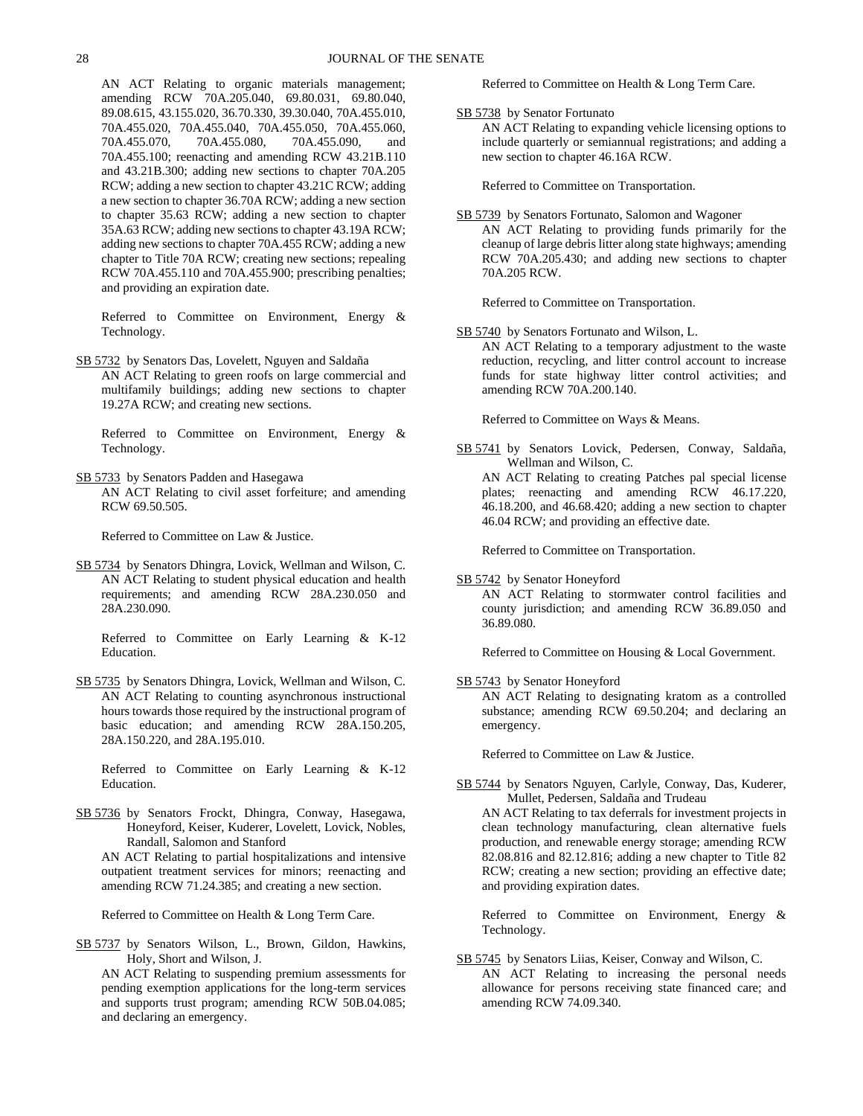AN ACT Relating to organic materials management; amending RCW 70A.205.040, 69.80.031, 69.80.040, 89.08.615, 43.155.020, 36.70.330, 39.30.040, 70A.455.010, 70A.455.020, 70A.455.040, 70A.455.050, 70A.455.060, 70A.455.070, 70A.455.080, 70A.455.090, and 70A.455.100; reenacting and amending RCW 43.21B.110 and 43.21B.300; adding new sections to chapter 70A.205 RCW; adding a new section to chapter 43.21C RCW; adding a new section to chapter 36.70A RCW; adding a new section to chapter 35.63 RCW; adding a new section to chapter 35A.63 RCW; adding new sections to chapter 43.19A RCW; adding new sections to chapter 70A.455 RCW; adding a new chapter to Title 70A RCW; creating new sections; repealing RCW 70A.455.110 and 70A.455.900; prescribing penalties; and providing an expiration date.

Referred to Committee on Environment, Energy & Technology.

SB 5732 by Senators Das, Lovelett, Nguyen and Saldaña AN ACT Relating to green roofs on large commercial and multifamily buildings; adding new sections to chapter 19.27A RCW; and creating new sections.

Referred to Committee on Environment, Energy & Technology.

SB 5733 by Senators Padden and Hasegawa AN ACT Relating to civil asset forfeiture; and amending RCW 69.50.505.

Referred to Committee on Law & Justice.

SB 5734 by Senators Dhingra, Lovick, Wellman and Wilson, C. AN ACT Relating to student physical education and health requirements; and amending RCW 28A.230.050 and 28A.230.090.

Referred to Committee on Early Learning & K-12 Education.

SB 5735 by Senators Dhingra, Lovick, Wellman and Wilson, C. AN ACT Relating to counting asynchronous instructional hours towards those required by the instructional program of basic education; and amending RCW 28A.150.205, 28A.150.220, and 28A.195.010.

Referred to Committee on Early Learning & K-12 Education.

SB 5736 by Senators Frockt, Dhingra, Conway, Hasegawa, Honeyford, Keiser, Kuderer, Lovelett, Lovick, Nobles, Randall, Salomon and Stanford

AN ACT Relating to partial hospitalizations and intensive outpatient treatment services for minors; reenacting and amending RCW 71.24.385; and creating a new section.

Referred to Committee on Health & Long Term Care.

SB 5737 by Senators Wilson, L., Brown, Gildon, Hawkins, Holy, Short and Wilson, J.

AN ACT Relating to suspending premium assessments for pending exemption applications for the long-term services and supports trust program; amending RCW 50B.04.085; and declaring an emergency.

Referred to Committee on Health & Long Term Care.

SB 5738 by Senator Fortunato

AN ACT Relating to expanding vehicle licensing options to include quarterly or semiannual registrations; and adding a new section to chapter 46.16A RCW.

Referred to Committee on Transportation.

SB 5739 by Senators Fortunato, Salomon and Wagoner AN ACT Relating to providing funds primarily for the cleanup of large debris litter along state highways; amending RCW 70A.205.430; and adding new sections to chapter 70A.205 RCW.

Referred to Committee on Transportation.

SB 5740 by Senators Fortunato and Wilson, L.

AN ACT Relating to a temporary adjustment to the waste reduction, recycling, and litter control account to increase funds for state highway litter control activities; and amending RCW 70A.200.140.

Referred to Committee on Ways & Means.

SB 5741 by Senators Lovick, Pedersen, Conway, Saldaña, Wellman and Wilson, C. AN ACT Relating to creating Patches pal special license plates; reenacting and amending RCW 46.17.220, 46.18.200, and 46.68.420; adding a new section to chapter 46.04 RCW; and providing an effective date.

Referred to Committee on Transportation.

SB 5742 by Senator Honeyford

AN ACT Relating to stormwater control facilities and county jurisdiction; and amending RCW 36.89.050 and 36.89.080.

Referred to Committee on Housing & Local Government.

SB 5743 by Senator Honeyford

AN ACT Relating to designating kratom as a controlled substance; amending RCW 69.50.204; and declaring an emergency.

Referred to Committee on Law & Justice.

SB 5744 by Senators Nguyen, Carlyle, Conway, Das, Kuderer, Mullet, Pedersen, Saldaña and Trudeau AN ACT Relating to tax deferrals for investment projects in

clean technology manufacturing, clean alternative fuels production, and renewable energy storage; amending RCW 82.08.816 and 82.12.816; adding a new chapter to Title 82 RCW; creating a new section; providing an effective date; and providing expiration dates.

Referred to Committee on Environment, Energy & Technology.

SB 5745 by Senators Liias, Keiser, Conway and Wilson, C. AN ACT Relating to increasing the personal needs allowance for persons receiving state financed care; and amending RCW 74.09.340.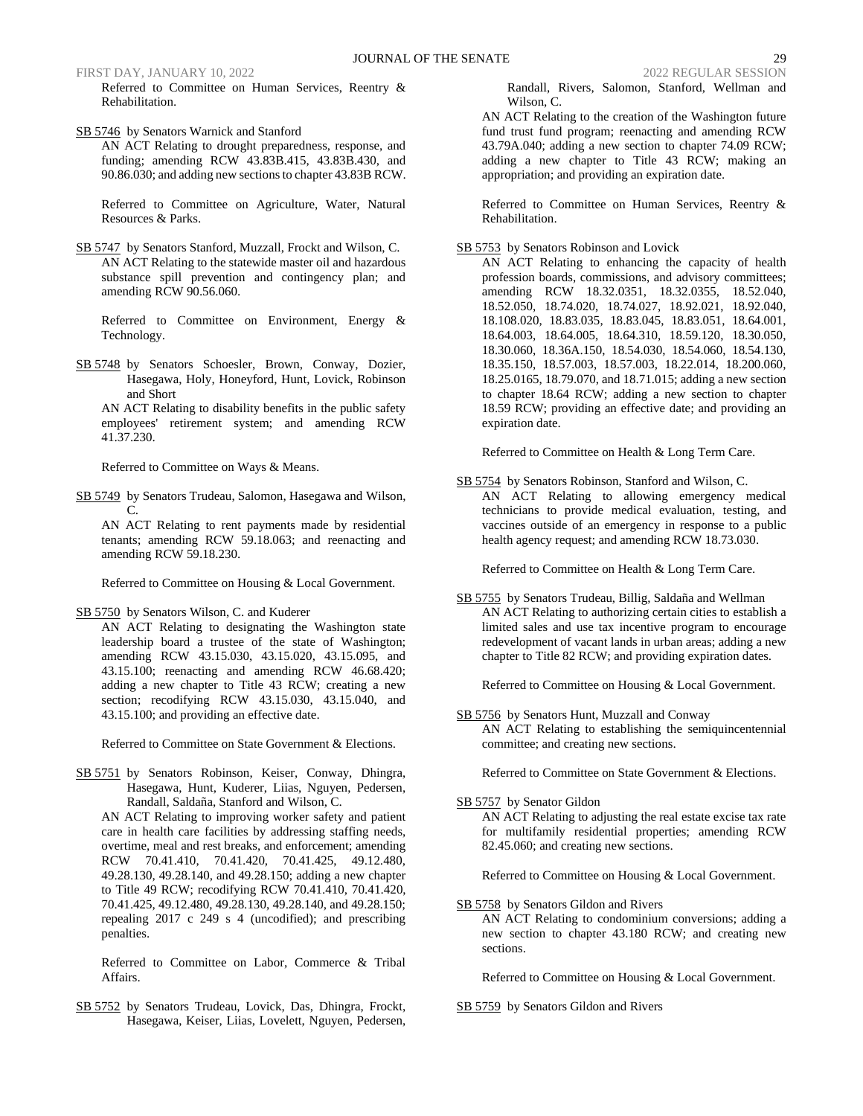Referred to Committee on Human Services, Reentry & Rehabilitation.

SB 5746 by Senators Warnick and Stanford

AN ACT Relating to drought preparedness, response, and funding; amending RCW 43.83B.415, 43.83B.430, and 90.86.030; and adding new sections to chapter 43.83B RCW.

Referred to Committee on Agriculture, Water, Natural Resources & Parks.

SB 5747 by Senators Stanford, Muzzall, Frockt and Wilson, C. AN ACT Relating to the statewide master oil and hazardous substance spill prevention and contingency plan; and amending RCW 90.56.060.

Referred to Committee on Environment, Energy & Technology.

SB 5748 by Senators Schoesler, Brown, Conway, Dozier, Hasegawa, Holy, Honeyford, Hunt, Lovick, Robinson and Short

AN ACT Relating to disability benefits in the public safety employees' retirement system; and amending RCW 41.37.230.

Referred to Committee on Ways & Means.

SB 5749 by Senators Trudeau, Salomon, Hasegawa and Wilson,  $\mathcal{C}$ .

AN ACT Relating to rent payments made by residential tenants; amending RCW 59.18.063; and reenacting and amending RCW 59.18.230.

Referred to Committee on Housing & Local Government.

SB 5750 by Senators Wilson, C. and Kuderer

AN ACT Relating to designating the Washington state leadership board a trustee of the state of Washington; amending RCW 43.15.030, 43.15.020, 43.15.095, and 43.15.100; reenacting and amending RCW 46.68.420; adding a new chapter to Title 43 RCW; creating a new section; recodifying RCW 43.15.030, 43.15.040, and 43.15.100; and providing an effective date.

Referred to Committee on State Government & Elections.

SB 5751 by Senators Robinson, Keiser, Conway, Dhingra, Hasegawa, Hunt, Kuderer, Liias, Nguyen, Pedersen, Randall, Saldaña, Stanford and Wilson, C.

AN ACT Relating to improving worker safety and patient care in health care facilities by addressing staffing needs, overtime, meal and rest breaks, and enforcement; amending RCW 70.41.410, 70.41.420, 70.41.425, 49.12.480, 49.28.130, 49.28.140, and 49.28.150; adding a new chapter to Title 49 RCW; recodifying RCW 70.41.410, 70.41.420, 70.41.425, 49.12.480, 49.28.130, 49.28.140, and 49.28.150; repealing 2017 c 249 s 4 (uncodified); and prescribing penalties.

Referred to Committee on Labor, Commerce & Tribal Affairs.

SB 5752 by Senators Trudeau, Lovick, Das, Dhingra, Frockt, Hasegawa, Keiser, Liias, Lovelett, Nguyen, Pedersen, Randall, Rivers, Salomon, Stanford, Wellman and Wilson, C.

AN ACT Relating to the creation of the Washington future fund trust fund program; reenacting and amending RCW 43.79A.040; adding a new section to chapter 74.09 RCW; adding a new chapter to Title 43 RCW; making an appropriation; and providing an expiration date.

Referred to Committee on Human Services, Reentry & Rehabilitation.

SB 5753 by Senators Robinson and Lovick

AN ACT Relating to enhancing the capacity of health profession boards, commissions, and advisory committees; amending RCW 18.32.0351, 18.32.0355, 18.52.040, 18.52.050, 18.74.020, 18.74.027, 18.92.021, 18.92.040, 18.108.020, 18.83.035, 18.83.045, 18.83.051, 18.64.001, 18.64.003, 18.64.005, 18.64.310, 18.59.120, 18.30.050, 18.30.060, 18.36A.150, 18.54.030, 18.54.060, 18.54.130, 18.35.150, 18.57.003, 18.57.003, 18.22.014, 18.200.060, 18.25.0165, 18.79.070, and 18.71.015; adding a new section to chapter 18.64 RCW; adding a new section to chapter 18.59 RCW; providing an effective date; and providing an expiration date.

Referred to Committee on Health & Long Term Care.

SB 5754 by Senators Robinson, Stanford and Wilson, C. AN ACT Relating to allowing emergency medical technicians to provide medical evaluation, testing, and vaccines outside of an emergency in response to a public health agency request; and amending RCW 18.73.030.

Referred to Committee on Health & Long Term Care.

SB 5755 by Senators Trudeau, Billig, Saldaña and Wellman AN ACT Relating to authorizing certain cities to establish a limited sales and use tax incentive program to encourage redevelopment of vacant lands in urban areas; adding a new chapter to Title 82 RCW; and providing expiration dates.

Referred to Committee on Housing & Local Government.

SB 5756 by Senators Hunt, Muzzall and Conway AN ACT Relating to establishing the semiquincentennial committee; and creating new sections.

Referred to Committee on State Government & Elections.

SB 5757 by Senator Gildon

AN ACT Relating to adjusting the real estate excise tax rate for multifamily residential properties; amending RCW 82.45.060; and creating new sections.

Referred to Committee on Housing & Local Government.

SB 5758 by Senators Gildon and Rivers

AN ACT Relating to condominium conversions; adding a new section to chapter 43.180 RCW; and creating new sections.

Referred to Committee on Housing & Local Government.

SB 5759 by Senators Gildon and Rivers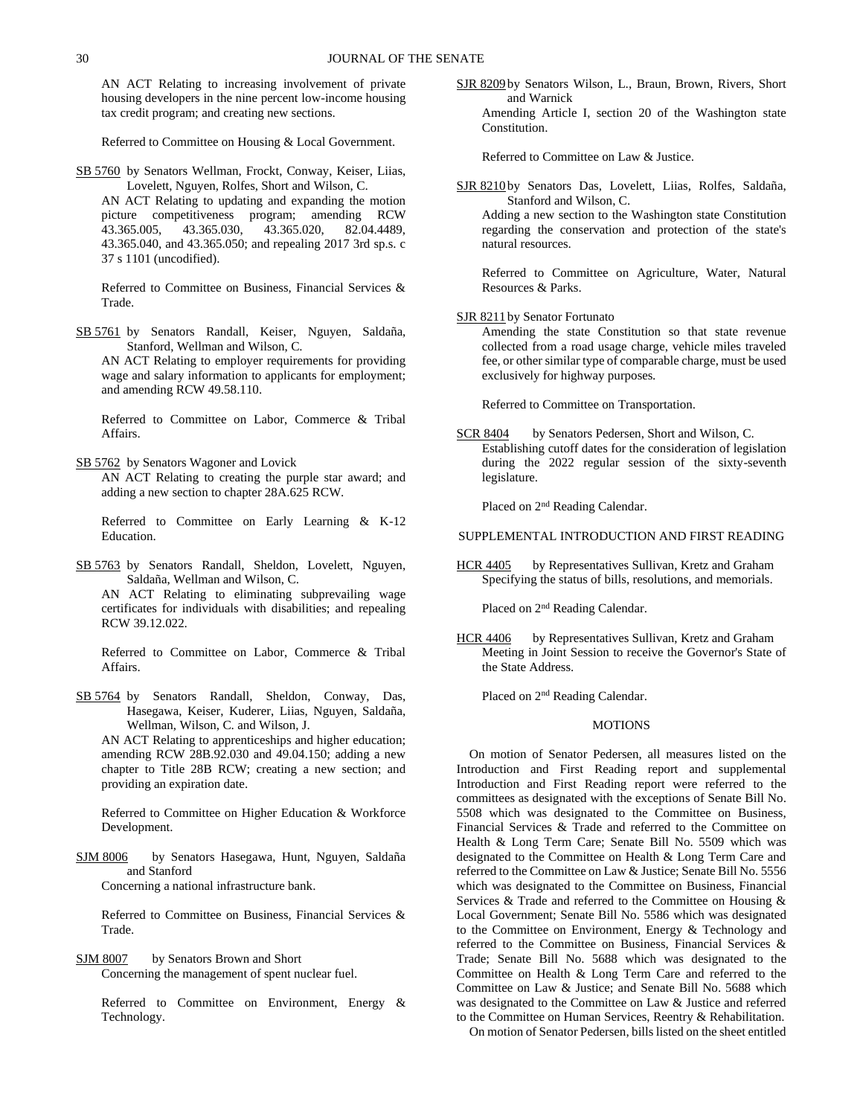AN ACT Relating to increasing involvement of private housing developers in the nine percent low-income housing tax credit program; and creating new sections.

Referred to Committee on Housing & Local Government.

SB 5760 by Senators Wellman, Frockt, Conway, Keiser, Liias, Lovelett, Nguyen, Rolfes, Short and Wilson, C.

AN ACT Relating to updating and expanding the motion picture competitiveness program; amending RCW 43.365.005, 43.365.030, 43.365.020, 82.04.4489, 43.365.040, and 43.365.050; and repealing 2017 3rd sp.s. c 37 s 1101 (uncodified).

Referred to Committee on Business, Financial Services & Trade.

SB 5761 by Senators Randall, Keiser, Nguyen, Saldaña, Stanford, Wellman and Wilson, C.

AN ACT Relating to employer requirements for providing wage and salary information to applicants for employment; and amending RCW 49.58.110.

Referred to Committee on Labor, Commerce & Tribal Affairs.

SB 5762 by Senators Wagoner and Lovick AN ACT Relating to creating the purple star award; and adding a new section to chapter 28A.625 RCW.

Referred to Committee on Early Learning & K-12 Education.

SB 5763 by Senators Randall, Sheldon, Lovelett, Nguyen, Saldaña, Wellman and Wilson, C.

AN ACT Relating to eliminating subprevailing wage certificates for individuals with disabilities; and repealing RCW 39.12.022.

Referred to Committee on Labor, Commerce & Tribal Affairs.

SB 5764 by Senators Randall, Sheldon, Conway, Das, Hasegawa, Keiser, Kuderer, Liias, Nguyen, Saldaña, Wellman, Wilson, C. and Wilson, J.

AN ACT Relating to apprenticeships and higher education; amending RCW 28B.92.030 and 49.04.150; adding a new chapter to Title 28B RCW; creating a new section; and providing an expiration date.

Referred to Committee on Higher Education & Workforce Development.

SJM 8006 by Senators Hasegawa, Hunt, Nguyen, Saldaña and Stanford

Concerning a national infrastructure bank.

Referred to Committee on Business, Financial Services & Trade.

SJM 8007 by Senators Brown and Short Concerning the management of spent nuclear fuel.

Referred to Committee on Environment, Energy & Technology.

SJR 8209 by Senators Wilson, L., Braun, Brown, Rivers, Short and Warnick Amending Article I, section 20 of the Washington state Constitution.

Referred to Committee on Law & Justice.

SJR 8210 by Senators Das, Lovelett, Liias, Rolfes, Saldaña, Stanford and Wilson, C.

Adding a new section to the Washington state Constitution regarding the conservation and protection of the state's natural resources.

Referred to Committee on Agriculture, Water, Natural Resources & Parks.

SJR 8211 by Senator Fortunato

Amending the state Constitution so that state revenue collected from a road usage charge, vehicle miles traveled fee, or other similar type of comparable charge, must be used exclusively for highway purposes.

Referred to Committee on Transportation.

SCR 8404 by Senators Pedersen, Short and Wilson, C. Establishing cutoff dates for the consideration of legislation during the 2022 regular session of the sixty-seventh legislature.

Placed on 2nd Reading Calendar.

SUPPLEMENTAL INTRODUCTION AND FIRST READING

HCR 4405 by Representatives Sullivan, Kretz and Graham Specifying the status of bills, resolutions, and memorials.

Placed on 2nd Reading Calendar.

HCR 4406 by Representatives Sullivan, Kretz and Graham Meeting in Joint Session to receive the Governor's State of the State Address.

Placed on 2nd Reading Calendar.

### MOTIONS

On motion of Senator Pedersen, all measures listed on the Introduction and First Reading report and supplemental Introduction and First Reading report were referred to the committees as designated with the exceptions of Senate Bill No. 5508 which was designated to the Committee on Business, Financial Services & Trade and referred to the Committee on Health & Long Term Care; Senate Bill No. 5509 which was designated to the Committee on Health & Long Term Care and referred to the Committee on Law & Justice; Senate Bill No. 5556 which was designated to the Committee on Business, Financial Services & Trade and referred to the Committee on Housing & Local Government; Senate Bill No. 5586 which was designated to the Committee on Environment, Energy & Technology and referred to the Committee on Business, Financial Services & Trade; Senate Bill No. 5688 which was designated to the Committee on Health & Long Term Care and referred to the Committee on Law & Justice; and Senate Bill No. 5688 which was designated to the Committee on Law & Justice and referred to the Committee on Human Services, Reentry & Rehabilitation.

On motion of Senator Pedersen, bills listed on the sheet entitled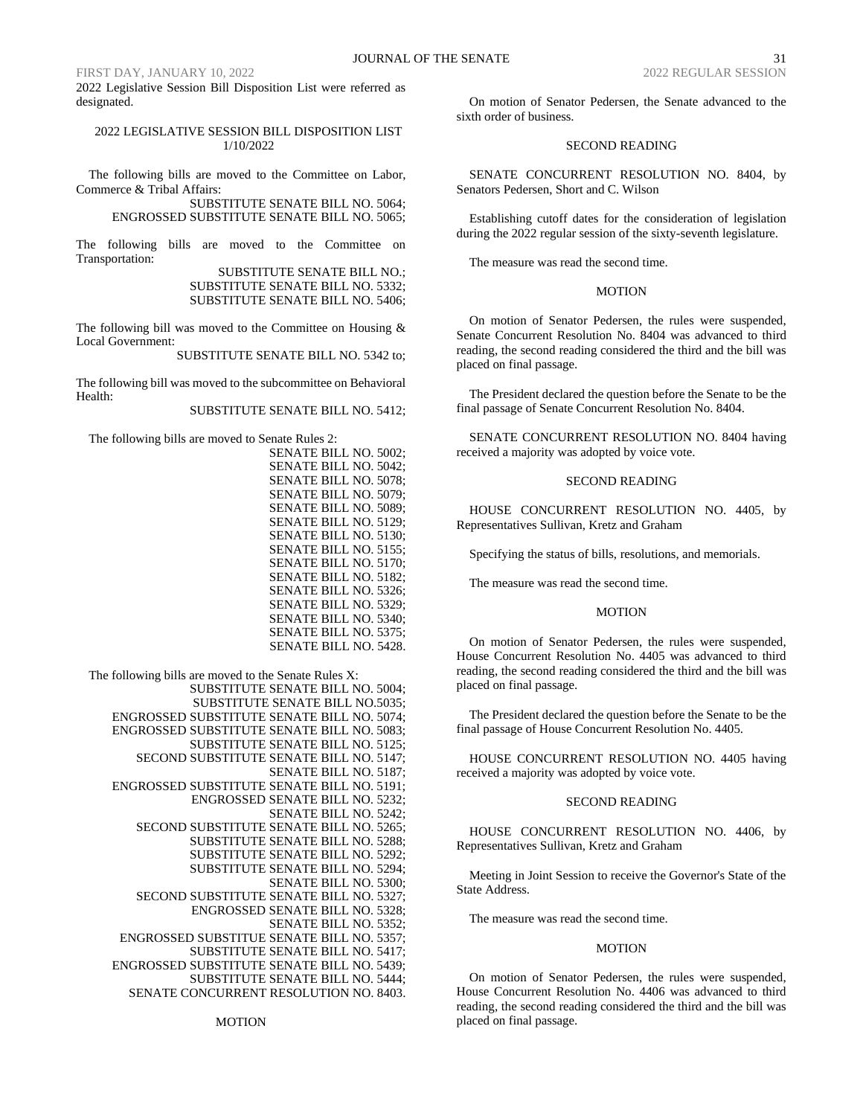2022 Legislative Session Bill Disposition List were referred as designated.

### 2022 LEGISLATIVE SESSION BILL DISPOSITION LIST 1/10/2022

The following bills are moved to the Committee on Labor, Commerce & Tribal Affairs:

> SUBSTITUTE SENATE BILL NO. 5064; ENGROSSED SUBSTITUTE SENATE BILL NO. 5065;

The following bills are moved to the Committee on Transportation:

> SUBSTITUTE SENATE BILL NO.; SUBSTITUTE SENATE BILL NO. 5332; SUBSTITUTE SENATE BILL NO. 5406;

The following bill was moved to the Committee on Housing & Local Government:

SUBSTITUTE SENATE BILL NO. 5342 to;

The following bill was moved to the subcommittee on Behavioral Health:

SUBSTITUTE SENATE BILL NO. 5412;

The following bills are moved to Senate Rules 2:

SENATE BILL NO. 5002; SENATE BILL NO. 5042; SENATE BILL NO. 5078; SENATE BILL NO. 5079; SENATE BILL NO. 5089; SENATE BILL NO. 5129; SENATE BILL NO. 5130; SENATE BILL NO. 5155; SENATE BILL NO. 5170; SENATE BILL NO. 5182; SENATE BILL NO. 5326; SENATE BILL NO. 5329; SENATE BILL NO. 5340; SENATE BILL NO. 5375; SENATE BILL NO. 5428.

The following bills are moved to the Senate Rules X: SUBSTITUTE SENATE BILL NO. 5004; SUBSTITUTE SENATE BILL NO.5035; ENGROSSED SUBSTITUTE SENATE BILL NO. 5074; ENGROSSED SUBSTITUTE SENATE BILL NO. 5083; SUBSTITUTE SENATE BILL NO. 5125; SECOND SUBSTITUTE SENATE BILL NO. 5147; SENATE BILL NO. 5187; ENGROSSED SUBSTITUTE SENATE BILL NO. 5191; ENGROSSED SENATE BILL NO. 5232; SENATE BILL NO. 5242; SECOND SUBSTITUTE SENATE BILL NO. 5265; SUBSTITUTE SENATE BILL NO. 5288; SUBSTITUTE SENATE BILL NO. 5292; SUBSTITUTE SENATE BILL NO. 5294; SENATE BILL NO. 5300; SECOND SUBSTITUTE SENATE BILL NO. 5327; ENGROSSED SENATE BILL NO. 5328; SENATE BILL NO. 5352; ENGROSSED SUBSTITUE SENATE BILL NO. 5357; SUBSTITUTE SENATE BILL NO. 5417; ENGROSSED SUBSTITUTE SENATE BILL NO. 5439; SUBSTITUTE SENATE BILL NO. 5444; SENATE CONCURRENT RESOLUTION NO. 8403.

On motion of Senator Pedersen, the Senate advanced to the sixth order of business.

### SECOND READING

SENATE CONCURRENT RESOLUTION NO. 8404, by Senators Pedersen, Short and C. Wilson

Establishing cutoff dates for the consideration of legislation during the 2022 regular session of the sixty-seventh legislature.

The measure was read the second time.

### **MOTION**

On motion of Senator Pedersen, the rules were suspended, Senate Concurrent Resolution No. 8404 was advanced to third reading, the second reading considered the third and the bill was placed on final passage.

The President declared the question before the Senate to be the final passage of Senate Concurrent Resolution No. 8404.

SENATE CONCURRENT RESOLUTION NO. 8404 having received a majority was adopted by voice vote.

### SECOND READING

HOUSE CONCURRENT RESOLUTION NO. 4405, by Representatives Sullivan, Kretz and Graham

Specifying the status of bills, resolutions, and memorials.

The measure was read the second time.

### MOTION

On motion of Senator Pedersen, the rules were suspended, House Concurrent Resolution No. 4405 was advanced to third reading, the second reading considered the third and the bill was placed on final passage.

The President declared the question before the Senate to be the final passage of House Concurrent Resolution No. 4405.

HOUSE CONCURRENT RESOLUTION NO. 4405 having received a majority was adopted by voice vote.

### SECOND READING

HOUSE CONCURRENT RESOLUTION NO. 4406, by Representatives Sullivan, Kretz and Graham

Meeting in Joint Session to receive the Governor's State of the State Address.

The measure was read the second time.

### MOTION

On motion of Senator Pedersen, the rules were suspended, House Concurrent Resolution No. 4406 was advanced to third reading, the second reading considered the third and the bill was placed on final passage.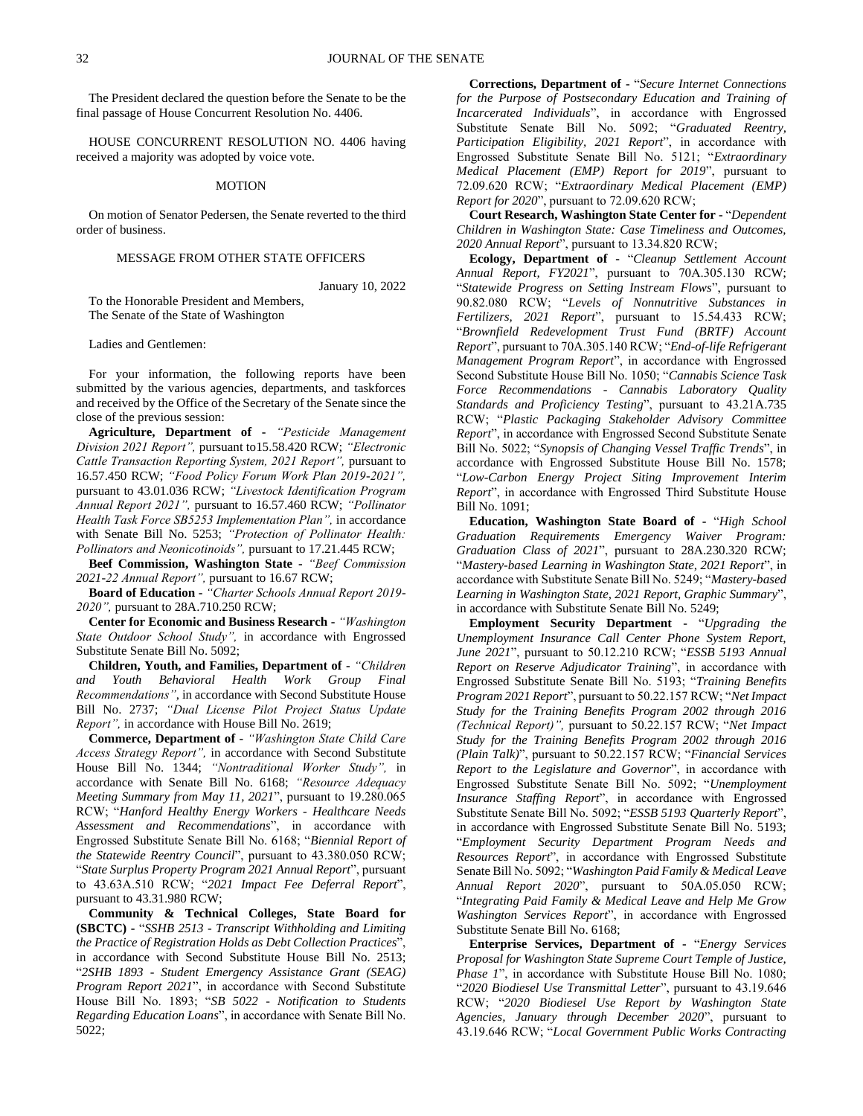The President declared the question before the Senate to be the final passage of House Concurrent Resolution No. 4406.

HOUSE CONCURRENT RESOLUTION NO. 4406 having received a majority was adopted by voice vote.

### MOTION

On motion of Senator Pedersen, the Senate reverted to the third order of business.

### MESSAGE FROM OTHER STATE OFFICERS

January 10, 2022

To the Honorable President and Members, The Senate of the State of Washington

Ladies and Gentlemen:

For your information, the following reports have been submitted by the various agencies, departments, and taskforces and received by the Office of the Secretary of the Senate since the close of the previous session:

**Agriculture, Department of -** *"Pesticide Management Division 2021 Report",* pursuant to15.58.420 RCW; *"Electronic Cattle Transaction Reporting System, 2021 Report",* pursuant to 16.57.450 RCW; *"Food Policy Forum Work Plan 2019-2021",*  pursuant to 43.01.036 RCW; *"Livestock Identification Program Annual Report 2021",* pursuant to 16.57.460 RCW; *"Pollinator Health Task Force SB5253 Implementation Plan",* in accordance with Senate Bill No. 5253; *"Protection of Pollinator Health: Pollinators and Neonicotinoids",* pursuant to 17.21.445 RCW;

**Beef Commission, Washington State -** *"Beef Commission 2021-22 Annual Report",* pursuant to 16.67 RCW;

**Board of Education -** *"Charter Schools Annual Report 2019- 2020",* pursuant to 28A.710.250 RCW;

**Center for Economic and Business Research -** *"Washington State Outdoor School Study",* in accordance with Engrossed Substitute Senate Bill No. 5092;

**Children, Youth, and Families, Department of -** *"Children and Youth Behavioral Health Work Group Final Recommendations"*, in accordance with Second Substitute House Bill No. 2737; *"Dual License Pilot Project Status Update Report",* in accordance with House Bill No. 2619;

**Commerce, Department of -** *"Washington State Child Care Access Strategy Report",* in accordance with Second Substitute House Bill No. 1344; *"Nontraditional Worker Study",* in accordance with Senate Bill No. 6168; *"Resource Adequacy Meeting Summary from May 11, 2021*", pursuant to 19.280.065 RCW; "*Hanford Healthy Energy Workers - Healthcare Needs Assessment and Recommendations*", in accordance with Engrossed Substitute Senate Bill No. 6168; "*Biennial Report of the Statewide Reentry Council*", pursuant to 43.380.050 RCW; "*State Surplus Property Program 2021 Annual Report*", pursuant to 43.63A.510 RCW; "*2021 Impact Fee Deferral Report*", pursuant to 43.31.980 RCW;

**Community & Technical Colleges, State Board for (SBCTC) -** "*SSHB 2513 - Transcript Withholding and Limiting the Practice of Registration Holds as Debt Collection Practices*", in accordance with Second Substitute House Bill No. 2513; "*2SHB 1893 - Student Emergency Assistance Grant (SEAG) Program Report 2021*", in accordance with Second Substitute House Bill No. 1893; "*SB 5022 - Notification to Students Regarding Education Loans*", in accordance with Senate Bill No. 5022;

**Corrections, Department of -** "*Secure Internet Connections for the Purpose of Postsecondary Education and Training of Incarcerated Individuals*", in accordance with Engrossed Substitute Senate Bill No. 5092; "*Graduated Reentry, Participation Eligibility, 2021 Report*", in accordance with Engrossed Substitute Senate Bill No. 5121; "*Extraordinary Medical Placement (EMP) Report for 2019*", pursuant to 72.09.620 RCW; "*Extraordinary Medical Placement (EMP) Report for 2020*", pursuant to 72.09.620 RCW;

**Court Research, Washington State Center for -** "*Dependent Children in Washington State: Case Timeliness and Outcomes, 2020 Annual Report*", pursuant to 13.34.820 RCW;

**Ecology, Department of -** "*Cleanup Settlement Account Annual Report, FY2021*", pursuant to 70A.305.130 RCW; "*Statewide Progress on Setting Instream Flows*", pursuant to 90.82.080 RCW; "*Levels of Nonnutritive Substances in Fertilizers, 2021 Report*", pursuant to 15.54.433 RCW; "*Brownfield Redevelopment Trust Fund (BRTF) Account Report*", pursuant to 70A.305.140 RCW; "*End-of-life Refrigerant Management Program Report*", in accordance with Engrossed Second Substitute House Bill No. 1050; "*Cannabis Science Task Force Recommendations - Cannabis Laboratory Quality Standards and Proficiency Testing*", pursuant to 43.21A.735 RCW; "*Plastic Packaging Stakeholder Advisory Committee Report*", in accordance with Engrossed Second Substitute Senate Bill No. 5022; "*Synopsis of Changing Vessel Traffic Trends*", in accordance with Engrossed Substitute House Bill No. 1578; "*Low-Carbon Energy Project Siting Improvement Interim Report*", in accordance with Engrossed Third Substitute House Bill No. 1091;

**Education, Washington State Board of -** "*High School Graduation Requirements Emergency Waiver Program: Graduation Class of 2021*", pursuant to 28A.230.320 RCW; "*Mastery-based Learning in Washington State, 2021 Report*", in accordance with Substitute Senate Bill No. 5249; "*Mastery-based Learning in Washington State, 2021 Report, Graphic Summary*", in accordance with Substitute Senate Bill No. 5249;

**Employment Security Department -** "*Upgrading the Unemployment Insurance Call Center Phone System Report, June 2021*", pursuant to 50.12.210 RCW; "*ESSB 5193 Annual Report on Reserve Adjudicator Training*", in accordance with Engrossed Substitute Senate Bill No. 5193; "*Training Benefits Program 2021 Report*", pursuant to 50.22.157 RCW; "*Net Impact Study for the Training Benefits Program 2002 through 2016 (Technical Report)",* pursuant to 50.22.157 RCW; "*Net Impact Study for the Training Benefits Program 2002 through 2016 (Plain Talk)*", pursuant to 50.22.157 RCW; "*Financial Services Report to the Legislature and Governor*", in accordance with Engrossed Substitute Senate Bill No. 5092; "*Unemployment Insurance Staffing Report*", in accordance with Engrossed Substitute Senate Bill No. 5092; "*ESSB 5193 Quarterly Report*", in accordance with Engrossed Substitute Senate Bill No. 5193; "*Employment Security Department Program Needs and Resources Report*", in accordance with Engrossed Substitute Senate Bill No. 5092; "*Washington Paid Family & Medical Leave Annual Report 2020*", pursuant to 50A.05.050 RCW; "*Integrating Paid Family & Medical Leave and Help Me Grow Washington Services Report*", in accordance with Engrossed Substitute Senate Bill No. 6168;

**Enterprise Services, Department of -** "*Energy Services Proposal for Washington State Supreme Court Temple of Justice, Phase 1*", in accordance with Substitute House Bill No. 1080; "*2020 Biodiesel Use Transmittal Letter*", pursuant to 43.19.646 RCW; "*2020 Biodiesel Use Report by Washington State Agencies, January through December 2020*", pursuant to 43.19.646 RCW; "*Local Government Public Works Contracting*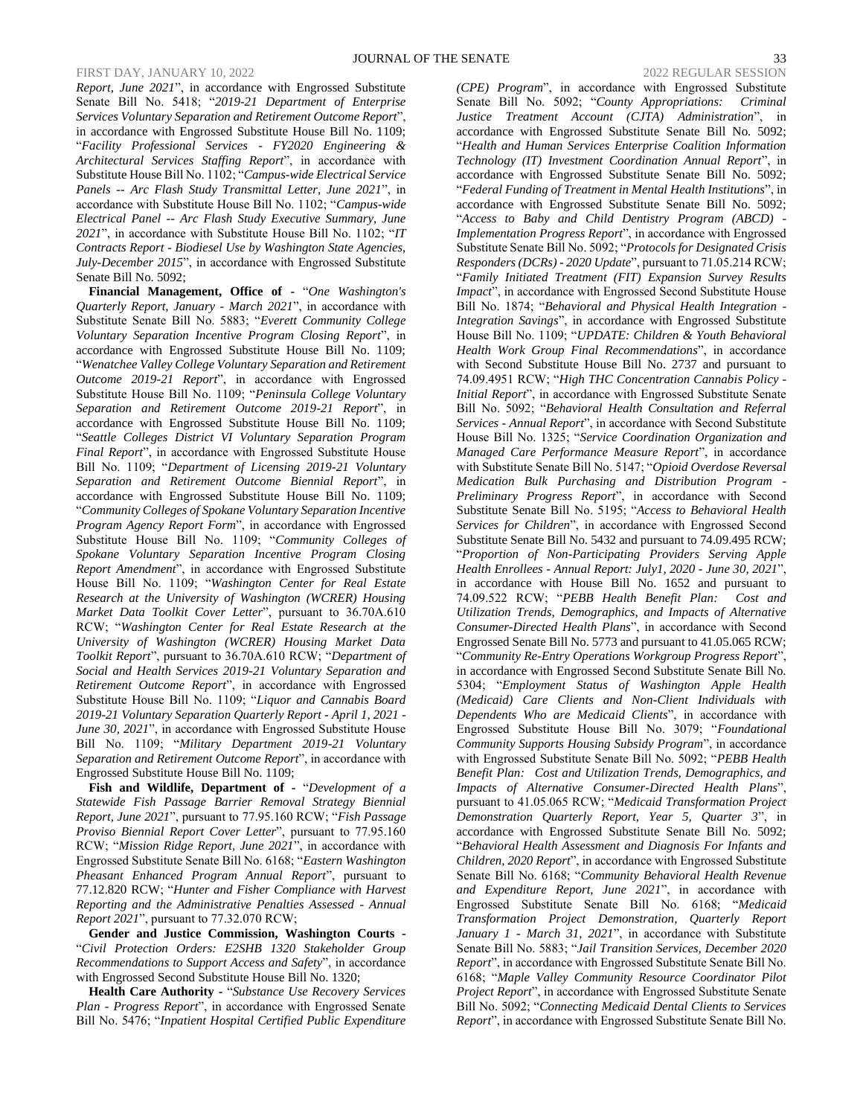*Report, June 2021*", in accordance with Engrossed Substitute Senate Bill No. 5418; "*2019-21 Department of Enterprise Services Voluntary Separation and Retirement Outcome Report*", in accordance with Engrossed Substitute House Bill No. 1109; "*Facility Professional Services - FY2020 Engineering & Architectural Services Staffing Report*", in accordance with Substitute House Bill No. 1102; "*Campus-wide Electrical Service Panels -- Arc Flash Study Transmittal Letter, June 2021*", in accordance with Substitute House Bill No. 1102; "*Campus-wide Electrical Panel -- Arc Flash Study Executive Summary, June 2021*", in accordance with Substitute House Bill No. 1102; "*IT Contracts Report - Biodiesel Use by Washington State Agencies, July-December 2015*", in accordance with Engrossed Substitute Senate Bill No. 5092;

**Financial Management, Office of -** "*One Washington's Quarterly Report, January - March 2021*", in accordance with Substitute Senate Bill No. 5883; "*Everett Community College Voluntary Separation Incentive Program Closing Report*", in accordance with Engrossed Substitute House Bill No. 1109; "*Wenatchee Valley College Voluntary Separation and Retirement Outcome 2019-21 Report*", in accordance with Engrossed Substitute House Bill No. 1109; "*Peninsula College Voluntary Separation and Retirement Outcome 2019-21 Report*", in accordance with Engrossed Substitute House Bill No. 1109; "*Seattle Colleges District VI Voluntary Separation Program Final Report*", in accordance with Engrossed Substitute House Bill No. 1109; "*Department of Licensing 2019-21 Voluntary Separation and Retirement Outcome Biennial Report*", in accordance with Engrossed Substitute House Bill No. 1109; "*Community Colleges of Spokane Voluntary Separation Incentive Program Agency Report Form*", in accordance with Engrossed Substitute House Bill No. 1109; "*Community Colleges of Spokane Voluntary Separation Incentive Program Closing Report Amendment*", in accordance with Engrossed Substitute House Bill No. 1109; "*Washington Center for Real Estate Research at the University of Washington (WCRER) Housing Market Data Toolkit Cover Letter*", pursuant to 36.70A.610 RCW; "*Washington Center for Real Estate Research at the University of Washington (WCRER) Housing Market Data Toolkit Report*", pursuant to 36.70A.610 RCW; "*Department of Social and Health Services 2019-21 Voluntary Separation and Retirement Outcome Report*", in accordance with Engrossed Substitute House Bill No. 1109; "*Liquor and Cannabis Board 2019-21 Voluntary Separation Quarterly Report - April 1, 2021 - June 30, 2021*", in accordance with Engrossed Substitute House Bill No. 1109; "*Military Department 2019-21 Voluntary Separation and Retirement Outcome Report*", in accordance with Engrossed Substitute House Bill No. 1109;

**Fish and Wildlife, Department of -** "*Development of a Statewide Fish Passage Barrier Removal Strategy Biennial Report, June 2021*", pursuant to 77.95.160 RCW; "*Fish Passage Proviso Biennial Report Cover Letter*", pursuant to 77.95.160 RCW; "*Mission Ridge Report, June 2021*", in accordance with Engrossed Substitute Senate Bill No. 6168; "*Eastern Washington Pheasant Enhanced Program Annual Report*", pursuant to 77.12.820 RCW; "*Hunter and Fisher Compliance with Harvest Reporting and the Administrative Penalties Assessed - Annual Report 2021*", pursuant to 77.32.070 RCW;

**Gender and Justice Commission, Washington Courts -** "*Civil Protection Orders: E2SHB 1320 Stakeholder Group Recommendations to Support Access and Safety*", in accordance with Engrossed Second Substitute House Bill No. 1320;

**Health Care Authority -** "*Substance Use Recovery Services Plan - Progress Report*", in accordance with Engrossed Senate Bill No. 5476; "*Inpatient Hospital Certified Public Expenditure* 

*(CPE) Program*", in accordance with Engrossed Substitute Senate Bill No. 5092; "*County Appropriations: Criminal Justice Treatment Account (CJTA) Administration*", in accordance with Engrossed Substitute Senate Bill No. 5092; "*Health and Human Services Enterprise Coalition Information Technology (IT) Investment Coordination Annual Report*", in accordance with Engrossed Substitute Senate Bill No. 5092; "*Federal Funding of Treatment in Mental Health Institutions*", in accordance with Engrossed Substitute Senate Bill No. 5092; "*Access to Baby and Child Dentistry Program (ABCD) - Implementation Progress Report*", in accordance with Engrossed Substitute Senate Bill No. 5092; "*Protocols for Designated Crisis Responders (DCRs) - 2020 Update*", pursuant to 71.05.214 RCW; "*Family Initiated Treatment (FIT) Expansion Survey Results Impact*", in accordance with Engrossed Second Substitute House Bill No. 1874; "*Behavioral and Physical Health Integration - Integration Savings*", in accordance with Engrossed Substitute House Bill No. 1109; "*UPDATE: Children & Youth Behavioral Health Work Group Final Recommendations*", in accordance with Second Substitute House Bill No. 2737 and pursuant to 74.09.4951 RCW; "*High THC Concentration Cannabis Policy - Initial Report*", in accordance with Engrossed Substitute Senate Bill No. 5092; "*Behavioral Health Consultation and Referral Services - Annual Report*", in accordance with Second Substitute House Bill No. 1325; "*Service Coordination Organization and Managed Care Performance Measure Report*", in accordance with Substitute Senate Bill No. 5147; "*Opioid Overdose Reversal Medication Bulk Purchasing and Distribution Program - Preliminary Progress Report*", in accordance with Second Substitute Senate Bill No. 5195; "*Access to Behavioral Health Services for Children*", in accordance with Engrossed Second Substitute Senate Bill No. 5432 and pursuant to 74.09.495 RCW; "*Proportion of Non-Participating Providers Serving Apple Health Enrollees - Annual Report: July1, 2020 - June 30, 2021*", in accordance with House Bill No. 1652 and pursuant to 74.09.522 RCW; "*PEBB Health Benefit Plan: Cost and Utilization Trends, Demographics, and Impacts of Alternative Consumer-Directed Health Plans*", in accordance with Second Engrossed Senate Bill No. 5773 and pursuant to 41.05.065 RCW; "*Community Re-Entry Operations Workgroup Progress Report*", in accordance with Engrossed Second Substitute Senate Bill No. 5304; "*Employment Status of Washington Apple Health (Medicaid) Care Clients and Non-Client Individuals with Dependents Who are Medicaid Clients*", in accordance with Engrossed Substitute House Bill No. 3079; "*Foundational Community Supports Housing Subsidy Program*", in accordance with Engrossed Substitute Senate Bill No. 5092; "*PEBB Health Benefit Plan: Cost and Utilization Trends, Demographics, and Impacts of Alternative Consumer-Directed Health Plans*", pursuant to 41.05.065 RCW; "*Medicaid Transformation Project Demonstration Quarterly Report, Year 5, Quarter 3*", in accordance with Engrossed Substitute Senate Bill No. 5092; "*Behavioral Health Assessment and Diagnosis For Infants and Children, 2020 Report*", in accordance with Engrossed Substitute Senate Bill No. 6168; "*Community Behavioral Health Revenue and Expenditure Report, June 2021*", in accordance with Engrossed Substitute Senate Bill No. 6168; "*Medicaid Transformation Project Demonstration, Quarterly Report January 1 - March 31, 2021*", in accordance with Substitute Senate Bill No. 5883; "*Jail Transition Services, December 2020 Report*", in accordance with Engrossed Substitute Senate Bill No. 6168; "*Maple Valley Community Resource Coordinator Pilot Project Report*", in accordance with Engrossed Substitute Senate Bill No. 5092; "*Connecting Medicaid Dental Clients to Services* 

*Report*", in accordance with Engrossed Substitute Senate Bill No.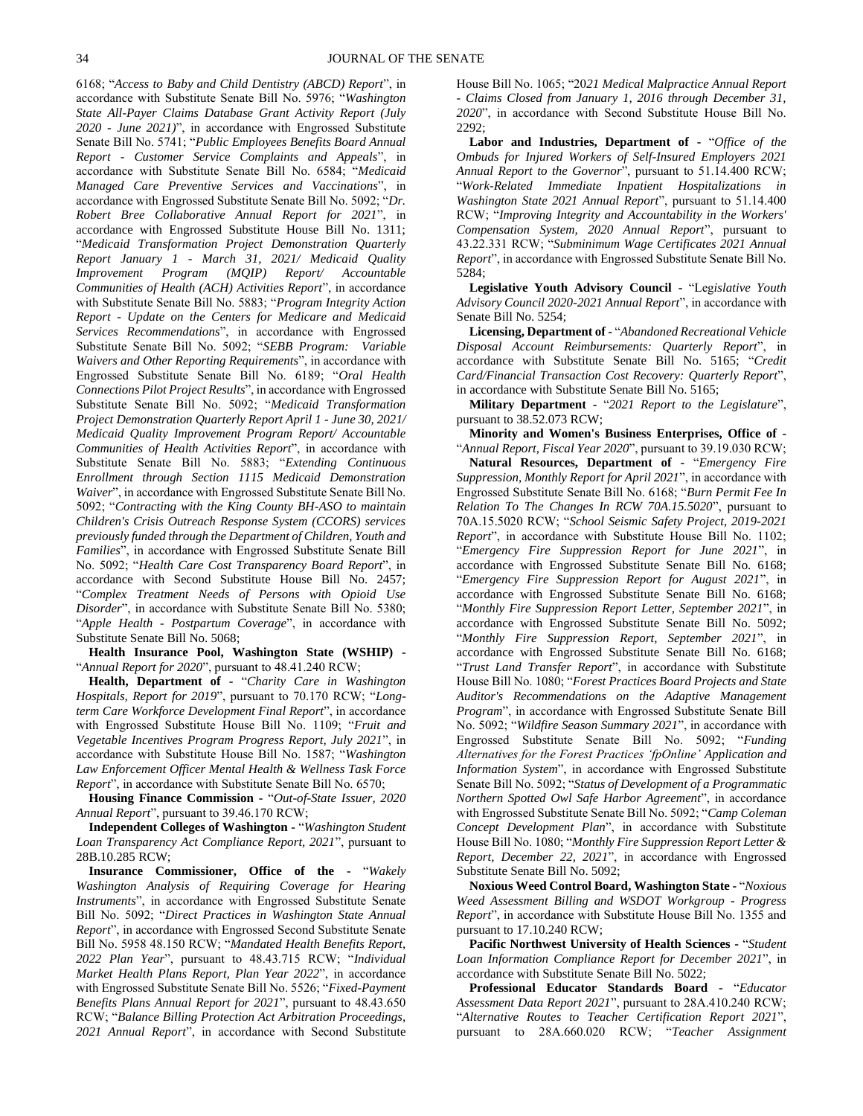6168; "*Access to Baby and Child Dentistry (ABCD) Report*", in accordance with Substitute Senate Bill No. 5976; "*Washington State All-Payer Claims Database Grant Activity Report (July 2020 - June 2021)*", in accordance with Engrossed Substitute Senate Bill No. 5741; "*Public Employees Benefits Board Annual Report - Customer Service Complaints and Appeals*", in accordance with Substitute Senate Bill No. 6584; "*Medicaid Managed Care Preventive Services and Vaccinations*", in accordance with Engrossed Substitute Senate Bill No. 5092; "*Dr. Robert Bree Collaborative Annual Report for 2021*", in accordance with Engrossed Substitute House Bill No. 1311; "*Medicaid Transformation Project Demonstration Quarterly Report January 1 - March 31, 2021/ Medicaid Quality Improvement Program (MQIP) Report/ Accountable Communities of Health (ACH) Activities Report*", in accordance with Substitute Senate Bill No. 5883; "*Program Integrity Action Report - Update on the Centers for Medicare and Medicaid Services Recommendations*", in accordance with Engrossed Substitute Senate Bill No. 5092; "*SEBB Program: Variable Waivers and Other Reporting Requirements*", in accordance with Engrossed Substitute Senate Bill No. 6189; "*Oral Health Connections Pilot Project Results*", in accordance with Engrossed Substitute Senate Bill No. 5092; "*Medicaid Transformation Project Demonstration Quarterly Report April 1 - June 30, 2021/ Medicaid Quality Improvement Program Report/ Accountable Communities of Health Activities Report*", in accordance with Substitute Senate Bill No. 5883; "*Extending Continuous Enrollment through Section 1115 Medicaid Demonstration Waiver*", in accordance with Engrossed Substitute Senate Bill No. 5092; "*Contracting with the King County BH-ASO to maintain Children's Crisis Outreach Response System (CCORS) services previously funded through the Department of Children, Youth and Families*", in accordance with Engrossed Substitute Senate Bill No. 5092; "*Health Care Cost Transparency Board Report*", in accordance with Second Substitute House Bill No. 2457; "*Complex Treatment Needs of Persons with Opioid Use Disorder*", in accordance with Substitute Senate Bill No. 5380; "*Apple Health - Postpartum Coverage*", in accordance with Substitute Senate Bill No. 5068;

**Health Insurance Pool, Washington State (WSHIP) -** "*Annual Report for 2020*", pursuant to 48.41.240 RCW;

**Health, Department of -** "*Charity Care in Washington Hospitals, Report for 2019*", pursuant to 70.170 RCW; "*Longterm Care Workforce Development Final Report*", in accordance with Engrossed Substitute House Bill No. 1109; "*Fruit and Vegetable Incentives Program Progress Report, July 2021*", in accordance with Substitute House Bill No. 1587; "*Washington Law Enforcement Officer Mental Health & Wellness Task Force Report*", in accordance with Substitute Senate Bill No. 6570;

**Housing Finance Commission -** "*Out-of-State Issuer, 2020 Annual Report*", pursuant to 39.46.170 RCW;

**Independent Colleges of Washington -** "*Washington Student Loan Transparency Act Compliance Report, 2021*", pursuant to 28B.10.285 RCW;

**Insurance Commissioner, Office of the -** "*Wakely Washington Analysis of Requiring Coverage for Hearing Instruments*", in accordance with Engrossed Substitute Senate Bill No. 5092; "*Direct Practices in Washington State Annual Report*", in accordance with Engrossed Second Substitute Senate Bill No. 5958 48.150 RCW; "*Mandated Health Benefits Report, 2022 Plan Year*", pursuant to 48.43.715 RCW; "*Individual Market Health Plans Report, Plan Year 2022*", in accordance with Engrossed Substitute Senate Bill No. 5526; "*Fixed-Payment Benefits Plans Annual Report for 2021*", pursuant to 48.43.650 RCW; "*Balance Billing Protection Act Arbitration Proceedings, 2021 Annual Report*", in accordance with Second Substitute House Bill No. 1065; "20*21 Medical Malpractice Annual Report - Claims Closed from January 1, 2016 through December 31, 2020*", in accordance with Second Substitute House Bill No. 2292;

**Labor and Industries, Department of -** "*Office of the Ombuds for Injured Workers of Self-Insured Employers 2021 Annual Report to the Governor*", pursuant to 51.14.400 RCW; "*Work-Related Immediate Inpatient Hospitalizations in Washington State 2021 Annual Report*", pursuant to 51.14.400 RCW; "*Improving Integrity and Accountability in the Workers' Compensation System, 2020 Annual Report*", pursuant to 43.22.331 RCW; "*Subminimum Wage Certificates 2021 Annual Report*", in accordance with Engrossed Substitute Senate Bill No. 5284;

**Legislative Youth Advisory Council -** "Leg*islative Youth Advisory Council 2020-2021 Annual Report*", in accordance with Senate Bill No. 5254;

**Licensing, Department of -** "*Abandoned Recreational Vehicle Disposal Account Reimbursements: Quarterly Report*", in accordance with Substitute Senate Bill No. 5165; "*Credit Card/Financial Transaction Cost Recovery: Quarterly Report*", in accordance with Substitute Senate Bill No. 5165;

**Military Department -** "*2021 Report to the Legislature*", pursuant to 38.52.073 RCW;

**Minority and Women's Business Enterprises, Office of -** "*Annual Report, Fiscal Year 2020*", pursuant to 39.19.030 RCW;

**Natural Resources, Department of -** "*Emergency Fire Suppression, Monthly Report for April 2021*", in accordance with Engrossed Substitute Senate Bill No. 6168; "*Burn Permit Fee In Relation To The Changes In RCW 70A.15.5020*", pursuant to 70A.15.5020 RCW; "*School Seismic Safety Project, 2019-2021 Report*", in accordance with Substitute House Bill No. 1102; "*Emergency Fire Suppression Report for June 2021*", in accordance with Engrossed Substitute Senate Bill No. 6168; "*Emergency Fire Suppression Report for August 2021*", in accordance with Engrossed Substitute Senate Bill No. 6168; "*Monthly Fire Suppression Report Letter, September 2021*", in accordance with Engrossed Substitute Senate Bill No. 5092; "*Monthly Fire Suppression Report, September 2021*", in accordance with Engrossed Substitute Senate Bill No. 6168; "*Trust Land Transfer Report*", in accordance with Substitute House Bill No. 1080; "*Forest Practices Board Projects and State Auditor's Recommendations on the Adaptive Management Program*", in accordance with Engrossed Substitute Senate Bill No. 5092; "*Wildfire Season Summary 2021*", in accordance with Engrossed Substitute Senate Bill No. 5092; "*Funding Alternatives for the Forest Practices 'fpOnline' Application and Information System*", in accordance with Engrossed Substitute Senate Bill No. 5092; "*Status of Development of a Programmatic Northern Spotted Owl Safe Harbor Agreement*", in accordance with Engrossed Substitute Senate Bill No. 5092; "*Camp Coleman Concept Development Plan*", in accordance with Substitute House Bill No. 1080; "*Monthly Fire Suppression Report Letter & Report, December 22, 2021*", in accordance with Engrossed Substitute Senate Bill No. 5092;

**Noxious Weed Control Board, Washington State -** "*Noxious Weed Assessment Billing and WSDOT Workgroup - Progress Report*", in accordance with Substitute House Bill No. 1355 and pursuant to 17.10.240 RCW;

**Pacific Northwest University of Health Sciences -** "*Student Loan Information Compliance Report for December 2021*", in accordance with Substitute Senate Bill No. 5022;

**Professional Educator Standards Board -** "*Educator Assessment Data Report 2021*", pursuant to 28A.410.240 RCW; "*Alternative Routes to Teacher Certification Report 2021*", pursuant to 28A.660.020 RCW; "*Teacher Assignment*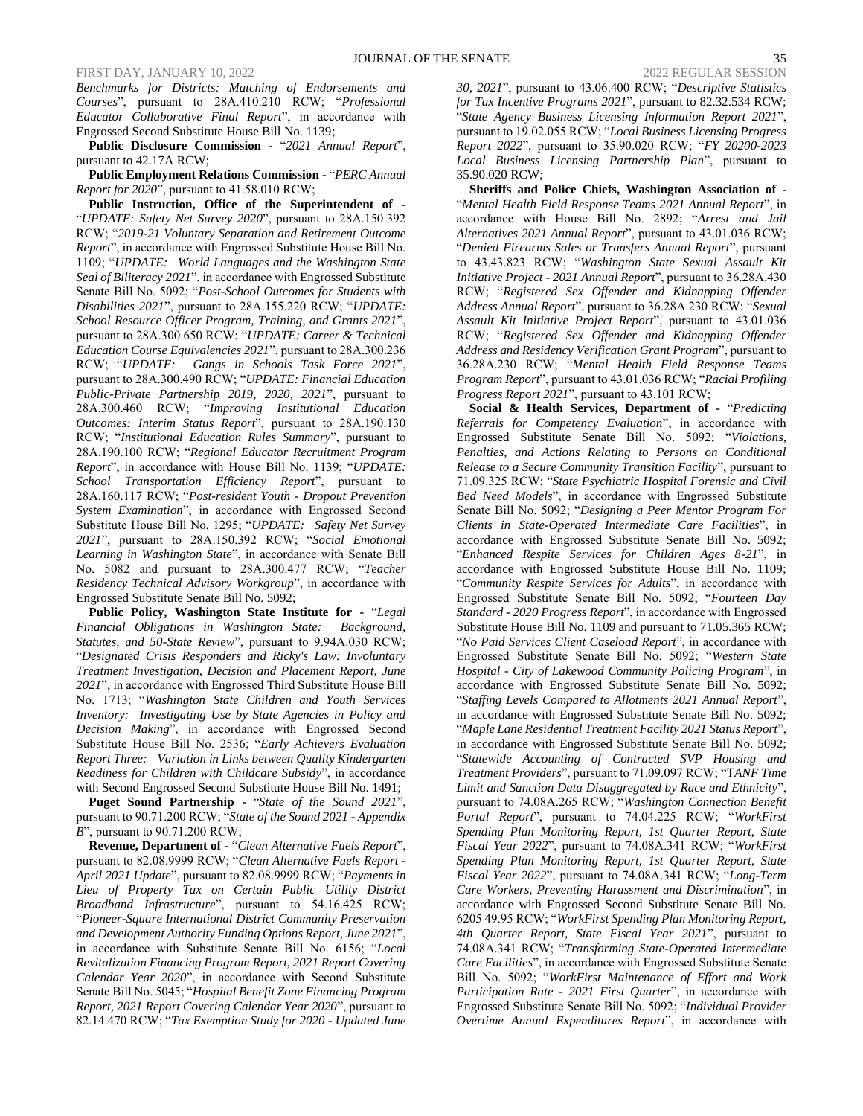*Benchmarks for Districts: Matching of Endorsements and Courses*", pursuant to 28A.410.210 RCW; "*Professional Educator Collaborative Final Report*", in accordance with Engrossed Second Substitute House Bill No. 1139;

**Public Disclosure Commission -** "*2021 Annual Report*", pursuant to 42.17A RCW;

**Public Employment Relations Commission -** "*PERC Annual Report for 2020*", pursuant to 41.58.010 RCW;

**Public Instruction, Office of the Superintendent of -** "*UPDATE: Safety Net Survey 2020*", pursuant to 28A.150.392 RCW; "*2019-21 Voluntary Separation and Retirement Outcome Report*", in accordance with Engrossed Substitute House Bill No. 1109; "*UPDATE: World Languages and the Washington State Seal of Biliteracy 2021*", in accordance with Engrossed Substitute Senate Bill No. 5092; "*Post-School Outcomes for Students with Disabilities 2021*", pursuant to 28A.155.220 RCW; "*UPDATE: School Resource Officer Program, Training, and Grants 2021*", pursuant to 28A.300.650 RCW; "*UPDATE: Career & Technical Education Course Equivalencies 2021*", pursuant to 28A.300.236 RCW; "*UPDATE: Gangs in Schools Task Force 2021*", pursuant to 28A.300.490 RCW; "*UPDATE: Financial Education Public-Private Partnership 2019, 2020, 2021*", pursuant to 28A.300.460 RCW; "*Improving Institutional Education Outcomes: Interim Status Report*", pursuant to 28A.190.130 RCW; "*Institutional Education Rules Summary*", pursuant to 28A.190.100 RCW; "*Regional Educator Recruitment Program Report*", in accordance with House Bill No. 1139; "*UPDATE: School Transportation Efficiency Report*", pursuant to 28A.160.117 RCW; "*Post-resident Youth - Dropout Prevention System Examination*", in accordance with Engrossed Second Substitute House Bill No. 1295; "*UPDATE: Safety Net Survey 2021*", pursuant to 28A.150.392 RCW; "*Social Emotional Learning in Washington State*", in accordance with Senate Bill No. 5082 and pursuant to 28A.300.477 RCW; "*Teacher Residency Technical Advisory Workgroup*", in accordance with Engrossed Substitute Senate Bill No. 5092;

**Public Policy, Washington State Institute for -** "*Legal Financial Obligations in Washington State: Background, Statutes, and 50-State Review*", pursuant to 9.94A.030 RCW; "*Designated Crisis Responders and Ricky's Law: Involuntary Treatment Investigation, Decision and Placement Report, June 2021*", in accordance with Engrossed Third Substitute House Bill No. 1713; "*Washington State Children and Youth Services Inventory: Investigating Use by State Agencies in Policy and Decision Making*", in accordance with Engrossed Second Substitute House Bill No. 2536; "*Early Achievers Evaluation Report Three: Variation in Links between Quality Kindergarten Readiness for Children with Childcare Subsidy*", in accordance with Second Engrossed Second Substitute House Bill No. 1491;

**Puget Sound Partnership -** "*State of the Sound 2021*", pursuant to 90.71.200 RCW; "*State of the Sound 2021 - Appendix B*", pursuant to 90.71.200 RCW;

**Revenue, Department of -** "*Clean Alternative Fuels Report*", pursuant to 82.08.9999 RCW; "*Clean Alternative Fuels Report - April 2021 Update*", pursuant to 82.08.9999 RCW; "*Payments in Lieu of Property Tax on Certain Public Utility District Broadband Infrastructure*", pursuant to 54.16.425 RCW; "*Pioneer-Square International District Community Preservation and Development Authority Funding Options Report, June 2021*", in accordance with Substitute Senate Bill No. 6156; "*Local Revitalization Financing Program Report, 2021 Report Covering Calendar Year 2020*", in accordance with Second Substitute Senate Bill No. 5045; "*Hospital Benefit Zone Financing Program Report, 2021 Report Covering Calendar Year 2020*", pursuant to 82.14.470 RCW; "*Tax Exemption Study for 2020 - Updated June* 

*30, 2021*", pursuant to 43.06.400 RCW; "*Descriptive Statistics for Tax Incentive Programs 2021*", pursuant to 82.32.534 RCW; "*State Agency Business Licensing Information Report 2021*", pursuant to 19.02.055 RCW; "*Local Business Licensing Progress Report 2022*", pursuant to 35.90.020 RCW; "*FY 20200-2023 Local Business Licensing Partnership Plan*", pursuant to 35.90.020 RCW;

**Sheriffs and Police Chiefs, Washington Association of -** "*Mental Health Field Response Teams 2021 Annual Report*", in accordance with House Bill No. 2892; "*Arrest and Jail Alternatives 2021 Annual Report*", pursuant to 43.01.036 RCW; "*Denied Firearms Sales or Transfers Annual Report*", pursuant to 43.43.823 RCW; "*Washington State Sexual Assault Kit Initiative Project - 2021 Annual Report*", pursuant to 36.28A.430 RCW; "*Registered Sex Offender and Kidnapping Offender Address Annual Report*", pursuant to 36.28A.230 RCW; "*Sexual Assault Kit Initiative Project Report*", pursuant to 43.01.036 RCW; "*Registered Sex Offender and Kidnapping Offender Address and Residency Verification Grant Program*", pursuant to 36.28A.230 RCW; "*Mental Health Field Response Teams Program Report*", pursuant to 43.01.036 RCW; "*Racial Profiling Progress Report 2021*", pursuant to 43.101 RCW;

**Social & Health Services, Department of -** "*Predicting Referrals for Competency Evaluation*", in accordance with Engrossed Substitute Senate Bill No. 5092; "*Violations, Penalties, and Actions Relating to Persons on Conditional Release to a Secure Community Transition Facility*", pursuant to 71.09.325 RCW; "*State Psychiatric Hospital Forensic and Civil Bed Need Models*", in accordance with Engrossed Substitute Senate Bill No. 5092; "*Designing a Peer Mentor Program For Clients in State-Operated Intermediate Care Facilities*", in accordance with Engrossed Substitute Senate Bill No. 5092; "*Enhanced Respite Services for Children Ages 8-21*", in accordance with Engrossed Substitute House Bill No. 1109; "*Community Respite Services for Adults*", in accordance with Engrossed Substitute Senate Bill No. 5092; "*Fourteen Day Standard - 2020 Progress Report*", in accordance with Engrossed Substitute House Bill No. 1109 and pursuant to 71.05.365 RCW; "*No Paid Services Client Caseload Report*", in accordance with Engrossed Substitute Senate Bill No. 5092; "*Western State Hospital - City of Lakewood Community Policing Program*", in accordance with Engrossed Substitute Senate Bill No. 5092; "*Staffing Levels Compared to Allotments 2021 Annual Report*", in accordance with Engrossed Substitute Senate Bill No. 5092; "*Maple Lane Residential Treatment Facility 2021 Status Report*", in accordance with Engrossed Substitute Senate Bill No. 5092; "*Statewide Accounting of Contracted SVP Housing and Treatment Providers*", pursuant to 71.09.097 RCW; "T*ANF Time Limit and Sanction Data Disaggregated by Race and Ethnicity*", pursuant to 74.08A.265 RCW; "*Washington Connection Benefit Portal Report*", pursuant to 74.04.225 RCW; "*WorkFirst Spending Plan Monitoring Report, 1st Quarter Report, State Fiscal Year 2022*", pursuant to 74.08A.341 RCW; "*WorkFirst Spending Plan Monitoring Report, 1st Quarter Report, State Fiscal Year 2022*", pursuant to 74.08A.341 RCW; "*Long-Term Care Workers, Preventing Harassment and Discrimination*", in accordance with Engrossed Second Substitute Senate Bill No. 6205 49.95 RCW; "*WorkFirst Spending Plan Monitoring Report, 4th Quarter Report, State Fiscal Year 2021*", pursuant to 74.08A.341 RCW; "*Transforming State-Operated Intermediate Care Facilities*", in accordance with Engrossed Substitute Senate Bill No. 5092; "*WorkFirst Maintenance of Effort and Work Participation Rate - 2021 First Quarter*", in accordance with Engrossed Substitute Senate Bill No. 5092; "*Individual Provider Overtime Annual Expenditures Report*", in accordance with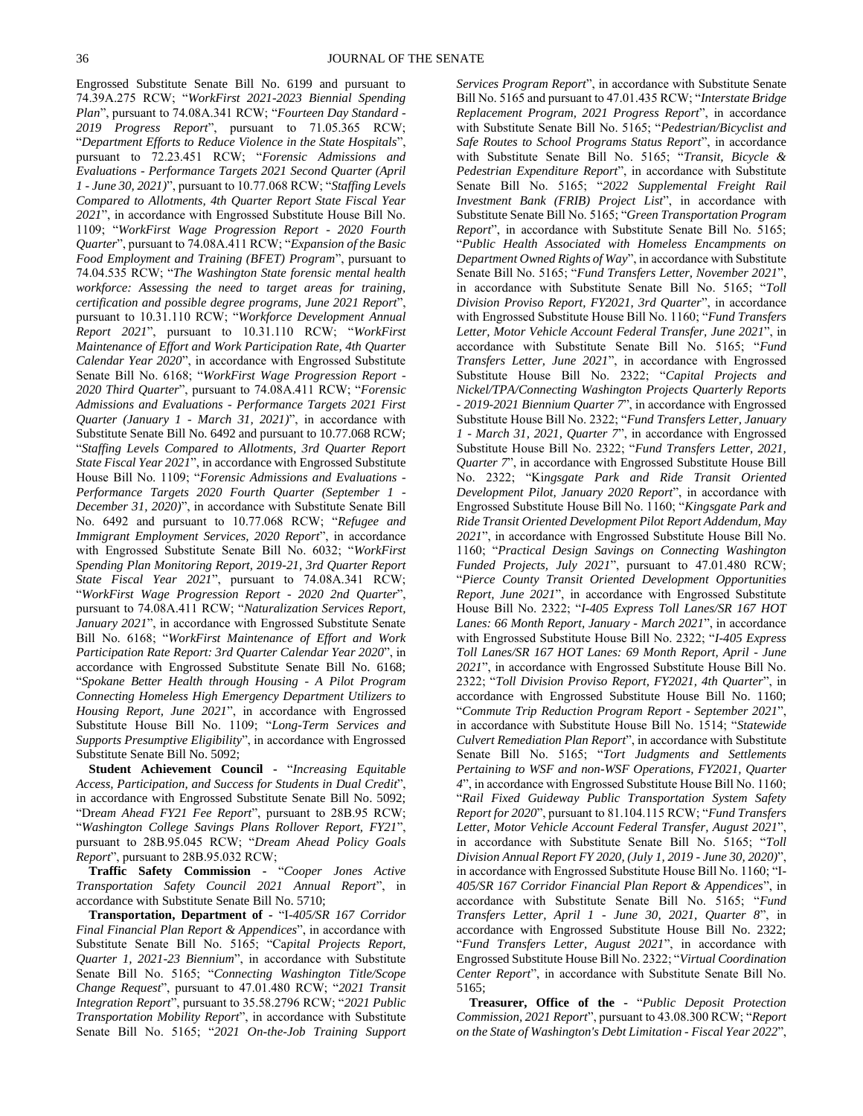Engrossed Substitute Senate Bill No. 6199 and pursuant to 74.39A.275 RCW; "*WorkFirst 2021-2023 Biennial Spending Plan*", pursuant to 74.08A.341 RCW; "*Fourteen Day Standard - 2019 Progress Report*", pursuant to 71.05.365 RCW; "*Department Efforts to Reduce Violence in the State Hospitals*", pursuant to 72.23.451 RCW; "*Forensic Admissions and Evaluations - Performance Targets 2021 Second Quarter (April 1 - June 30, 2021)*", pursuant to 10.77.068 RCW; "*Staffing Levels Compared to Allotments, 4th Quarter Report State Fiscal Year 2021*", in accordance with Engrossed Substitute House Bill No. 1109; "*WorkFirst Wage Progression Report - 2020 Fourth Quarter*", pursuant to 74.08A.411 RCW; "*Expansion of the Basic Food Employment and Training (BFET) Program*", pursuant to 74.04.535 RCW; "*The Washington State forensic mental health workforce: Assessing the need to target areas for training, certification and possible degree programs, June 2021 Report*", pursuant to 10.31.110 RCW; "*Workforce Development Annual Report 2021*", pursuant to 10.31.110 RCW; "*WorkFirst Maintenance of Effort and Work Participation Rate, 4th Quarter Calendar Year 2020*", in accordance with Engrossed Substitute Senate Bill No. 6168; "*WorkFirst Wage Progression Report - 2020 Third Quarter*", pursuant to 74.08A.411 RCW; "*Forensic Admissions and Evaluations - Performance Targets 2021 First Quarter (January 1 - March 31, 2021)*", in accordance with Substitute Senate Bill No. 6492 and pursuant to 10.77.068 RCW; "*Staffing Levels Compared to Allotments, 3rd Quarter Report State Fiscal Year 2021*", in accordance with Engrossed Substitute House Bill No. 1109; "*Forensic Admissions and Evaluations - Performance Targets 2020 Fourth Quarter (September 1 - December 31, 2020)*", in accordance with Substitute Senate Bill No. 6492 and pursuant to 10.77.068 RCW; "*Refugee and Immigrant Employment Services, 2020 Report*", in accordance with Engrossed Substitute Senate Bill No. 6032; "*WorkFirst Spending Plan Monitoring Report, 2019-21, 3rd Quarter Report State Fiscal Year 2021*", pursuant to 74.08A.341 RCW; "*WorkFirst Wage Progression Report - 2020 2nd Quarter*", pursuant to 74.08A.411 RCW; "*Naturalization Services Report, January 2021*", in accordance with Engrossed Substitute Senate Bill No. 6168; "*WorkFirst Maintenance of Effort and Work Participation Rate Report: 3rd Quarter Calendar Year 2020*", in accordance with Engrossed Substitute Senate Bill No. 6168; "*Spokane Better Health through Housing - A Pilot Program Connecting Homeless High Emergency Department Utilizers to Housing Report, June 2021*", in accordance with Engrossed Substitute House Bill No. 1109; "*Long-Term Services and Supports Presumptive Eligibility*", in accordance with Engrossed Substitute Senate Bill No. 5092;

**Student Achievement Council -** "*Increasing Equitable Access, Participation, and Success for Students in Dual Credit*", in accordance with Engrossed Substitute Senate Bill No. 5092; "Dr*eam Ahead FY21 Fee Report*", pursuant to 28B.95 RCW; "*Washington College Savings Plans Rollover Report, FY21*", pursuant to 28B.95.045 RCW; "*Dream Ahead Policy Goals Report*", pursuant to 28B.95.032 RCW;

**Traffic Safety Commission -** "*Cooper Jones Active Transportation Safety Council 2021 Annual Report*", in accordance with Substitute Senate Bill No. 5710;

**Transportation, Department of -** "I-*405/SR 167 Corridor Final Financial Plan Report & Appendices*", in accordance with Substitute Senate Bill No. 5165; "Ca*pital Projects Report, Quarter 1, 2021-23 Biennium*", in accordance with Substitute Senate Bill No. 5165; "*Connecting Washington Title/Scope Change Request*", pursuant to 47.01.480 RCW; "*2021 Transit Integration Report*", pursuant to 35.58.2796 RCW; "*2021 Public Transportation Mobility Report*", in accordance with Substitute Senate Bill No. 5165; "*2021 On-the-Job Training Support* 

*Services Program Report*", in accordance with Substitute Senate Bill No. 5165 and pursuant to 47.01.435 RCW; "*Interstate Bridge Replacement Program, 2021 Progress Report*", in accordance with Substitute Senate Bill No. 5165; "*Pedestrian/Bicyclist and Safe Routes to School Programs Status Report*", in accordance with Substitute Senate Bill No. 5165; "*Transit, Bicycle & Pedestrian Expenditure Report*", in accordance with Substitute Senate Bill No. 5165; "*2022 Supplemental Freight Rail Investment Bank (FRIB) Project List*", in accordance with Substitute Senate Bill No. 5165; "*Green Transportation Program Report*", in accordance with Substitute Senate Bill No. 5165; "*Public Health Associated with Homeless Encampments on Department Owned Rights of Way*", in accordance with Substitute Senate Bill No. 5165; "*Fund Transfers Letter, November 2021*", in accordance with Substitute Senate Bill No. 5165; "*Toll Division Proviso Report, FY2021, 3rd Quarter*", in accordance with Engrossed Substitute House Bill No. 1160; "*Fund Transfers Letter, Motor Vehicle Account Federal Transfer, June 2021*", in accordance with Substitute Senate Bill No. 5165; "*Fund Transfers Letter, June 2021*", in accordance with Engrossed Substitute House Bill No. 2322; "*Capital Projects and Nickel/TPA/Connecting Washington Projects Quarterly Reports - 2019-2021 Biennium Quarter 7*", in accordance with Engrossed Substitute House Bill No. 2322; "*Fund Transfers Letter, January 1 - March 31, 2021, Quarter 7*", in accordance with Engrossed Substitute House Bill No. 2322; "*Fund Transfers Letter, 2021, Quarter 7*", in accordance with Engrossed Substitute House Bill No. 2322; "Ki*ngsgate Park and Ride Transit Oriented Development Pilot, January 2020 Report*", in accordance with Engrossed Substitute House Bill No. 1160; "*Kingsgate Park and Ride Transit Oriented Development Pilot Report Addendum, May 2021*", in accordance with Engrossed Substitute House Bill No. 1160; "*Practical Design Savings on Connecting Washington Funded Projects, July 2021*", pursuant to 47.01.480 RCW; "*Pierce County Transit Oriented Development Opportunities Report, June 2021*", in accordance with Engrossed Substitute House Bill No. 2322; "*I-405 Express Toll Lanes/SR 167 HOT Lanes: 66 Month Report, January - March 2021*", in accordance with Engrossed Substitute House Bill No. 2322; "*I-405 Express Toll Lanes/SR 167 HOT Lanes: 69 Month Report, April - June 2021*", in accordance with Engrossed Substitute House Bill No. 2322; "*Toll Division Proviso Report, FY2021, 4th Quarter*", in accordance with Engrossed Substitute House Bill No. 1160; "*Commute Trip Reduction Program Report - September 2021*", in accordance with Substitute House Bill No. 1514; "*Statewide Culvert Remediation Plan Report*", in accordance with Substitute Senate Bill No. 5165; "*Tort Judgments and Settlements Pertaining to WSF and non-WSF Operations, FY2021, Quarter 4*", in accordance with Engrossed Substitute House Bill No. 1160; "*Rail Fixed Guideway Public Transportation System Safety Report for 2020*", pursuant to 81.104.115 RCW; "*Fund Transfers Letter, Motor Vehicle Account Federal Transfer, August 2021*", in accordance with Substitute Senate Bill No. 5165; "*Toll Division Annual Report FY 2020, (July 1, 2019 - June 30, 2020)*", in accordance with Engrossed Substitute House Bill No. 1160; "I*-405/SR 167 Corridor Financial Plan Report & Appendices*", in accordance with Substitute Senate Bill No. 5165; "*Fund Transfers Letter, April 1 - June 30, 2021, Quarter 8*", in accordance with Engrossed Substitute House Bill No. 2322; "*Fund Transfers Letter, August 2021*", in accordance with Engrossed Substitute House Bill No. 2322; "*Virtual Coordination Center Report*", in accordance with Substitute Senate Bill No. 5165;

**Treasurer, Office of the -** "*Public Deposit Protection Commission, 2021 Report*", pursuant to 43.08.300 RCW; "*Report on the State of Washington's Debt Limitation - Fiscal Year 2022*",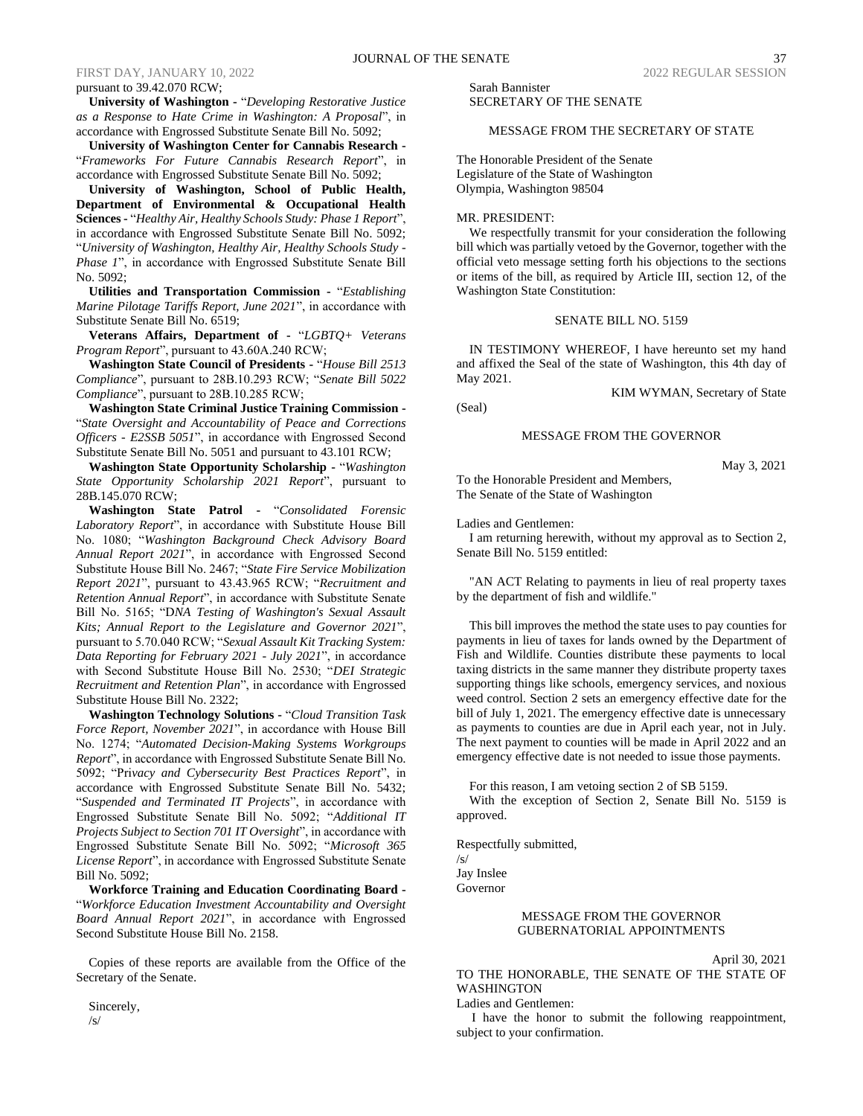pursuant to 39.42.070 RCW;

**University of Washington -** "*Developing Restorative Justice as a Response to Hate Crime in Washington: A Proposal*", in accordance with Engrossed Substitute Senate Bill No. 5092;

**University of Washington Center for Cannabis Research -** "*Frameworks For Future Cannabis Research Report*", in accordance with Engrossed Substitute Senate Bill No. 5092;

**University of Washington, School of Public Health, Department of Environmental & Occupational Health Sciences -** "*Healthy Air, Healthy Schools Study: Phase 1 Report*", in accordance with Engrossed Substitute Senate Bill No. 5092; "*University of Washington, Healthy Air, Healthy Schools Study - Phase 1*", in accordance with Engrossed Substitute Senate Bill No. 5092;

**Utilities and Transportation Commission -** "*Establishing Marine Pilotage Tariffs Report, June 2021*", in accordance with Substitute Senate Bill No. 6519;

**Veterans Affairs, Department of -** "*LGBTQ+ Veterans Program Report*", pursuant to 43.60A.240 RCW;

**Washington State Council of Presidents -** "*House Bill 2513 Compliance*", pursuant to 28B.10.293 RCW; "*Senate Bill 5022 Compliance*", pursuant to 28B.10.285 RCW;

**Washington State Criminal Justice Training Commission -** "*State Oversight and Accountability of Peace and Corrections Officers - E2SSB 5051*", in accordance with Engrossed Second Substitute Senate Bill No. 5051 and pursuant to 43.101 RCW;

**Washington State Opportunity Scholarship -** "*Washington State Opportunity Scholarship 2021 Report*", pursuant to 28B.145.070 RCW;

**Washington State Patrol -** "*Consolidated Forensic Laboratory Report*", in accordance with Substitute House Bill No. 1080; "*Washington Background Check Advisory Board Annual Report 2021*", in accordance with Engrossed Second Substitute House Bill No. 2467; "*State Fire Service Mobilization Report 2021*", pursuant to 43.43.965 RCW; "*Recruitment and Retention Annual Report*", in accordance with Substitute Senate Bill No. 5165; "D*NA Testing of Washington's Sexual Assault Kits; Annual Report to the Legislature and Governor 2021*", pursuant to 5.70.040 RCW; "*Sexual Assault Kit Tracking System: Data Reporting for February 2021 - July 2021*", in accordance with Second Substitute House Bill No. 2530; "*DEI Strategic Recruitment and Retention Plan*", in accordance with Engrossed Substitute House Bill No. 2322;

**Washington Technology Solutions -** "*Cloud Transition Task Force Report, November 2021*", in accordance with House Bill No. 1274; "*Automated Decision-Making Systems Workgroups Report*", in accordance with Engrossed Substitute Senate Bill No. 5092; "Pri*vacy and Cybersecurity Best Practices Report*", in accordance with Engrossed Substitute Senate Bill No. 5432; "*Suspended and Terminated IT Projects*", in accordance with Engrossed Substitute Senate Bill No. 5092; "*Additional IT Projects Subject to Section 701 IT Oversight*", in accordance with Engrossed Substitute Senate Bill No. 5092; "*Microsoft 365 License Report*", in accordance with Engrossed Substitute Senate Bill No. 5092;

**Workforce Training and Education Coordinating Board -** "*Workforce Education Investment Accountability and Oversight Board Annual Report 2021*", in accordance with Engrossed Second Substitute House Bill No. 2158.

Copies of these reports are available from the Office of the Secretary of the Senate.

Sincerely, /s/

Sarah Bannister SECRETARY OF THE SENATE

### MESSAGE FROM THE SECRETARY OF STATE

The Honorable President of the Senate Legislature of the State of Washington Olympia, Washington 98504

### MR. PRESIDENT:

We respectfully transmit for your consideration the following bill which was partially vetoed by the Governor, together with the official veto message setting forth his objections to the sections or items of the bill, as required by Article III, section 12, of the Washington State Constitution:

### SENATE BILL NO. 5159

IN TESTIMONY WHEREOF, I have hereunto set my hand and affixed the Seal of the state of Washington, this 4th day of May 2021.

(Seal)

### MESSAGE FROM THE GOVERNOR

May 3, 2021

KIM WYMAN, Secretary of State

To the Honorable President and Members, The Senate of the State of Washington

Ladies and Gentlemen:

I am returning herewith, without my approval as to Section 2, Senate Bill No. 5159 entitled:

"AN ACT Relating to payments in lieu of real property taxes by the department of fish and wildlife."

This bill improves the method the state uses to pay counties for payments in lieu of taxes for lands owned by the Department of Fish and Wildlife. Counties distribute these payments to local taxing districts in the same manner they distribute property taxes supporting things like schools, emergency services, and noxious weed control. Section 2 sets an emergency effective date for the bill of July 1, 2021. The emergency effective date is unnecessary as payments to counties are due in April each year, not in July. The next payment to counties will be made in April 2022 and an emergency effective date is not needed to issue those payments.

For this reason, I am vetoing section 2 of SB 5159.

With the exception of Section 2, Senate Bill No. 5159 is approved.

Respectfully submitted,

/s/ Jay Inslee Governor

### MESSAGE FROM THE GOVERNOR GUBERNATORIAL APPOINTMENTS

April 30, 2021

TO THE HONORABLE, THE SENATE OF THE STATE OF WASHINGTON

Ladies and Gentlemen:

I have the honor to submit the following reappointment, subject to your confirmation.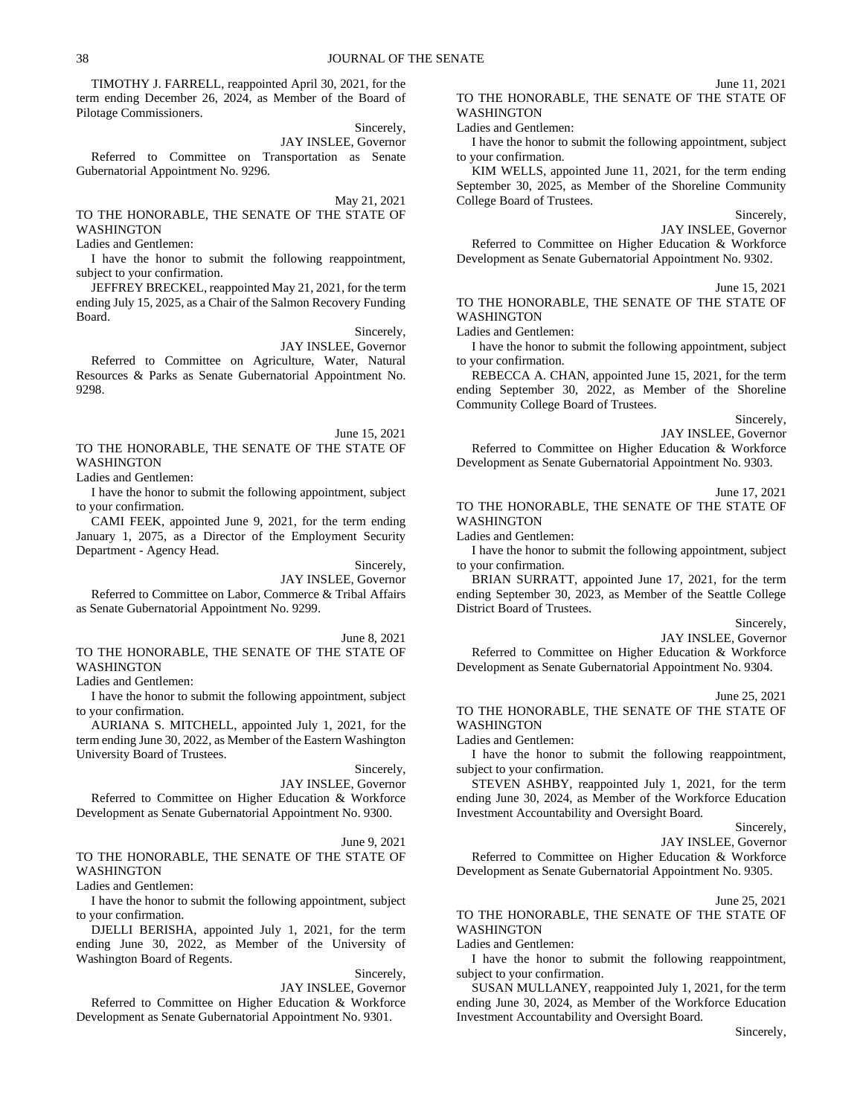TIMOTHY J. FARRELL, reappointed April 30, 2021, for the term ending December 26, 2024, as Member of the Board of Pilotage Commissioners.

Sincerely,

JAY INSLEE, Governor Referred to Committee on Transportation as Senate Gubernatorial Appointment No. 9296.

May 21, 2021

TO THE HONORABLE, THE SENATE OF THE STATE OF WASHINGTON

Ladies and Gentlemen:

I have the honor to submit the following reappointment, subject to your confirmation.

JEFFREY BRECKEL, reappointed May 21, 2021, for the term ending July 15, 2025, as a Chair of the Salmon Recovery Funding Board.

Sincerely,

JAY INSLEE, Governor Referred to Committee on Agriculture, Water, Natural Resources & Parks as Senate Gubernatorial Appointment No. 9298.

June 15, 2021 TO THE HONORABLE, THE SENATE OF THE STATE OF WASHINGTON

Ladies and Gentlemen:

I have the honor to submit the following appointment, subject to your confirmation.

CAMI FEEK, appointed June 9, 2021, for the term ending January 1, 2075, as a Director of the Employment Security Department - Agency Head.

Sincerely,

JAY INSLEE, Governor Referred to Committee on Labor, Commerce & Tribal Affairs as Senate Gubernatorial Appointment No. 9299.

June 8, 2021

TO THE HONORABLE, THE SENATE OF THE STATE OF WASHINGTON

Ladies and Gentlemen:

I have the honor to submit the following appointment, subject to your confirmation.

AURIANA S. MITCHELL, appointed July 1, 2021, for the term ending June 30, 2022, as Member of the Eastern Washington University Board of Trustees.

Sincerely,

JAY INSLEE, Governor Referred to Committee on Higher Education & Workforce Development as Senate Gubernatorial Appointment No. 9300.

June 9, 2021 TO THE HONORABLE, THE SENATE OF THE STATE OF WASHINGTON

Ladies and Gentlemen:

I have the honor to submit the following appointment, subject to your confirmation.

DJELLI BERISHA, appointed July 1, 2021, for the term ending June 30, 2022, as Member of the University of Washington Board of Regents.

Sincerely,

JAY INSLEE, Governor

Referred to Committee on Higher Education & Workforce Development as Senate Gubernatorial Appointment No. 9301.

TO THE HONORABLE, THE SENATE OF THE STATE OF WASHINGTON

### Ladies and Gentlemen:

I have the honor to submit the following appointment, subject to your confirmation.

KIM WELLS, appointed June 11, 2021, for the term ending September 30, 2025, as Member of the Shoreline Community College Board of Trustees.

Sincerely,

June 11, 2021

JAY INSLEE, Governor

Referred to Committee on Higher Education & Workforce Development as Senate Gubernatorial Appointment No. 9302.

June 15, 2021

TO THE HONORABLE, THE SENATE OF THE STATE OF WASHINGTON

Ladies and Gentlemen:

I have the honor to submit the following appointment, subject to your confirmation.

REBECCA A. CHAN, appointed June 15, 2021, for the term ending September 30, 2022, as Member of the Shoreline Community College Board of Trustees.

Sincerely,

JAY INSLEE, Governor Referred to Committee on Higher Education & Workforce Development as Senate Gubernatorial Appointment No. 9303.

June 17, 2021

TO THE HONORABLE, THE SENATE OF THE STATE OF WASHINGTON

Ladies and Gentlemen:

I have the honor to submit the following appointment, subject to your confirmation.

BRIAN SURRATT, appointed June 17, 2021, for the term ending September 30, 2023, as Member of the Seattle College District Board of Trustees.

### Sincerely,

### JAY INSLEE, Governor

Referred to Committee on Higher Education & Workforce Development as Senate Gubernatorial Appointment No. 9304.

### June 25, 2021

TO THE HONORABLE, THE SENATE OF THE STATE OF WASHINGTON

Ladies and Gentlemen:

I have the honor to submit the following reappointment, subject to your confirmation.

STEVEN ASHBY, reappointed July 1, 2021, for the term ending June 30, 2024, as Member of the Workforce Education Investment Accountability and Oversight Board.

Sincerely,

JAY INSLEE, Governor

Referred to Committee on Higher Education & Workforce Development as Senate Gubernatorial Appointment No. 9305.

June 25, 2021

TO THE HONORABLE, THE SENATE OF THE STATE OF WASHINGTON

Ladies and Gentlemen:

I have the honor to submit the following reappointment, subject to your confirmation.

SUSAN MULLANEY, reappointed July 1, 2021, for the term ending June 30, 2024, as Member of the Workforce Education Investment Accountability and Oversight Board.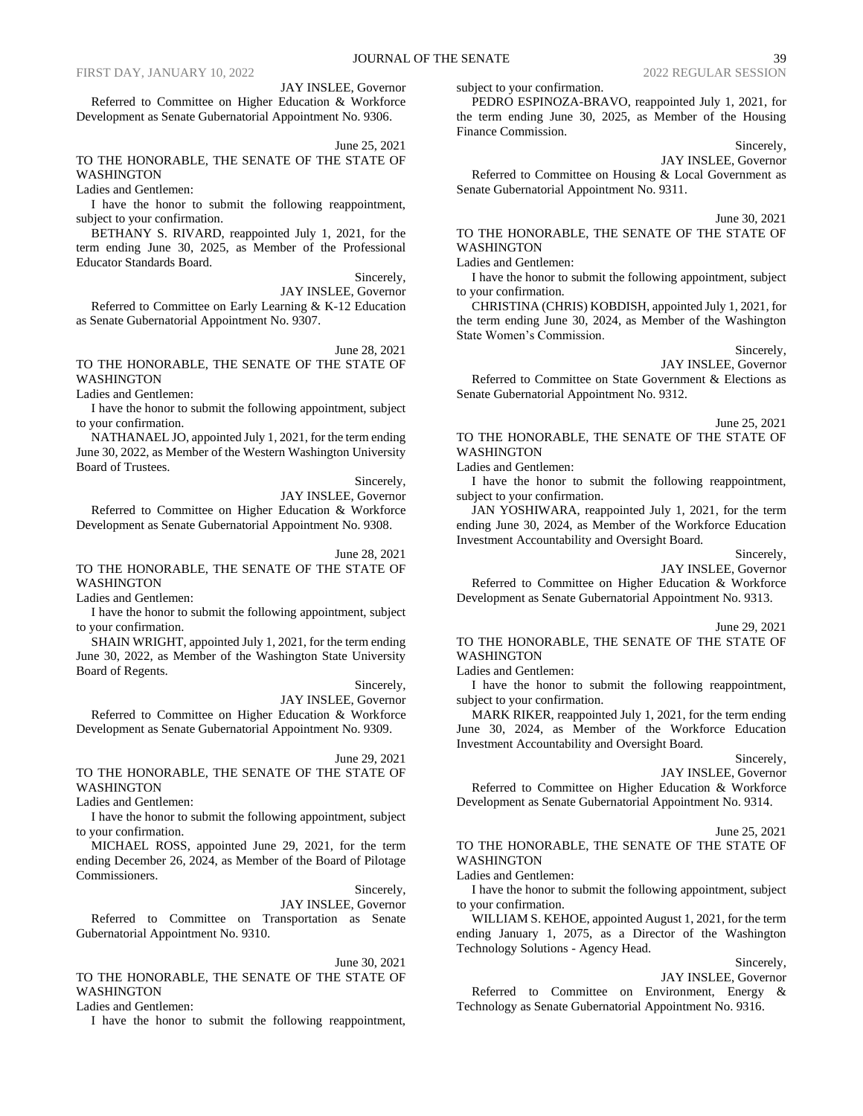JAY INSLEE, Governor

Referred to Committee on Higher Education & Workforce Development as Senate Gubernatorial Appointment No. 9306.

June 25, 2021

### TO THE HONORABLE, THE SENATE OF THE STATE OF WASHINGTON

Ladies and Gentlemen:

I have the honor to submit the following reappointment, subject to your confirmation.

BETHANY S. RIVARD, reappointed July 1, 2021, for the term ending June 30, 2025, as Member of the Professional Educator Standards Board.

Sincerely,

JAY INSLEE, Governor

Referred to Committee on Early Learning & K-12 Education as Senate Gubernatorial Appointment No. 9307.

June 28, 2021 TO THE HONORABLE, THE SENATE OF THE STATE OF

WASHINGTON

Ladies and Gentlemen:

I have the honor to submit the following appointment, subject to your confirmation.

NATHANAEL JO, appointed July 1, 2021, for the term ending June 30, 2022, as Member of the Western Washington University Board of Trustees.

Sincerely,

JAY INSLEE, Governor

Referred to Committee on Higher Education & Workforce Development as Senate Gubernatorial Appointment No. 9308.

June 28, 2021

TO THE HONORABLE, THE SENATE OF THE STATE OF WASHINGTON

Ladies and Gentlemen:

I have the honor to submit the following appointment, subject to your confirmation.

SHAIN WRIGHT, appointed July 1, 2021, for the term ending June 30, 2022, as Member of the Washington State University Board of Regents.

Sincerely,

JAY INSLEE, Governor

Referred to Committee on Higher Education & Workforce Development as Senate Gubernatorial Appointment No. 9309.

June 29, 2021

TO THE HONORABLE, THE SENATE OF THE STATE OF WASHINGTON

Ladies and Gentlemen:

I have the honor to submit the following appointment, subject to your confirmation.

MICHAEL ROSS, appointed June 29, 2021, for the term ending December 26, 2024, as Member of the Board of Pilotage Commissioners.

Sincerely,

JAY INSLEE, Governor Referred to Committee on Transportation as Senate Gubernatorial Appointment No. 9310.

June 30, 2021

TO THE HONORABLE, THE SENATE OF THE STATE OF WASHINGTON

Ladies and Gentlemen:

I have the honor to submit the following reappointment,

subject to your confirmation.

PEDRO ESPINOZA-BRAVO, reappointed July 1, 2021, for the term ending June 30, 2025, as Member of the Housing Finance Commission.

Sincerely,

JAY INSLEE, Governor Referred to Committee on Housing & Local Government as Senate Gubernatorial Appointment No. 9311.

June 30, 2021

TO THE HONORABLE, THE SENATE OF THE STATE OF WASHINGTON

Ladies and Gentlemen:

I have the honor to submit the following appointment, subject to your confirmation.

CHRISTINA (CHRIS) KOBDISH, appointed July 1, 2021, for the term ending June 30, 2024, as Member of the Washington State Women's Commission.

Sincerely,

JAY INSLEE, Governor

Referred to Committee on State Government & Elections as Senate Gubernatorial Appointment No. 9312.

June 25, 2021

TO THE HONORABLE, THE SENATE OF THE STATE OF WASHINGTON

Ladies and Gentlemen:

I have the honor to submit the following reappointment, subject to your confirmation.

JAN YOSHIWARA, reappointed July 1, 2021, for the term ending June 30, 2024, as Member of the Workforce Education Investment Accountability and Oversight Board.

Sincerely,

JAY INSLEE, Governor

Referred to Committee on Higher Education & Workforce Development as Senate Gubernatorial Appointment No. 9313.

June 29, 2021

TO THE HONORABLE, THE SENATE OF THE STATE OF WASHINGTON

Ladies and Gentlemen:

I have the honor to submit the following reappointment, subject to your confirmation.

MARK RIKER, reappointed July 1, 2021, for the term ending June 30, 2024, as Member of the Workforce Education Investment Accountability and Oversight Board.

Sincerely,

JAY INSLEE, Governor

Referred to Committee on Higher Education & Workforce Development as Senate Gubernatorial Appointment No. 9314.

June 25, 2021

TO THE HONORABLE, THE SENATE OF THE STATE OF WASHINGTON

Ladies and Gentlemen:

I have the honor to submit the following appointment, subject to your confirmation.

WILLIAM S. KEHOE, appointed August 1, 2021, for the term ending January 1, 2075, as a Director of the Washington Technology Solutions - Agency Head.

Sincerely,

### JAY INSLEE, Governor

Referred to Committee on Environment, Energy & Technology as Senate Gubernatorial Appointment No. 9316.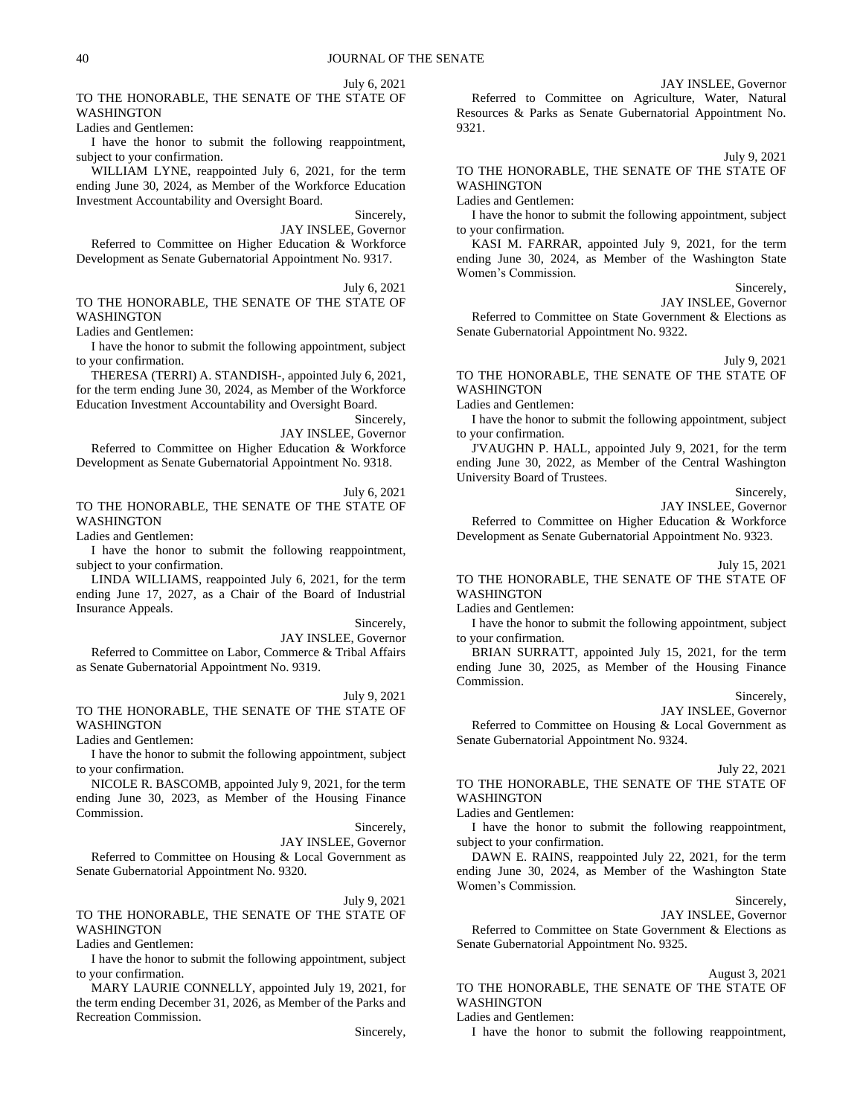July 6, 2021

TO THE HONORABLE, THE SENATE OF THE STATE OF WASHINGTON

Ladies and Gentlemen:

I have the honor to submit the following reappointment, subject to your confirmation.

WILLIAM LYNE, reappointed July 6, 2021, for the term ending June 30, 2024, as Member of the Workforce Education Investment Accountability and Oversight Board.

Sincerely,

JAY INSLEE, Governor Referred to Committee on Higher Education & Workforce Development as Senate Gubernatorial Appointment No. 9317.

July 6, 2021 TO THE HONORABLE, THE SENATE OF THE STATE OF WASHINGTON

Ladies and Gentlemen:

I have the honor to submit the following appointment, subject to your confirmation.

THERESA (TERRI) A. STANDISH-, appointed July 6, 2021, for the term ending June 30, 2024, as Member of the Workforce Education Investment Accountability and Oversight Board.

> Sincerely, JAY INSLEE, Governor

Referred to Committee on Higher Education & Workforce Development as Senate Gubernatorial Appointment No. 9318.

July 6, 2021 TO THE HONORABLE, THE SENATE OF THE STATE OF WASHINGTON

Ladies and Gentlemen:

I have the honor to submit the following reappointment, subject to your confirmation.

LINDA WILLIAMS, reappointed July 6, 2021, for the term ending June 17, 2027, as a Chair of the Board of Industrial Insurance Appeals.

Sincerely,

JAY INSLEE, Governor

Referred to Committee on Labor, Commerce & Tribal Affairs as Senate Gubernatorial Appointment No. 9319.

July 9, 2021

TO THE HONORABLE, THE SENATE OF THE STATE OF WASHINGTON

Ladies and Gentlemen:

I have the honor to submit the following appointment, subject to your confirmation.

NICOLE R. BASCOMB, appointed July 9, 2021, for the term ending June 30, 2023, as Member of the Housing Finance Commission.

Sincerely,

JAY INSLEE, Governor

Referred to Committee on Housing & Local Government as Senate Gubernatorial Appointment No. 9320.

July 9, 2021

### TO THE HONORABLE, THE SENATE OF THE STATE OF WASHINGTON

Ladies and Gentlemen:

I have the honor to submit the following appointment, subject to your confirmation.

MARY LAURIE CONNELLY, appointed July 19, 2021, for the term ending December 31, 2026, as Member of the Parks and Recreation Commission.

Sincerely,

JAY INSLEE, Governor Referred to Committee on Agriculture, Water, Natural Resources & Parks as Senate Gubernatorial Appointment No. 9321.

July 9, 2021

### TO THE HONORABLE, THE SENATE OF THE STATE OF WASHINGTON

Ladies and Gentlemen:

I have the honor to submit the following appointment, subject to your confirmation.

KASI M. FARRAR, appointed July 9, 2021, for the term ending June 30, 2024, as Member of the Washington State Women's Commission.

> Sincerely, JAY INSLEE, Governor

Referred to Committee on State Government & Elections as Senate Gubernatorial Appointment No. 9322.

July 9, 2021

TO THE HONORABLE, THE SENATE OF THE STATE OF WASHINGTON

Ladies and Gentlemen:

I have the honor to submit the following appointment, subject to your confirmation.

J'VAUGHN P. HALL, appointed July 9, 2021, for the term ending June 30, 2022, as Member of the Central Washington University Board of Trustees.

Sincerely,

JAY INSLEE, Governor

Referred to Committee on Higher Education & Workforce Development as Senate Gubernatorial Appointment No. 9323.

## July 15, 2021

TO THE HONORABLE, THE SENATE OF THE STATE OF WASHINGTON

Ladies and Gentlemen:

I have the honor to submit the following appointment, subject to your confirmation.

BRIAN SURRATT, appointed July 15, 2021, for the term ending June 30, 2025, as Member of the Housing Finance Commission.

Sincerely,

JAY INSLEE, Governor Referred to Committee on Housing & Local Government as Senate Gubernatorial Appointment No. 9324.

July 22, 2021

TO THE HONORABLE, THE SENATE OF THE STATE OF **WASHINGTON** 

Ladies and Gentlemen:

I have the honor to submit the following reappointment, subject to your confirmation.

DAWN E. RAINS, reappointed July 22, 2021, for the term ending June 30, 2024, as Member of the Washington State Women's Commission.

Sincerely,

JAY INSLEE, Governor

Referred to Committee on State Government & Elections as Senate Gubernatorial Appointment No. 9325.

August 3, 2021

TO THE HONORABLE, THE SENATE OF THE STATE OF WASHINGTON

Ladies and Gentlemen:

I have the honor to submit the following reappointment,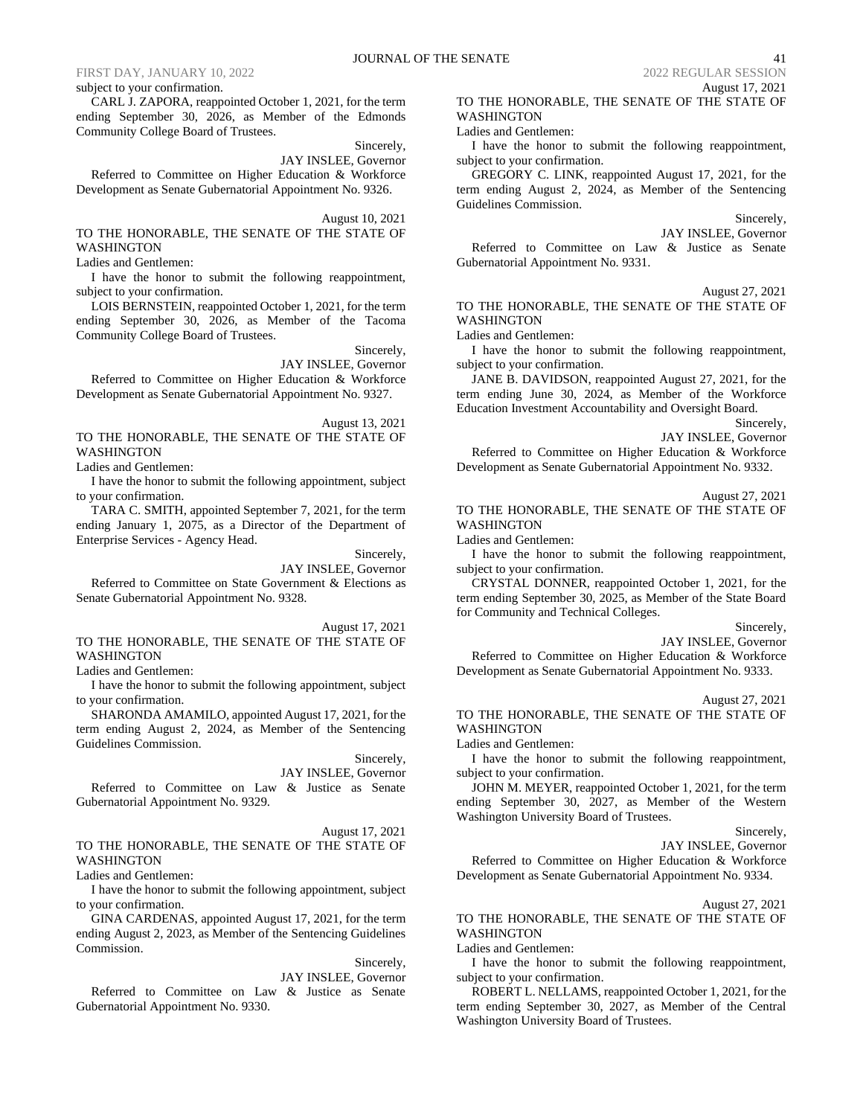### subject to your confirmation.

CARL J. ZAPORA, reappointed October 1, 2021, for the term ending September 30, 2026, as Member of the Edmonds Community College Board of Trustees.

Sincerely,

JAY INSLEE, Governor Referred to Committee on Higher Education & Workforce Development as Senate Gubernatorial Appointment No. 9326.

August 10, 2021

TO THE HONORABLE, THE SENATE OF THE STATE OF WASHINGTON

Ladies and Gentlemen:

I have the honor to submit the following reappointment, subject to your confirmation.

LOIS BERNSTEIN, reappointed October 1, 2021, for the term ending September 30, 2026, as Member of the Tacoma Community College Board of Trustees.

Sincerely,

JAY INSLEE, Governor Referred to Committee on Higher Education & Workforce Development as Senate Gubernatorial Appointment No. 9327.

August 13, 2021 TO THE HONORABLE, THE SENATE OF THE STATE OF WASHINGTON

Ladies and Gentlemen:

I have the honor to submit the following appointment, subject to your confirmation.

TARA C. SMITH, appointed September 7, 2021, for the term ending January 1, 2075, as a Director of the Department of Enterprise Services - Agency Head.

Sincerely,

JAY INSLEE, Governor

Referred to Committee on State Government & Elections as Senate Gubernatorial Appointment No. 9328.

August 17, 2021

TO THE HONORABLE, THE SENATE OF THE STATE OF WASHINGTON

Ladies and Gentlemen:

I have the honor to submit the following appointment, subject to your confirmation.

SHARONDA AMAMILO, appointed August 17, 2021, for the term ending August 2, 2024, as Member of the Sentencing Guidelines Commission.

Sincerely, JAY INSLEE, Governor Referred to Committee on Law & Justice as Senate Gubernatorial Appointment No. 9329.

### August 17, 2021 TO THE HONORABLE, THE SENATE OF THE STATE OF WASHINGTON

Ladies and Gentlemen:

I have the honor to submit the following appointment, subject to your confirmation.

GINA CARDENAS, appointed August 17, 2021, for the term ending August 2, 2023, as Member of the Sentencing Guidelines Commission.

Sincerely,

JAY INSLEE, Governor Referred to Committee on Law & Justice as Senate Gubernatorial Appointment No. 9330.

August 17, 2021 TO THE HONORABLE, THE SENATE OF THE STATE OF WASHINGTON

### Ladies and Gentlemen:

I have the honor to submit the following reappointment, subject to your confirmation.

GREGORY C. LINK, reappointed August 17, 2021, for the term ending August 2, 2024, as Member of the Sentencing Guidelines Commission.

Sincerely,

JAY INSLEE, Governor Referred to Committee on Law & Justice as Senate Gubernatorial Appointment No. 9331.

August 27, 2021

TO THE HONORABLE, THE SENATE OF THE STATE OF WASHINGTON

Ladies and Gentlemen:

I have the honor to submit the following reappointment, subject to your confirmation.

JANE B. DAVIDSON, reappointed August 27, 2021, for the term ending June 30, 2024, as Member of the Workforce Education Investment Accountability and Oversight Board.

Sincerely,

JAY INSLEE, Governor

Referred to Committee on Higher Education & Workforce Development as Senate Gubernatorial Appointment No. 9332.

August 27, 2021

TO THE HONORABLE, THE SENATE OF THE STATE OF WASHINGTON

Ladies and Gentlemen:

I have the honor to submit the following reappointment, subject to your confirmation.

CRYSTAL DONNER, reappointed October 1, 2021, for the term ending September 30, 2025, as Member of the State Board for Community and Technical Colleges.

### Sincerely,

JAY INSLEE, Governor

Referred to Committee on Higher Education & Workforce Development as Senate Gubernatorial Appointment No. 9333.

August 27, 2021

TO THE HONORABLE, THE SENATE OF THE STATE OF WASHINGTON

Ladies and Gentlemen:

I have the honor to submit the following reappointment, subject to your confirmation.

JOHN M. MEYER, reappointed October 1, 2021, for the term ending September 30, 2027, as Member of the Western Washington University Board of Trustees.

Sincerely,

JAY INSLEE, Governor

Referred to Committee on Higher Education & Workforce Development as Senate Gubernatorial Appointment No. 9334.

August 27, 2021

TO THE HONORABLE, THE SENATE OF THE STATE OF WASHINGTON

Ladies and Gentlemen:

I have the honor to submit the following reappointment, subject to your confirmation.

ROBERT L. NELLAMS, reappointed October 1, 2021, for the term ending September 30, 2027, as Member of the Central Washington University Board of Trustees.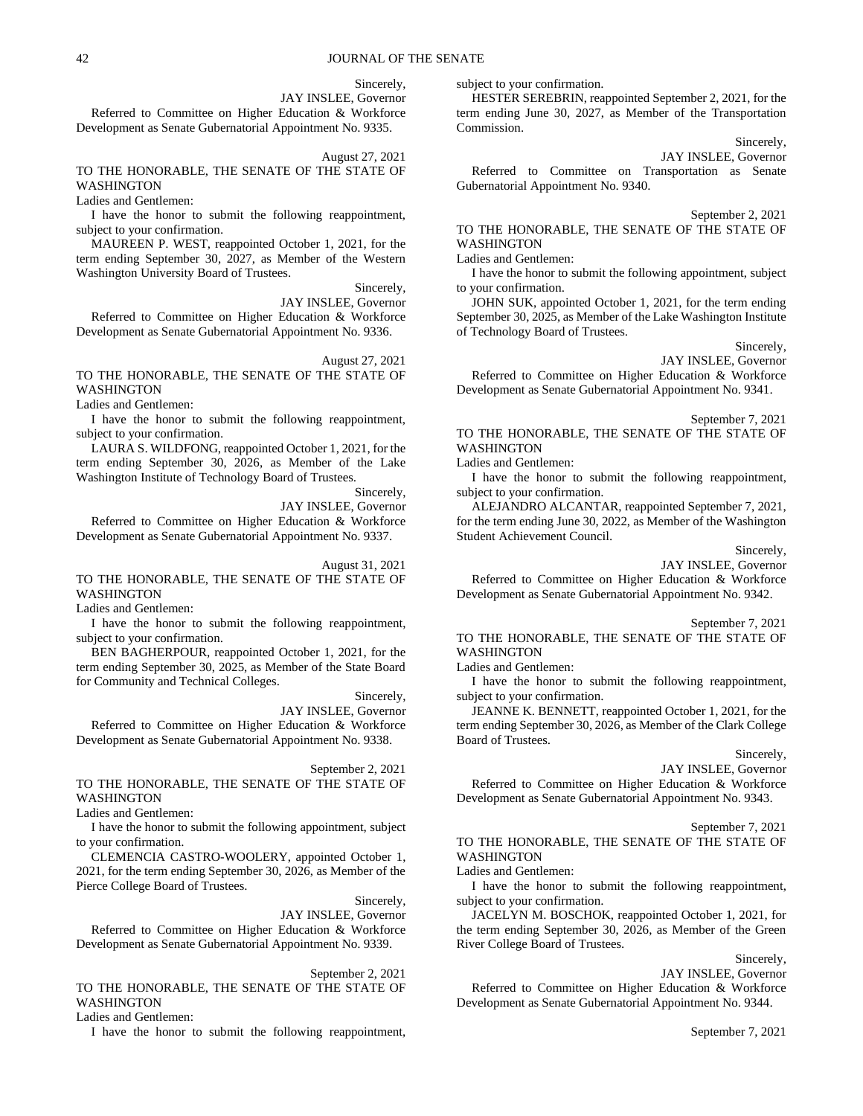Sincerely,

JAY INSLEE, Governor

Referred to Committee on Higher Education & Workforce Development as Senate Gubernatorial Appointment No. 9335.

August 27, 2021

TO THE HONORABLE, THE SENATE OF THE STATE OF WASHINGTON

Ladies and Gentlemen:

I have the honor to submit the following reappointment, subject to your confirmation.

MAUREEN P. WEST, reappointed October 1, 2021, for the term ending September 30, 2027, as Member of the Western Washington University Board of Trustees.

Sincerely,

JAY INSLEE, Governor Referred to Committee on Higher Education & Workforce Development as Senate Gubernatorial Appointment No. 9336.

August 27, 2021 TO THE HONORABLE, THE SENATE OF THE STATE OF

WASHINGTON

Ladies and Gentlemen:

I have the honor to submit the following reappointment, subject to your confirmation.

LAURA S. WILDFONG, reappointed October 1, 2021, for the term ending September 30, 2026, as Member of the Lake Washington Institute of Technology Board of Trustees.

> Sincerely, JAY INSLEE, Governor

Referred to Committee on Higher Education & Workforce Development as Senate Gubernatorial Appointment No. 9337.

August 31, 2021

TO THE HONORABLE, THE SENATE OF THE STATE OF WASHINGTON

Ladies and Gentlemen:

I have the honor to submit the following reappointment, subject to your confirmation.

BEN BAGHERPOUR, reappointed October 1, 2021, for the term ending September 30, 2025, as Member of the State Board for Community and Technical Colleges.

> Sincerely, JAY INSLEE, Governor

Referred to Committee on Higher Education & Workforce Development as Senate Gubernatorial Appointment No. 9338.

### September 2, 2021

TO THE HONORABLE, THE SENATE OF THE STATE OF WASHINGTON

Ladies and Gentlemen:

I have the honor to submit the following appointment, subject to your confirmation.

CLEMENCIA CASTRO-WOOLERY, appointed October 1, 2021, for the term ending September 30, 2026, as Member of the Pierce College Board of Trustees.

Sincerely,

JAY INSLEE, Governor

Referred to Committee on Higher Education & Workforce Development as Senate Gubernatorial Appointment No. 9339.

September 2, 2021

### TO THE HONORABLE, THE SENATE OF THE STATE OF WASHINGTON

Ladies and Gentlemen:

I have the honor to submit the following reappointment,

subject to your confirmation.

HESTER SEREBRIN, reappointed September 2, 2021, for the term ending June 30, 2027, as Member of the Transportation Commission.

Sincerely,

JAY INSLEE, Governor Referred to Committee on Transportation as Senate Gubernatorial Appointment No. 9340.

September 2, 2021

TO THE HONORABLE, THE SENATE OF THE STATE OF WASHINGTON

Ladies and Gentlemen:

I have the honor to submit the following appointment, subject to your confirmation.

JOHN SUK, appointed October 1, 2021, for the term ending September 30, 2025, as Member of the Lake Washington Institute of Technology Board of Trustees.

Sincerely,

JAY INSLEE, Governor

Referred to Committee on Higher Education & Workforce Development as Senate Gubernatorial Appointment No. 9341.

September 7, 2021 TO THE HONORABLE, THE SENATE OF THE STATE OF WASHINGTON

Ladies and Gentlemen:

I have the honor to submit the following reappointment, subject to your confirmation.

ALEJANDRO ALCANTAR, reappointed September 7, 2021, for the term ending June 30, 2022, as Member of the Washington Student Achievement Council.

Sincerely,

JAY INSLEE, Governor

Referred to Committee on Higher Education & Workforce Development as Senate Gubernatorial Appointment No. 9342.

September 7, 2021

TO THE HONORABLE, THE SENATE OF THE STATE OF WASHINGTON

Ladies and Gentlemen:

I have the honor to submit the following reappointment, subject to your confirmation.

JEANNE K. BENNETT, reappointed October 1, 2021, for the term ending September 30, 2026, as Member of the Clark College Board of Trustees.

Sincerely,

JAY INSLEE, Governor

Referred to Committee on Higher Education & Workforce Development as Senate Gubernatorial Appointment No. 9343.

### September 7, 2021

TO THE HONORABLE, THE SENATE OF THE STATE OF WASHINGTON

Ladies and Gentlemen:

I have the honor to submit the following reappointment, subject to your confirmation.

JACELYN M. BOSCHOK, reappointed October 1, 2021, for the term ending September 30, 2026, as Member of the Green River College Board of Trustees.

Sincerely,

JAY INSLEE, Governor

Referred to Committee on Higher Education & Workforce Development as Senate Gubernatorial Appointment No. 9344.

September 7, 2021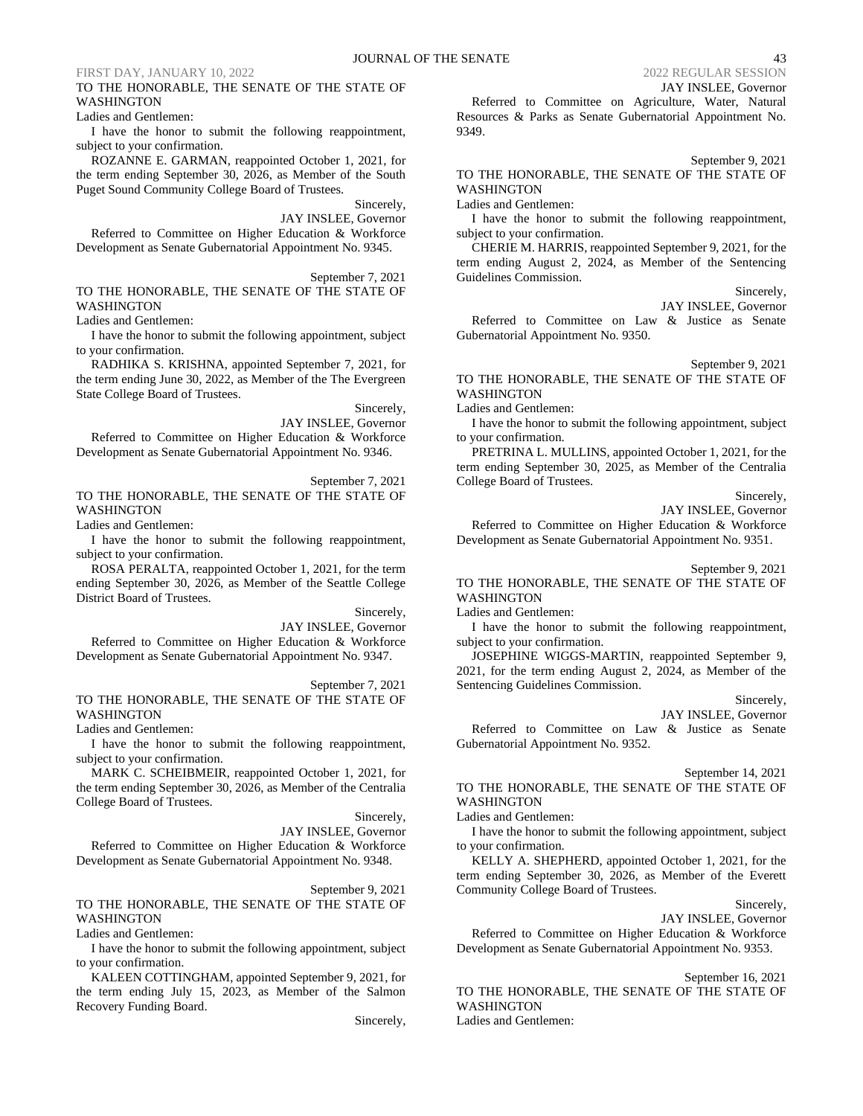### TO THE HONORABLE, THE SENATE OF THE STATE OF WASHINGTON

Ladies and Gentlemen:

I have the honor to submit the following reappointment, subject to your confirmation.

ROZANNE E. GARMAN, reappointed October 1, 2021, for the term ending September 30, 2026, as Member of the South Puget Sound Community College Board of Trustees.

Sincerely,

JAY INSLEE, Governor Referred to Committee on Higher Education & Workforce Development as Senate Gubernatorial Appointment No. 9345.

September 7, 2021

TO THE HONORABLE, THE SENATE OF THE STATE OF

Ladies and Gentlemen:

WASHINGTON

I have the honor to submit the following appointment, subject to your confirmation.

RADHIKA S. KRISHNA, appointed September 7, 2021, for the term ending June 30, 2022, as Member of the The Evergreen State College Board of Trustees.

Sincerely,

JAY INSLEE, Governor Referred to Committee on Higher Education & Workforce

Development as Senate Gubernatorial Appointment No. 9346.

September 7, 2021 TO THE HONORABLE, THE SENATE OF THE STATE OF WASHINGTON

Ladies and Gentlemen:

I have the honor to submit the following reappointment, subject to your confirmation.

ROSA PERALTA, reappointed October 1, 2021, for the term ending September 30, 2026, as Member of the Seattle College District Board of Trustees.

> Sincerely, JAY INSLEE, Governor

Referred to Committee on Higher Education & Workforce Development as Senate Gubernatorial Appointment No. 9347.

September 7, 2021

TO THE HONORABLE, THE SENATE OF THE STATE OF WASHINGTON

Ladies and Gentlemen:

I have the honor to submit the following reappointment, subject to your confirmation.

MARK C. SCHEIBMEIR, reappointed October 1, 2021, for the term ending September 30, 2026, as Member of the Centralia College Board of Trustees.

Sincerely,

JAY INSLEE, Governor

Referred to Committee on Higher Education & Workforce Development as Senate Gubernatorial Appointment No. 9348.

September 9, 2021

TO THE HONORABLE, THE SENATE OF THE STATE OF WASHINGTON

Ladies and Gentlemen:

I have the honor to submit the following appointment, subject to your confirmation.

KALEEN COTTINGHAM, appointed September 9, 2021, for the term ending July 15, 2023, as Member of the Salmon Recovery Funding Board.

Sincerely,

JAY INSLEE, Governor

Referred to Committee on Agriculture, Water, Natural Resources & Parks as Senate Gubernatorial Appointment No. 9349.

September 9, 2021

TO THE HONORABLE, THE SENATE OF THE STATE OF WASHINGTON

Ladies and Gentlemen:

I have the honor to submit the following reappointment, subject to your confirmation.

CHERIE M. HARRIS, reappointed September 9, 2021, for the term ending August 2, 2024, as Member of the Sentencing Guidelines Commission.

Sincerely,

JAY INSLEE, Governor

Referred to Committee on Law & Justice as Senate Gubernatorial Appointment No. 9350.

September 9, 2021

TO THE HONORABLE, THE SENATE OF THE STATE OF WASHINGTON

Ladies and Gentlemen:

I have the honor to submit the following appointment, subject to your confirmation.

PRETRINA L. MULLINS, appointed October 1, 2021, for the term ending September 30, 2025, as Member of the Centralia College Board of Trustees.

Sincerely,

JAY INSLEE, Governor

Referred to Committee on Higher Education & Workforce Development as Senate Gubernatorial Appointment No. 9351.

September 9, 2021

TO THE HONORABLE, THE SENATE OF THE STATE OF WASHINGTON

Ladies and Gentlemen:

I have the honor to submit the following reappointment, subject to your confirmation.

JOSEPHINE WIGGS-MARTIN, reappointed September 9, 2021, for the term ending August 2, 2024, as Member of the Sentencing Guidelines Commission.

Sincerely,

JAY INSLEE, Governor

Referred to Committee on Law & Justice as Senate Gubernatorial Appointment No. 9352.

September 14, 2021

TO THE HONORABLE, THE SENATE OF THE STATE OF WASHINGTON

Ladies and Gentlemen:

I have the honor to submit the following appointment, subject to your confirmation.

KELLY A. SHEPHERD, appointed October 1, 2021, for the term ending September 30, 2026, as Member of the Everett Community College Board of Trustees.

Sincerely,

JAY INSLEE, Governor

Referred to Committee on Higher Education & Workforce Development as Senate Gubernatorial Appointment No. 9353.

September 16, 2021

TO THE HONORABLE, THE SENATE OF THE STATE OF WASHINGTON Ladies and Gentlemen: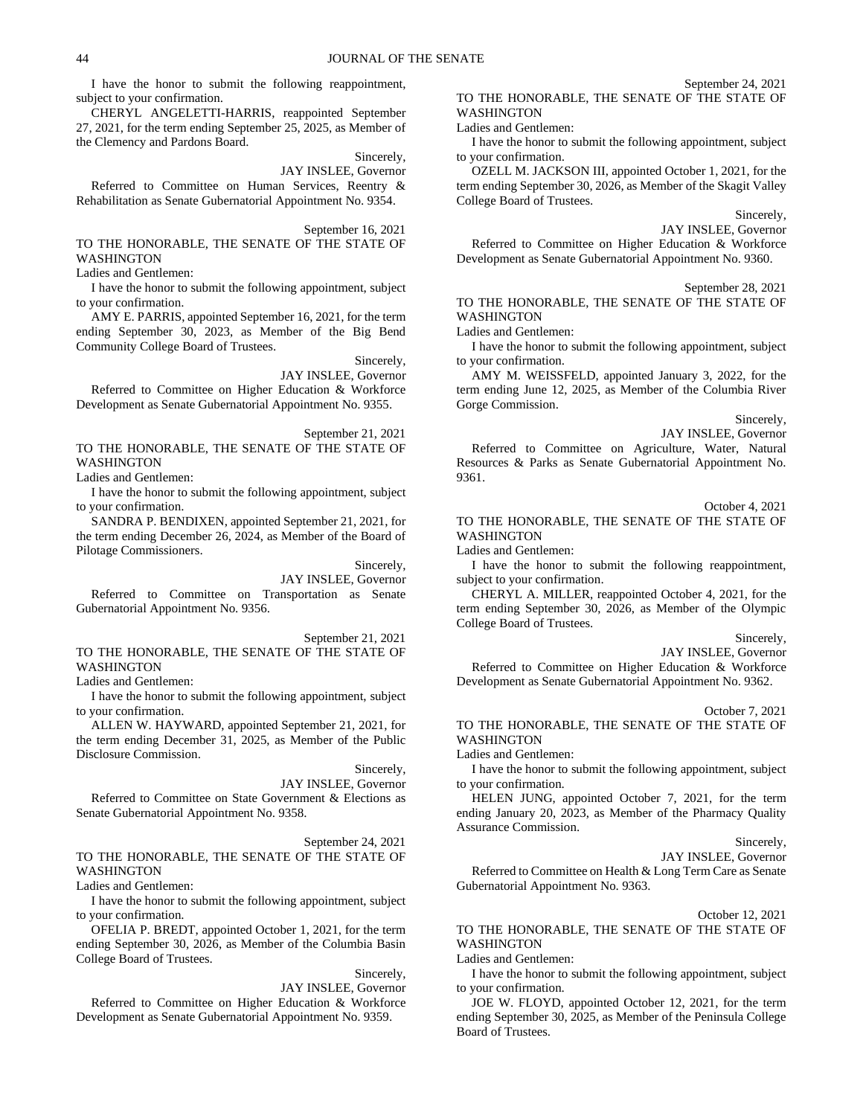I have the honor to submit the following reappointment, subject to your confirmation.

CHERYL ANGELETTI-HARRIS, reappointed September 27, 2021, for the term ending September 25, 2025, as Member of the Clemency and Pardons Board.

### Sincerely,

JAY INSLEE, Governor

Referred to Committee on Human Services, Reentry & Rehabilitation as Senate Gubernatorial Appointment No. 9354.

September 16, 2021 TO THE HONORABLE, THE SENATE OF THE STATE OF WASHINGTON

Ladies and Gentlemen:

I have the honor to submit the following appointment, subject to your confirmation.

AMY E. PARRIS, appointed September 16, 2021, for the term ending September 30, 2023, as Member of the Big Bend Community College Board of Trustees.

> Sincerely, JAY INSLEE, Governor

Referred to Committee on Higher Education & Workforce Development as Senate Gubernatorial Appointment No. 9355.

September 21, 2021

TO THE HONORABLE, THE SENATE OF THE STATE OF WASHINGTON

Ladies and Gentlemen:

I have the honor to submit the following appointment, subject to your confirmation.

SANDRA P. BENDIXEN, appointed September 21, 2021, for the term ending December 26, 2024, as Member of the Board of Pilotage Commissioners.

Sincerely,

JAY INSLEE, Governor Referred to Committee on Transportation as Senate Gubernatorial Appointment No. 9356.

September 21, 2021 TO THE HONORABLE, THE SENATE OF THE STATE OF WASHINGTON

Ladies and Gentlemen:

I have the honor to submit the following appointment, subject to your confirmation.

ALLEN W. HAYWARD, appointed September 21, 2021, for the term ending December 31, 2025, as Member of the Public Disclosure Commission.

Sincerely,

JAY INSLEE, Governor Referred to Committee on State Government & Elections as Senate Gubernatorial Appointment No. 9358.

September 24, 2021 TO THE HONORABLE, THE SENATE OF THE STATE OF WASHINGTON

Ladies and Gentlemen:

I have the honor to submit the following appointment, subject to your confirmation.

OFELIA P. BREDT, appointed October 1, 2021, for the term ending September 30, 2026, as Member of the Columbia Basin College Board of Trustees.

Sincerely,

JAY INSLEE, Governor

Referred to Committee on Higher Education & Workforce Development as Senate Gubernatorial Appointment No. 9359.

September 24, 2021 TO THE HONORABLE, THE SENATE OF THE STATE OF WASHINGTON

Ladies and Gentlemen:

I have the honor to submit the following appointment, subject to your confirmation.

OZELL M. JACKSON III, appointed October 1, 2021, for the term ending September 30, 2026, as Member of the Skagit Valley College Board of Trustees.

Sincerely,

JAY INSLEE, Governor Referred to Committee on Higher Education & Workforce Development as Senate Gubernatorial Appointment No. 9360.

September 28, 2021

TO THE HONORABLE, THE SENATE OF THE STATE OF WASHINGTON

Ladies and Gentlemen:

I have the honor to submit the following appointment, subject to your confirmation.

AMY M. WEISSFELD, appointed January 3, 2022, for the term ending June 12, 2025, as Member of the Columbia River Gorge Commission.

Sincerely,

JAY INSLEE, Governor Referred to Committee on Agriculture, Water, Natural Resources & Parks as Senate Gubernatorial Appointment No. 9361.

### October 4, 2021

TO THE HONORABLE, THE SENATE OF THE STATE OF WASHINGTON

Ladies and Gentlemen:

I have the honor to submit the following reappointment, subject to your confirmation.

CHERYL A. MILLER, reappointed October 4, 2021, for the term ending September 30, 2026, as Member of the Olympic College Board of Trustees.

#### Sincerely,

JAY INSLEE, Governor

Referred to Committee on Higher Education & Workforce Development as Senate Gubernatorial Appointment No. 9362.

October 7, 2021

TO THE HONORABLE, THE SENATE OF THE STATE OF WASHINGTON

Ladies and Gentlemen:

I have the honor to submit the following appointment, subject to your confirmation.

HELEN JUNG, appointed October 7, 2021, for the term ending January 20, 2023, as Member of the Pharmacy Quality Assurance Commission.

Sincerely,

JAY INSLEE, Governor

Referred to Committee on Health & Long Term Care as Senate Gubernatorial Appointment No. 9363.

### October 12, 2021

TO THE HONORABLE, THE SENATE OF THE STATE OF WASHINGTON

Ladies and Gentlemen:

I have the honor to submit the following appointment, subject to your confirmation.

JOE W. FLOYD, appointed October 12, 2021, for the term ending September 30, 2025, as Member of the Peninsula College Board of Trustees.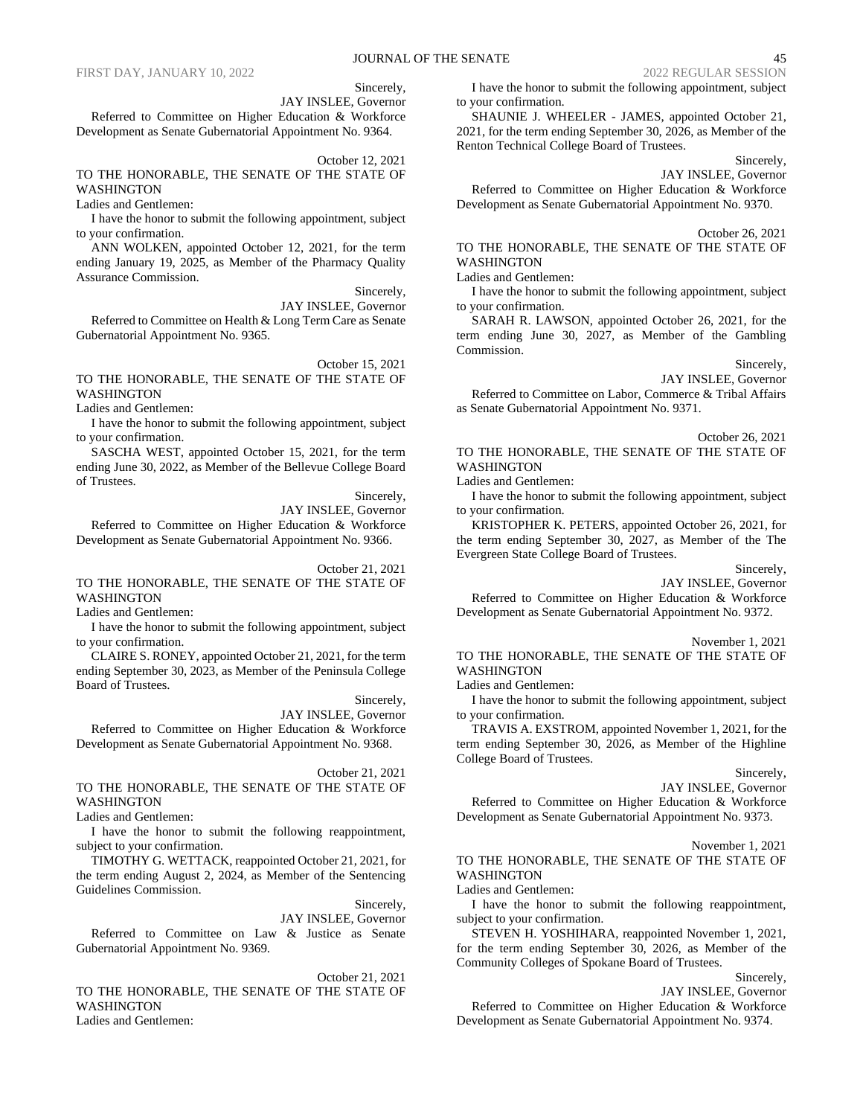Sincerely, JAY INSLEE, Governor

Referred to Committee on Higher Education & Workforce Development as Senate Gubernatorial Appointment No. 9364.

October 12, 2021

TO THE HONORABLE, THE SENATE OF THE STATE OF WASHINGTON

Ladies and Gentlemen:

I have the honor to submit the following appointment, subject to your confirmation.

ANN WOLKEN, appointed October 12, 2021, for the term ending January 19, 2025, as Member of the Pharmacy Quality Assurance Commission.

Sincerely,

JAY INSLEE, Governor Referred to Committee on Health & Long Term Care as Senate Gubernatorial Appointment No. 9365.

October 15, 2021

TO THE HONORABLE, THE SENATE OF THE STATE OF WASHINGTON

Ladies and Gentlemen:

I have the honor to submit the following appointment, subject to your confirmation.

SASCHA WEST, appointed October 15, 2021, for the term ending June 30, 2022, as Member of the Bellevue College Board of Trustees.

> Sincerely, JAY INSLEE, Governor

Referred to Committee on Higher Education & Workforce Development as Senate Gubernatorial Appointment No. 9366.

October 21, 2021

TO THE HONORABLE, THE SENATE OF THE STATE OF WASHINGTON

Ladies and Gentlemen:

I have the honor to submit the following appointment, subject to your confirmation.

CLAIRE S. RONEY, appointed October 21, 2021, for the term ending September 30, 2023, as Member of the Peninsula College Board of Trustees.

Sincerely,

JAY INSLEE, Governor Referred to Committee on Higher Education & Workforce Development as Senate Gubernatorial Appointment No. 9368.

### October 21, 2021

TO THE HONORABLE, THE SENATE OF THE STATE OF WASHINGTON

Ladies and Gentlemen:

I have the honor to submit the following reappointment, subject to your confirmation.

TIMOTHY G. WETTACK, reappointed October 21, 2021, for the term ending August 2, 2024, as Member of the Sentencing Guidelines Commission.

Sincerely,

JAY INSLEE, Governor Referred to Committee on Law & Justice as Senate Gubernatorial Appointment No. 9369.

October 21, 2021 TO THE HONORABLE, THE SENATE OF THE STATE OF WASHINGTON Ladies and Gentlemen:

I have the honor to submit the following appointment, subject to your confirmation.

SHAUNIE J. WHEELER - JAMES, appointed October 21, 2021, for the term ending September 30, 2026, as Member of the Renton Technical College Board of Trustees.

Sincerely,

JAY INSLEE, Governor

Referred to Committee on Higher Education & Workforce Development as Senate Gubernatorial Appointment No. 9370.

October 26, 2021

TO THE HONORABLE, THE SENATE OF THE STATE OF **WASHINGTON** 

Ladies and Gentlemen:

I have the honor to submit the following appointment, subject to your confirmation.

SARAH R. LAWSON, appointed October 26, 2021, for the term ending June 30, 2027, as Member of the Gambling Commission.

Sincerely,

JAY INSLEE, Governor

Referred to Committee on Labor, Commerce & Tribal Affairs as Senate Gubernatorial Appointment No. 9371.

October 26, 2021 TO THE HONORABLE, THE SENATE OF THE STATE OF WASHINGTON

Ladies and Gentlemen:

I have the honor to submit the following appointment, subject to your confirmation.

KRISTOPHER K. PETERS, appointed October 26, 2021, for the term ending September 30, 2027, as Member of the The Evergreen State College Board of Trustees.

Sincerely,

JAY INSLEE, Governor

Referred to Committee on Higher Education & Workforce Development as Senate Gubernatorial Appointment No. 9372.

November 1, 2021

TO THE HONORABLE, THE SENATE OF THE STATE OF WASHINGTON

Ladies and Gentlemen:

I have the honor to submit the following appointment, subject to your confirmation.

TRAVIS A. EXSTROM, appointed November 1, 2021, for the term ending September 30, 2026, as Member of the Highline College Board of Trustees.

Sincerely,

JAY INSLEE, Governor

Referred to Committee on Higher Education & Workforce Development as Senate Gubernatorial Appointment No. 9373.

November 1, 2021

TO THE HONORABLE, THE SENATE OF THE STATE OF WASHINGTON

Ladies and Gentlemen:

I have the honor to submit the following reappointment, subject to your confirmation.

STEVEN H. YOSHIHARA, reappointed November 1, 2021, for the term ending September 30, 2026, as Member of the Community Colleges of Spokane Board of Trustees.

Sincerely,

JAY INSLEE, Governor Referred to Committee on Higher Education & Workforce Development as Senate Gubernatorial Appointment No. 9374.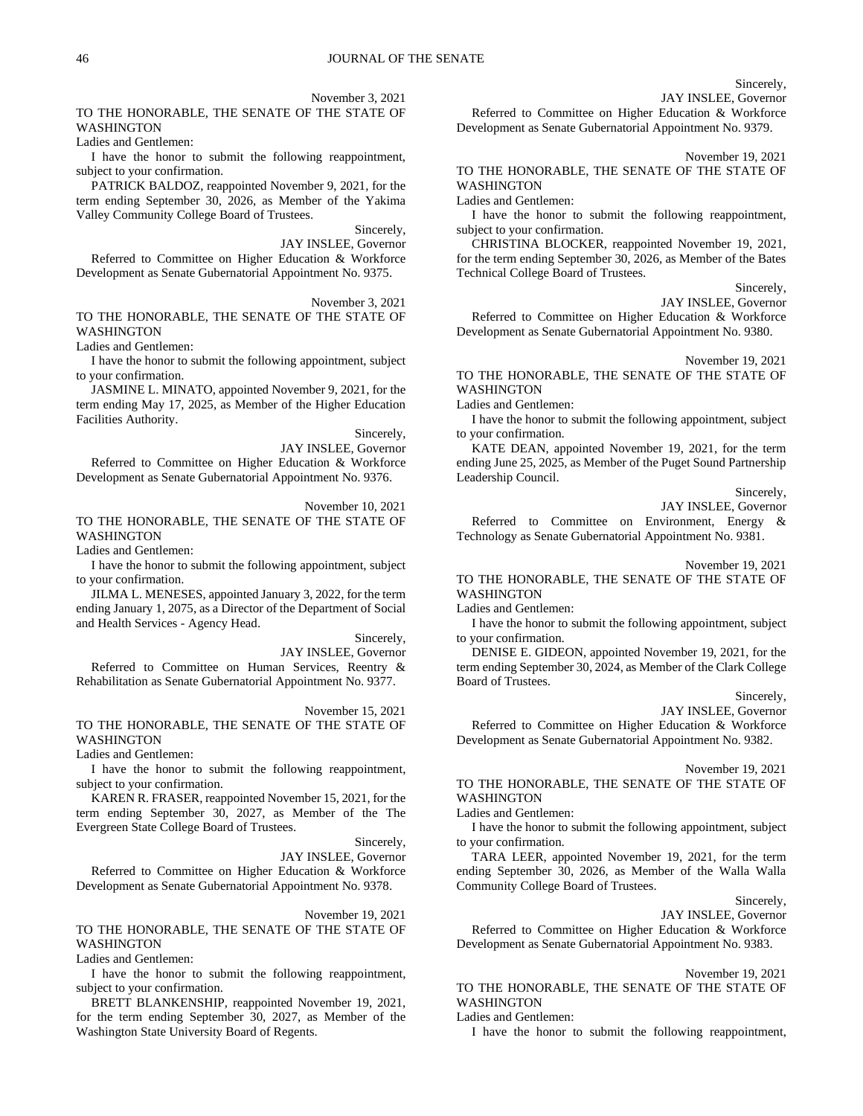### Sincerely,

JAY INSLEE, Governor

Referred to Committee on Higher Education & Workforce Development as Senate Gubernatorial Appointment No. 9379.

Ladies and Gentlemen:

TO THE HONORABLE, THE SENATE OF THE STATE OF

I have the honor to submit the following reappointment, subject to your confirmation.

PATRICK BALDOZ, reappointed November 9, 2021, for the term ending September 30, 2026, as Member of the Yakima Valley Community College Board of Trustees.

> Sincerely, JAY INSLEE, Governor

November 3, 2021

Referred to Committee on Higher Education & Workforce Development as Senate Gubernatorial Appointment No. 9375.

November 3, 2021 TO THE HONORABLE, THE SENATE OF THE STATE OF

WASHINGTON

WASHINGTON

Ladies and Gentlemen:

I have the honor to submit the following appointment, subject to your confirmation.

JASMINE L. MINATO, appointed November 9, 2021, for the term ending May 17, 2025, as Member of the Higher Education Facilities Authority.

Sincerely,

JAY INSLEE, Governor

Referred to Committee on Higher Education & Workforce Development as Senate Gubernatorial Appointment No. 9376.

November 10, 2021

TO THE HONORABLE, THE SENATE OF THE STATE OF WASHINGTON

Ladies and Gentlemen:

I have the honor to submit the following appointment, subject to your confirmation.

JILMA L. MENESES, appointed January 3, 2022, for the term ending January 1, 2075, as a Director of the Department of Social and Health Services - Agency Head.

Sincerely,

JAY INSLEE, Governor

Referred to Committee on Human Services, Reentry & Rehabilitation as Senate Gubernatorial Appointment No. 9377.

November 15, 2021

TO THE HONORABLE, THE SENATE OF THE STATE OF WASHINGTON

Ladies and Gentlemen:

I have the honor to submit the following reappointment, subject to your confirmation.

KAREN R. FRASER, reappointed November 15, 2021, for the term ending September 30, 2027, as Member of the The Evergreen State College Board of Trustees.

Sincerely,

JAY INSLEE, Governor Referred to Committee on Higher Education & Workforce Development as Senate Gubernatorial Appointment No. 9378.

November 19, 2021

TO THE HONORABLE, THE SENATE OF THE STATE OF WASHINGTON

Ladies and Gentlemen:

I have the honor to submit the following reappointment, subject to your confirmation.

BRETT BLANKENSHIP, reappointed November 19, 2021, for the term ending September 30, 2027, as Member of the Washington State University Board of Regents.

November 19, 2021

TO THE HONORABLE, THE SENATE OF THE STATE OF WASHINGTON

Ladies and Gentlemen:

I have the honor to submit the following reappointment, subject to your confirmation.

CHRISTINA BLOCKER, reappointed November 19, 2021, for the term ending September 30, 2026, as Member of the Bates Technical College Board of Trustees.

Sincerely,

JAY INSLEE, Governor

Referred to Committee on Higher Education & Workforce Development as Senate Gubernatorial Appointment No. 9380.

November 19, 2021

TO THE HONORABLE, THE SENATE OF THE STATE OF WASHINGTON

Ladies and Gentlemen:

I have the honor to submit the following appointment, subject to your confirmation.

KATE DEAN, appointed November 19, 2021, for the term ending June 25, 2025, as Member of the Puget Sound Partnership Leadership Council.

Sincerely,

JAY INSLEE, Governor Referred to Committee on Environment, Energy & Technology as Senate Gubernatorial Appointment No. 9381.

November 19, 2021

TO THE HONORABLE, THE SENATE OF THE STATE OF WASHINGTON

Ladies and Gentlemen:

I have the honor to submit the following appointment, subject to your confirmation.

DENISE E. GIDEON, appointed November 19, 2021, for the term ending September 30, 2024, as Member of the Clark College Board of Trustees.

Sincerely,

JAY INSLEE, Governor

Referred to Committee on Higher Education & Workforce Development as Senate Gubernatorial Appointment No. 9382.

November 19, 2021

TO THE HONORABLE, THE SENATE OF THE STATE OF **WASHINGTON** 

Ladies and Gentlemen:

I have the honor to submit the following appointment, subject to your confirmation.

TARA LEER, appointed November 19, 2021, for the term ending September 30, 2026, as Member of the Walla Walla Community College Board of Trustees.

Sincerely,

JAY INSLEE, Governor

Referred to Committee on Higher Education & Workforce Development as Senate Gubernatorial Appointment No. 9383.

November 19, 2021 TO THE HONORABLE, THE SENATE OF THE STATE OF WASHINGTON

Ladies and Gentlemen:

I have the honor to submit the following reappointment,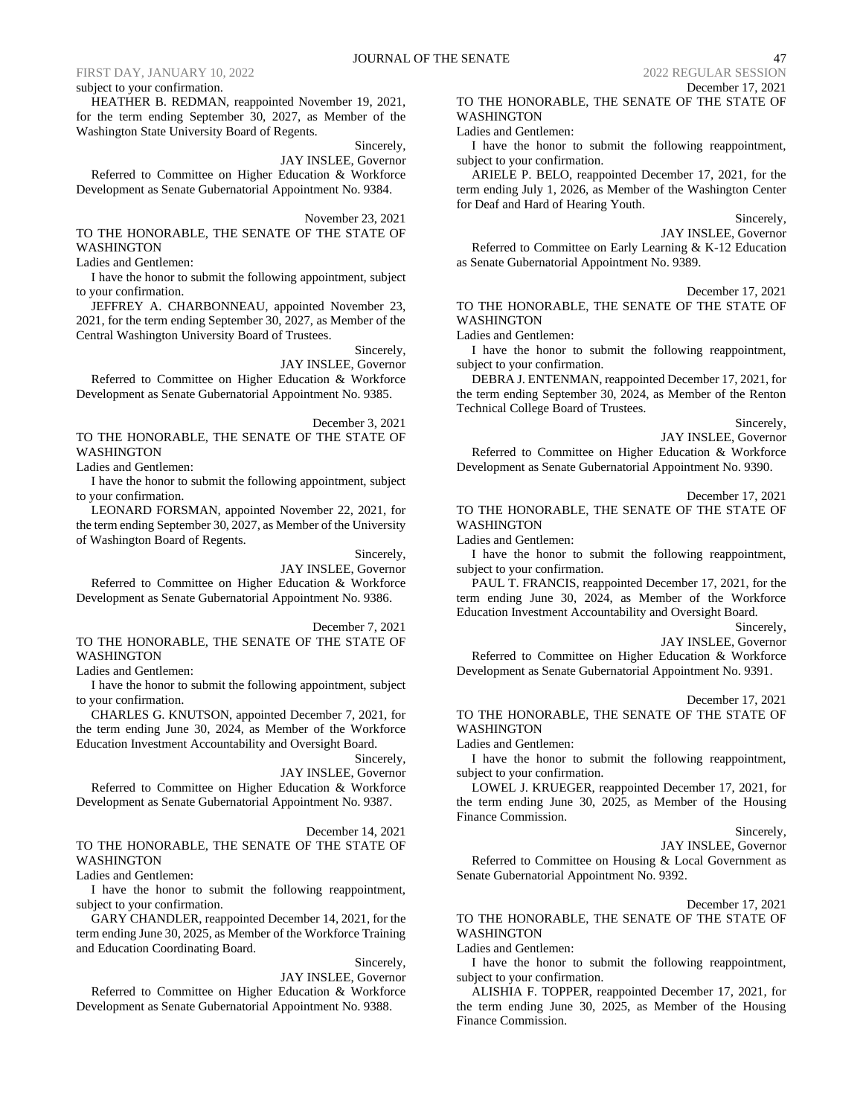### subject to your confirmation.

HEATHER B. REDMAN, reappointed November 19, 2021, for the term ending September 30, 2027, as Member of the Washington State University Board of Regents.

Sincerely,

JAY INSLEE, Governor Referred to Committee on Higher Education & Workforce Development as Senate Gubernatorial Appointment No. 9384.

November 23, 2021

TO THE HONORABLE, THE SENATE OF THE STATE OF WASHINGTON

Ladies and Gentlemen:

I have the honor to submit the following appointment, subject to your confirmation.

JEFFREY A. CHARBONNEAU, appointed November 23, 2021, for the term ending September 30, 2027, as Member of the Central Washington University Board of Trustees.

Sincerely, JAY INSLEE, Governor

Referred to Committee on Higher Education & Workforce Development as Senate Gubernatorial Appointment No. 9385.

December 3, 2021

TO THE HONORABLE, THE SENATE OF THE STATE OF WASHINGTON

Ladies and Gentlemen:

I have the honor to submit the following appointment, subject to your confirmation.

LEONARD FORSMAN, appointed November 22, 2021, for the term ending September 30, 2027, as Member of the University of Washington Board of Regents.

Sincerely,

JAY INSLEE, Governor

Referred to Committee on Higher Education & Workforce Development as Senate Gubernatorial Appointment No. 9386.

December 7, 2021

TO THE HONORABLE, THE SENATE OF THE STATE OF **WASHINGTON** 

Ladies and Gentlemen:

I have the honor to submit the following appointment, subject to your confirmation.

CHARLES G. KNUTSON, appointed December 7, 2021, for the term ending June 30, 2024, as Member of the Workforce Education Investment Accountability and Oversight Board.

Sincerely,

JAY INSLEE, Governor

Referred to Committee on Higher Education & Workforce Development as Senate Gubernatorial Appointment No. 9387.

December 14, 2021 TO THE HONORABLE, THE SENATE OF THE STATE OF WASHINGTON

Ladies and Gentlemen:

I have the honor to submit the following reappointment, subject to your confirmation.

GARY CHANDLER, reappointed December 14, 2021, for the term ending June 30, 2025, as Member of the Workforce Training and Education Coordinating Board.

Sincerely,

JAY INSLEE, Governor

Referred to Committee on Higher Education & Workforce Development as Senate Gubernatorial Appointment No. 9388.

December 17, 2021 TO THE HONORABLE, THE SENATE OF THE STATE OF WASHINGTON

Ladies and Gentlemen:

I have the honor to submit the following reappointment, subject to your confirmation.

ARIELE P. BELO, reappointed December 17, 2021, for the term ending July 1, 2026, as Member of the Washington Center for Deaf and Hard of Hearing Youth.

Sincerely,

JAY INSLEE, Governor

Referred to Committee on Early Learning & K-12 Education as Senate Gubernatorial Appointment No. 9389.

December 17, 2021

TO THE HONORABLE, THE SENATE OF THE STATE OF WASHINGTON

Ladies and Gentlemen:

I have the honor to submit the following reappointment, subject to your confirmation.

DEBRA J. ENTENMAN, reappointed December 17, 2021, for the term ending September 30, 2024, as Member of the Renton Technical College Board of Trustees.

Sincerely,

JAY INSLEE, Governor Referred to Committee on Higher Education & Workforce Development as Senate Gubernatorial Appointment No. 9390.

December 17, 2021

TO THE HONORABLE, THE SENATE OF THE STATE OF WASHINGTON

Ladies and Gentlemen:

I have the honor to submit the following reappointment, subject to your confirmation.

PAUL T. FRANCIS, reappointed December 17, 2021, for the term ending June 30, 2024, as Member of the Workforce Education Investment Accountability and Oversight Board.

Sincerely,

JAY INSLEE, Governor

Referred to Committee on Higher Education & Workforce Development as Senate Gubernatorial Appointment No. 9391.

December 17, 2021

TO THE HONORABLE, THE SENATE OF THE STATE OF WASHINGTON

Ladies and Gentlemen:

I have the honor to submit the following reappointment, subject to your confirmation.

LOWEL J. KRUEGER, reappointed December 17, 2021, for the term ending June 30, 2025, as Member of the Housing Finance Commission.

Sincerely,

JAY INSLEE, Governor

Referred to Committee on Housing & Local Government as Senate Gubernatorial Appointment No. 9392.

December 17, 2021

TO THE HONORABLE, THE SENATE OF THE STATE OF WASHINGTON

Ladies and Gentlemen:

I have the honor to submit the following reappointment, subject to your confirmation.

ALISHIA F. TOPPER, reappointed December 17, 2021, for the term ending June 30, 2025, as Member of the Housing Finance Commission.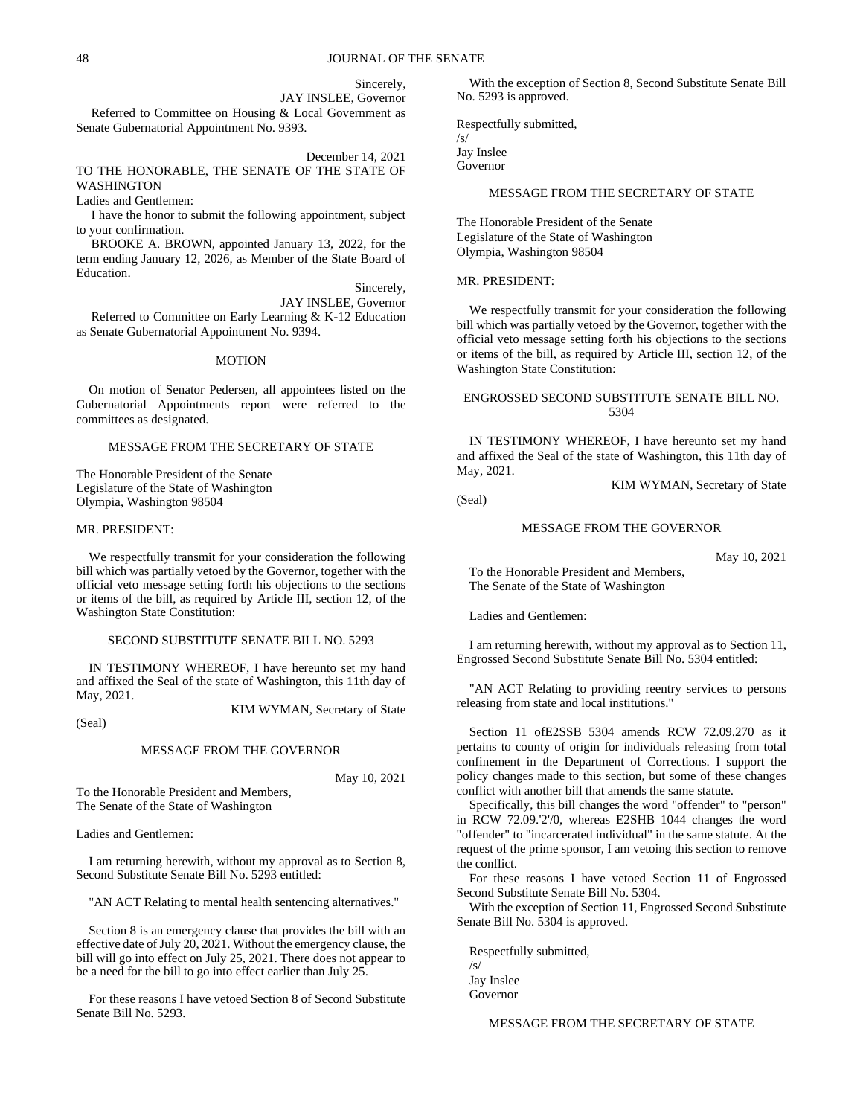Sincerely,

JAY INSLEE, Governor Referred to Committee on Housing & Local Government as Senate Gubernatorial Appointment No. 9393.

December 14, 2021 TO THE HONORABLE, THE SENATE OF THE STATE OF WASHINGTON

Ladies and Gentlemen:

I have the honor to submit the following appointment, subject to your confirmation.

BROOKE A. BROWN, appointed January 13, 2022, for the term ending January 12, 2026, as Member of the State Board of Education.

Sincerely,

JAY INSLEE, Governor Referred to Committee on Early Learning & K-12 Education as Senate Gubernatorial Appointment No. 9394.

### MOTION

On motion of Senator Pedersen, all appointees listed on the Gubernatorial Appointments report were referred to the committees as designated.

### MESSAGE FROM THE SECRETARY OF STATE

The Honorable President of the Senate Legislature of the State of Washington Olympia, Washington 98504

### MR. PRESIDENT:

We respectfully transmit for your consideration the following bill which was partially vetoed by the Governor, together with the official veto message setting forth his objections to the sections or items of the bill, as required by Article III, section 12, of the Washington State Constitution:

### SECOND SUBSTITUTE SENATE BILL NO. 5293

IN TESTIMONY WHEREOF, I have hereunto set my hand and affixed the Seal of the state of Washington, this 11th day of May, 2021.

(Seal)

### MESSAGE FROM THE GOVERNOR

May 10, 2021

KIM WYMAN, Secretary of State

To the Honorable President and Members, The Senate of the State of Washington

Ladies and Gentlemen:

I am returning herewith, without my approval as to Section 8, Second Substitute Senate Bill No. 5293 entitled:

"AN ACT Relating to mental health sentencing alternatives."

Section 8 is an emergency clause that provides the bill with an effective date of July 20, 2021. Without the emergency clause, the bill will go into effect on July 25, 2021. There does not appear to be a need for the bill to go into effect earlier than July 25.

For these reasons I have vetoed Section 8 of Second Substitute Senate Bill No. 5293.

With the exception of Section 8, Second Substitute Senate Bill No. 5293 is approved.

Respectfully submitted,

Jay Inslee Governor

/s/

### MESSAGE FROM THE SECRETARY OF STATE

The Honorable President of the Senate Legislature of the State of Washington Olympia, Washington 98504

MR. PRESIDENT:

We respectfully transmit for your consideration the following bill which was partially vetoed by the Governor, together with the official veto message setting forth his objections to the sections or items of the bill, as required by Article III, section 12, of the Washington State Constitution:

### ENGROSSED SECOND SUBSTITUTE SENATE BILL NO. 5304

IN TESTIMONY WHEREOF, I have hereunto set my hand and affixed the Seal of the state of Washington, this 11th day of May, 2021.

KIM WYMAN, Secretary of State

(Seal)

### MESSAGE FROM THE GOVERNOR

May 10, 2021

To the Honorable President and Members, The Senate of the State of Washington

Ladies and Gentlemen:

I am returning herewith, without my approval as to Section 11, Engrossed Second Substitute Senate Bill No. 5304 entitled:

"AN ACT Relating to providing reentry services to persons releasing from state and local institutions."

Section 11 ofE2SSB 5304 amends RCW 72.09.270 as it pertains to county of origin for individuals releasing from total confinement in the Department of Corrections. I support the policy changes made to this section, but some of these changes conflict with another bill that amends the same statute.

Specifically, this bill changes the word "offender" to "person" in RCW 72.09.'2'/0, whereas E2SHB 1044 changes the word "offender" to "incarcerated individual" in the same statute. At the request of the prime sponsor, I am vetoing this section to remove the conflict.

For these reasons I have vetoed Section 11 of Engrossed Second Substitute Senate Bill No. 5304.

With the exception of Section 11, Engrossed Second Substitute Senate Bill No. 5304 is approved.

Respectfully submitted, /s/ Jay Inslee Governor

MESSAGE FROM THE SECRETARY OF STATE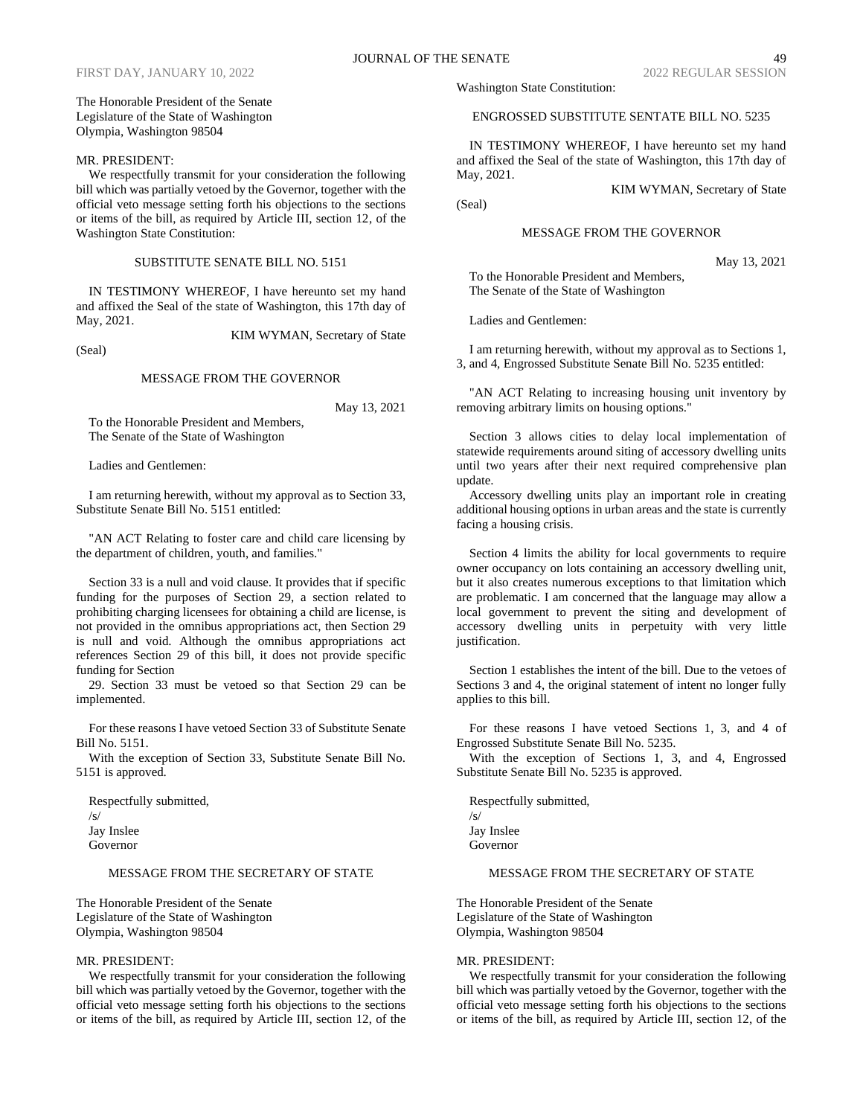### The Honorable President of the Senate Legislature of the State of Washington Olympia, Washington 98504

### MR. PRESIDENT:

We respectfully transmit for your consideration the following bill which was partially vetoed by the Governor, together with the official veto message setting forth his objections to the sections or items of the bill, as required by Article III, section 12, of the Washington State Constitution:

### SUBSTITUTE SENATE BILL NO. 5151

IN TESTIMONY WHEREOF, I have hereunto set my hand and affixed the Seal of the state of Washington, this 17th day of May, 2021.

(Seal)

### MESSAGE FROM THE GOVERNOR

May 13, 2021

KIM WYMAN, Secretary of State

To the Honorable President and Members, The Senate of the State of Washington

Ladies and Gentlemen:

I am returning herewith, without my approval as to Section 33, Substitute Senate Bill No. 5151 entitled:

"AN ACT Relating to foster care and child care licensing by the department of children, youth, and families."

Section 33 is a null and void clause. It provides that if specific funding for the purposes of Section 29, a section related to prohibiting charging licensees for obtaining a child are license, is not provided in the omnibus appropriations act, then Section 29 is null and void. Although the omnibus appropriations act references Section 29 of this bill, it does not provide specific funding for Section

29. Section 33 must be vetoed so that Section 29 can be implemented.

For these reasons I have vetoed Section 33 of Substitute Senate Bill No. 5151.

With the exception of Section 33, Substitute Senate Bill No. 5151 is approved.

Respectfully submitted, /s/ Jay Inslee Governor

### MESSAGE FROM THE SECRETARY OF STATE

The Honorable President of the Senate Legislature of the State of Washington Olympia, Washington 98504

### MR. PRESIDENT:

We respectfully transmit for your consideration the following bill which was partially vetoed by the Governor, together with the official veto message setting forth his objections to the sections or items of the bill, as required by Article III, section 12, of the Washington State Constitution:

### ENGROSSED SUBSTITUTE SENTATE BILL NO. 5235

IN TESTIMONY WHEREOF, I have hereunto set my hand and affixed the Seal of the state of Washington, this 17th day of May, 2021.

(Seal)

### MESSAGE FROM THE GOVERNOR

May 13, 2021

To the Honorable President and Members, The Senate of the State of Washington

Ladies and Gentlemen:

I am returning herewith, without my approval as to Sections 1, 3, and 4, Engrossed Substitute Senate Bill No. 5235 entitled:

"AN ACT Relating to increasing housing unit inventory by removing arbitrary limits on housing options."

Section 3 allows cities to delay local implementation of statewide requirements around siting of accessory dwelling units until two years after their next required comprehensive plan update.

Accessory dwelling units play an important role in creating additional housing options in urban areas and the state is currently facing a housing crisis.

Section 4 limits the ability for local governments to require owner occupancy on lots containing an accessory dwelling unit, but it also creates numerous exceptions to that limitation which are problematic. I am concerned that the language may allow a local government to prevent the siting and development of accessory dwelling units in perpetuity with very little justification.

Section 1 establishes the intent of the bill. Due to the vetoes of Sections 3 and 4, the original statement of intent no longer fully applies to this bill.

For these reasons I have vetoed Sections 1, 3, and 4 of Engrossed Substitute Senate Bill No. 5235.

With the exception of Sections 1, 3, and 4, Engrossed Substitute Senate Bill No. 5235 is approved.

Respectfully submitted, /s/ Jay Inslee Governor

### MESSAGE FROM THE SECRETARY OF STATE

The Honorable President of the Senate Legislature of the State of Washington Olympia, Washington 98504

### MR. PRESIDENT:

We respectfully transmit for your consideration the following bill which was partially vetoed by the Governor, together with the official veto message setting forth his objections to the sections or items of the bill, as required by Article III, section 12, of the

KIM WYMAN, Secretary of State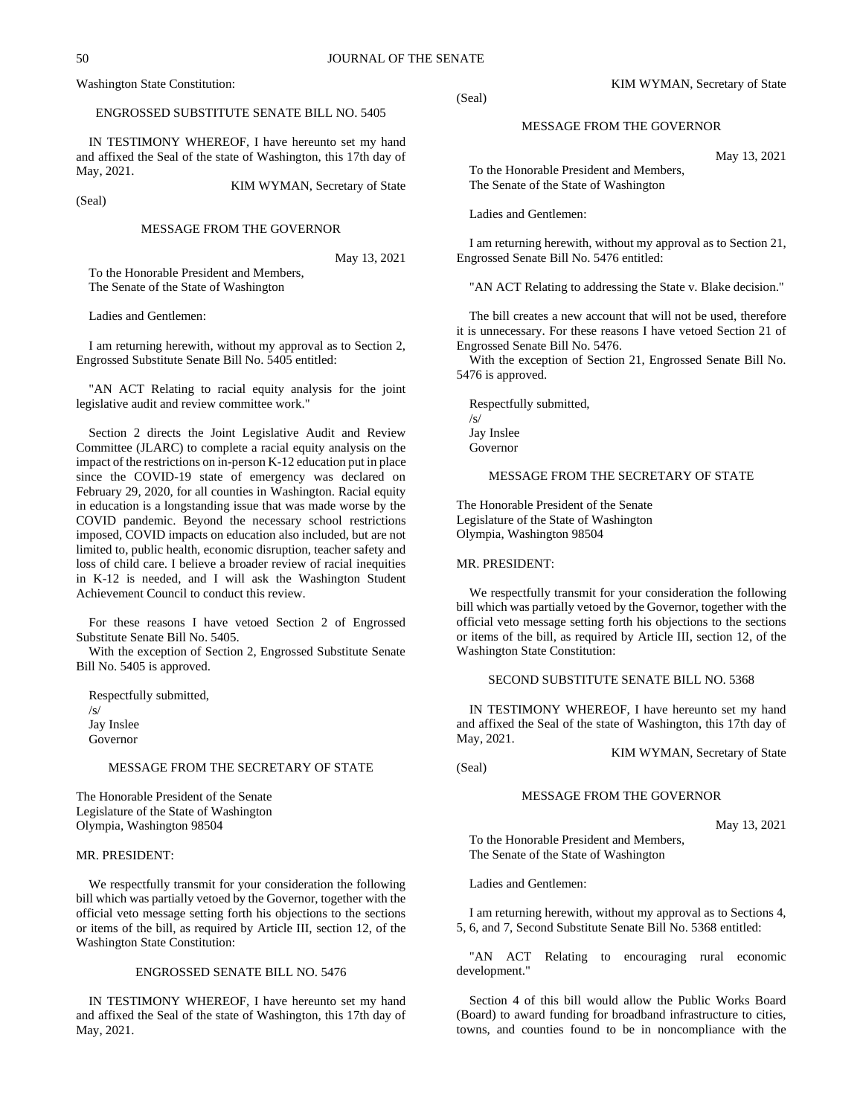Washington State Constitution:

### ENGROSSED SUBSTITUTE SENATE BILL NO. 5405

IN TESTIMONY WHEREOF, I have hereunto set my hand and affixed the Seal of the state of Washington, this 17th day of May, 2021.

(Seal)

### MESSAGE FROM THE GOVERNOR

May 13, 2021

KIM WYMAN, Secretary of State

To the Honorable President and Members, The Senate of the State of Washington

Ladies and Gentlemen:

I am returning herewith, without my approval as to Section 2, Engrossed Substitute Senate Bill No. 5405 entitled:

"AN ACT Relating to racial equity analysis for the joint legislative audit and review committee work."

Section 2 directs the Joint Legislative Audit and Review Committee (JLARC) to complete a racial equity analysis on the impact of the restrictions on in-person K-12 education put in place since the COVID-19 state of emergency was declared on February 29, 2020, for all counties in Washington. Racial equity in education is a longstanding issue that was made worse by the COVID pandemic. Beyond the necessary school restrictions imposed, COVID impacts on education also included, but are not limited to, public health, economic disruption, teacher safety and loss of child care. I believe a broader review of racial inequities in K-12 is needed, and I will ask the Washington Student Achievement Council to conduct this review.

For these reasons I have vetoed Section 2 of Engrossed Substitute Senate Bill No. 5405.

With the exception of Section 2, Engrossed Substitute Senate Bill No. 5405 is approved.

Respectfully submitted, /s/ Jay Inslee Governor

### MESSAGE FROM THE SECRETARY OF STATE

The Honorable President of the Senate Legislature of the State of Washington Olympia, Washington 98504

### MR. PRESIDENT:

We respectfully transmit for your consideration the following bill which was partially vetoed by the Governor, together with the official veto message setting forth his objections to the sections or items of the bill, as required by Article III, section 12, of the Washington State Constitution:

### ENGROSSED SENATE BILL NO. 5476

IN TESTIMONY WHEREOF, I have hereunto set my hand and affixed the Seal of the state of Washington, this 17th day of May, 2021.

(Seal)

### MESSAGE FROM THE GOVERNOR

May 13, 2021

To the Honorable President and Members, The Senate of the State of Washington

Ladies and Gentlemen:

I am returning herewith, without my approval as to Section 21, Engrossed Senate Bill No. 5476 entitled:

"AN ACT Relating to addressing the State v. Blake decision."

The bill creates a new account that will not be used, therefore it is unnecessary. For these reasons I have vetoed Section 21 of Engrossed Senate Bill No. 5476.

With the exception of Section 21, Engrossed Senate Bill No. 5476 is approved.

Respectfully submitted, /s/ Jay Inslee Governor

### MESSAGE FROM THE SECRETARY OF STATE

The Honorable President of the Senate Legislature of the State of Washington Olympia, Washington 98504

### MR. PRESIDENT:

We respectfully transmit for your consideration the following bill which was partially vetoed by the Governor, together with the official veto message setting forth his objections to the sections or items of the bill, as required by Article III, section 12, of the Washington State Constitution:

SECOND SUBSTITUTE SENATE BILL NO. 5368

IN TESTIMONY WHEREOF, I have hereunto set my hand and affixed the Seal of the state of Washington, this 17th day of May, 2021.

KIM WYMAN, Secretary of State

(Seal)

### MESSAGE FROM THE GOVERNOR

May 13, 2021

To the Honorable President and Members, The Senate of the State of Washington

Ladies and Gentlemen:

I am returning herewith, without my approval as to Sections 4, 5, 6, and 7, Second Substitute Senate Bill No. 5368 entitled:

"AN ACT Relating to encouraging rural economic development."

Section 4 of this bill would allow the Public Works Board (Board) to award funding for broadband infrastructure to cities, towns, and counties found to be in noncompliance with the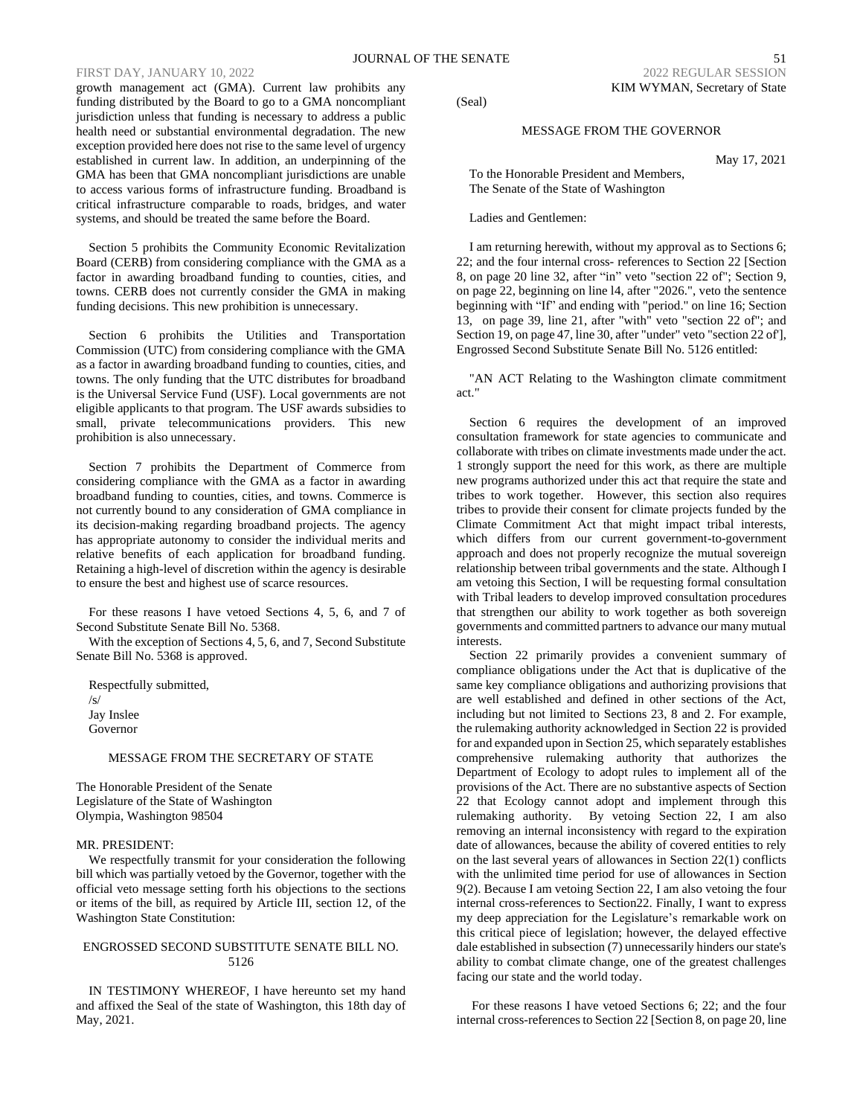growth management act (GMA). Current law prohibits any funding distributed by the Board to go to a GMA noncompliant jurisdiction unless that funding is necessary to address a public health need or substantial environmental degradation. The new exception provided here does not rise to the same level of urgency established in current law. In addition, an underpinning of the GMA has been that GMA noncompliant jurisdictions are unable to access various forms of infrastructure funding. Broadband is critical infrastructure comparable to roads, bridges, and water systems, and should be treated the same before the Board.

Section 5 prohibits the Community Economic Revitalization Board (CERB) from considering compliance with the GMA as a factor in awarding broadband funding to counties, cities, and towns. CERB does not currently consider the GMA in making funding decisions. This new prohibition is unnecessary.

Section 6 prohibits the Utilities and Transportation Commission (UTC) from considering compliance with the GMA as a factor in awarding broadband funding to counties, cities, and towns. The only funding that the UTC distributes for broadband is the Universal Service Fund (USF). Local governments are not eligible applicants to that program. The USF awards subsidies to small, private telecommunications providers. This new prohibition is also unnecessary.

Section 7 prohibits the Department of Commerce from considering compliance with the GMA as a factor in awarding broadband funding to counties, cities, and towns. Commerce is not currently bound to any consideration of GMA compliance in its decision-making regarding broadband projects. The agency has appropriate autonomy to consider the individual merits and relative benefits of each application for broadband funding. Retaining a high-level of discretion within the agency is desirable to ensure the best and highest use of scarce resources.

For these reasons I have vetoed Sections 4, 5, 6, and 7 of Second Substitute Senate Bill No. 5368.

With the exception of Sections 4, 5, 6, and 7, Second Substitute Senate Bill No. 5368 is approved.

Respectfully submitted,  $\sqrt{s}$ Jay Inslee Governor

### MESSAGE FROM THE SECRETARY OF STATE

The Honorable President of the Senate Legislature of the State of Washington Olympia, Washington 98504

### MR. PRESIDENT:

We respectfully transmit for your consideration the following bill which was partially vetoed by the Governor, together with the official veto message setting forth his objections to the sections or items of the bill, as required by Article III, section 12, of the Washington State Constitution:

### ENGROSSED SECOND SUBSTITUTE SENATE BILL NO. 5126

IN TESTIMONY WHEREOF, I have hereunto set my hand and affixed the Seal of the state of Washington, this 18th day of May, 2021.

(Seal)

### MESSAGE FROM THE GOVERNOR

May 17, 2021

To the Honorable President and Members, The Senate of the State of Washington

Ladies and Gentlemen:

I am returning herewith, without my approval as to Sections 6; 22; and the four internal cross- references to Section 22 [Section 8, on page 20 line 32, after "in" veto "section 22 of"; Section 9, on page 22, beginning on line l4, after "2026.", veto the sentence beginning with "If" and ending with "period." on line 16; Section 13, on page 39, line 21, after "with" veto "section 22 of"; and Section 19, on page 47, line 30, after "under" veto "section 22 of'], Engrossed Second Substitute Senate Bill No. 5126 entitled:

"AN ACT Relating to the Washington climate commitment act."

Section 6 requires the development of an improved consultation framework for state agencies to communicate and collaborate with tribes on climate investments made under the act. 1 strongly support the need for this work, as there are multiple new programs authorized under this act that require the state and tribes to work together. However, this section also requires tribes to provide their consent for climate projects funded by the Climate Commitment Act that might impact tribal interests, which differs from our current government-to-government approach and does not properly recognize the mutual sovereign relationship between tribal governments and the state. Although I am vetoing this Section, I will be requesting formal consultation with Tribal leaders to develop improved consultation procedures that strengthen our ability to work together as both sovereign governments and committed partners to advance our many mutual interests.

Section 22 primarily provides a convenient summary of compliance obligations under the Act that is duplicative of the same key compliance obligations and authorizing provisions that are well established and defined in other sections of the Act, including but not limited to Sections 23, 8 and 2. For example, the rulemaking authority acknowledged in Section 22 is provided for and expanded upon in Section 25, which separately establishes comprehensive rulemaking authority that authorizes the Department of Ecology to adopt rules to implement all of the provisions of the Act. There are no substantive aspects of Section 22 that Ecology cannot adopt and implement through this rulemaking authority. By vetoing Section 22, I am also removing an internal inconsistency with regard to the expiration date of allowances, because the ability of covered entities to rely on the last several years of allowances in Section 22(1) conflicts with the unlimited time period for use of allowances in Section 9(2). Because I am vetoing Section 22, I am also vetoing the four internal cross-references to Section22. Finally, I want to express my deep appreciation for the Legislature's remarkable work on this critical piece of legislation; however, the delayed effective dale established in subsection (7) unnecessarily hinders our state's ability to combat climate change, one of the greatest challenges facing our state and the world today.

For these reasons I have vetoed Sections 6; 22; and the four internal cross-references to Section 22 [Section 8, on page 20, line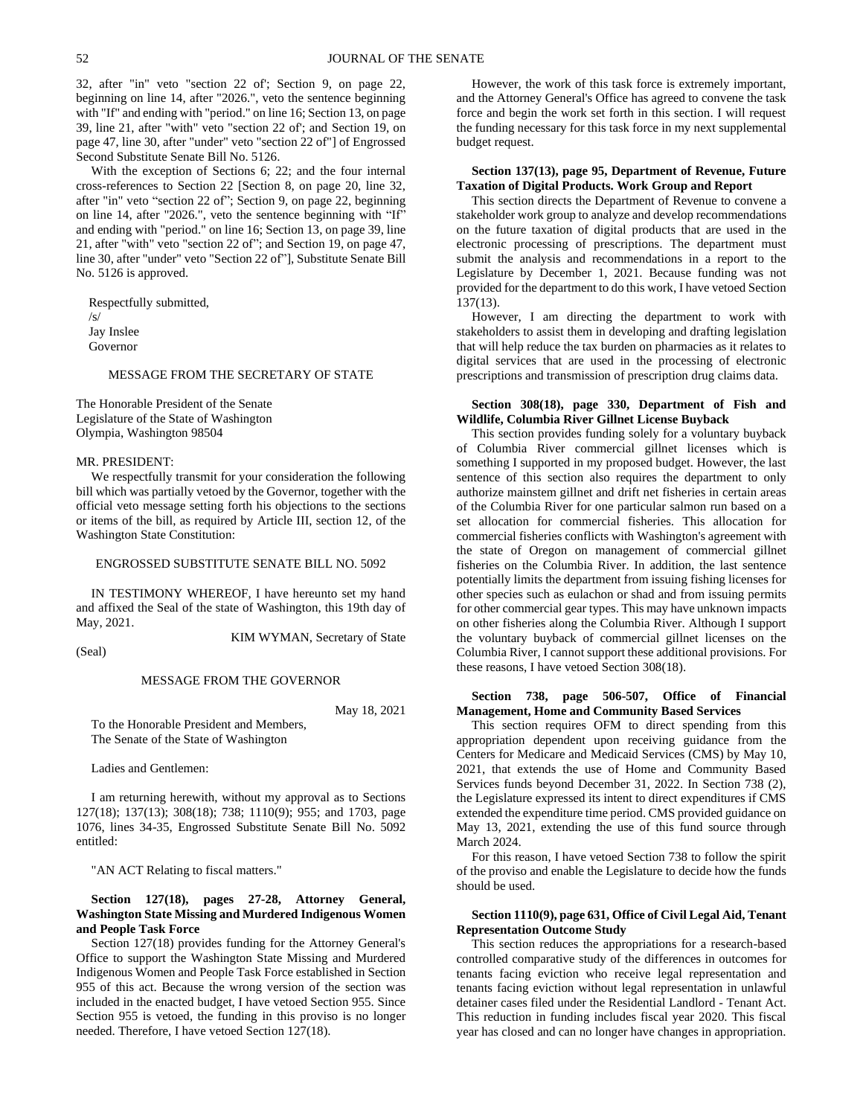32, after "in" veto "section 22 of'; Section 9, on page 22, beginning on line 14, after "2026.", veto the sentence beginning with "If" and ending with "period." on line 16; Section 13, on page 39, line 21, after "with" veto "section 22 of'; and Section 19, on page 47, line 30, after "under" veto "section 22 of"] of Engrossed Second Substitute Senate Bill No. 5126.

With the exception of Sections 6; 22; and the four internal cross-references to Section 22 [Section 8, on page 20, line 32, after "in" veto "section 22 of"; Section 9, on page 22, beginning on line 14, after "2026.", veto the sentence beginning with "If" and ending with "period." on line 16; Section 13, on page 39, line 21, after "with" veto "section 22 of"; and Section 19, on page 47, line 30, after "under" veto "Section 22 of"], Substitute Senate Bill No. 5126 is approved.

Respectfully submitted, /s/ Jay Inslee Governor

### MESSAGE FROM THE SECRETARY OF STATE

The Honorable President of the Senate Legislature of the State of Washington Olympia, Washington 98504

### MR. PRESIDENT:

We respectfully transmit for your consideration the following bill which was partially vetoed by the Governor, together with the official veto message setting forth his objections to the sections or items of the bill, as required by Article III, section 12, of the Washington State Constitution:

### ENGROSSED SUBSTITUTE SENATE BILL NO. 5092

IN TESTIMONY WHEREOF, I have hereunto set my hand and affixed the Seal of the state of Washington, this 19th day of May, 2021.

(Seal)

KIM WYMAN, Secretary of State

MESSAGE FROM THE GOVERNOR

May 18, 2021

To the Honorable President and Members, The Senate of the State of Washington

Ladies and Gentlemen:

I am returning herewith, without my approval as to Sections 127(18); 137(13); 308(18); 738; 1110(9); 955; and 1703, page 1076, lines 34-35, Engrossed Substitute Senate Bill No. 5092 entitled:

"AN ACT Relating to fiscal matters."

### **Section 127(18), pages 27-28, Attorney General, Washington State Missing and Murdered Indigenous Women and People Task Force**

Section 127(18) provides funding for the Attorney General's Office to support the Washington State Missing and Murdered Indigenous Women and People Task Force established in Section 955 of this act. Because the wrong version of the section was included in the enacted budget, I have vetoed Section 955. Since Section 955 is vetoed, the funding in this proviso is no longer needed. Therefore, I have vetoed Section 127(18).

However, the work of this task force is extremely important, and the Attorney General's Office has agreed to convene the task force and begin the work set forth in this section. I will request the funding necessary for this task force in my next supplemental budget request.

### **Section 137(13), page 95, Department of Revenue, Future Taxation of Digital Products. Work Group and Report**

This section directs the Department of Revenue to convene a stakeholder work group to analyze and develop recommendations on the future taxation of digital products that are used in the electronic processing of prescriptions. The department must submit the analysis and recommendations in a report to the Legislature by December 1, 2021. Because funding was not provided for the department to do this work, I have vetoed Section 137(13).

However, I am directing the department to work with stakeholders to assist them in developing and drafting legislation that will help reduce the tax burden on pharmacies as it relates to digital services that are used in the processing of electronic prescriptions and transmission of prescription drug claims data.

### **Section 308(18), page 330, Department of Fish and Wildlife, Columbia River Gillnet License Buyback**

This section provides funding solely for a voluntary buyback of Columbia River commercial gillnet licenses which is something I supported in my proposed budget. However, the last sentence of this section also requires the department to only authorize mainstem gillnet and drift net fisheries in certain areas of the Columbia River for one particular salmon run based on a set allocation for commercial fisheries. This allocation for commercial fisheries conflicts with Washington's agreement with the state of Oregon on management of commercial gillnet fisheries on the Columbia River. In addition, the last sentence potentially limits the department from issuing fishing licenses for other species such as eulachon or shad and from issuing permits for other commercial gear types. This may have unknown impacts on other fisheries along the Columbia River. Although I support the voluntary buyback of commercial gillnet licenses on the Columbia River, I cannot support these additional provisions. For these reasons, I have vetoed Section 308(18).

### **Section 738, page 506-507, Office of Financial Management, Home and Community Based Services**

This section requires OFM to direct spending from this appropriation dependent upon receiving guidance from the Centers for Medicare and Medicaid Services (CMS) by May 10, 2021, that extends the use of Home and Community Based Services funds beyond December 31, 2022. In Section 738 (2), the Legislature expressed its intent to direct expenditures if CMS extended the expenditure time period. CMS provided guidance on May 13, 2021, extending the use of this fund source through March 2024.

For this reason, I have vetoed Section 738 to follow the spirit of the proviso and enable the Legislature to decide how the funds should be used.

### **Section 1110(9), page 631, Office of Civil Legal Aid, Tenant Representation Outcome Study**

This section reduces the appropriations for a research-based controlled comparative study of the differences in outcomes for tenants facing eviction who receive legal representation and tenants facing eviction without legal representation in unlawful detainer cases filed under the Residential Landlord - Tenant Act. This reduction in funding includes fiscal year 2020. This fiscal year has closed and can no longer have changes in appropriation.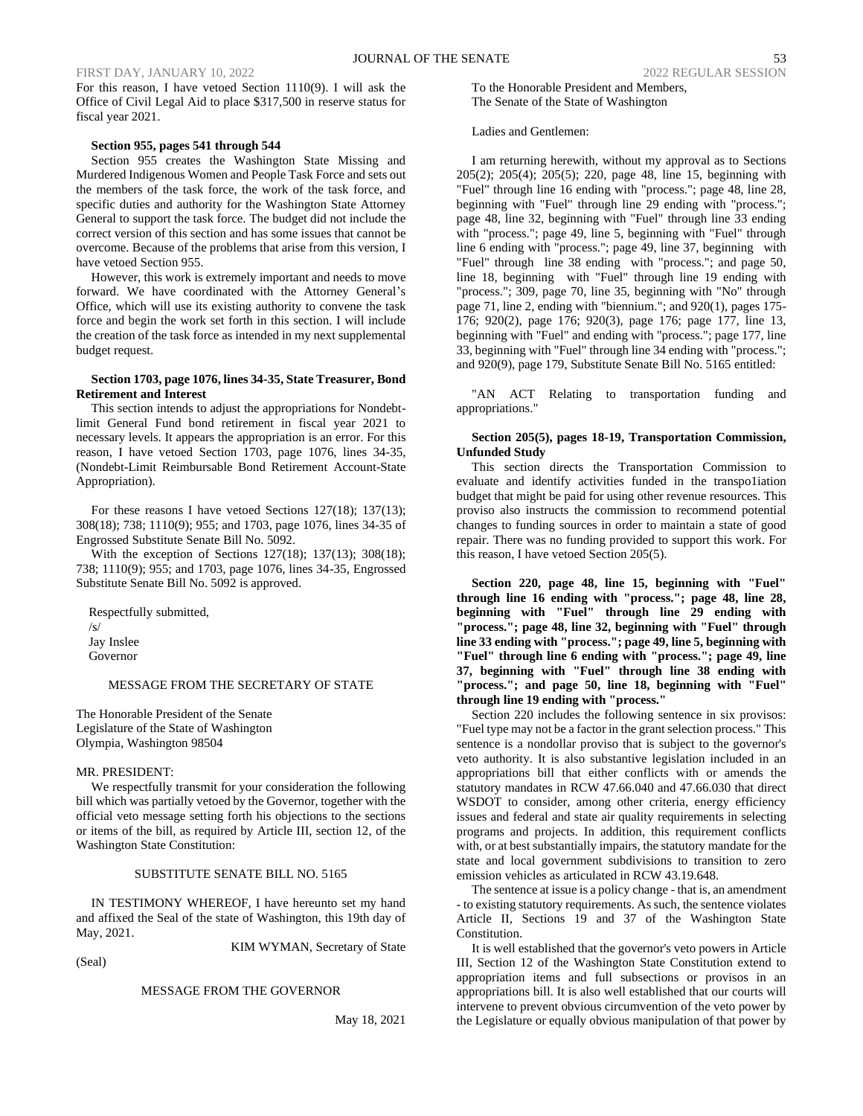For this reason, I have vetoed Section 1110(9). I will ask the Office of Civil Legal Aid to place \$317,500 in reserve status for fiscal year 2021.

### **Section 955, pages 541 through 544**

Section 955 creates the Washington State Missing and Murdered Indigenous Women and People Task Force and sets out the members of the task force, the work of the task force, and specific duties and authority for the Washington State Attorney General to support the task force. The budget did not include the correct version of this section and has some issues that cannot be overcome. Because of the problems that arise from this version, I have vetoed Section 955.

However, this work is extremely important and needs to move forward. We have coordinated with the Attorney General's Office, which will use its existing authority to convene the task force and begin the work set forth in this section. I will include the creation of the task force as intended in my next supplemental budget request.

### **Section 1703, page 1076, lines 34-35, State Treasurer, Bond Retirement and Interest**

This section intends to adjust the appropriations for Nondebtlimit General Fund bond retirement in fiscal year 2021 to necessary levels. It appears the appropriation is an error. For this reason, I have vetoed Section 1703, page 1076, lines 34-35, (Nondebt-Limit Reimbursable Bond Retirement Account-State Appropriation).

For these reasons I have vetoed Sections 127(18); 137(13); 308(18); 738; 1110(9); 955; and 1703, page 1076, lines 34-35 of Engrossed Substitute Senate Bill No. 5092.

With the exception of Sections 127(18); 137(13); 308(18); 738; 1110(9); 955; and 1703, page 1076, lines 34-35, Engrossed Substitute Senate Bill No. 5092 is approved.

Respectfully submitted,  $\sqrt{s}$ Jay Inslee Governor

### MESSAGE FROM THE SECRETARY OF STATE

The Honorable President of the Senate Legislature of the State of Washington Olympia, Washington 98504

### MR. PRESIDENT:

We respectfully transmit for your consideration the following bill which was partially vetoed by the Governor, together with the official veto message setting forth his objections to the sections or items of the bill, as required by Article III, section 12, of the Washington State Constitution:

### SUBSTITUTE SENATE BILL NO. 5165

IN TESTIMONY WHEREOF, I have hereunto set my hand and affixed the Seal of the state of Washington, this 19th day of May, 2021.

KIM WYMAN, Secretary of State

(Seal)

### MESSAGE FROM THE GOVERNOR

May 18, 2021

To the Honorable President and Members, The Senate of the State of Washington

Ladies and Gentlemen:

I am returning herewith, without my approval as to Sections 205(2); 205(4); 205(5); 220, page 48, line 15, beginning with "Fuel" through line 16 ending with "process."; page 48, line 28, beginning with "Fuel" through line 29 ending with "process."; page 48, line 32, beginning with "Fuel" through line 33 ending with "process."; page 49, line 5, beginning with "Fuel" through line 6 ending with "process."; page 49, line 37, beginning with "Fuel" through line 38 ending with "process."; and page 50, line 18, beginning with "Fuel" through line 19 ending with "process."; 309, page 70, line 35, beginning with "No" through page 71, line 2, ending with "biennium."; and 920(1), pages 175- 176; 920(2), page 176; 920(3), page 176; page 177, line 13, beginning with "Fuel" and ending with "process."; page 177, line 33, beginning with "Fuel" through line 34 ending with "process."; and 920(9), page 179, Substitute Senate Bill No. 5165 entitled:

"AN ACT Relating to transportation funding and appropriations."

### **Section 205(5), pages 18-19, Transportation Commission, Unfunded Study**

This section directs the Transportation Commission to evaluate and identify activities funded in the transpo1iation budget that might be paid for using other revenue resources. This proviso also instructs the commission to recommend potential changes to funding sources in order to maintain a state of good repair. There was no funding provided to support this work. For this reason, I have vetoed Section 205(5).

**Section 220, page 48, line 15, beginning with "Fuel" through line 16 ending with "process."; page 48, line 28, beginning with "Fuel" through line 29 ending with "process."; page 48, line 32, beginning with "Fuel" through line 33 ending with "process."; page 49, line 5, beginning with "Fuel" through line 6 ending with "process."; page 49, line 37, beginning with "Fuel" through line 38 ending with "process."; and page 50, line 18, beginning with "Fuel" through line 19 ending with "process."**

Section 220 includes the following sentence in six provisos: "Fuel type may not be a factor in the grant selection process." This sentence is a nondollar proviso that is subject to the governor's veto authority. It is also substantive legislation included in an appropriations bill that either conflicts with or amends the statutory mandates in RCW 47.66.040 and 47.66.030 that direct WSDOT to consider, among other criteria, energy efficiency issues and federal and state air quality requirements in selecting programs and projects. In addition, this requirement conflicts with, or at best substantially impairs, the statutory mandate for the state and local government subdivisions to transition to zero emission vehicles as articulated in RCW 43.19.648.

The sentence at issue is a policy change - that is, an amendment - to existing statutory requirements. As such, the sentence violates Article II, Sections 19 and 37 of the Washington State Constitution.

It is well established that the governor's veto powers in Article III, Section 12 of the Washington State Constitution extend to appropriation items and full subsections or provisos in an appropriations bill. It is also well established that our courts will intervene to prevent obvious circumvention of the veto power by the Legislature or equally obvious manipulation of that power by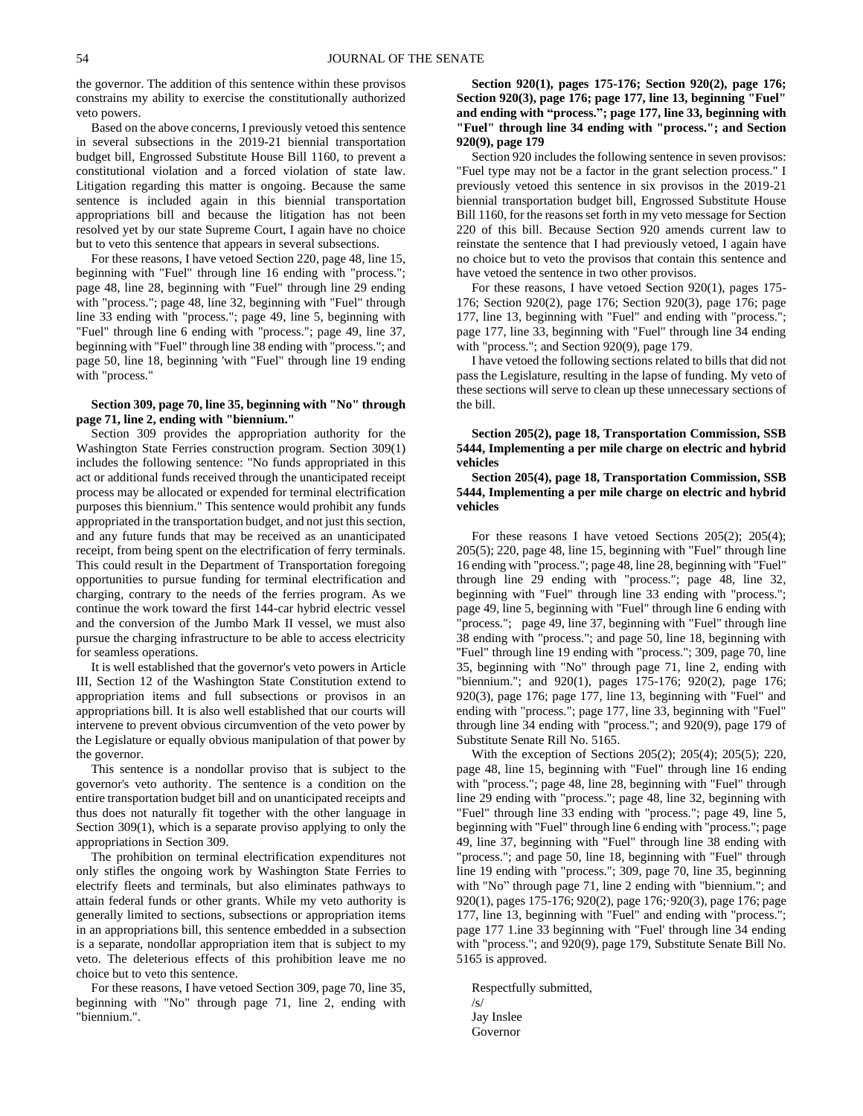the governor. The addition of this sentence within these provisos constrains my ability to exercise the constitutionally authorized veto powers.

Based on the above concerns, I previously vetoed this sentence in several subsections in the 2019-21 biennial transportation budget bill, Engrossed Substitute House Bill 1160, to prevent a constitutional violation and a forced violation of state law. Litigation regarding this matter is ongoing. Because the same sentence is included again in this biennial transportation appropriations bill and because the litigation has not been resolved yet by our state Supreme Court, I again have no choice but to veto this sentence that appears in several subsections.

For these reasons, I have vetoed Section 220, page 48, line 15, beginning with "Fuel" through line 16 ending with "process."; page 48, line 28, beginning with "Fuel" through line 29 ending with "process."; page 48, line 32, beginning with "Fuel" through line 33 ending with "process."; page 49, line 5, beginning with "Fuel" through line 6 ending with "process."; page 49, line 37, beginning with "Fuel" through line 38 ending with "process."; and page 50, line 18, beginning 'with "Fuel" through line 19 ending with "process."

### **Section 309, page 70, line 35, beginning with "No" through page 71, line 2, ending with "biennium."**

Section 309 provides the appropriation authority for the Washington State Ferries construction program. Section 309(1) includes the following sentence: "No funds appropriated in this act or additional funds received through the unanticipated receipt process may be allocated or expended for terminal electrification purposes this biennium." This sentence would prohibit any funds appropriated in the transportation budget, and not just this section, and any future funds that may be received as an unanticipated receipt, from being spent on the electrification of ferry terminals. This could result in the Department of Transportation foregoing opportunities to pursue funding for terminal electrification and charging, contrary to the needs of the ferries program. As we continue the work toward the first 144-car hybrid electric vessel and the conversion of the Jumbo Mark II vessel, we must also pursue the charging infrastructure to be able to access electricity for seamless operations.

It is well established that the governor's veto powers in Article III, Section 12 of the Washington State Constitution extend to appropriation items and full subsections or provisos in an appropriations bill. It is also well established that our courts will intervene to prevent obvious circumvention of the veto power by the Legislature or equally obvious manipulation of that power by the governor.

This sentence is a nondollar proviso that is subject to the governor's veto authority. The sentence is a condition on the entire transportation budget bill and on unanticipated receipts and thus does not naturally fit together with the other language in Section 309(1), which is a separate proviso applying to only the appropriations in Section 309.

The prohibition on terminal electrification expenditures not only stifles the ongoing work by Washington State Ferries to electrify fleets and terminals, but also eliminates pathways to attain federal funds or other grants. While my veto authority is generally limited to sections, subsections or appropriation items in an appropriations bill, this sentence embedded in a subsection is a separate, nondollar appropriation item that is subject to my veto. The deleterious effects of this prohibition leave me no choice but to veto this sentence.

For these reasons, I have vetoed Section 309, page 70, line 35, beginning with "No" through page 71, line 2, ending with "biennium.".

### **Section 920(1), pages 175-176; Section 920(2), page 176; Section 920(3), page 176; page 177, line 13, beginning "Fuel" and ending with "process."; page 177, line 33, beginning with "Fuel" through line 34 ending with "process."; and Section 920(9), page 179**

Section 920 includes the following sentence in seven provisos: "Fuel type may not be a factor in the grant selection process." I previously vetoed this sentence in six provisos in the 2019-21 biennial transportation budget bill, Engrossed Substitute House Bill 1160, for the reasons set forth in my veto message for Section 220 of this bill. Because Section 920 amends current law to reinstate the sentence that I had previously vetoed, I again have no choice but to veto the provisos that contain this sentence and have vetoed the sentence in two other provisos.

For these reasons, I have vetoed Section 920(1), pages 175- 176; Section 920(2), page 176; Section 920(3), page 176; page 177, line 13, beginning with "Fuel" and ending with "process."; page 177, line 33, beginning with "Fuel" through line 34 ending with "process."; and Section 920(9), page 179.

I have vetoed the following sections related to bills that did not pass the Legislature, resulting in the lapse of funding. My veto of these sections will serve to clean up these unnecessary sections of the bill.

### **Section 205(2), page 18, Transportation Commission, SSB 5444, Implementing a per mile charge on electric and hybrid vehicles**

**Section 205(4), page 18, Transportation Commission, SSB 5444, Implementing a per mile charge on electric and hybrid vehicles**

For these reasons I have vetoed Sections 205(2); 205(4); 205(5); 220, page 48, line 15, beginning with "Fuel" through line 16 ending with "process."; page 48, line 28, beginning with "Fuel" through line 29 ending with "process."; page 48, line 32, beginning with "Fuel" through line 33 ending with "process."; page 49, line 5, beginning with "Fuel" through line 6 ending with "process."; page 49, line 37, beginning with "Fuel" through line 38 ending with "process."; and page 50, line 18, beginning with "Fuel" through line 19 ending with "process."; 309, page 70, line 35, beginning with "No" through page 71, line 2, ending with "biennium."; and 920(1), pages 175-176; 920(2), page 176; 920(3), page 176; page 177, line 13, beginning with "Fuel" and ending with "process."; page 177, line 33, beginning with "Fuel" through line 34 ending with "process."; and 920(9), page 179 of Substitute Senate Rill No. 5165.

With the exception of Sections 205(2); 205(4); 205(5); 220, page 48, line 15, beginning with "Fuel" through line 16 ending with "process."; page 48, line 28, beginning with "Fuel" through line 29 ending with "process."; page 48, line 32, beginning with "Fuel" through line 33 ending with "process."; page 49, line 5, beginning with "Fuel" through line 6 ending with "process."; page 49, line 37, beginning with "Fuel" through line 38 ending with "process."; and page 50, line 18, beginning with "Fuel" through line 19 ending with "process."; 309, page 70, line 35, beginning with "No" through page 71, line 2 ending with "biennium."; and 920(1), pages 175-176; 920(2), page 176;·920(3), page 176; page 177, line 13, beginning with "Fuel" and ending with "process."; page 177 1.ine 33 beginning with "Fuel' through line 34 ending with "process."; and 920(9), page 179, Substitute Senate Bill No. 5165 is approved.

Respectfully submitted, /s/ Jay Inslee Governor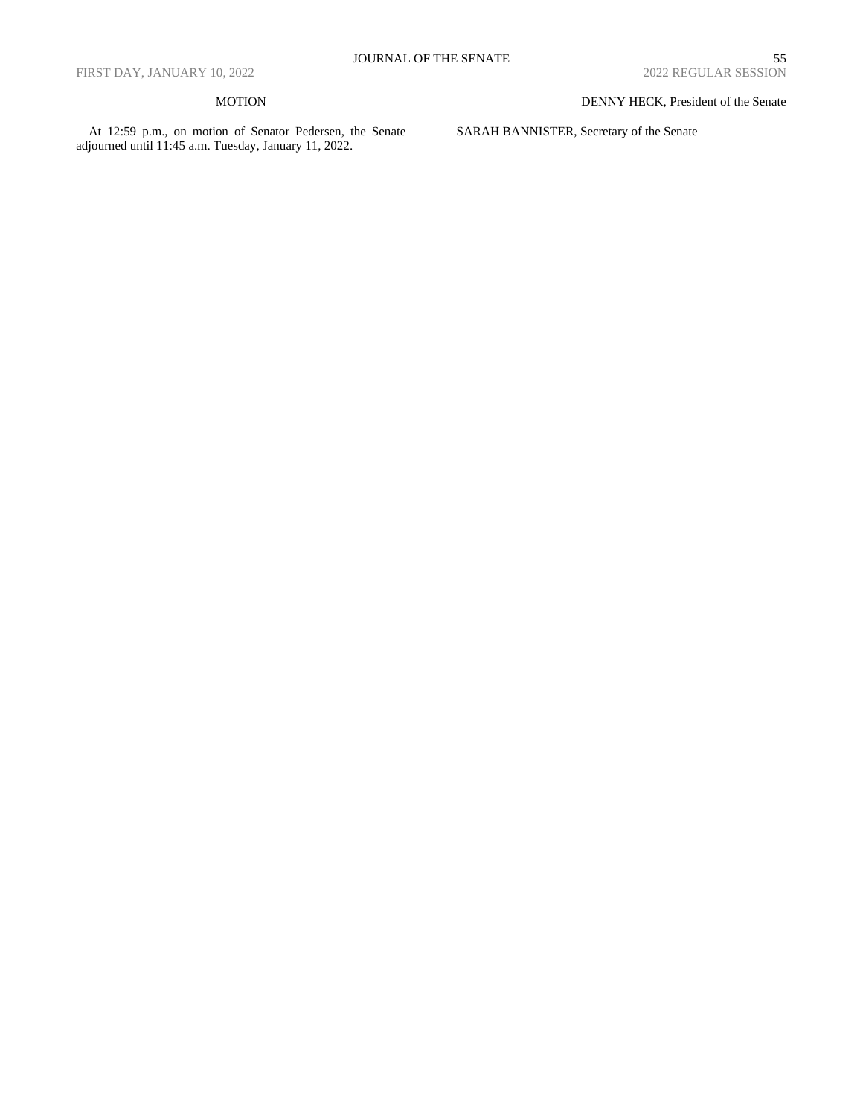### MOTION

At 12:59 p.m., on motion of Senator Pedersen, the Senate adjourned until 11:45 a.m. Tuesday, January 11, 2022.

DENNY HECK, President of the Senate

SARAH BANNISTER, Secretary of the Senate

# ${\bf JOUNNAL~OF~THE~SENATE} \qquad \qquad {\bf 55}$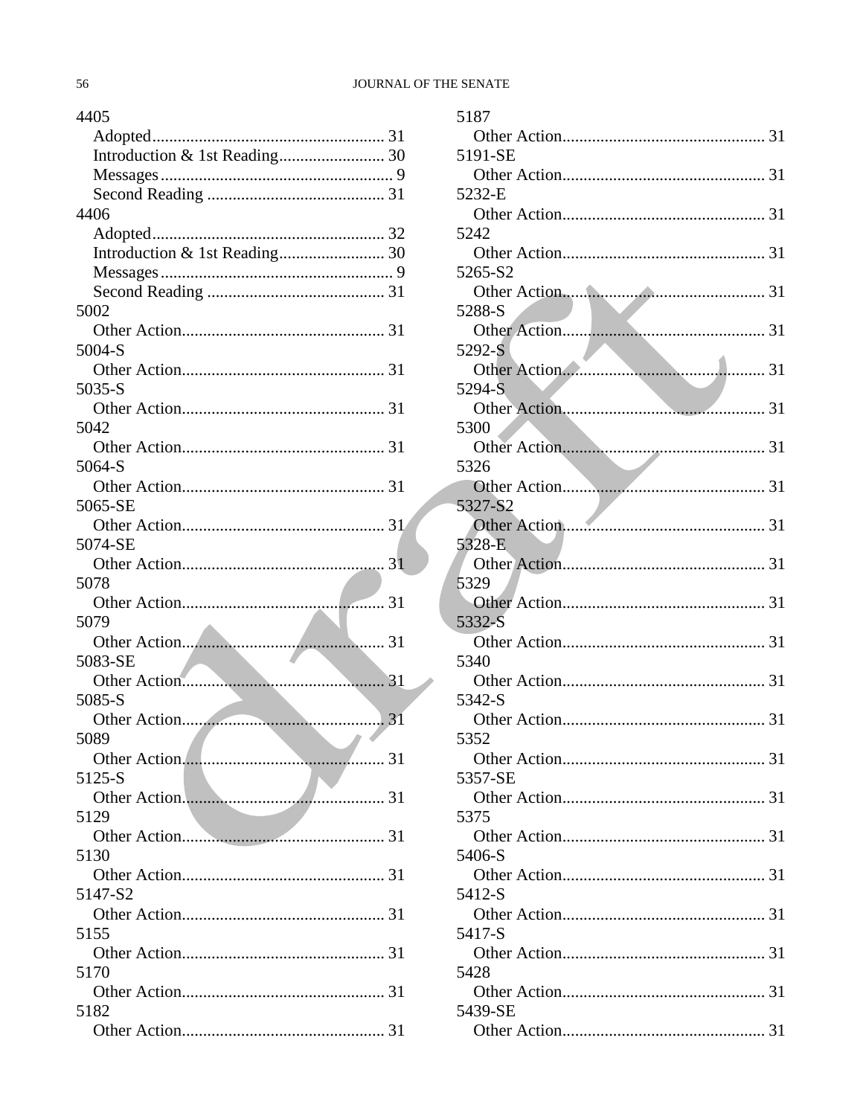| 4405    |
|---------|
| Adopted |
|         |
|         |
|         |
| 4406    |
|         |
|         |
|         |
|         |
| 5002    |
|         |
| 5004-S  |
|         |
| 5035-S  |
|         |
| 5042    |
|         |
| 5064-S  |
|         |
| 5065-SE |
|         |
| 5074-SE |
|         |
| 5078    |
|         |
| 5079    |
|         |
| 5083-SE |
|         |
| 5085-S  |
|         |
| 5089    |
|         |
| 5125-S  |
|         |
| 5129    |
|         |
| 5130    |
|         |
| 5147-S2 |
|         |
| 5155    |
|         |
| 5170    |
|         |
| 5182    |
|         |
|         |

|                     | 5187    |
|---------------------|---------|
| 1                   |         |
| 0                   | 5191-SE |
| 9                   |         |
| 1                   | 5232-E  |
|                     |         |
| $\overline{c}$<br>0 | 5242    |
| 9                   | 5265-S2 |
| 1                   |         |
|                     | 5288-S  |
| 1                   |         |
|                     | 5292-S  |
| 1                   |         |
| 1                   | 5294-S  |
|                     | 5300    |
| 1                   |         |
|                     | 5326    |
| 1                   |         |
|                     | 5327-S2 |
| $\mathbf{1}$        | 5328-E  |
| $\mathbf{1}$        |         |
|                     | 5329    |
| 1                   |         |
|                     | 5332-S  |
| 1                   |         |
|                     | 5340    |
| 1                   | 5342-S  |
| $\overline{1}$      |         |
|                     | 5352    |
| 1                   |         |
|                     | 5357-SE |
| 1                   | 5375    |
| 1                   |         |
|                     | 5406-S  |
| 1                   |         |
|                     | 5412-S  |
| 1                   |         |
|                     | 5417-S  |
| 1                   | 5428    |
| 1                   |         |
|                     | 5439-SE |
| 1                   |         |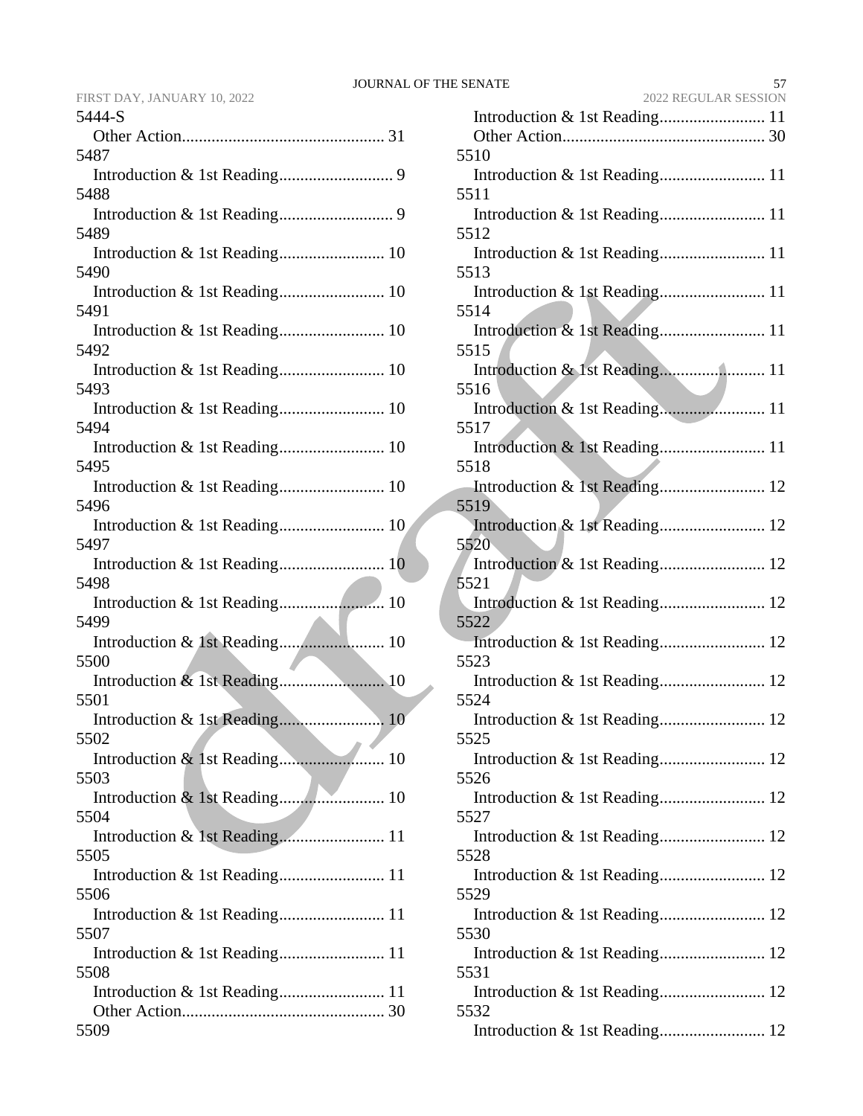|      | FIRST DAY, JANUARY 10, 2022 |  |
|------|-----------------------------|--|
| 5111 |                             |  |

| 5444-S                        |
|-------------------------------|
|                               |
| 5487                          |
|                               |
| 5488                          |
|                               |
| 5489                          |
|                               |
| 5490                          |
| 5491                          |
|                               |
| 5492                          |
|                               |
| 5493                          |
| Introduction & 1st Reading 10 |
| 5494                          |
|                               |
| 5495                          |
|                               |
| 5496                          |
| Introduction & 1st Reading 10 |
| 5497                          |
| 5498                          |
|                               |
| 5499                          |
|                               |
| 5500                          |
|                               |
| 5501                          |
| Introduction & 1st Reading 10 |
| 5502                          |
| 5503                          |
| Introduction & 1st Reading 10 |
| 5504                          |
|                               |
| 5505                          |
| Introduction & 1st Reading 11 |
| 5506                          |
| Introduction & 1st Reading 11 |
| 5507                          |
|                               |
| 5508                          |
|                               |
| 5509                          |
|                               |

| <b>SENATE</b><br>57                           |
|-----------------------------------------------|
| 2022 REGULAR SESSION                          |
| 5510                                          |
| 5511<br>5512                                  |
| 5513                                          |
| 5514                                          |
| Introduction & 1st Reading 11<br>5515         |
| 5516                                          |
| 5517                                          |
| 5518                                          |
| Introduction & 1st Reading 12<br>5519         |
| 5520                                          |
| 5521<br>Introduction & 1st Reading 12         |
| 5522                                          |
| 5523<br>Introduction & 1st Reading 12         |
| 5524<br>Introduction & 1st Reading 12         |
| 5525<br>Introduction & 1st Reading 12         |
| 5526<br>Introduction & 1st Reading 12         |
| 5527<br>Introduction & 1st Reading 12         |
| 5528<br>Introduction & 1st Reading 12<br>5529 |
| 5530                                          |
| Introduction & 1st Reading 12<br>5531         |
| Introduction & 1st Reading 12<br>5532         |
|                                               |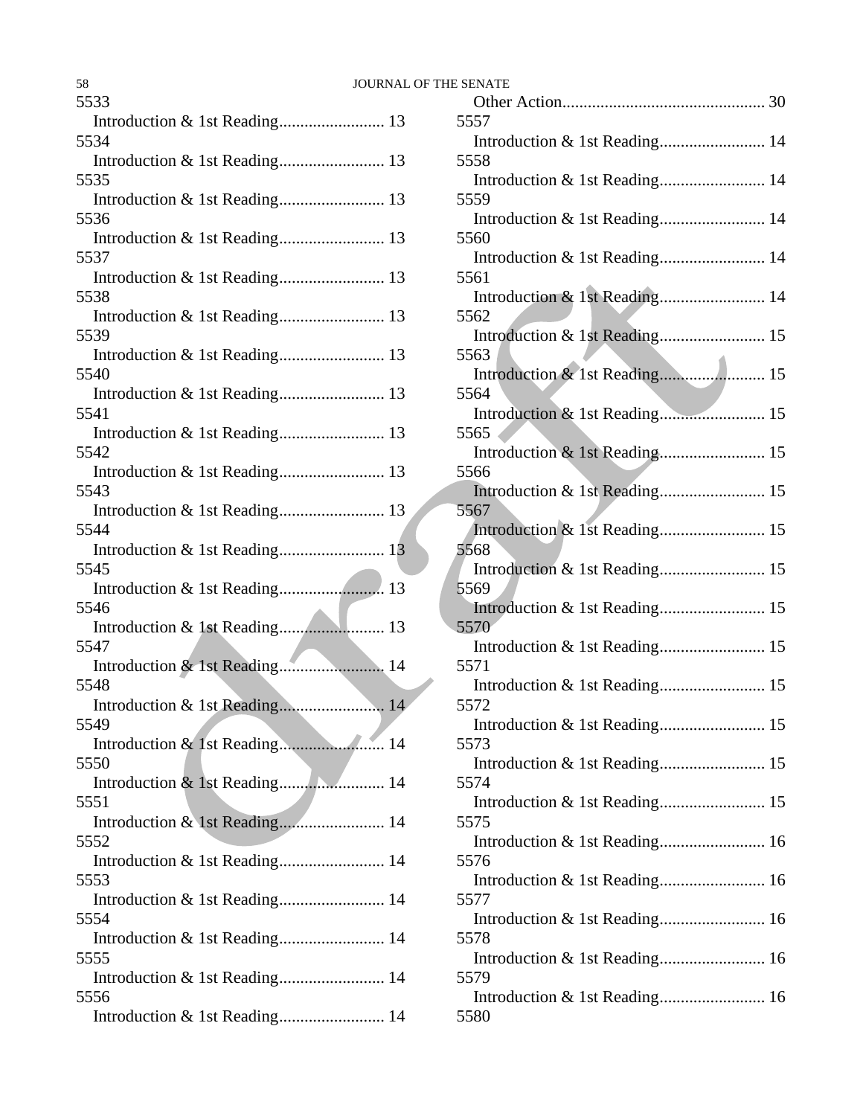| 58                                    | JOURNAL OF THE SENATE |                |
|---------------------------------------|-----------------------|----------------|
| 5533                                  |                       | Other          |
|                                       |                       | 5557           |
| 5534                                  |                       | Introd         |
| Introduction & 1st Reading 13         |                       | 5558           |
| 5535                                  |                       | Introd         |
|                                       |                       | 5559           |
| 5536                                  |                       | Introd         |
|                                       |                       | 5560           |
| 5537                                  |                       | Introd         |
|                                       |                       | 5561           |
| 5538                                  |                       | Introd         |
|                                       |                       | 5562           |
| 5539                                  |                       | Introd         |
|                                       |                       | 5563           |
| 5540                                  |                       | Introd         |
|                                       |                       | 5564           |
| 5541                                  |                       | Introd         |
|                                       |                       | 5565           |
| 5542                                  |                       | Introd         |
|                                       |                       | 5566           |
| 5543                                  |                       | Introd         |
|                                       |                       | 5567           |
| 5544<br>Introduction & 1st Reading 13 |                       | Introd<br>5568 |
| 5545                                  |                       | Introd         |
|                                       |                       | 5569           |
| 5546                                  |                       | Introd         |
| Introduction & 1st Reading            | 13                    | 5570           |
| 5547                                  |                       | Introd         |
| Introduction & 1st Reading 14         |                       | 5571           |
| 5548                                  |                       | Introd         |
| Introduction & 1st Reading            | 14                    | 5572           |
| 5549                                  |                       | Introd         |
|                                       |                       | 5573           |
| 5550                                  |                       | Introd         |
|                                       |                       | 5574           |
| 5551                                  |                       | Introd         |
| Introduction & 1st Reading 14         |                       | 5575           |
| 5552                                  |                       | Introd         |
| Introduction & 1st Reading 14         |                       | 5576           |
| 5553                                  |                       | Introd         |
|                                       |                       | 5577           |
| 5554                                  |                       | Introd         |
| Introduction & 1st Reading 14         |                       | 5578           |
| 5555                                  |                       | Introd         |
| Introduction & 1st Reading 14         |                       | 5579           |
| 5556                                  |                       | Introd         |
|                                       |                       | 5580           |

| 5557                          |  |
|-------------------------------|--|
| Introduction & 1st Reading 14 |  |
| 5558                          |  |
| Introduction & 1st Reading 14 |  |
|                               |  |
| 5559                          |  |
| Introduction & 1st Reading 14 |  |
| 5560                          |  |
| Introduction & 1st Reading 14 |  |
| 5561                          |  |
| Introduction & 1st Reading 14 |  |
| 5562                          |  |
|                               |  |
| Introduction & 1st Reading 15 |  |
| 5563                          |  |
|                               |  |
| 5564                          |  |
| Introduction & 1st Reading 15 |  |
| 5565                          |  |
|                               |  |
| Introduction & 1st Reading 15 |  |
| 5566                          |  |
|                               |  |
| 5567                          |  |
| Introduction & 1st Reading 15 |  |
| 5568                          |  |
| Introduction & 1st Reading 15 |  |
|                               |  |
| 5569                          |  |
| Introduction & 1st Reading 15 |  |
| 5570                          |  |
| Introduction & 1st Reading 15 |  |
| 5571                          |  |
| Introduction & 1st Reading 15 |  |
| 5572                          |  |
|                               |  |
|                               |  |
| 5573                          |  |
| Introduction & 1st Reading 15 |  |
| 5574                          |  |
| Introduction & 1st Reading 15 |  |
| 5575                          |  |
|                               |  |
| Introduction & 1st Reading 16 |  |
| 5576                          |  |
| Introduction & 1st Reading 16 |  |
| 5577                          |  |
| Introduction & 1st Reading 16 |  |
| 5578                          |  |
|                               |  |
| Introduction & 1st Reading 16 |  |
| 5579                          |  |
| Introduction & 1st Reading 16 |  |
| 5580                          |  |
|                               |  |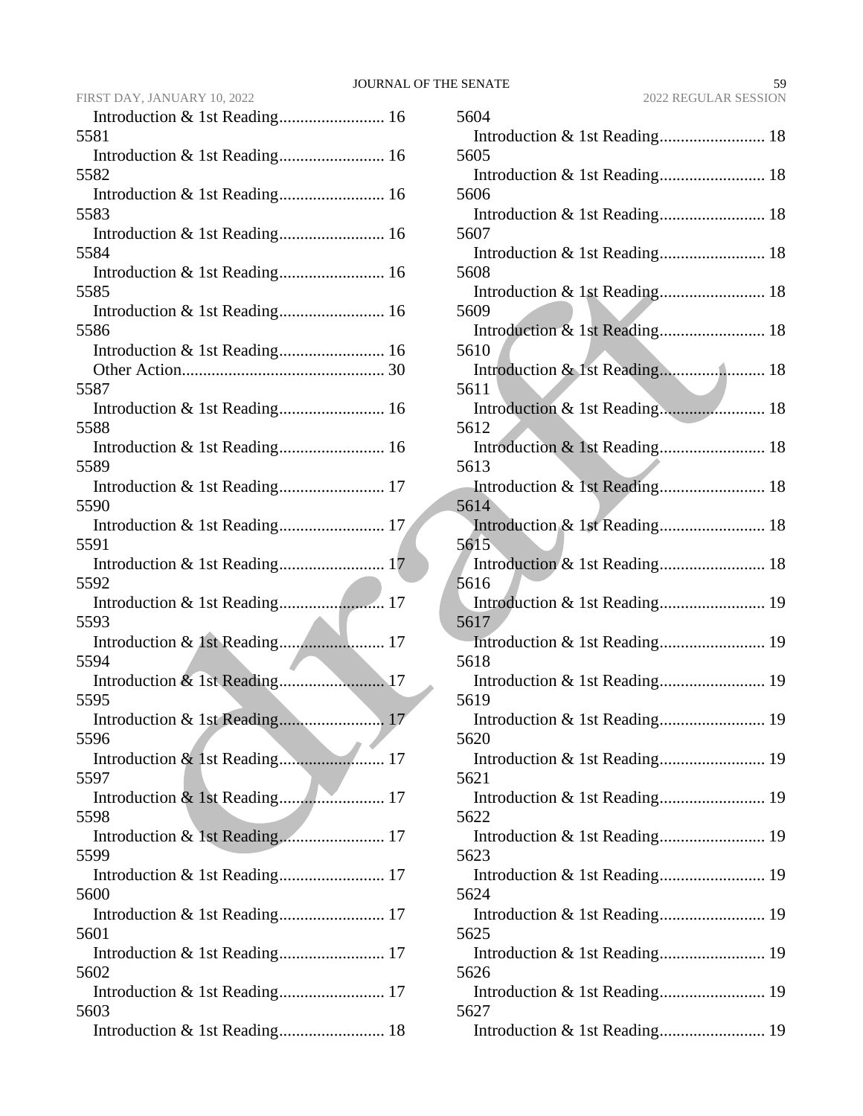| JOURNAL OF THE SENATE |                      |
|-----------------------|----------------------|
|                       | 2022 REGULAR SESSION |

| FIRST DAY, JANUARY 10, 2022              |  |
|------------------------------------------|--|
|                                          |  |
| 5581                                     |  |
| Introduction & 1st Reading 16            |  |
| 5582                                     |  |
| 5583                                     |  |
|                                          |  |
| 5584                                     |  |
| Introduction & 1st Reading 16            |  |
| 5585                                     |  |
|                                          |  |
| 5586                                     |  |
| Introduction & 1st Reading 16            |  |
| 5587                                     |  |
| Introduction & 1st Reading 16            |  |
| 5588                                     |  |
| Introduction & 1st Reading 16            |  |
| 5589                                     |  |
| Introduction & 1st Reading 17            |  |
| 5590                                     |  |
|                                          |  |
| 5591                                     |  |
| 5592                                     |  |
|                                          |  |
| 5593                                     |  |
| Introduction & 1st Reading 17            |  |
| 5594                                     |  |
|                                          |  |
| 5595                                     |  |
| Introduction & 1st Reading<br>17<br>5596 |  |
|                                          |  |
| 5597                                     |  |
|                                          |  |
| 5598                                     |  |
| Introduction & 1st Reading 17            |  |
| 5599                                     |  |
| Introduction & 1st Reading 17            |  |
| 5600                                     |  |
| 5601                                     |  |
|                                          |  |
| 5602                                     |  |
| Introduction & 1st Reading 17            |  |
| 5603                                     |  |
| Introduction & 1st Reading 18            |  |

| 5604                                  |
|---------------------------------------|
| Introduction & 1st Reading 18         |
| 5605                                  |
|                                       |
| 5606                                  |
|                                       |
| 5607                                  |
|                                       |
| 5608                                  |
| 5609                                  |
|                                       |
| 5610                                  |
|                                       |
| 5611                                  |
|                                       |
| 5612                                  |
| Introduction & 1st Reading 18         |
| 5613                                  |
|                                       |
| 5614<br>Introduction & 1st Reading 18 |
| 5615                                  |
|                                       |
| 5616                                  |
| Introduction & 1st Reading 19         |
| 5617                                  |
| Introduction & 1st Reading 19         |
| 5618                                  |
|                                       |
| 5619                                  |
| Introduction & 1st Reading 19<br>5620 |
|                                       |
| 5621                                  |
|                                       |
| 5622                                  |
| Introduction & 1st Reading 19         |
| 5623                                  |
| Introduction & 1st Reading 19         |
| 5624                                  |
|                                       |
| 5625                                  |
| 5626                                  |
| Introduction & 1st Reading 19         |
| 5627                                  |
|                                       |
|                                       |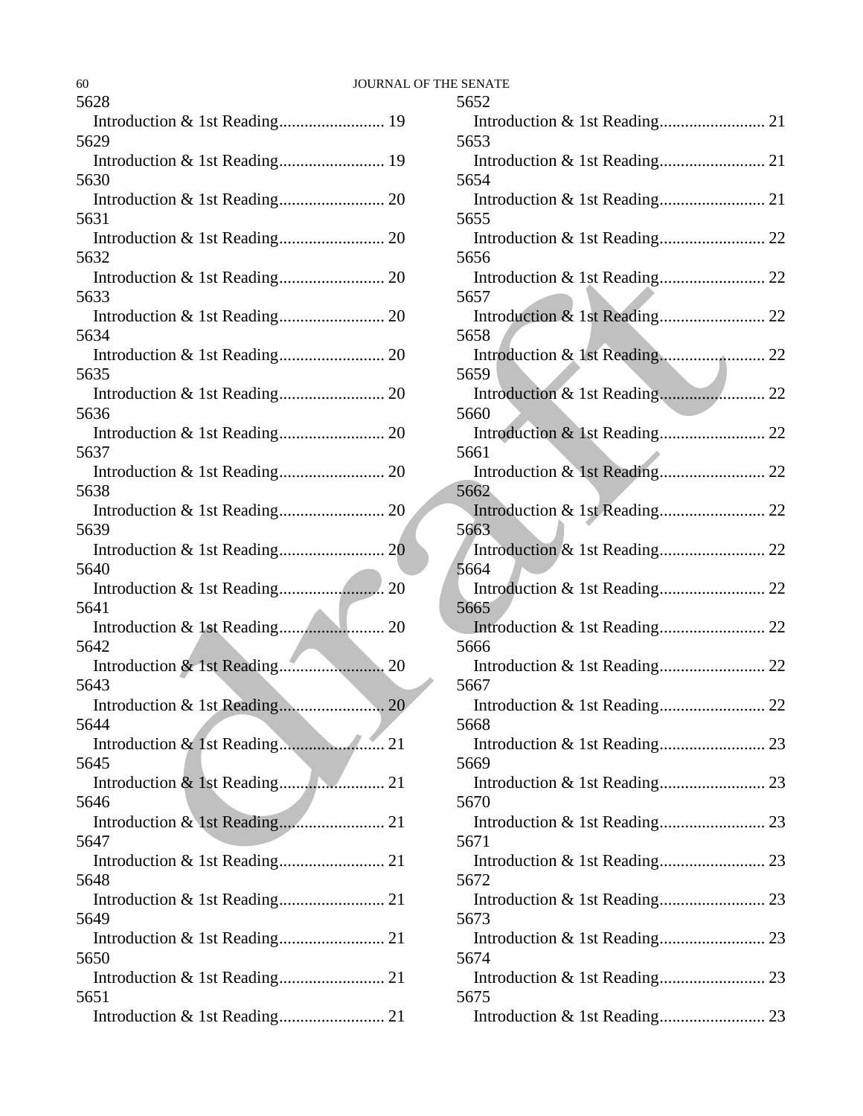| 60                                    |      | <b>JOURNAL OF THE SENATE</b> |
|---------------------------------------|------|------------------------------|
| 5628                                  |      | 5652                         |
| Introduction & 1st Reading 19<br>5629 |      | Introd<br>5653               |
|                                       |      | Introd                       |
| 5630                                  |      | 5654                         |
|                                       |      | Introd                       |
| 5631                                  |      | 5655                         |
|                                       |      | Introd                       |
| 5632                                  |      | 5656                         |
|                                       |      | Introd                       |
| 5633                                  |      | 5657                         |
|                                       |      | Introd                       |
| 5634                                  |      | 5658                         |
|                                       |      | Introd                       |
| 5635                                  |      | 5659                         |
|                                       |      | Introd                       |
| 5636                                  |      | 5660                         |
|                                       |      | Introd                       |
| 5637                                  |      | 5661                         |
|                                       |      | Introd                       |
| 5638                                  |      | 5662                         |
|                                       |      | Introd                       |
| 5639                                  |      | 5663                         |
|                                       |      | Introd                       |
| 5640                                  |      | 5664                         |
|                                       |      | Introd                       |
| 5641                                  |      | 5665                         |
| Introduction & 1st Reading            | . 20 | Introd                       |
| 5642                                  |      | 5666                         |
|                                       |      | Introd                       |
| 5643                                  |      | 5667                         |
| Introduction & 1st Reading            | . 20 | Introd                       |
| 5644                                  |      | 5668                         |
|                                       |      | Introd                       |
| 5645                                  |      | 5669                         |
|                                       |      | Introd                       |
| 5646                                  |      | 5670                         |
|                                       |      | Introd                       |
| 5647                                  |      | 5671                         |
|                                       |      | Introd                       |
| 5648                                  |      | 5672                         |
|                                       |      | Introd                       |
| 5649                                  |      | 5673                         |
|                                       |      | Introd                       |
| 5650                                  |      | 5674                         |
|                                       |      | Introd                       |
| 5651                                  |      | 5675                         |
|                                       |      | Introd                       |

| 5652                                  |  |
|---------------------------------------|--|
|                                       |  |
| 5653                                  |  |
|                                       |  |
| 5654                                  |  |
|                                       |  |
| 5655                                  |  |
|                                       |  |
| 5656                                  |  |
|                                       |  |
| 5657                                  |  |
|                                       |  |
| 5658                                  |  |
|                                       |  |
| 5659                                  |  |
|                                       |  |
| 5660                                  |  |
| Introduction & 1st Reading 22<br>5661 |  |
|                                       |  |
| 5662                                  |  |
|                                       |  |
| 5663                                  |  |
|                                       |  |
| 5664                                  |  |
|                                       |  |
| 5665                                  |  |
|                                       |  |
| 5666                                  |  |
|                                       |  |
| 5667                                  |  |
|                                       |  |
| 5668                                  |  |
|                                       |  |
| 5669                                  |  |
|                                       |  |
| 5670                                  |  |
| 5671                                  |  |
|                                       |  |
| 5672                                  |  |
|                                       |  |
| 5673                                  |  |
|                                       |  |
| 5674                                  |  |
|                                       |  |
| 5675                                  |  |
|                                       |  |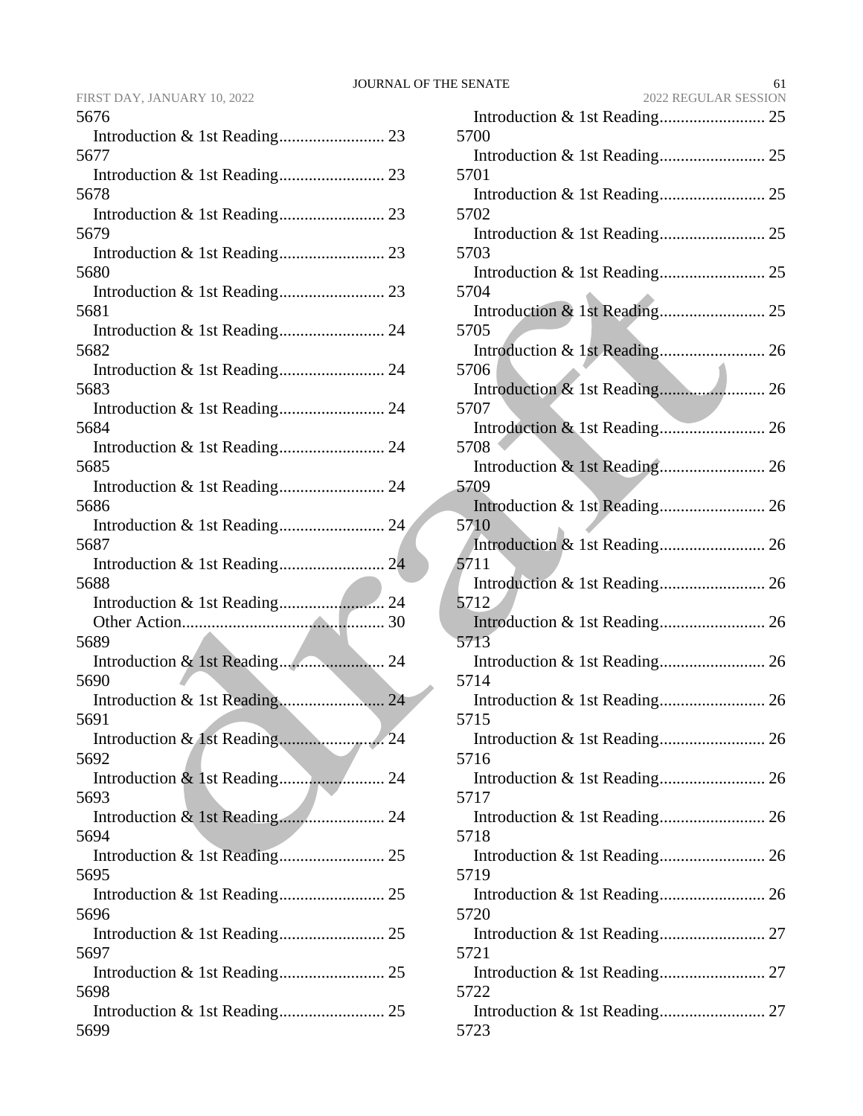| FIRST DAY. JANUARY 10. 2022 |  |  |
|-----------------------------|--|--|
|-----------------------------|--|--|

| 5676                               |  |
|------------------------------------|--|
|                                    |  |
| 5677                               |  |
|                                    |  |
| 5678                               |  |
|                                    |  |
| 5679                               |  |
|                                    |  |
| 5680                               |  |
|                                    |  |
| 5681                               |  |
| Introduction & 1st Reading 24      |  |
| 5682                               |  |
|                                    |  |
| 5683                               |  |
| Introduction & 1st Reading 24      |  |
| 5684                               |  |
| Introduction & 1st Reading 24      |  |
| 5685                               |  |
|                                    |  |
| 5686                               |  |
| Introduction & 1st Reading 24      |  |
| 5687                               |  |
| Introduction & 1st Reading 24      |  |
| 5688                               |  |
|                                    |  |
|                                    |  |
| 5689                               |  |
|                                    |  |
| 5690                               |  |
|                                    |  |
| 5691                               |  |
| Introduction & 1st Reading<br>. 24 |  |
| 5692                               |  |
|                                    |  |
| 5693                               |  |
|                                    |  |
| 5694                               |  |
|                                    |  |
| 5695                               |  |
|                                    |  |
| 5696                               |  |
|                                    |  |
| 5697                               |  |
|                                    |  |
| 5698                               |  |
|                                    |  |
| 5699                               |  |
|                                    |  |

| FIRST DAY, JANUARY 10, 2022 | 2022 REGULAR SESSION |
|-----------------------------|----------------------|
| 5676                        |                      |
|                             | 5700                 |
| 5677                        |                      |
|                             | 5701                 |
| 5678                        |                      |
|                             | 5702                 |
| 5679                        |                      |
|                             | 5703                 |
| 5680                        |                      |
|                             | 5704                 |
| 5681                        |                      |
|                             | 5705                 |
| 5682                        |                      |
|                             | 5706                 |
| 5683                        |                      |
|                             | 5707                 |
| 5684                        |                      |
|                             | 5708                 |
| 5685                        |                      |
|                             | 5709                 |
| 5686                        |                      |
|                             | 5710                 |
| 5687                        |                      |
|                             | 5711                 |
| 5688                        |                      |
|                             | 5712                 |
|                             |                      |
| 5689                        | 5713                 |
|                             |                      |
| 5690                        | 5714                 |
|                             |                      |
| 5691                        | 5715                 |
|                             |                      |
| 5692                        | 5716                 |
|                             |                      |
| 5693                        | 5717                 |
|                             |                      |
| 5694                        | 5718                 |
|                             |                      |
| 5695                        | 5719                 |
|                             |                      |
| 5696                        | 5720                 |
|                             |                      |
| 5697                        | 5721                 |
|                             |                      |
| 5698                        | 5722                 |
|                             |                      |
| 5699                        | 5723                 |
|                             |                      |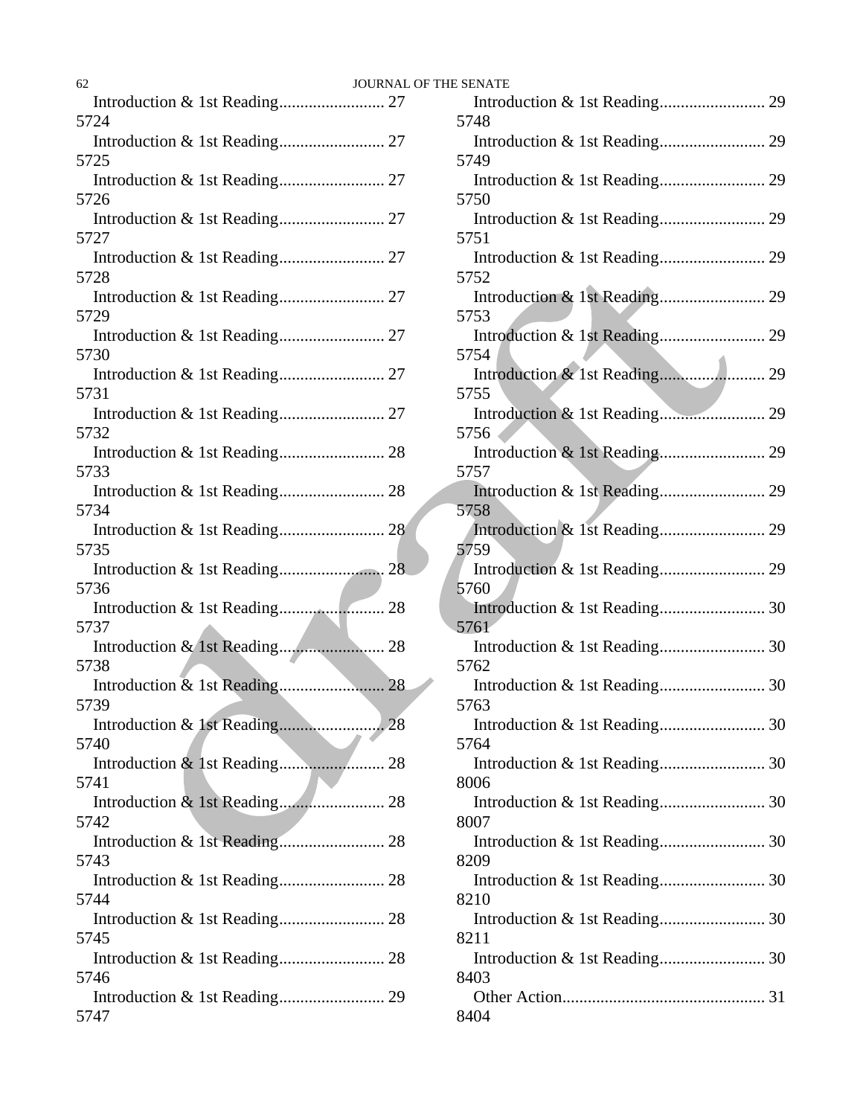| <b>JOURNAL</b><br>62 |  |
|----------------------|--|
|                      |  |
| 5724                 |  |
|                      |  |
| 5725                 |  |
| 5726                 |  |
|                      |  |
| 5727                 |  |
|                      |  |
| 5728                 |  |
|                      |  |
| 5729                 |  |
|                      |  |
| 5730                 |  |
|                      |  |
| 5731                 |  |
|                      |  |
| 5732                 |  |
| 5733                 |  |
|                      |  |
| 5734                 |  |
|                      |  |
| 5735                 |  |
|                      |  |
| 5736                 |  |
|                      |  |
| 5737                 |  |
|                      |  |
| 5738                 |  |
| 5739                 |  |
|                      |  |
| 5740                 |  |
|                      |  |
| 5741                 |  |
|                      |  |
| 5742                 |  |
|                      |  |
| 5743                 |  |
|                      |  |
| 5744                 |  |
|                      |  |
| 5745                 |  |
| 5746                 |  |
|                      |  |
| 5747                 |  |
|                      |  |

| OF THE SENATE |
|---------------|
|               |
| 5748          |
| 5749          |
|               |
| 5750          |
|               |
| 5751          |
| 5752          |
|               |
| 5753          |
|               |
| 5754          |
| 5755          |
|               |
| 5756          |
|               |
| 5757          |
| 5758          |
|               |
| 5759          |
|               |
| 5760          |
| 5761          |
|               |
| 5762          |
|               |
| 5763          |
| 5764          |
|               |
| 8006          |
|               |
| 8007          |
| 8209          |
|               |
| 8210          |
|               |
| 8211          |
|               |
| 8403          |
| 8404          |
|               |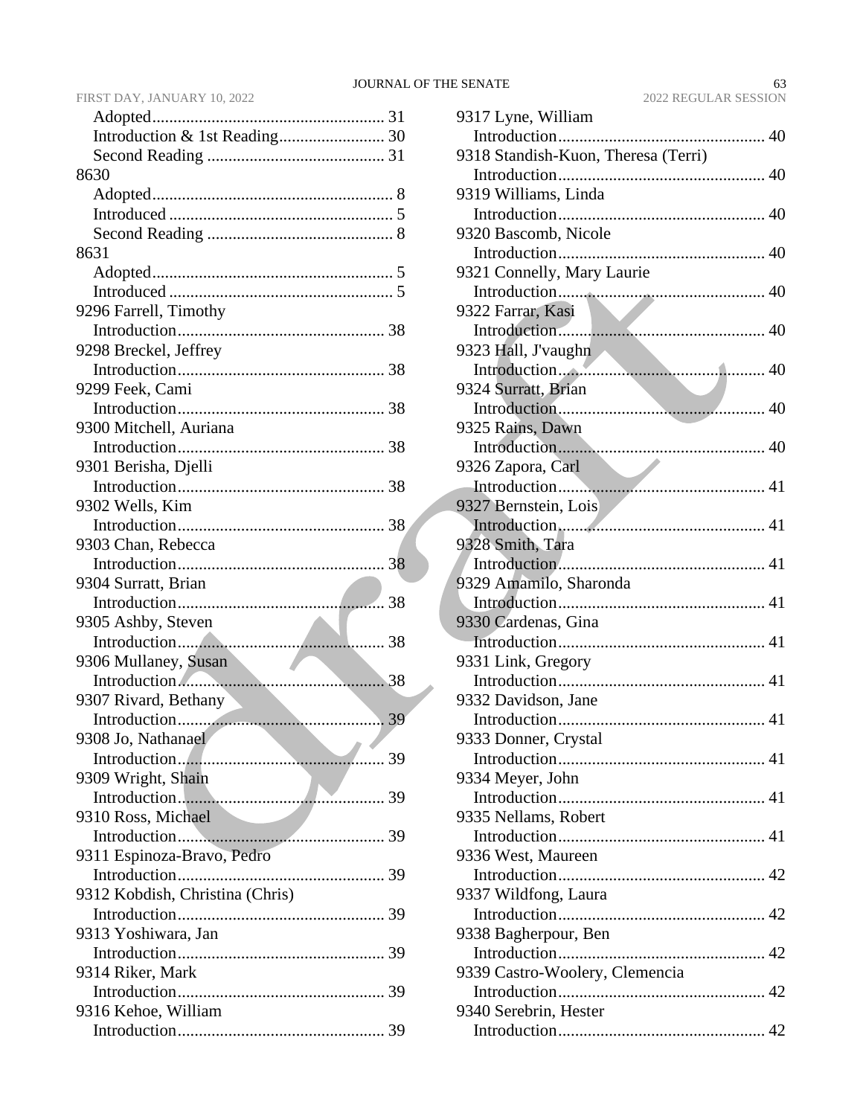### FIRST DAY, JANUARY 10, 2022

| 8630                            |
|---------------------------------|
|                                 |
|                                 |
|                                 |
| 8631                            |
|                                 |
|                                 |
| 9296 Farrell, Timothy           |
|                                 |
| 9298 Breckel, Jeffrey           |
|                                 |
| 9299 Feek, Cami                 |
|                                 |
| 9300 Mitchell, Auriana          |
|                                 |
| 9301 Berisha, Djelli            |
|                                 |
| 9302 Wells, Kim                 |
|                                 |
| 9303 Chan, Rebecca              |
|                                 |
| 9304 Surratt, Brian             |
|                                 |
| 9305 Ashby, Steven              |
|                                 |
| 9306 Mullaney, Susan            |
| Introduction<br>38              |
| 9307 Rivard, Bethany            |
|                                 |
| 9308 Jo, Nathanael              |
|                                 |
| 9309 Wright, Shain              |
|                                 |
| 9310 Ross, Michael              |
|                                 |
| 9311 Espinoza-Bravo, Pedro      |
|                                 |
| 9312 Kobdish, Christina (Chris) |
|                                 |
| 9313 Yoshiwara, Jan             |
|                                 |
| 9314 Riker, Mark                |
|                                 |
| 9316 Kehoe, William             |
|                                 |

| 1 | 9317 Lyne, William                  |
|---|-------------------------------------|
| 0 |                                     |
| 1 | 9318 Standish-Kuon, Theresa (Terri) |
|   |                                     |
| 8 | 9319 Williams, Linda                |
| 5 |                                     |
| 8 | 9320 Bascomb, Nicole                |
|   |                                     |
| 5 | 9321 Connelly, Mary Laurie          |
| 5 |                                     |
|   | 9322 Farrar, Kasi                   |
| 8 |                                     |
|   | 9323 Hall, J'vaughn                 |
| 8 |                                     |
|   | 9324 Surratt, Brian                 |
| 8 |                                     |
|   | 9325 Rains, Dawn                    |
| 8 |                                     |
|   |                                     |
| 8 |                                     |
|   | 9327 Bernstein, Lois                |
| 8 |                                     |
|   | 9328 Smith, Tara                    |
| 8 |                                     |
|   | 9329 Amamilo, Sharonda              |
| 8 |                                     |
|   | 9330 Cardenas, Gina                 |
| 8 |                                     |
|   | 9331 Link, Gregory                  |
| 8 |                                     |
|   | 9332 Davidson, Jane                 |
| 9 |                                     |
|   | 9333 Donner, Crystal                |
| 9 |                                     |
|   | 9334 Meyer, John                    |
| 9 |                                     |
|   | 9335 Nellams, Robert                |
| 9 |                                     |
|   | 9336 West, Maureen                  |
| 9 |                                     |
|   | 9337 Wildfong, Laura                |
| 9 |                                     |
|   | 9338 Bagherpour, Ben                |
| 9 |                                     |
|   | 9339 Castro-Woolery, Clemencia      |
| 9 |                                     |
|   | 9340 Serebrin, Hester               |
| 9 |                                     |
|   |                                     |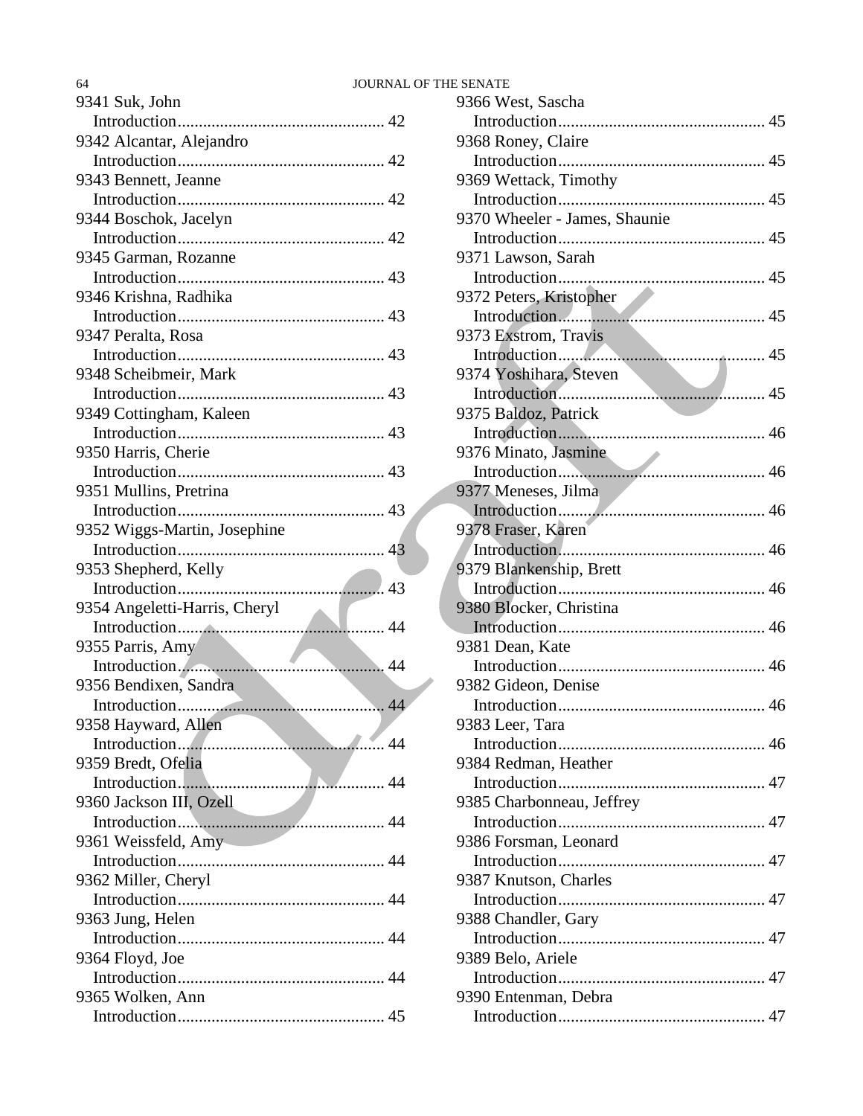### 64 JOURNAL OF THE SENATE

| 9341 Suk, John                |
|-------------------------------|
|                               |
| 9342 Alcantar, Alejandro      |
|                               |
| 9343 Bennett, Jeanne          |
|                               |
| 9344 Boschok, Jacelyn         |
|                               |
| 9345 Garman, Rozanne          |
|                               |
| 9346 Krishna, Radhika         |
|                               |
| 9347 Peralta, Rosa            |
|                               |
| 9348 Scheibmeir, Mark         |
|                               |
| 9349 Cottingham, Kaleen       |
|                               |
| 9350 Harris, Cherie           |
|                               |
| 9351 Mullins, Pretrina        |
|                               |
| 9352 Wiggs-Martin, Josephine  |
|                               |
| 9353 Shepherd, Kelly          |
|                               |
| 9354 Angeletti-Harris, Cheryl |
|                               |
| 9355 Parris, Amy              |
|                               |
| 9356 Bendixen, Sandra         |
|                               |
| 9358 Hayward, Allen           |
|                               |
| 9359 Bredt, Ofelia            |
|                               |
| 9360 Jackson III, Ozell       |
|                               |
| 9361 Weissfeld, Amy           |
|                               |
| 9362 Miller, Cheryl           |
|                               |
| 9363 Jung, Helen              |
|                               |
| 9364 Floyd, Joe               |
| 9365 Wolken, Ann              |
|                               |
|                               |

| 9366 West, Sascha             |
|-------------------------------|
|                               |
| 9368 Roney, Claire            |
|                               |
| 9369 Wettack, Timothy         |
|                               |
| 9370 Wheeler - James, Shaunie |
|                               |
| 9371 Lawson, Sarah            |
|                               |
| 9372 Peters, Kristopher       |
|                               |
| 9373 Exstrom, Travis          |
|                               |
| 9374 Yoshihara, Steven        |
|                               |
| 9375 Baldoz, Patrick          |
|                               |
| 9376 Minato, Jasmine          |
|                               |
| 9377 Meneses, Jilma           |
| 9378 Fraser, Karen            |
|                               |
| 9379 Blankenship, Brett       |
|                               |
| 9380 Blocker, Christina       |
|                               |
| 9381 Dean, Kate               |
|                               |
| 9382 Gideon, Denise           |
|                               |
| 9383 Leer, Tara               |
|                               |
| 9384 Redman, Heather          |
|                               |
| 9385 Charbonneau, Jeffrey     |
|                               |
| 9386 Forsman, Leonard         |
|                               |
| 9387 Knutson, Charles         |
|                               |
| 9388 Chandler, Gary           |
|                               |
| 9389 Belo, Ariele             |
|                               |
| 9390 Entenman, Debra          |
|                               |